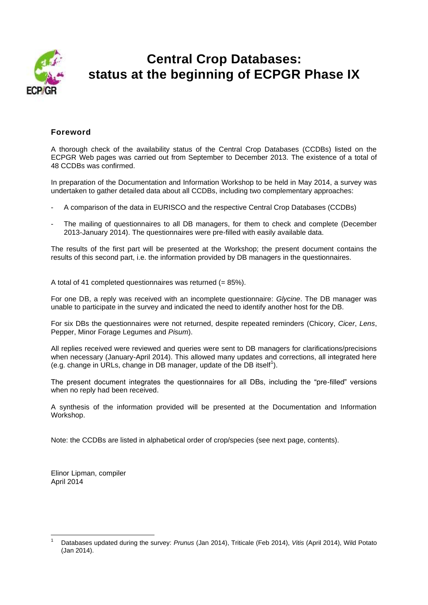

# **Central Crop Databases: status at the beginning of ECPGR Phase IX**

## **Foreword**

A thorough check of the availability status of the Central Crop Databases (CCDBs) listed on the ECPGR Web pages was carried out from September to December 2013. The existence of a total of 48 CCDBs was confirmed.

In preparation of the Documentation and Information Workshop to be held in May 2014, a survey was undertaken to gather detailed data about all CCDBs, including two complementary approaches:

- A comparison of the data in EURISCO and the respective Central Crop Databases (CCDBs)
- The mailing of questionnaires to all DB managers, for them to check and complete (December 2013-January 2014). The questionnaires were pre-filled with easily available data.

The results of the first part will be presented at the Workshop; the present document contains the results of this second part, i.e. the information provided by DB managers in the questionnaires.

A total of 41 completed questionnaires was returned (= 85%).

For one DB, a reply was received with an incomplete questionnaire: *Glycine*. The DB manager was unable to participate in the survey and indicated the need to identify another host for the DB.

For six DBs the questionnaires were not returned, despite repeated reminders (Chicory, *Cicer*, *Lens*, Pepper, Minor Forage Legumes and *Pisum*).

All replies received were reviewed and queries were sent to DB managers for clarifications/precisions when necessary (January-April 2014). This allowed many updates and corrections, all integrated here (e.g. change in URLs, change in DB manager, update of the DB itself<sup>1</sup>).

The present document integrates the questionnaires for all DBs, including the "pre-filled" versions when no reply had been received.

A synthesis of the information provided will be presented at the Documentation and Information Workshop.

Note: the CCDBs are listed in alphabetical order of crop/species (see next page, contents).

Elinor Lipman, compiler April 2014

 $\overline{a}$ 

<sup>1</sup> Databases updated during the survey: *Prunus* (Jan 2014), Triticale (Feb 2014), *Vitis* (April 2014), Wild Potato (Jan 2014).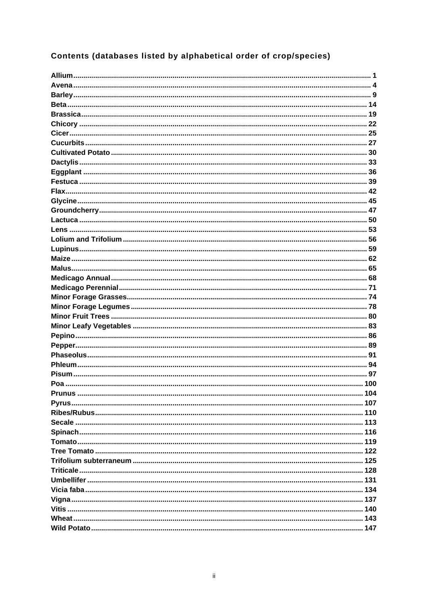# Contents (databases listed by alphabetical order of crop/species)

| <b>Prunus</b> | 104 |
|---------------|-----|
|               |     |
|               |     |
|               |     |
|               |     |
|               |     |
|               |     |
|               |     |
|               |     |
|               |     |
|               |     |
|               |     |
|               |     |
|               |     |
|               |     |
|               |     |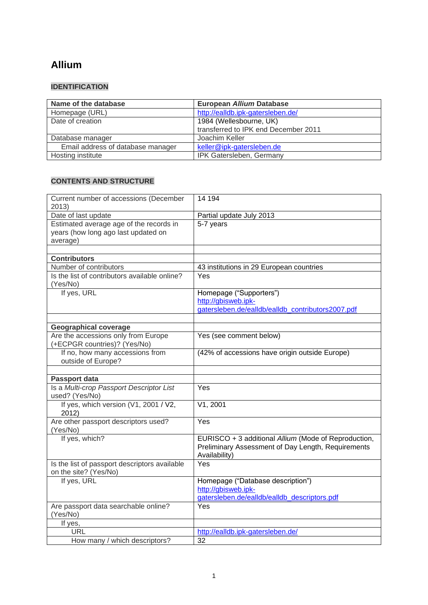## **Allium**

## **IDENTIFICATION**

| Name of the database              | European Allium Database             |
|-----------------------------------|--------------------------------------|
| Homepage (URL)                    | http://ealldb.ipk-gatersleben.de/    |
| Date of creation                  | 1984 (Wellesbourne, UK)              |
|                                   | transferred to IPK end December 2011 |
| Database manager                  | Joachim Keller                       |
| Email address of database manager | keller@ipk-gatersleben.de            |
| Hosting institute                 | IPK Gatersleben, Germany             |

| Current number of accessions (December<br>2013)                                            | 14 194                                                                                                                      |
|--------------------------------------------------------------------------------------------|-----------------------------------------------------------------------------------------------------------------------------|
| Date of last update                                                                        | Partial update July 2013                                                                                                    |
| Estimated average age of the records in<br>years (how long ago last updated on<br>average) | 5-7 years                                                                                                                   |
|                                                                                            |                                                                                                                             |
| <b>Contributors</b>                                                                        |                                                                                                                             |
| Number of contributors                                                                     | 43 institutions in 29 European countries                                                                                    |
| Is the list of contributors available online?<br>(Yes/No)                                  | Yes                                                                                                                         |
| If yes, URL                                                                                | Homepage ("Supporters")                                                                                                     |
|                                                                                            | http://gbisweb.ipk-                                                                                                         |
|                                                                                            | gatersleben.de/ealldb/ealldb contributors2007.pdf                                                                           |
|                                                                                            |                                                                                                                             |
| <b>Geographical coverage</b><br>Are the accessions only from Europe                        | Yes (see comment below)                                                                                                     |
| (+ECPGR countries)? (Yes/No)                                                               |                                                                                                                             |
| If no, how many accessions from<br>outside of Europe?                                      | (42% of accessions have origin outside Europe)                                                                              |
|                                                                                            |                                                                                                                             |
| Passport data                                                                              |                                                                                                                             |
| Is a Multi-crop Passport Descriptor List                                                   | Yes                                                                                                                         |
| used? (Yes/No)                                                                             |                                                                                                                             |
| If yes, which version (V1, 2001 / V2,<br>2012)                                             | V1, 2001                                                                                                                    |
| Are other passport descriptors used?<br>(Yes/No)                                           | Yes                                                                                                                         |
| If yes, which?                                                                             | EURISCO + 3 additional Allium (Mode of Reproduction,<br>Preliminary Assessment of Day Length, Requirements<br>Availability) |
| Is the list of passport descriptors available<br>on the site? (Yes/No)                     | Yes                                                                                                                         |
| If yes, URL                                                                                | Homepage ("Database description")<br>http://gbisweb.ipk-<br>gatersleben.de/ealldb/ealldb descriptors.pdf                    |
| Are passport data searchable online?<br>(Yes/No)                                           | Yes                                                                                                                         |
| If yes,                                                                                    |                                                                                                                             |
| <b>URL</b>                                                                                 | http://ealldb.ipk-gatersleben.de/                                                                                           |
| How many / which descriptors?                                                              | 32                                                                                                                          |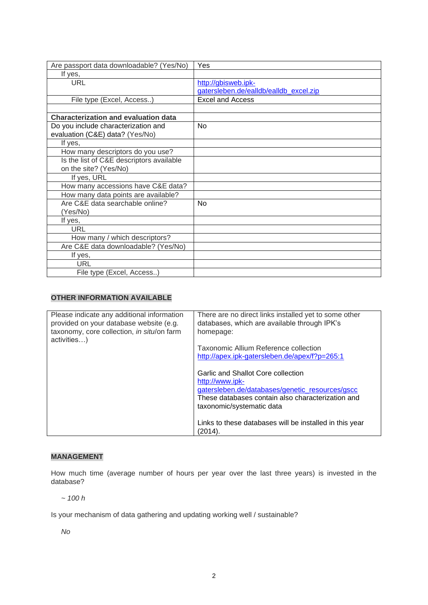| Are passport data downloadable? (Yes/No)    | Yes                                    |
|---------------------------------------------|----------------------------------------|
| If yes,                                     |                                        |
| <b>URL</b>                                  | http://gbisweb.ipk-                    |
|                                             | gatersleben.de/ealldb/ealldb excel.zip |
| File type (Excel, Access)                   | <b>Excel and Access</b>                |
|                                             |                                        |
| <b>Characterization and evaluation data</b> |                                        |
| Do you include characterization and         | No                                     |
| evaluation (C&E) data? (Yes/No)             |                                        |
| If yes,                                     |                                        |
| How many descriptors do you use?            |                                        |
| Is the list of C&E descriptors available    |                                        |
| on the site? (Yes/No)                       |                                        |
| If yes, URL                                 |                                        |
| How many accessions have C&E data?          |                                        |
| How many data points are available?         |                                        |
| Are C&E data searchable online?             | <b>No</b>                              |
| (Yes/No)                                    |                                        |
| If yes,                                     |                                        |
| URL                                         |                                        |
| How many / which descriptors?               |                                        |
| Are C&E data downloadable? (Yes/No)         |                                        |
| If yes,                                     |                                        |
| <b>URL</b>                                  |                                        |
| File type (Excel, Access)                   |                                        |

| Please indicate any additional information<br>provided on your database website (e.g.<br>taxonomy, core collection, in situ/on farm<br>activities) | There are no direct links installed yet to some other<br>databases, which are available through IPK's<br>homepage:                                                                         |
|----------------------------------------------------------------------------------------------------------------------------------------------------|--------------------------------------------------------------------------------------------------------------------------------------------------------------------------------------------|
|                                                                                                                                                    | Taxonomic Allium Reference collection                                                                                                                                                      |
|                                                                                                                                                    | http://apex.ipk-gatersleben.de/apex/f?p=265:1                                                                                                                                              |
|                                                                                                                                                    | Garlic and Shallot Core collection<br>http://www.ipk-<br>gatersleben.de/databases/genetic resources/gscc<br>These databases contain also characterization and<br>taxonomic/systematic data |
|                                                                                                                                                    | Links to these databases will be installed in this year<br>(2014).                                                                                                                         |

## **MANAGEMENT**

How much time (average number of hours per year over the last three years) is invested in the database?

*~ 100 h*

Is your mechanism of data gathering and updating working well / sustainable?

*No*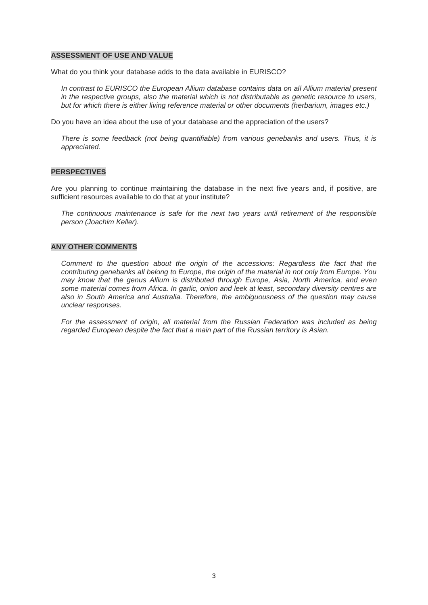#### **ASSESSMENT OF USE AND VALUE**

What do you think your database adds to the data available in EURISCO?

*In contrast to EURISCO the European Allium database contains data on all Allium material present in the respective groups, also the material which is not distributable as genetic resource to users, but for which there is either living reference material or other documents (herbarium, images etc.)*

Do you have an idea about the use of your database and the appreciation of the users?

*There is some feedback (not being quantifiable) from various genebanks and users. Thus, it is appreciated.*

#### **PERSPECTIVES**

Are you planning to continue maintaining the database in the next five years and, if positive, are sufficient resources available to do that at your institute?

*The continuous maintenance is safe for the next two years until retirement of the responsible person (Joachim Keller).*

#### **ANY OTHER COMMENTS**

*Comment to the question about the origin of the accessions: Regardless the fact that the contributing genebanks all belong to Europe, the origin of the material in not only from Europe. You may know that the genus Allium is distributed through Europe, Asia, North America, and even some material comes from Africa. In garlic, onion and leek at least, secondary diversity centres are also in South America and Australia. Therefore, the ambiguousness of the question may cause unclear responses.*

For the assessment of origin, all material from the Russian Federation was included as being *regarded European despite the fact that a main part of the Russian territory is Asian.*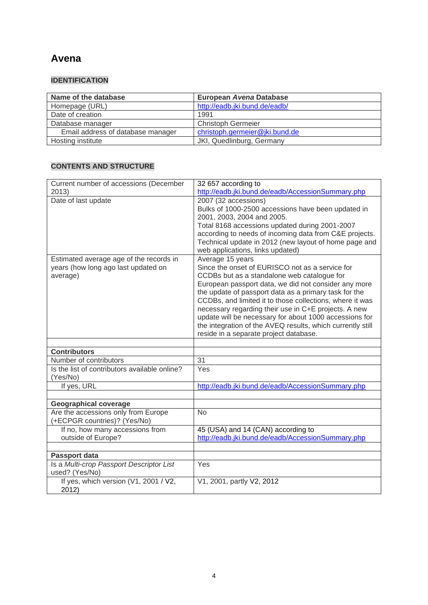## **Avena**

## **IDENTIFICATION**

| Name of the database              | European Avena Database        |
|-----------------------------------|--------------------------------|
| Homepage (URL)                    | http://eadb.jki.bund.de/eadb/  |
| Date of creation                  | 1991                           |
| Database manager                  | <b>Christoph Germeier</b>      |
| Email address of database manager | christoph.germeier@jki.bund.de |
| Hosting institute                 | JKI, Quedlinburg, Germany      |

| Current number of accessions (December                  | 32 657 according to                                                                                           |
|---------------------------------------------------------|---------------------------------------------------------------------------------------------------------------|
| 2013)                                                   | http://eadb.jki.bund.de/eadb/AccessionSummary.php                                                             |
| Date of last update                                     | 2007 (32 accessions)                                                                                          |
|                                                         | Bulks of 1000-2500 accessions have been updated in                                                            |
|                                                         | 2001, 2003, 2004 and 2005.                                                                                    |
|                                                         | Total 8168 accessions updated during 2001-2007                                                                |
|                                                         | according to needs of incoming data from C&E projects.                                                        |
|                                                         | Technical update in 2012 (new layout of home page and                                                         |
|                                                         | web applications, links updated)                                                                              |
| Estimated average age of the records in                 | Average 15 years                                                                                              |
| years (how long ago last updated on                     | Since the onset of EURISCO not as a service for                                                               |
| average)                                                | CCDBs but as a standalone web catalogue for                                                                   |
|                                                         | European passport data, we did not consider any more<br>the update of passport data as a primary task for the |
|                                                         | CCDBs, and limited it to those collections, where it was                                                      |
|                                                         | necessary regarding their use in C+E projects. A new                                                          |
|                                                         | update will be necessary for about 1000 accessions for                                                        |
|                                                         | the integration of the AVEQ results, which currently still                                                    |
|                                                         | reside in a separate project database.                                                                        |
|                                                         |                                                                                                               |
| <b>Contributors</b>                                     |                                                                                                               |
| Number of contributors                                  | 31                                                                                                            |
| Is the list of contributors available online?           | Yes                                                                                                           |
| (Yes/No)                                                |                                                                                                               |
| If yes, URL                                             | http://eadb.jki.bund.de/eadb/AccessionSummary.php                                                             |
|                                                         |                                                                                                               |
| <b>Geographical coverage</b>                            |                                                                                                               |
| Are the accessions only from Europe                     | <b>No</b>                                                                                                     |
| (+ECPGR countries)? (Yes/No)                            |                                                                                                               |
| If no, how many accessions from                         | 45 (USA) and 14 (CAN) according to                                                                            |
| outside of Europe?                                      | http://eadb.jki.bund.de/eadb/AccessionSummary.php                                                             |
|                                                         |                                                                                                               |
|                                                         |                                                                                                               |
| Passport data                                           |                                                                                                               |
| Is a Multi-crop Passport Descriptor List                | Yes                                                                                                           |
| used? (Yes/No)<br>If yes, which version (V1, 2001 / V2, | V1, 2001, partly V2, 2012                                                                                     |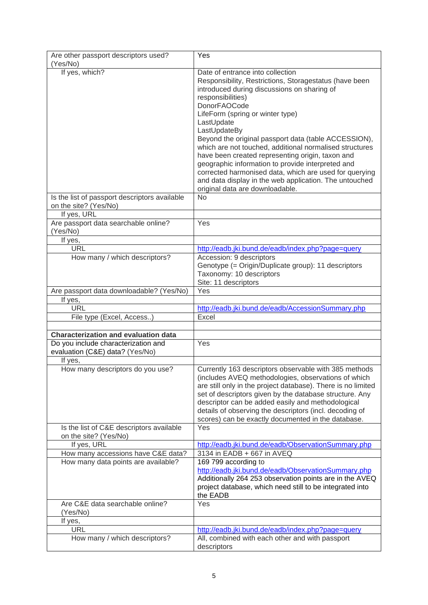| Are other passport descriptors used?          | Yes                                                                                                           |
|-----------------------------------------------|---------------------------------------------------------------------------------------------------------------|
| (Yes/No)                                      |                                                                                                               |
| If yes, which?                                | Date of entrance into collection                                                                              |
|                                               | Responsibility, Restrictions, Storagestatus (have been                                                        |
|                                               | introduced during discussions on sharing of                                                                   |
|                                               | responsibilities)                                                                                             |
|                                               | <b>DonorFAOCode</b>                                                                                           |
|                                               | LifeForm (spring or winter type)<br>LastUpdate                                                                |
|                                               | LastUpdateBy                                                                                                  |
|                                               | Beyond the original passport data (table ACCESSION),                                                          |
|                                               | which are not touched, additional normalised structures                                                       |
|                                               | have been created representing origin, taxon and                                                              |
|                                               | geographic information to provide interpreted and                                                             |
|                                               | corrected harmonised data, which are used for querying                                                        |
|                                               | and data display in the web application. The untouched                                                        |
|                                               | original data are downloadable.                                                                               |
| Is the list of passport descriptors available | <b>No</b>                                                                                                     |
| on the site? (Yes/No)                         |                                                                                                               |
| If yes, URL                                   |                                                                                                               |
| Are passport data searchable online?          | <b>Yes</b>                                                                                                    |
| (Yes/No)                                      |                                                                                                               |
| If yes,<br><b>URL</b>                         | http://eadb.jki.bund.de/eadb/index.php?page=query                                                             |
| How many / which descriptors?                 | Accession: 9 descriptors                                                                                      |
|                                               | Genotype (= Origin/Duplicate group): 11 descriptors                                                           |
|                                               | Taxonomy: 10 descriptors                                                                                      |
|                                               | Site: 11 descriptors                                                                                          |
| Are passport data downloadable? (Yes/No)      | Yes                                                                                                           |
| If yes,                                       |                                                                                                               |
| <b>URL</b>                                    | http://eadb.jki.bund.de/eadb/AccessionSummary.php                                                             |
| File type (Excel, Access)                     | Excel                                                                                                         |
|                                               |                                                                                                               |
| <b>Characterization and evaluation data</b>   |                                                                                                               |
| Do you include characterization and           | Yes                                                                                                           |
| evaluation (C&E) data? (Yes/No)               |                                                                                                               |
| If yes,                                       |                                                                                                               |
| How many descriptors do you use?              | Currently 163 descriptors observable with 385 methods                                                         |
|                                               | (includes AVEQ methodologies, observations of which                                                           |
|                                               | are still only in the project database). There is no limited                                                  |
|                                               | set of descriptors given by the database structure. Any                                                       |
|                                               | descriptor can be added easily and methodological                                                             |
|                                               | details of observing the descriptors (incl. decoding of<br>scores) can be exactly documented in the database. |
| Is the list of C&E descriptors available      | Yes                                                                                                           |
| on the site? (Yes/No)                         |                                                                                                               |
| If yes, URL                                   | http://eadb.jki.bund.de/eadb/ObservationSummary.php                                                           |
| How many accessions have C&E data?            | 3134 in EADB + 667 in AVEQ                                                                                    |
| How many data points are available?           | 169 799 according to                                                                                          |
|                                               | http://eadb.jki.bund.de/eadb/ObservationSummary.php                                                           |
|                                               | Additionally 264 253 observation points are in the AVEQ                                                       |
|                                               | project database, which need still to be integrated into                                                      |
|                                               | the EADB                                                                                                      |
| Are C&E data searchable online?               | Yes                                                                                                           |
| (Yes/No)                                      |                                                                                                               |
| If yes,                                       |                                                                                                               |
| <b>URL</b>                                    |                                                                                                               |
|                                               | http://eadb.jki.bund.de/eadb/index.php?page=query                                                             |
| How many / which descriptors?                 | All, combined with each other and with passport<br>descriptors                                                |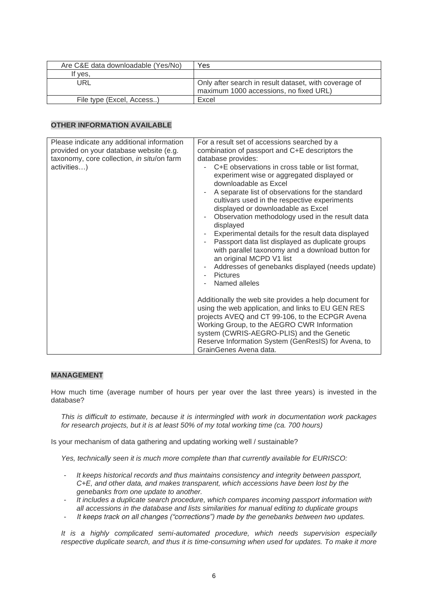| Are C&E data downloadable (Yes/No) | Yes                                                                                             |
|------------------------------------|-------------------------------------------------------------------------------------------------|
| If yes,                            |                                                                                                 |
| URL                                | Only after search in result dataset, with coverage of<br>maximum 1000 accessions, no fixed URL) |
| File type (Excel, Access)          | Excel                                                                                           |

| Please indicate any additional information<br>provided on your database website (e.g.<br>taxonomy, core collection, in situ/on farm<br>activities) | For a result set of accessions searched by a<br>combination of passport and C+E descriptors the<br>database provides:<br>C+E observations in cross table or list format,<br>experiment wise or aggregated displayed or<br>downloadable as Excel<br>A separate list of observations for the standard<br>÷<br>cultivars used in the respective experiments<br>displayed or downloadable as Excel<br>Observation methodology used in the result data<br>۰<br>displayed<br>Experimental details for the result data displayed<br>Passport data list displayed as duplicate groups<br>$\overline{\phantom{m}}$<br>with parallel taxonomy and a download button for<br>an original MCPD V1 list<br>Addresses of genebanks displayed (needs update)<br>٠<br><b>Pictures</b><br>Named alleles |
|----------------------------------------------------------------------------------------------------------------------------------------------------|---------------------------------------------------------------------------------------------------------------------------------------------------------------------------------------------------------------------------------------------------------------------------------------------------------------------------------------------------------------------------------------------------------------------------------------------------------------------------------------------------------------------------------------------------------------------------------------------------------------------------------------------------------------------------------------------------------------------------------------------------------------------------------------|
|                                                                                                                                                    | Additionally the web site provides a help document for<br>using the web application, and links to EU GEN RES<br>projects AVEQ and CT 99-106, to the ECPGR Avena<br>Working Group, to the AEGRO CWR Information<br>system (CWRIS-AEGRO-PLIS) and the Genetic<br>Reserve Information System (GenResIS) for Avena, to<br>GrainGenes Avena data.                                                                                                                                                                                                                                                                                                                                                                                                                                          |

## **MANAGEMENT**

How much time (average number of hours per year over the last three years) is invested in the database?

*This is difficult to estimate, because it is intermingled with work in documentation work packages for research projects, but it is at least 50% of my total working time (ca. 700 hours)*

Is your mechanism of data gathering and updating working well / sustainable?

*Yes, technically seen it is much more complete than that currently available for EURISCO:*

- *It keeps historical records and thus maintains consistency and integrity between passport, C+E, and other data, and makes transparent, which accessions have been lost by the genebanks from one update to another.*
- *It includes a duplicate search procedure, which compares incoming passport information with all accessions in the database and lists similarities for manual editing to duplicate groups*
- *It keeps track on all changes ("corrections") made by the genebanks between two updates.*

*It is a highly complicated semi-automated procedure, which needs supervision especially*  respective duplicate search, and thus it is time-consuming when used for updates. To make it more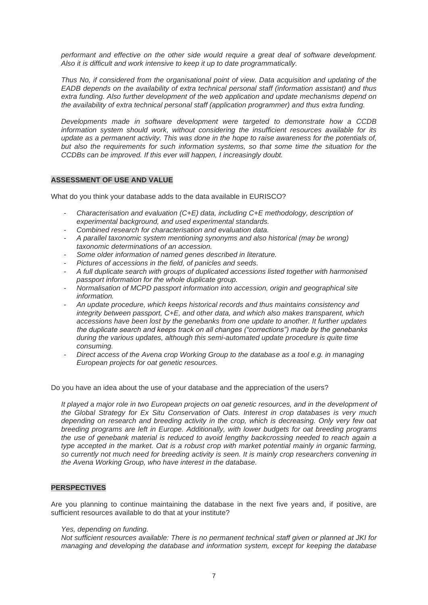*performant and effective on the other side would require a great deal of software development. Also it is difficult and work intensive to keep it up to date programmatically.*

*Thus No, if considered from the organisational point of view. Data acquisition and updating of the EADB depends on the availability of extra technical personal staff (information assistant) and thus extra funding. Also further development of the web application and update mechanisms depend on the availability of extra technical personal staff (application programmer) and thus extra funding.* 

*Developments made in software development were targeted to demonstrate how a CCDB information system should work, without considering the insufficient resources available for its update as a permanent activity. This was done in the hope to raise awareness for the potentials of, but also the requirements for such information systems, so that some time the situation for the CCDBs can be improved. If this ever will happen, I increasingly doubt.*

#### **ASSESSMENT OF USE AND VALUE**

What do you think your database adds to the data available in EURISCO?

- *Characterisation and evaluation (C+E) data, including C+E methodology, description of experimental background, and used experimental standards.*
- *Combined research for characterisation and evaluation data.*
- *A parallel taxonomic system mentioning synonyms and also historical (may be wrong) taxonomic determinations of an accession.*
- *Some older information of named genes described in literature.*
- *Pictures of accessions in the field, of panicles and seeds.*
- *A full duplicate search with groups of duplicated accessions listed together with harmonised passport information for the whole duplicate group.*
- *Normalisation of MCPD passport information into accession, origin and geographical site information.*
- *An update procedure, which keeps historical records and thus maintains consistency and integrity between passport, C+E, and other data, and which also makes transparent, which accessions have been lost by the genebanks from one update to another. It further updates the duplicate search and keeps track on all changes ("corrections") made by the genebanks during the various updates, although this semi-automated update procedure is quite time consuming.*
- *Direct access of the Avena crop Working Group to the database as a tool e.g. in managing European projects for oat genetic resources.*

Do you have an idea about the use of your database and the appreciation of the users?

*It played a major role in two European projects on oat genetic resources, and in the development of the Global Strategy for Ex Situ Conservation of Oats. Interest in crop databases is very much depending on research and breeding activity in the crop, which is decreasing. Only very few oat breeding programs are left in Europe. Additionally, with lower budgets for oat breeding programs the use of genebank material is reduced to avoid lengthy backcrossing needed to reach again a type accepted in the market. Oat is a robust crop with market potential mainly in organic farming, so currently not much need for breeding activity is seen. It is mainly crop researchers convening in the Avena Working Group, who have interest in the database.*

#### **PERSPECTIVES**

Are you planning to continue maintaining the database in the next five years and, if positive, are sufficient resources available to do that at your institute?

#### *Yes, depending on funding.*

*Not sufficient resources available: There is no permanent technical staff given or planned at JKI for managing and developing the database and information system, except for keeping the database*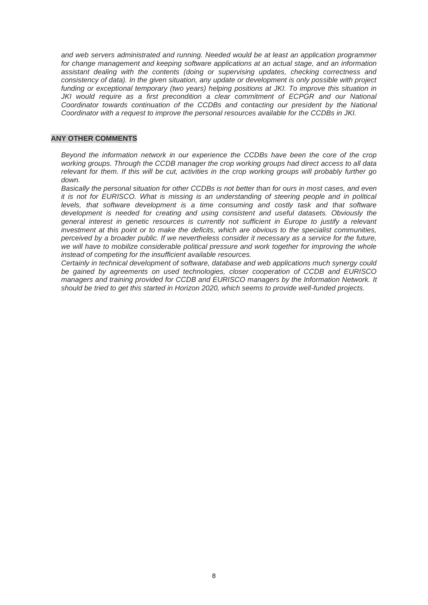*and web servers administrated and running. Needed would be at least an application programmer for change management and keeping software applications at an actual stage, and an information assistant dealing with the contents (doing or supervising updates, checking correctness and consistency of data). In the given situation, any update or development is only possible with project funding or exceptional temporary (two years) helping positions at JKI. To improve this situation in JKI would require as a first precondition a clear commitment of ECPGR and our National Coordinator towards continuation of the CCDBs and contacting our president by the National Coordinator with a request to improve the personal resources available for the CCDBs in JKI.*

#### **ANY OTHER COMMENTS**

*Beyond the information network in our experience the CCDBs have been the core of the crop working groups. Through the CCDB manager the crop working groups had direct access to all data relevant for them. If this will be cut, activities in the crop working groups will probably further go down.*

*Basically the personal situation for other CCDBs is not better than for ours in most cases, and even it is not for EURISCO. What is missing is an understanding of steering people and in political* levels, that software development is a time consuming and costly task and that software *development is needed for creating and using consistent and useful datasets. Obviously the general interest in genetic resources is currently not sufficient in Europe to justify a relevant investment at this point or to make the deficits, which are obvious to the specialist communities, perceived by a broader public. If we nevertheless consider it necessary as a service for the future, we will have to mobilize considerable political pressure and work together for improving the whole instead of competing for the insufficient available resources.*

*Certainly in technical development of software, database and web applications much synergy could be gained by agreements on used technologies, closer cooperation of CCDB and EURISCO managers and training provided for CCDB and EURISCO managers by the Information Network. It should be tried to get this started in Horizon 2020, which seems to provide well-funded projects.*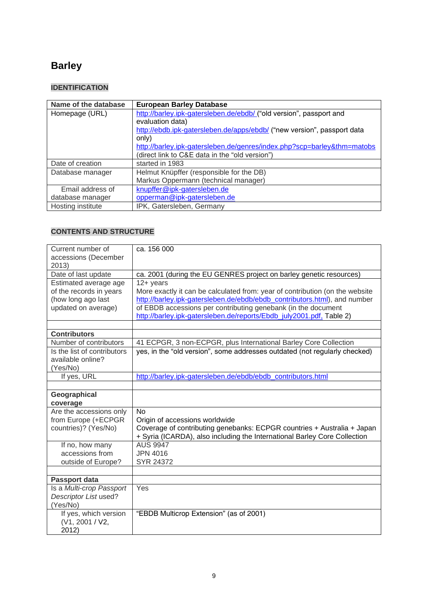# **Barley**

## **IDENTIFICATION**

| Name of the database | <b>European Barley Database</b>                                         |
|----------------------|-------------------------------------------------------------------------|
| Homepage (URL)       | http://barley.jpk-gatersleben.de/ebdb/ ("old version", passport and     |
|                      | evaluation data)                                                        |
|                      | http://ebdb.ipk-gatersleben.de/apps/ebdb/ ("new version", passport data |
|                      | only)                                                                   |
|                      | http://barley.jpk-gatersleben.de/genres/index.php?scp=barley&thm=matobs |
|                      | (direct link to C&E data in the "old version")                          |
| Date of creation     | started in 1983                                                         |
| Database manager     | Helmut Knüpffer (responsible for the DB)                                |
|                      | Markus Oppermann (technical manager)                                    |
| Email address of     | knupffer@ipk-gatersleben.de                                             |
| database manager     | opperman@ipk-gatersleben.de                                             |
| Hosting institute    | IPK, Gatersleben, Germany                                               |

| Current number of<br>accessions (December | ca. 156 000                                                                                                                                |
|-------------------------------------------|--------------------------------------------------------------------------------------------------------------------------------------------|
| 2013)<br>Date of last update              | ca. 2001 (during the EU GENRES project on barley genetic resources)                                                                        |
|                                           |                                                                                                                                            |
| Estimated average age                     | $12 + years$                                                                                                                               |
| of the records in years                   | More exactly it can be calculated from: year of contribution (on the website                                                               |
| (how long ago last<br>updated on average) | http://barley.ipk-gatersleben.de/ebdb/ebdb_contributors.html), and number<br>of EBDB accessions per contributing genebank (in the document |
|                                           | http://barley.ipk-gatersleben.de/reports/Ebdb july2001.pdf, Table 2)                                                                       |
|                                           |                                                                                                                                            |
| <b>Contributors</b>                       |                                                                                                                                            |
| Number of contributors                    | 41 ECPGR, 3 non-ECPGR, plus International Barley Core Collection                                                                           |
| Is the list of contributors               | yes, in the "old version", some addresses outdated (not regularly checked)                                                                 |
| available online?                         |                                                                                                                                            |
| (Yes/No)                                  |                                                                                                                                            |
| If yes, URL                               | http://barley.ipk-gatersleben.de/ebdb/ebdb_contributors.html                                                                               |
|                                           |                                                                                                                                            |
|                                           |                                                                                                                                            |
| Geographical                              |                                                                                                                                            |
| coverage                                  |                                                                                                                                            |
| Are the accessions only                   | <b>No</b>                                                                                                                                  |
| from Europe (+ECPGR                       | Origin of accessions worldwide                                                                                                             |
| countries)? (Yes/No)                      | Coverage of contributing genebanks: ECPGR countries + Australia + Japan                                                                    |
|                                           | + Syria (ICARDA), also including the International Barley Core Collection                                                                  |
| If no, how many                           | <b>AUS 9947</b>                                                                                                                            |
| accessions from                           | <b>JPN 4016</b>                                                                                                                            |
| outside of Europe?                        | SYR 24372                                                                                                                                  |
|                                           |                                                                                                                                            |
| Passport data                             |                                                                                                                                            |
| Is a Multi-crop Passport                  | Yes                                                                                                                                        |
| Descriptor List used?                     |                                                                                                                                            |
| (Yes/No)                                  |                                                                                                                                            |
| If yes, which version                     | "EBDB Multicrop Extension" (as of 2001)                                                                                                    |
| (V1, 2001 / V2,<br>2012)                  |                                                                                                                                            |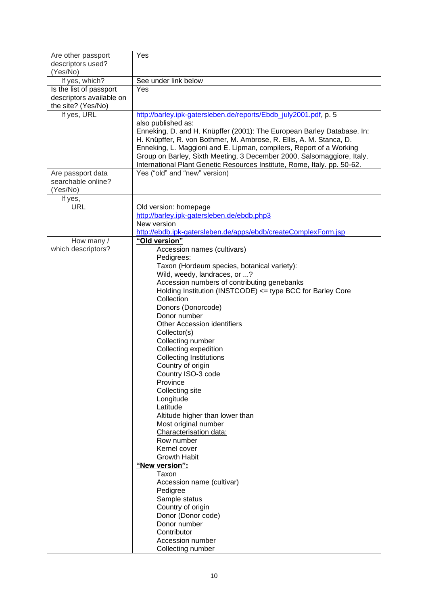| Are other passport<br>descriptors used?             | Yes                                                                                          |
|-----------------------------------------------------|----------------------------------------------------------------------------------------------|
| (Yes/No)                                            |                                                                                              |
| If yes, which?                                      | See under link below                                                                         |
| Is the list of passport<br>descriptors available on | Yes                                                                                          |
| the site? (Yes/No)                                  |                                                                                              |
| If yes, URL                                         | http://barley.ipk-gatersleben.de/reports/Ebdb_july2001.pdf, p. 5                             |
|                                                     | also published as:<br>Enneking, D. and H. Knüpffer (2001): The European Barley Database. In: |
|                                                     | H. Knüpffer, R. von Bothmer, M. Ambrose, R. Ellis, A. M. Stanca, D.                          |
|                                                     | Enneking, L. Maggioni and E. Lipman, compilers, Report of a Working                          |
|                                                     | Group on Barley, Sixth Meeting, 3 December 2000, Salsomaggiore, Italy.                       |
|                                                     | International Plant Genetic Resources Institute, Rome, Italy. pp. 50-62.                     |
| Are passport data                                   | Yes ("old" and "new" version)                                                                |
| searchable online?                                  |                                                                                              |
| (Yes/No)                                            |                                                                                              |
| If yes,<br><b>URL</b>                               | Old version: homepage                                                                        |
|                                                     | http://barley.ipk-gatersleben.de/ebdb.php3                                                   |
|                                                     | New version                                                                                  |
|                                                     | http://ebdb.ipk-gatersleben.de/apps/ebdb/createComplexForm.jsp                               |
| How many /                                          | "Old version"                                                                                |
| which descriptors?                                  | Accession names (cultivars)                                                                  |
|                                                     | Pedigrees:<br>Taxon (Hordeum species, botanical variety):                                    |
|                                                     | Wild, weedy, landraces, or ?                                                                 |
|                                                     | Accession numbers of contributing genebanks                                                  |
|                                                     | Holding Institution (INSTCODE) <= type BCC for Barley Core                                   |
|                                                     | Collection                                                                                   |
|                                                     | Donors (Donorcode)                                                                           |
|                                                     | Donor number                                                                                 |
|                                                     | <b>Other Accession identifiers</b>                                                           |
|                                                     | Collector(s)<br>Collecting number                                                            |
|                                                     | Collecting expedition                                                                        |
|                                                     | <b>Collecting Institutions</b>                                                               |
|                                                     | Country of origin                                                                            |
|                                                     | Country ISO-3 code                                                                           |
|                                                     | Province                                                                                     |
|                                                     | Collecting site                                                                              |
|                                                     | Longitude<br>Latitude                                                                        |
|                                                     | Altitude higher than lower than                                                              |
|                                                     | Most original number                                                                         |
|                                                     | Characterisation data:                                                                       |
|                                                     | Row number                                                                                   |
|                                                     | Kernel cover                                                                                 |
|                                                     | <b>Growth Habit</b><br>"New version":                                                        |
|                                                     | Taxon                                                                                        |
|                                                     | Accession name (cultivar)                                                                    |
|                                                     | Pedigree                                                                                     |
|                                                     | Sample status                                                                                |
|                                                     | Country of origin                                                                            |
|                                                     | Donor (Donor code)<br>Donor number                                                           |
|                                                     | Contributor                                                                                  |
|                                                     | Accession number                                                                             |
|                                                     | Collecting number                                                                            |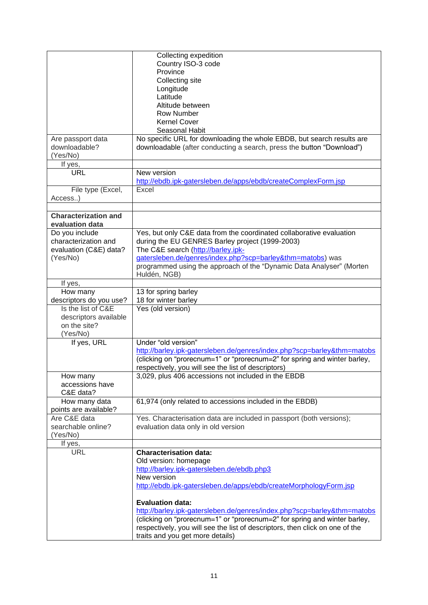|                             | Collecting expedition                                                        |
|-----------------------------|------------------------------------------------------------------------------|
|                             | Country ISO-3 code                                                           |
|                             | Province                                                                     |
|                             | Collecting site                                                              |
|                             | Longitude                                                                    |
|                             | Latitude                                                                     |
|                             |                                                                              |
|                             | Altitude between                                                             |
|                             | <b>Row Number</b>                                                            |
|                             | <b>Kernel Cover</b>                                                          |
|                             | Seasonal Habit                                                               |
| Are passport data           | No specific URL for downloading the whole EBDB, but search results are       |
| downloadable?               | downloadable (after conducting a search, press the button "Download")        |
| (Yes/No)                    |                                                                              |
| If yes,                     |                                                                              |
| <b>URL</b>                  | New version                                                                  |
|                             | http://ebdb.ipk-gatersleben.de/apps/ebdb/createComplexForm.jsp               |
| File type (Excel,           | Excel                                                                        |
| Access)                     |                                                                              |
|                             |                                                                              |
| <b>Characterization and</b> |                                                                              |
|                             |                                                                              |
| evaluation data             |                                                                              |
| Do you include              | Yes, but only C&E data from the coordinated collaborative evaluation         |
| characterization and        | during the EU GENRES Barley project (1999-2003)                              |
| evaluation (C&E) data?      | The C&E search (http://barley.ipk-                                           |
| (Yes/No)                    | gatersleben.de/genres/index.php?scp=barley&thm=matobs) was                   |
|                             | programmed using the approach of the "Dynamic Data Analyser" (Morten         |
|                             | Huldén, NGB)                                                                 |
| If yes,                     |                                                                              |
| How many                    | 13 for spring barley                                                         |
| descriptors do you use?     | 18 for winter barley                                                         |
| Is the list of C&E          | Yes (old version)                                                            |
| descriptors available       |                                                                              |
| on the site?                |                                                                              |
| (Yes/No)                    |                                                                              |
| If yes, URL                 | Under "old version"                                                          |
|                             | http://barley.ipk-gatersleben.de/genres/index.php?scp=barley&thm=matobs      |
|                             | (clicking on "prorecnum=1" or "prorecnum=2" for spring and winter barley,    |
|                             |                                                                              |
|                             | respectively, you will see the list of descriptors)                          |
| How many                    | 3,029, plus 406 accessions not included in the EBDB                          |
| accessions have             |                                                                              |
| C&E data?                   |                                                                              |
| How many data               | 61,974 (only related to accessions included in the EBDB)                     |
| points are available?       |                                                                              |
| Are C&E data                | Yes. Characterisation data are included in passport (both versions);         |
| searchable online?          | evaluation data only in old version                                          |
| (Yes/No)                    |                                                                              |
| If yes,                     |                                                                              |
| <b>URL</b>                  | <b>Characterisation data:</b>                                                |
|                             | Old version: homepage                                                        |
|                             | http://barley.ipk-gatersleben.de/ebdb.php3                                   |
|                             | New version                                                                  |
|                             | http://ebdb.ipk-gatersleben.de/apps/ebdb/createMorphologyForm.jsp            |
|                             |                                                                              |
|                             | <b>Evaluation data:</b>                                                      |
|                             |                                                                              |
|                             | http://barley.ipk-gatersleben.de/genres/index.php?scp=barley&thm=matobs      |
|                             | (clicking on "prorecnum=1" or "prorecnum=2" for spring and winter barley,    |
|                             | respectively, you will see the list of descriptors, then click on one of the |
|                             | traits and you get more details)                                             |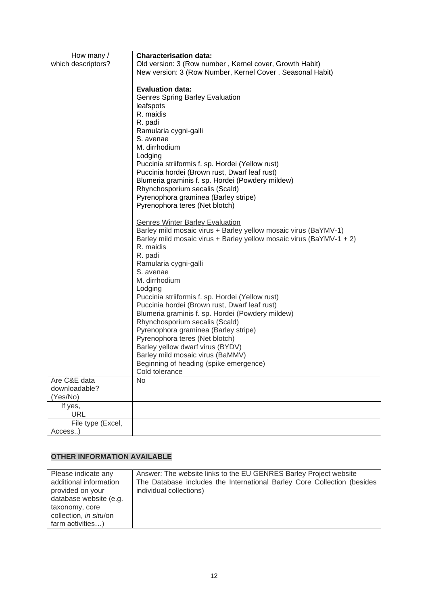| How many /         | <b>Characterisation data:</b>                                       |
|--------------------|---------------------------------------------------------------------|
| which descriptors? | Old version: 3 (Row number, Kernel cover, Growth Habit)             |
|                    | New version: 3 (Row Number, Kernel Cover, Seasonal Habit)           |
|                    |                                                                     |
|                    | <b>Evaluation data:</b>                                             |
|                    | <b>Genres Spring Barley Evaluation</b>                              |
|                    | leafspots                                                           |
|                    | R. maidis                                                           |
|                    | R. padi                                                             |
|                    | Ramularia cygni-galli                                               |
|                    | S. avenae                                                           |
|                    | M. dirrhodium                                                       |
|                    | Lodging                                                             |
|                    | Puccinia striiformis f. sp. Hordei (Yellow rust)                    |
|                    | Puccinia hordei (Brown rust, Dwarf leaf rust)                       |
|                    | Blumeria graminis f. sp. Hordei (Powdery mildew)                    |
|                    | Rhynchosporium secalis (Scald)                                      |
|                    | Pyrenophora graminea (Barley stripe)                                |
|                    | Pyrenophora teres (Net blotch)                                      |
|                    |                                                                     |
|                    | <b>Genres Winter Barley Evaluation</b>                              |
|                    | Barley mild mosaic virus + Barley yellow mosaic virus (BaYMV-1)     |
|                    | Barley mild mosaic virus + Barley yellow mosaic virus (BaYMV-1 + 2) |
|                    | R. maidis                                                           |
|                    |                                                                     |
|                    | R. padi                                                             |
|                    | Ramularia cygni-galli                                               |
|                    | S. avenae                                                           |
|                    | M. dirrhodium                                                       |
|                    | Lodging                                                             |
|                    | Puccinia striiformis f. sp. Hordei (Yellow rust)                    |
|                    | Puccinia hordei (Brown rust, Dwarf leaf rust)                       |
|                    | Blumeria graminis f. sp. Hordei (Powdery mildew)                    |
|                    | Rhynchosporium secalis (Scald)                                      |
|                    | Pyrenophora graminea (Barley stripe)                                |
|                    | Pyrenophora teres (Net blotch)                                      |
|                    | Barley yellow dwarf virus (BYDV)                                    |
|                    | Barley mild mosaic virus (BaMMV)                                    |
|                    | Beginning of heading (spike emergence)                              |
|                    | Cold tolerance                                                      |
| Are C&E data       | No                                                                  |
| downloadable?      |                                                                     |
| (Yes/No)           |                                                                     |
| If yes,            |                                                                     |
| <b>URL</b>         |                                                                     |
| File type (Excel,  |                                                                     |
| Access)            |                                                                     |

| Please indicate any    | Answer: The website links to the EU GENRES Barley Project website       |
|------------------------|-------------------------------------------------------------------------|
| additional information | The Database includes the International Barley Core Collection (besides |
| provided on your       | individual collections)                                                 |
| database website (e.g. |                                                                         |
| taxonomy, core         |                                                                         |
| collection, in situ/on |                                                                         |
| farm activities)       |                                                                         |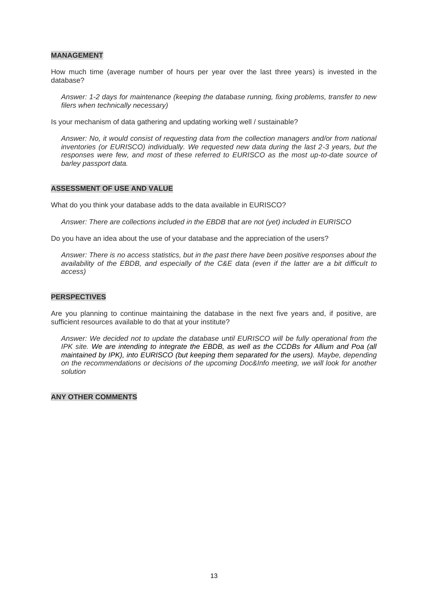#### **MANAGEMENT**

How much time (average number of hours per year over the last three years) is invested in the database?

*Answer: 1-2 days for maintenance (keeping the database running, fixing problems, transfer to new filers when technically necessary)*

Is your mechanism of data gathering and updating working well / sustainable?

*Answer: No, it would consist of requesting data from the collection managers and/or from national inventories (or EURISCO) individually. We requested new data during the last 2-3 years, but the*  responses were few, and most of these referred to EURISCO as the most up-to-date source of *barley passport data.*

#### **ASSESSMENT OF USE AND VALUE**

What do you think your database adds to the data available in EURISCO?

*Answer: There are collections included in the EBDB that are not (yet) included in EURISCO*

Do you have an idea about the use of your database and the appreciation of the users?

*Answer: There is no access statistics, but in the past there have been positive responses about the availability of the EBDB, and especially of the C&E data (even if the latter are a bit difficult to access)*

#### **PERSPECTIVES**

Are you planning to continue maintaining the database in the next five years and, if positive, are sufficient resources available to do that at your institute?

*Answer: We decided not to update the database until EURISCO will be fully operational from the IPK site. We are intending to integrate the EBDB, as well as the CCDBs for Allium and Poa (all maintained by IPK), into EURISCO (but keeping them separated for the users). Maybe, depending on the recommendations or decisions of the upcoming Doc&Info meeting, we will look for another solution*

#### **ANY OTHER COMMENTS**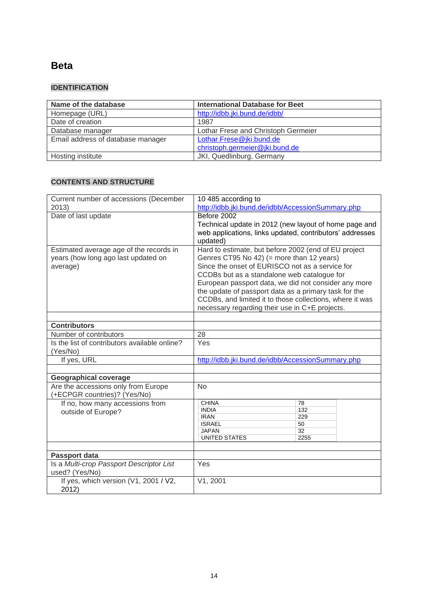## **Beta**

## **IDENTIFICATION**

| Name of the database              | <b>International Database for Beet</b> |
|-----------------------------------|----------------------------------------|
| Homepage (URL)                    | http://idbb.jki.bund.de/idbb/          |
| Date of creation                  | 1987                                   |
| Database manager                  | Lothar Frese and Christoph Germeier    |
| Email address of database manager | Lothar.Frese@jki.bund.de               |
|                                   | christoph.germeier@jki.bund.de         |
| Hosting institute                 | JKI, Quedlinburg, Germany              |

| Current number of accessions (December                                                     | 10 485 according to                                                                                                                                                                                                                                                                                                                                                                                                                |                                      |  |
|--------------------------------------------------------------------------------------------|------------------------------------------------------------------------------------------------------------------------------------------------------------------------------------------------------------------------------------------------------------------------------------------------------------------------------------------------------------------------------------------------------------------------------------|--------------------------------------|--|
| 2013)                                                                                      | http://idbb.jki.bund.de/idbb/AccessionSummary.php                                                                                                                                                                                                                                                                                                                                                                                  |                                      |  |
| Date of last update                                                                        | Before 2002<br>Technical update in 2012 (new layout of home page and<br>web applications, links updated, contributors' addresses<br>updated)                                                                                                                                                                                                                                                                                       |                                      |  |
| Estimated average age of the records in<br>years (how long ago last updated on<br>average) | Hard to estimate, but before 2002 (end of EU project<br>Genres CT95 No 42) (= more than 12 years)<br>Since the onset of EURISCO not as a service for<br>CCDBs but as a standalone web catalogue for<br>European passport data, we did not consider any more<br>the update of passport data as a primary task for the<br>CCDBs, and limited it to those collections, where it was<br>necessary regarding their use in C+E projects. |                                      |  |
|                                                                                            |                                                                                                                                                                                                                                                                                                                                                                                                                                    |                                      |  |
| <b>Contributors</b>                                                                        |                                                                                                                                                                                                                                                                                                                                                                                                                                    |                                      |  |
| Number of contributors                                                                     | 28                                                                                                                                                                                                                                                                                                                                                                                                                                 |                                      |  |
| Is the list of contributors available online?<br>(Yes/No)                                  | Yes                                                                                                                                                                                                                                                                                                                                                                                                                                |                                      |  |
| If yes, URL                                                                                | http://idbb.jki.bund.de/idbb/AccessionSummary.php                                                                                                                                                                                                                                                                                                                                                                                  |                                      |  |
|                                                                                            |                                                                                                                                                                                                                                                                                                                                                                                                                                    |                                      |  |
| <b>Geographical coverage</b>                                                               |                                                                                                                                                                                                                                                                                                                                                                                                                                    |                                      |  |
| Are the accessions only from Europe<br>(+ECPGR countries)? (Yes/No)                        | <b>No</b>                                                                                                                                                                                                                                                                                                                                                                                                                          |                                      |  |
| If no, how many accessions from<br>outside of Europe?                                      | <b>CHINA</b><br><b>INDIA</b><br><b>IRAN</b><br><b>ISRAEL</b><br><b>JAPAN</b><br>UNITED STATES                                                                                                                                                                                                                                                                                                                                      | 78<br>132<br>229<br>50<br>32<br>2255 |  |
| <b>Passport data</b>                                                                       |                                                                                                                                                                                                                                                                                                                                                                                                                                    |                                      |  |
| Is a Multi-crop Passport Descriptor List<br>used? (Yes/No)                                 | Yes                                                                                                                                                                                                                                                                                                                                                                                                                                |                                      |  |
| If yes, which version (V1, 2001 / V2,<br>2012)                                             | V1, 2001                                                                                                                                                                                                                                                                                                                                                                                                                           |                                      |  |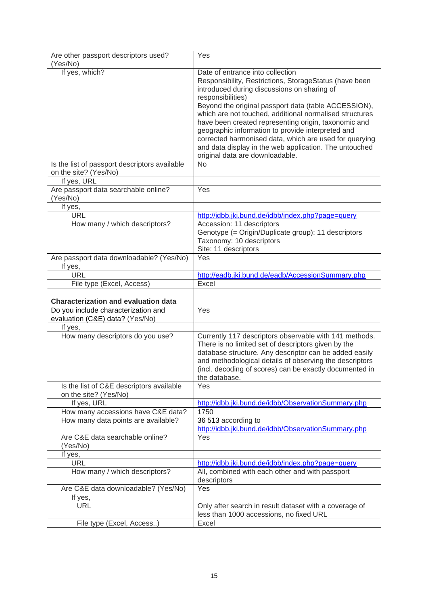| Are other passport descriptors used?                                              | Yes                                                                                                                                                                                                                                                                                                                                                                                                                                                                                                                                                   |
|-----------------------------------------------------------------------------------|-------------------------------------------------------------------------------------------------------------------------------------------------------------------------------------------------------------------------------------------------------------------------------------------------------------------------------------------------------------------------------------------------------------------------------------------------------------------------------------------------------------------------------------------------------|
| (Yes/No)                                                                          |                                                                                                                                                                                                                                                                                                                                                                                                                                                                                                                                                       |
| If yes, which?                                                                    | Date of entrance into collection<br>Responsibility, Restrictions, StorageStatus (have been<br>introduced during discussions on sharing of<br>responsibilities)<br>Beyond the original passport data (table ACCESSION),<br>which are not touched, additional normalised structures<br>have been created representing origin, taxonomic and<br>geographic information to provide interpreted and<br>corrected harmonised data, which are used for querying<br>and data display in the web application. The untouched<br>original data are downloadable. |
| Is the list of passport descriptors available<br>on the site? (Yes/No)            | <b>No</b>                                                                                                                                                                                                                                                                                                                                                                                                                                                                                                                                             |
| If yes, URL                                                                       |                                                                                                                                                                                                                                                                                                                                                                                                                                                                                                                                                       |
| Are passport data searchable online?<br>(Yes/No)                                  | Yes                                                                                                                                                                                                                                                                                                                                                                                                                                                                                                                                                   |
| If yes,                                                                           |                                                                                                                                                                                                                                                                                                                                                                                                                                                                                                                                                       |
| <b>URL</b>                                                                        | http://idbb.jki.bund.de/idbb/index.php?page=query                                                                                                                                                                                                                                                                                                                                                                                                                                                                                                     |
| How many / which descriptors?                                                     | Accession: 11 descriptors<br>Genotype (= Origin/Duplicate group): 11 descriptors<br>Taxonomy: 10 descriptors<br>Site: 11 descriptors                                                                                                                                                                                                                                                                                                                                                                                                                  |
| Are passport data downloadable? (Yes/No)                                          | Yes                                                                                                                                                                                                                                                                                                                                                                                                                                                                                                                                                   |
| If yes,                                                                           |                                                                                                                                                                                                                                                                                                                                                                                                                                                                                                                                                       |
| <b>URL</b>                                                                        | http://eadb.jki.bund.de/eadb/AccessionSummary.php                                                                                                                                                                                                                                                                                                                                                                                                                                                                                                     |
| File type (Excel, Access)                                                         | Excel                                                                                                                                                                                                                                                                                                                                                                                                                                                                                                                                                 |
|                                                                                   |                                                                                                                                                                                                                                                                                                                                                                                                                                                                                                                                                       |
| <b>Characterization and evaluation data</b>                                       |                                                                                                                                                                                                                                                                                                                                                                                                                                                                                                                                                       |
| Do you include characterization and<br>evaluation (C&E) data? (Yes/No)<br>If yes, | Yes                                                                                                                                                                                                                                                                                                                                                                                                                                                                                                                                                   |
| How many descriptors do you use?                                                  | Currently 117 descriptors observable with 141 methods.<br>There is no limited set of descriptors given by the<br>database structure. Any descriptor can be added easily<br>and methodological details of observing the descriptors<br>(incl. decoding of scores) can be exactly documented in<br>the database.                                                                                                                                                                                                                                        |
| Is the list of C&E descriptors available<br>on the site? (Yes/No)                 | Yes                                                                                                                                                                                                                                                                                                                                                                                                                                                                                                                                                   |
| If yes, URL                                                                       | http://idbb.jki.bund.de/idbb/ObservationSummary.php                                                                                                                                                                                                                                                                                                                                                                                                                                                                                                   |
| How many accessions have C&E data?                                                | 1750                                                                                                                                                                                                                                                                                                                                                                                                                                                                                                                                                  |
| How many data points are available?                                               | 36 513 according to<br>http://idbb.jki.bund.de/idbb/ObservationSummary.php                                                                                                                                                                                                                                                                                                                                                                                                                                                                            |
| Are C&E data searchable online?<br>(Yes/No)                                       | Yes                                                                                                                                                                                                                                                                                                                                                                                                                                                                                                                                                   |
| If yes,                                                                           |                                                                                                                                                                                                                                                                                                                                                                                                                                                                                                                                                       |
| <b>URL</b>                                                                        | http://idbb.jki.bund.de/idbb/index.php?page=query                                                                                                                                                                                                                                                                                                                                                                                                                                                                                                     |
| How many / which descriptors?                                                     | All, combined with each other and with passport<br>descriptors                                                                                                                                                                                                                                                                                                                                                                                                                                                                                        |
| Are C&E data downloadable? (Yes/No)                                               | Yes                                                                                                                                                                                                                                                                                                                                                                                                                                                                                                                                                   |
| If yes,                                                                           |                                                                                                                                                                                                                                                                                                                                                                                                                                                                                                                                                       |
| <b>URL</b>                                                                        | Only after search in result dataset with a coverage of<br>less than 1000 accessions, no fixed URL                                                                                                                                                                                                                                                                                                                                                                                                                                                     |
| File type (Excel, Access)                                                         | Excel                                                                                                                                                                                                                                                                                                                                                                                                                                                                                                                                                 |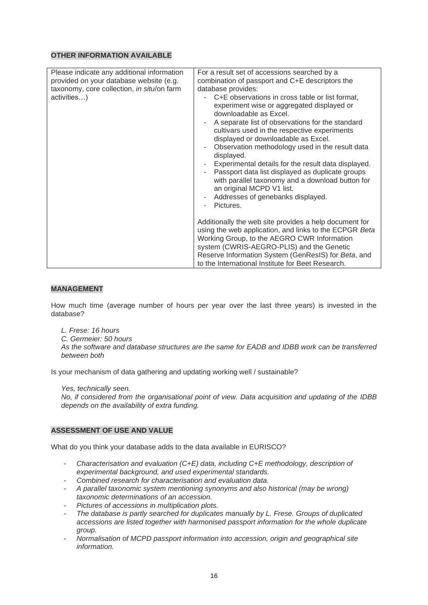| Please indicate any additional information<br>provided on your database website (e.g.<br>taxonomy, core collection, in situ/on farm<br>activities) | For a result set of accessions searched by a<br>combination of passport and C+E descriptors the<br>database provides:<br>- C+E observations in cross table or list format,<br>experiment wise or aggregated displayed or<br>downloadable as Excel.<br>A separate list of observations for the standard<br>cultivars used in the respective experiments<br>displayed or downloadable as Excel.<br>Observation methodology used in the result data<br>$\overline{\phantom{a}}$<br>displayed.<br>Experimental details for the result data displayed.<br>Passport data list displayed as duplicate groups<br>with parallel taxonomy and a download button for<br>an original MCPD V1 list.<br>Addresses of genebanks displayed.<br>۰<br>Pictures. |
|----------------------------------------------------------------------------------------------------------------------------------------------------|-----------------------------------------------------------------------------------------------------------------------------------------------------------------------------------------------------------------------------------------------------------------------------------------------------------------------------------------------------------------------------------------------------------------------------------------------------------------------------------------------------------------------------------------------------------------------------------------------------------------------------------------------------------------------------------------------------------------------------------------------|
|                                                                                                                                                    | Additionally the web site provides a help document for<br>using the web application, and links to the ECPGR Beta<br>Working Group, to the AEGRO CWR Information<br>system (CWRIS-AEGRO-PLIS) and the Genetic<br>Reserve Information System (GenResIS) for Beta, and<br>to the International Institute for Beet Research.                                                                                                                                                                                                                                                                                                                                                                                                                      |

#### **MANAGEMENT**

How much time (average number of hours per year over the last three years) is invested in the database?

*L. Frese: 16 hours C. Germeier: 50 hours As the software and database structures are the same for EADB and IDBB work can be transferred between both*

Is your mechanism of data gathering and updating working well / sustainable?

*Yes, technically seen.*

*No, if considered from the organisational point of view. Data acquisition and updating of the IDBB depends on the availability of extra funding.*

## **ASSESSMENT OF USE AND VALUE**

What do you think your database adds to the data available in EURISCO?

- *Characterisation and evaluation (C+E) data, including C+E methodology, description of experimental background, and used experimental standards.*
- *Combined research for characterisation and evaluation data.*
- *A parallel taxonomic system mentioning synonyms and also historical (may be wrong) taxonomic determinations of an accession.*
- *Pictures of accessions in multiplication plots.*
- *The database is partly searched for duplicates manually by L. Frese. Groups of duplicated accessions are listed together with harmonised passport information for the whole duplicate group.*
- *Normalisation of MCPD passport information into accession, origin and geographical site information.*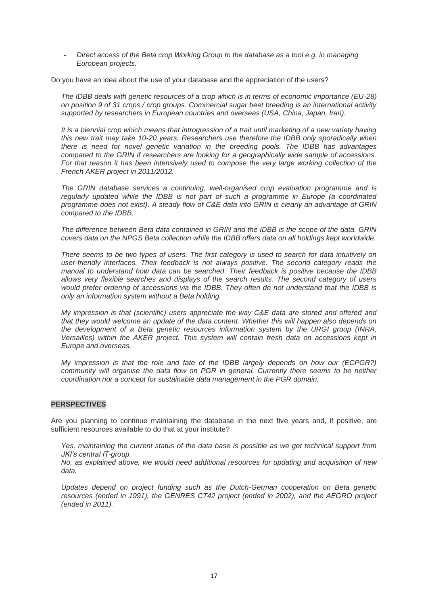- *Direct access of the Beta crop Working Group to the database as a tool e.g. in managing European projects.*

Do you have an idea about the use of your database and the appreciation of the users?

*The IDBB deals with genetic resources of a crop which is in terms of economic importance (EU-28) on position 9 of 31 crops / crop groups. Commercial sugar beet breeding is an international activity supported by researchers in European countries and overseas (USA, China, Japan, Iran).*

*It is a biennial crop which means that introgression of a trait until marketing of a new variety having this new trait may take 10-20 years. Researchers use therefore the IDBB only sporadically when there is need for novel genetic variation in the breeding pools. The IDBB has advantages compared to the GRIN if researchers are looking for a geographically wide sample of accessions. For that reason it has been intensively used to compose the very large working collection of the French AKER project in 2011/2012.*

*The GRIN database services a continuing, well-organised crop evaluation programme and is regularly updated while the IDBB is not part of such a programme in Europe (a coordinated programme does not exist). A steady flow of C&E data into GRIN is clearly an advantage of GRIN compared to the IDBB.*

*The difference between Beta data contained in GRIN and the IDBB is the scope of the data. GRIN covers data on the NPGS Beta collection while the IDBB offers data on all holdings kept worldwide.* 

*There seems to be two types of users. The first category is used to search for data intuitively on user-friendly interfaces. Their feedback is not always positive. The second category reads the manual to understand how data can be searched. Their feedback is positive because the IDBB allows very flexible searches and displays of the search results. The second category of users would prefer ordering of accessions via the IDBB. They often do not understand that the IDBB is only an information system without a Beta holding.*

*My impression is that (scientific) users appreciate the way C&E data are stored and offered and that they would welcome an update of the data content. Whether this will happen also depends on the development of a Beta genetic resources information system by the URGI group (INRA, Versailles) within the AKER project. This system will contain fresh data on accessions kept in Europe and overseas.*

*My impression is that the role and fate of the IDBB largely depends on how our (ECPGR?) community will organise the data flow on PGR in general. Currently there seems to be neither coordination nor a concept for sustainable data management in the PGR domain.* 

#### **PERSPECTIVES**

Are you planning to continue maintaining the database in the next five years and, if positive, are sufficient resources available to do that at your institute?

*Yes, maintaining the current status of the data base is possible as we get technical support from JKI's central IT-group.*

*No, as explained above, we would need additional resources for updating and acquisition of new data.*

*Updates depend on project funding such as the Dutch-German cooperation on Beta genetic resources (ended in 1991), the GENRES CT42 project (ended in 2002), and the AEGRO project (ended in 2011).*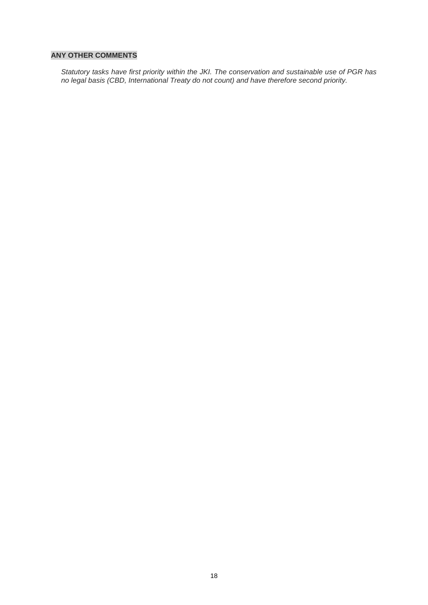## **ANY OTHER COMMENTS**

*Statutory tasks have first priority within the JKI. The conservation and sustainable use of PGR has no legal basis (CBD, International Treaty do not count) and have therefore second priority.*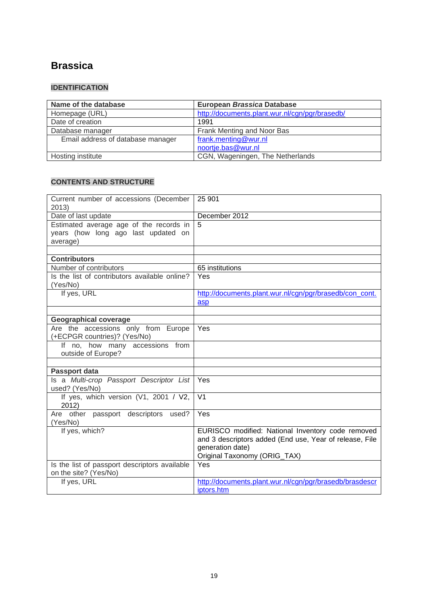## **[Brassica](http://documents.plant.wur.nl/cgn/pgr/brasedb/)**

## **IDENTIFICATION**

| Name of the database              | <b>European Brassica Database</b>              |
|-----------------------------------|------------------------------------------------|
| Homepage (URL)                    | http://documents.plant.wur.nl/cgn/pgr/brasedb/ |
| Date of creation                  | 1991                                           |
| Database manager                  | Frank Menting and Noor Bas                     |
| Email address of database manager | frank.menting@wur.nl                           |
|                                   | noortje.bas@wur.nl                             |
| Hosting institute                 | CGN, Wageningen, The Netherlands               |

| Current number of accessions (December<br>2013)                                            | 25 901                                                                                                                                                           |
|--------------------------------------------------------------------------------------------|------------------------------------------------------------------------------------------------------------------------------------------------------------------|
| Date of last update                                                                        | December 2012                                                                                                                                                    |
| Estimated average age of the records in<br>years (how long ago last updated on<br>average) | 5                                                                                                                                                                |
| <b>Contributors</b>                                                                        |                                                                                                                                                                  |
| Number of contributors                                                                     | 65 institutions                                                                                                                                                  |
| Is the list of contributors available online?                                              | Yes                                                                                                                                                              |
| (Yes/No)                                                                                   |                                                                                                                                                                  |
| If yes, URL                                                                                | http://documents.plant.wur.nl/cgn/pgr/brasedb/con cont.                                                                                                          |
|                                                                                            | asp                                                                                                                                                              |
|                                                                                            |                                                                                                                                                                  |
| <b>Geographical coverage</b>                                                               |                                                                                                                                                                  |
| Are the accessions only from Europe<br>(+ECPGR countries)? (Yes/No)                        | Yes                                                                                                                                                              |
| If no, how many accessions from<br>outside of Europe?                                      |                                                                                                                                                                  |
|                                                                                            |                                                                                                                                                                  |
| <b>Passport data</b>                                                                       |                                                                                                                                                                  |
| Is a Multi-crop Passport Descriptor List<br>used? (Yes/No)                                 | Yes                                                                                                                                                              |
| If yes, which version (V1, 2001 / V2,<br>2012)                                             | $\overline{\mathsf{V1}}$                                                                                                                                         |
| Are other passport descriptors used?<br>(Yes/No)                                           | Yes                                                                                                                                                              |
| If yes, which?                                                                             | EURISCO modified: National Inventory code removed<br>and 3 descriptors added (End use, Year of release, File<br>generation date)<br>Original Taxonomy (ORIG_TAX) |
| Is the list of passport descriptors available<br>on the site? (Yes/No)                     | Yes                                                                                                                                                              |
| If yes, URL                                                                                | http://documents.plant.wur.nl/cgn/pgr/brasedb/brasdescr<br>iptors.htm                                                                                            |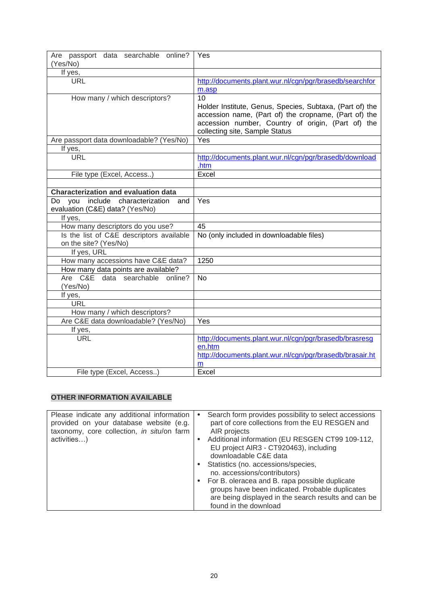| Are passport data searchable online?        | Yes                                                              |
|---------------------------------------------|------------------------------------------------------------------|
| (Yes/No)                                    |                                                                  |
| If yes,                                     |                                                                  |
| <b>URL</b>                                  | http://documents.plant.wur.nl/cgn/pgr/brasedb/searchfor          |
|                                             | m.asp                                                            |
| How many / which descriptors?               | 10<br>Holder Institute, Genus, Species, Subtaxa, (Part of) the   |
|                                             | accession name, (Part of) the cropname, (Part of) the            |
|                                             | accession number, Country of origin, (Part of) the               |
|                                             | collecting site, Sample Status                                   |
| Are passport data downloadable? (Yes/No)    | Yes                                                              |
| If yes,                                     |                                                                  |
| <b>URL</b>                                  | http://documents.plant.wur.nl/cgn/pgr/brasedb/download           |
|                                             | .htm                                                             |
| File type (Excel, Access)                   | Excel                                                            |
|                                             |                                                                  |
| <b>Characterization and evaluation data</b> |                                                                  |
| you include characterization and<br>Do      | Yes                                                              |
| evaluation (C&E) data? (Yes/No)             |                                                                  |
| If yes,                                     |                                                                  |
| How many descriptors do you use?            | 45                                                               |
| Is the list of C&E descriptors available    | No (only included in downloadable files)                         |
| on the site? (Yes/No)                       |                                                                  |
| If yes, URL                                 |                                                                  |
| How many accessions have C&E data?          | 1250                                                             |
| How many data points are available?         |                                                                  |
| Are C&E data searchable<br>online?          | <b>No</b>                                                        |
| (Yes/No)                                    |                                                                  |
| If yes,                                     |                                                                  |
| <b>URL</b>                                  |                                                                  |
| How many / which descriptors?               |                                                                  |
| Are C&E data downloadable? (Yes/No)         | Yes                                                              |
| If yes,                                     |                                                                  |
| URL                                         | http://documents.plant.wur.nl/cgn/pgr/brasedb/brasresg<br>en.htm |
|                                             | http://documents.plant.wur.nl/cgn/pgr/brasedb/brasair.ht         |
|                                             | m                                                                |
| File type (Excel, Access)                   | Excel                                                            |

| Please indicate any additional information<br>provided on your database website (e.g.<br>taxonomy, core collection, in situ/on farm | $\bullet$ | Search form provides possibility to select accessions<br>part of core collections from the EU RESGEN and<br>AIR projects                                                           |
|-------------------------------------------------------------------------------------------------------------------------------------|-----------|------------------------------------------------------------------------------------------------------------------------------------------------------------------------------------|
| activities)                                                                                                                         |           | Additional information (EU RESGEN CT99 109-112,<br>EU project AIR3 - CT920463), including<br>downloadable C&E data                                                                 |
|                                                                                                                                     |           | • Statistics (no. accessions/species,<br>no. accessions/contributors)                                                                                                              |
|                                                                                                                                     |           | For B. oleracea and B. rapa possible duplicate<br>groups have been indicated. Probable duplicates<br>are being displayed in the search results and can be<br>found in the download |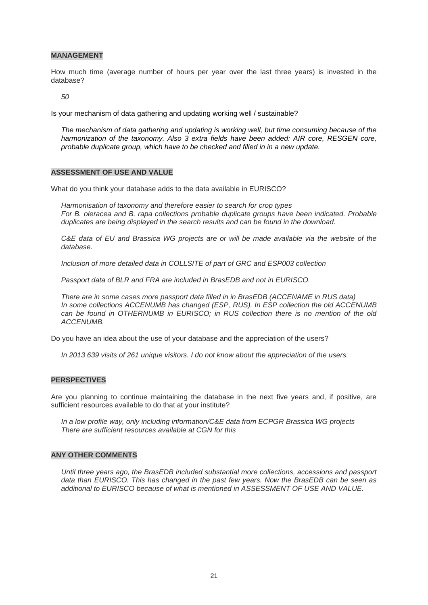#### **MANAGEMENT**

How much time (average number of hours per year over the last three years) is invested in the database?

*50*

Is your mechanism of data gathering and updating working well / sustainable?

*The mechanism of data gathering and updating is working well, but time consuming because of the harmonization of the taxonomy. Also 3 extra fields have been added: AIR core, RESGEN core, probable duplicate group, which have to be checked and filled in in a new update.* 

#### **ASSESSMENT OF USE AND VALUE**

What do you think your database adds to the data available in EURISCO?

*Harmonisation of taxonomy and therefore easier to search for crop types For B. oleracea and B. rapa collections probable duplicate groups have been indicated. Probable duplicates are being displayed in the search results and can be found in the download.*

*C&E data of EU and Brassica WG projects are or will be made available via the website of the database.*

*Inclusion of more detailed data in COLLSITE of part of GRC and ESP003 collection*

*Passport data of BLR and FRA are included in BrasEDB and not in EURISCO.* 

*There are in some cases more passport data filled in in BrasEDB (ACCENAME in RUS data) In some collections ACCENUMB has changed (ESP, RUS). In ESP collection the old ACCENUMB can be found in OTHERNUMB in EURISCO; in RUS collection there is no mention of the old ACCENUMB.* 

Do you have an idea about the use of your database and the appreciation of the users?

*In 2013 639 visits of 261 unique visitors. I do not know about the appreciation of the users.*

#### **PERSPECTIVES**

Are you planning to continue maintaining the database in the next five years and, if positive, are sufficient resources available to do that at your institute?

*In a low profile way, only including information/C&E data from ECPGR Brassica WG projects There are sufficient resources available at CGN for this*

## **ANY OTHER COMMENTS**

*Until three years ago, the BrasEDB included substantial more collections, accessions and passport data than EURISCO. This has changed in the past few years. Now the BrasEDB can be seen as additional to EURISCO because of what is mentioned in ASSESSMENT OF USE AND VALUE.*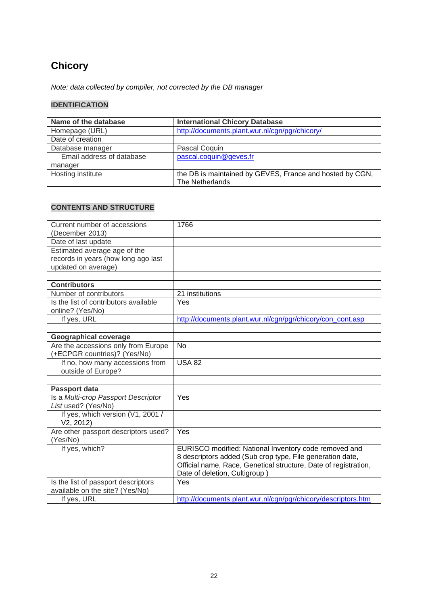# **Chicory**

*Note: data collected by compiler, not corrected by the DB manager*

## **IDENTIFICATION**

| Name of the database      | <b>International Chicory Database</b>                    |
|---------------------------|----------------------------------------------------------|
| Homepage (URL)            | http://documents.plant.wur.nl/cgn/pgr/chicory/           |
| Date of creation          |                                                          |
| Database manager          | Pascal Coquin                                            |
| Email address of database | pascal.coquin@geves.fr                                   |
| manager                   |                                                          |
| Hosting institute         | the DB is maintained by GEVES, France and hosted by CGN, |
|                           | The Netherlands                                          |

| Current number of accessions          | 1766                                                            |
|---------------------------------------|-----------------------------------------------------------------|
| (December 2013)                       |                                                                 |
| Date of last update                   |                                                                 |
| Estimated average age of the          |                                                                 |
| records in years (how long ago last   |                                                                 |
| updated on average)                   |                                                                 |
|                                       |                                                                 |
| <b>Contributors</b>                   |                                                                 |
| Number of contributors                | 21 institutions                                                 |
| Is the list of contributors available | Yes                                                             |
| online? (Yes/No)                      |                                                                 |
| If yes, URL                           | http://documents.plant.wur.nl/cgn/pgr/chicory/con_cont.asp      |
|                                       |                                                                 |
| <b>Geographical coverage</b>          |                                                                 |
| Are the accessions only from Europe   | <b>No</b>                                                       |
| (+ECPGR countries)? (Yes/No)          |                                                                 |
| If no, how many accessions from       | <b>USA 82</b>                                                   |
| outside of Europe?                    |                                                                 |
|                                       |                                                                 |
| Passport data                         |                                                                 |
| Is a Multi-crop Passport Descriptor   | Yes                                                             |
| List used? (Yes/No)                   |                                                                 |
| If yes, which version (V1, 2001 /     |                                                                 |
| V2, 2012)                             |                                                                 |
| Are other passport descriptors used?  | Yes                                                             |
| (Yes/No)                              |                                                                 |
| If yes, which?                        | EURISCO modified: National Inventory code removed and           |
|                                       | 8 descriptors added (Sub crop type, File generation date,       |
|                                       | Official name, Race, Genetical structure, Date of registration, |
|                                       | Date of deletion, Cultigroup)                                   |
| Is the list of passport descriptors   | Yes                                                             |
| available on the site? (Yes/No)       |                                                                 |
| If yes, URL                           | http://documents.plant.wur.nl/cgn/pgr/chicory/descriptors.htm   |
|                                       |                                                                 |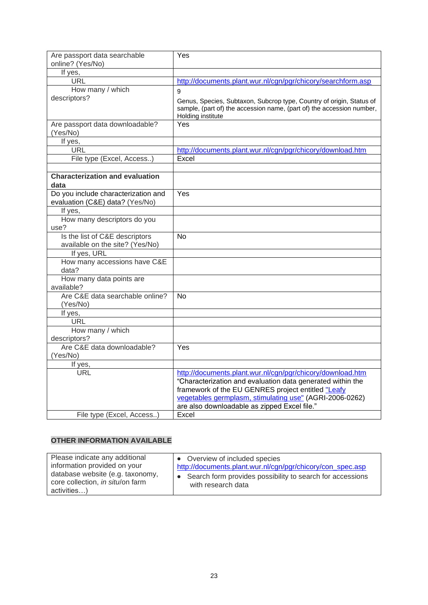| Are passport data searchable<br>online? (Yes/No) | Yes                                                                                                                                                                                                                                       |
|--------------------------------------------------|-------------------------------------------------------------------------------------------------------------------------------------------------------------------------------------------------------------------------------------------|
| If yes,                                          |                                                                                                                                                                                                                                           |
| URL                                              | http://documents.plant.wur.nl/cgn/pgr/chicory/searchform.asp                                                                                                                                                                              |
| How many / which                                 |                                                                                                                                                                                                                                           |
| descriptors?                                     | 9                                                                                                                                                                                                                                         |
|                                                  | Genus, Species, Subtaxon, Subcrop type, Country of origin, Status of<br>sample, (part of) the accession name, (part of) the accession number,<br>Holding institute                                                                        |
| Are passport data downloadable?<br>(Yes/No)      | Yes                                                                                                                                                                                                                                       |
| If yes,                                          |                                                                                                                                                                                                                                           |
| <b>URL</b>                                       | http://documents.plant.wur.nl/cgn/pgr/chicory/download.htm                                                                                                                                                                                |
| File type (Excel, Access)                        | Excel                                                                                                                                                                                                                                     |
|                                                  |                                                                                                                                                                                                                                           |
| <b>Characterization and evaluation</b><br>data   |                                                                                                                                                                                                                                           |
| Do you include characterization and              | Yes                                                                                                                                                                                                                                       |
| evaluation (C&E) data? (Yes/No)                  |                                                                                                                                                                                                                                           |
| If yes,                                          |                                                                                                                                                                                                                                           |
| How many descriptors do you                      |                                                                                                                                                                                                                                           |
| use?                                             |                                                                                                                                                                                                                                           |
| Is the list of C&E descriptors                   | <b>No</b>                                                                                                                                                                                                                                 |
| available on the site? (Yes/No)                  |                                                                                                                                                                                                                                           |
| If yes, URL                                      |                                                                                                                                                                                                                                           |
| How many accessions have C&E<br>data?            |                                                                                                                                                                                                                                           |
| How many data points are                         |                                                                                                                                                                                                                                           |
| available?                                       |                                                                                                                                                                                                                                           |
| Are C&E data searchable online?                  | <b>No</b>                                                                                                                                                                                                                                 |
| (Yes/No)                                         |                                                                                                                                                                                                                                           |
| If yes,                                          |                                                                                                                                                                                                                                           |
| <b>URL</b>                                       |                                                                                                                                                                                                                                           |
| How many / which                                 |                                                                                                                                                                                                                                           |
| descriptors?                                     |                                                                                                                                                                                                                                           |
| Are C&E data downloadable?                       | Yes                                                                                                                                                                                                                                       |
| (Yes/No)                                         |                                                                                                                                                                                                                                           |
| If yes,                                          |                                                                                                                                                                                                                                           |
| URL                                              | http://documents.plant.wur.nl/cgn/pgr/chicory/download.htm<br>"Characterization and evaluation data generated within the<br>framework of the EU GENRES project entitled "Leafy<br>vegetables germplasm, stimulating use" (AGRI-2006-0262) |
|                                                  | are also downloadable as zipped Excel file."                                                                                                                                                                                              |
| File type (Excel, Access)                        | Excel                                                                                                                                                                                                                                     |

| Please indicate any additional<br>information provided on your<br>database website (e.g. taxonomy,<br>core collection, in situ/on farm<br>activities) | • Overview of included species<br>http://documents.plant.wur.nl/cgn/pgr/chicory/con spec.asp<br>Search form provides possibility to search for accessions<br>with research data |
|-------------------------------------------------------------------------------------------------------------------------------------------------------|---------------------------------------------------------------------------------------------------------------------------------------------------------------------------------|
|-------------------------------------------------------------------------------------------------------------------------------------------------------|---------------------------------------------------------------------------------------------------------------------------------------------------------------------------------|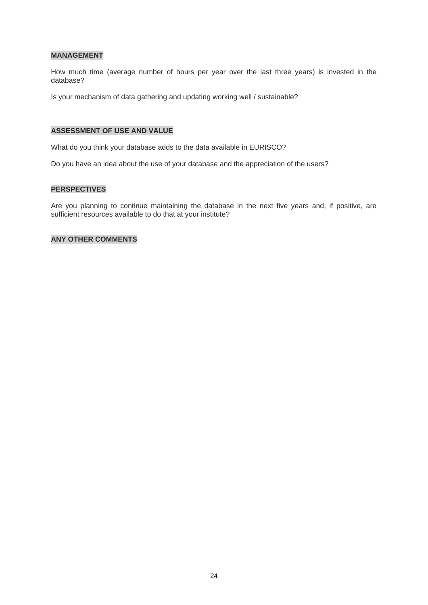## **MANAGEMENT**

How much time (average number of hours per year over the last three years) is invested in the database?

Is your mechanism of data gathering and updating working well / sustainable?

## **ASSESSMENT OF USE AND VALUE**

What do you think your database adds to the data available in EURISCO?

Do you have an idea about the use of your database and the appreciation of the users?

#### **PERSPECTIVES**

Are you planning to continue maintaining the database in the next five years and, if positive, are sufficient resources available to do that at your institute?

#### **ANY OTHER COMMENTS**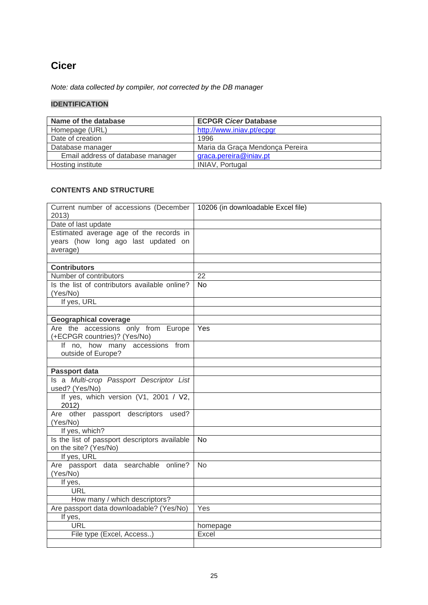## **Cicer**

*Note: data collected by compiler, not corrected by the DB manager*

## **IDENTIFICATION**

| Name of the database              | <b>ECPGR Cicer Database</b>     |
|-----------------------------------|---------------------------------|
| Homepage (URL)                    | http://www.iniav.pt/ecpgr       |
| Date of creation                  | 1996                            |
| Database manager                  | Maria da Graça Mendonça Pereira |
| Email address of database manager | graca.pereira@iniav.pt          |
| Hosting institute                 | <b>INIAV, Portugal</b>          |

| Current number of accessions (December<br>2013)                                            | 10206 (in downloadable Excel file) |
|--------------------------------------------------------------------------------------------|------------------------------------|
| Date of last update                                                                        |                                    |
| Estimated average age of the records in<br>years (how long ago last updated on<br>average) |                                    |
|                                                                                            |                                    |
| <b>Contributors</b>                                                                        |                                    |
| Number of contributors                                                                     | $\overline{22}$                    |
| Is the list of contributors available online?<br>(Yes/No)                                  | <b>No</b>                          |
| If yes, URL                                                                                |                                    |
|                                                                                            |                                    |
| <b>Geographical coverage</b>                                                               |                                    |
| Are the accessions only from Europe<br>(+ECPGR countries)? (Yes/No)                        | Yes                                |
| If no, how many accessions from                                                            |                                    |
| outside of Europe?                                                                         |                                    |
|                                                                                            |                                    |
| <b>Passport data</b>                                                                       |                                    |
| Is a Multi-crop Passport Descriptor List<br>used? (Yes/No)                                 |                                    |
| If yes, which version (V1, 2001 / V2,<br>2012)                                             |                                    |
| Are other passport descriptors used?<br>(Yes/No)                                           |                                    |
| If yes, which?                                                                             |                                    |
| Is the list of passport descriptors available<br>on the site? (Yes/No)                     | <b>No</b>                          |
| If yes, URL                                                                                |                                    |
| Are passport data searchable online?<br>(Yes/No)                                           | <b>No</b>                          |
| If yes,                                                                                    |                                    |
| <b>URL</b>                                                                                 |                                    |
| How many / which descriptors?                                                              |                                    |
| Are passport data downloadable? (Yes/No)                                                   | Yes                                |
| If yes,                                                                                    |                                    |
| <b>URL</b>                                                                                 | homepage                           |
| File type (Excel, Access)                                                                  | Excel                              |
|                                                                                            |                                    |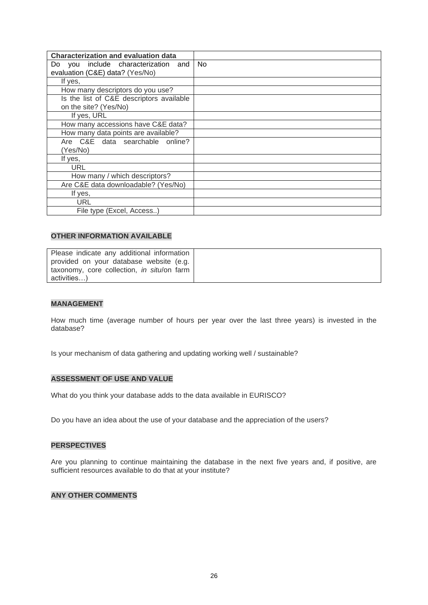| <b>Characterization and evaluation data</b> |                |
|---------------------------------------------|----------------|
| Do you include characterization and         | N <sub>0</sub> |
| evaluation (C&E) data? (Yes/No)             |                |
| If yes,                                     |                |
| How many descriptors do you use?            |                |
| Is the list of C&E descriptors available    |                |
| on the site? (Yes/No)                       |                |
| If yes, URL                                 |                |
| How many accessions have C&E data?          |                |
| How many data points are available?         |                |
| Are C&E data searchable online?             |                |
| (Yes/No)                                    |                |
| If yes,                                     |                |
| URL                                         |                |
| How many / which descriptors?               |                |
| Are C&E data downloadable? (Yes/No)         |                |
| If yes,                                     |                |
| URL                                         |                |
| File type (Excel, Access)                   |                |

| Please indicate any additional information |  |
|--------------------------------------------|--|
| provided on your database website (e.g.    |  |
| taxonomy, core collection, in situ/on farm |  |
| activities)                                |  |

## **MANAGEMENT**

How much time (average number of hours per year over the last three years) is invested in the database?

Is your mechanism of data gathering and updating working well / sustainable?

#### **ASSESSMENT OF USE AND VALUE**

What do you think your database adds to the data available in EURISCO?

Do you have an idea about the use of your database and the appreciation of the users?

#### **PERSPECTIVES**

Are you planning to continue maintaining the database in the next five years and, if positive, are sufficient resources available to do that at your institute?

#### **ANY OTHER COMMENTS**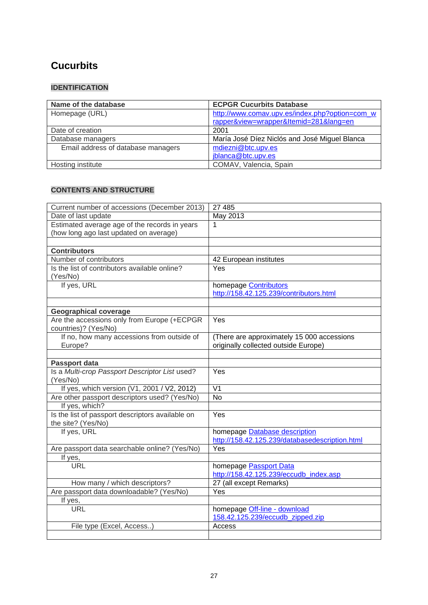# **[Cucurbits](http://www.comav.upv.es/index.php?option=com_wrapper&view=wrapper&Itemid=281&lang=en)**

## **IDENTIFICATION**

| Name of the database               | <b>ECPGR Cucurbits Database</b>                |
|------------------------------------|------------------------------------------------|
| Homepage (URL)                     | http://www.comav.upv.es/index.php?option=com_w |
|                                    | rapper&view=wrapper&Itemid=281⟨=en             |
| Date of creation                   | 2001                                           |
| Database managers                  | María José Díez Niclós and José Miguel Blanca  |
| Email address of database managers | mdiezni@btc.upv.es                             |
|                                    | jblanca@btc.upv.es                             |
| Hosting institute                  | COMAV, Valencia, Spain                         |

| Current number of accessions (December 2013)                       | 27 485                                                                             |
|--------------------------------------------------------------------|------------------------------------------------------------------------------------|
| Date of last update                                                | May 2013                                                                           |
| Estimated average age of the records in years                      | 1                                                                                  |
| (how long ago last updated on average)                             |                                                                                    |
|                                                                    |                                                                                    |
| <b>Contributors</b>                                                |                                                                                    |
| Number of contributors                                             | 42 European institutes                                                             |
| Is the list of contributors available online?                      | Yes                                                                                |
| (Yes/No)                                                           |                                                                                    |
| If yes, URL                                                        | homepage <b>Contributors</b>                                                       |
|                                                                    | http://158.42.125.239/contributors.html                                            |
|                                                                    |                                                                                    |
| <b>Geographical coverage</b>                                       |                                                                                    |
| Are the accessions only from Europe (+ECPGR                        | Yes                                                                                |
| countries)? (Yes/No)<br>If no, how many accessions from outside of |                                                                                    |
| Europe?                                                            | (There are approximately 15 000 accessions<br>originally collected outside Europe) |
|                                                                    |                                                                                    |
| Passport data                                                      |                                                                                    |
| Is a Multi-crop Passport Descriptor List used?                     | Yes                                                                                |
| (Yes/No)                                                           |                                                                                    |
| If yes, which version (V1, 2001 / V2, 2012)                        | $\overline{\mathsf{V1}}$                                                           |
| Are other passport descriptors used? (Yes/No)                      | No                                                                                 |
| If yes, which?                                                     |                                                                                    |
| Is the list of passport descriptors available on                   | Yes                                                                                |
| the site? (Yes/No)                                                 |                                                                                    |
| If yes, URL                                                        | homepage Database description                                                      |
|                                                                    | http://158.42.125.239/databasedescription.html                                     |
| Are passport data searchable online? (Yes/No)                      | Yes                                                                                |
| If yes,                                                            |                                                                                    |
| <b>URL</b>                                                         | homepage Passport Data                                                             |
|                                                                    | http://158.42.125.239/eccudb index.asp                                             |
| How many / which descriptors?                                      | 27 (all except Remarks)                                                            |
| Are passport data downloadable? (Yes/No)                           | Yes                                                                                |
| If yes,                                                            |                                                                                    |
| <b>URL</b>                                                         | homepage Off-line - download                                                       |
|                                                                    | 158.42.125.239/eccudb zipped.zip                                                   |
| File type (Excel, Access)                                          | Access                                                                             |
|                                                                    |                                                                                    |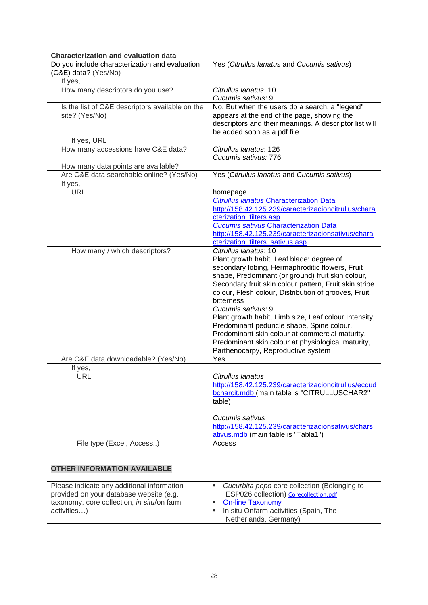| <b>Characterization and evaluation data</b>                       |                                                                                                                                                                                                                                                                                                                                                                                                                                                                                                                                                                                       |
|-------------------------------------------------------------------|---------------------------------------------------------------------------------------------------------------------------------------------------------------------------------------------------------------------------------------------------------------------------------------------------------------------------------------------------------------------------------------------------------------------------------------------------------------------------------------------------------------------------------------------------------------------------------------|
| Do you include characterization and evaluation                    | Yes (Citrullus lanatus and Cucumis sativus)                                                                                                                                                                                                                                                                                                                                                                                                                                                                                                                                           |
| (C&E) data? (Yes/No)                                              |                                                                                                                                                                                                                                                                                                                                                                                                                                                                                                                                                                                       |
| If yes,                                                           |                                                                                                                                                                                                                                                                                                                                                                                                                                                                                                                                                                                       |
| How many descriptors do you use?                                  | Citrullus lanatus: 10                                                                                                                                                                                                                                                                                                                                                                                                                                                                                                                                                                 |
|                                                                   | Cucumis sativus: 9                                                                                                                                                                                                                                                                                                                                                                                                                                                                                                                                                                    |
| Is the list of C&E descriptors available on the<br>site? (Yes/No) | No. But when the users do a search, a "legend"<br>appears at the end of the page, showing the<br>descriptors and their meanings. A descriptor list will<br>be added soon as a pdf file.                                                                                                                                                                                                                                                                                                                                                                                               |
| If yes, URL                                                       |                                                                                                                                                                                                                                                                                                                                                                                                                                                                                                                                                                                       |
| How many accessions have C&E data?                                | Citrullus lanatus: 126<br>Cucumis sativus: 776                                                                                                                                                                                                                                                                                                                                                                                                                                                                                                                                        |
| How many data points are available?                               |                                                                                                                                                                                                                                                                                                                                                                                                                                                                                                                                                                                       |
| Are C&E data searchable online? (Yes/No)                          | Yes (Citrullus lanatus and Cucumis sativus)                                                                                                                                                                                                                                                                                                                                                                                                                                                                                                                                           |
| If yes,                                                           |                                                                                                                                                                                                                                                                                                                                                                                                                                                                                                                                                                                       |
| <b>URL</b>                                                        | homepage<br><b>Citrullus lanatus Characterization Data</b><br>http://158.42.125.239/caracterizacioncitrullus/chara<br>cterization filters.asp<br><b>Cucumis sativus Characterization Data</b><br>http://158.42.125.239/caracterizacionsativus/chara<br>cterization filters sativus.asp                                                                                                                                                                                                                                                                                                |
| How many / which descriptors?                                     | Citrullus lanatus: 10<br>Plant growth habit, Leaf blade: degree of<br>secondary lobing, Hermaphroditic flowers, Fruit<br>shape, Predominant (or ground) fruit skin colour,<br>Secondary fruit skin colour pattern, Fruit skin stripe<br>colour, Flesh colour, Distribution of grooves, Fruit<br>bitterness<br>Cucumis sativus: 9<br>Plant growth habit, Limb size, Leaf colour Intensity,<br>Predominant peduncle shape, Spine colour,<br>Predominant skin colour at commercial maturity,<br>Predominant skin colour at physiological maturity,<br>Parthenocarpy, Reproductive system |
| Are C&E data downloadable? (Yes/No)                               | Yes                                                                                                                                                                                                                                                                                                                                                                                                                                                                                                                                                                                   |
| If yes,                                                           |                                                                                                                                                                                                                                                                                                                                                                                                                                                                                                                                                                                       |
| <b>URL</b>                                                        | Citrullus lanatus<br>http://158.42.125.239/caracterizacioncitrullus/eccud<br>bcharcit.mdb (main table is "CITRULLUSCHAR2"<br>table)<br>Cucumis sativus                                                                                                                                                                                                                                                                                                                                                                                                                                |
|                                                                   | http://158.42.125.239/caracterizacionsativus/chars<br>ativus.mdb (main table is "Tabla1")                                                                                                                                                                                                                                                                                                                                                                                                                                                                                             |
| File type (Excel, Access)                                         | Access                                                                                                                                                                                                                                                                                                                                                                                                                                                                                                                                                                                |

| Please indicate any additional information | Cucurbita pepo core collection (Belonging to |
|--------------------------------------------|----------------------------------------------|
| provided on your database website (e.g.    | ESP026 collection) Corecollection.pdf        |
| taxonomy, core collection, in situ/on farm | <b>On-line Taxonomy</b>                      |
| activities)                                | In situ Onfarm activities (Spain, The        |
|                                            | Netherlands, Germany)                        |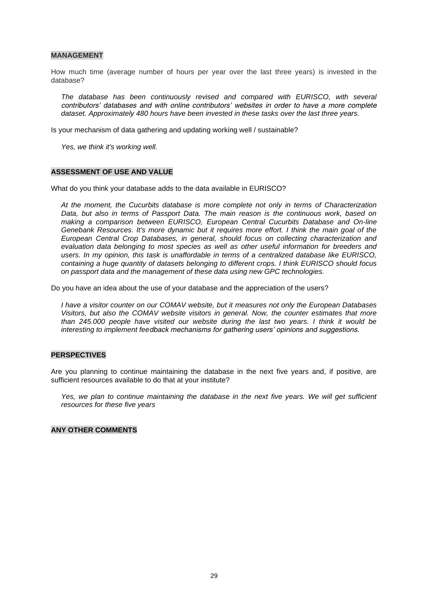#### **MANAGEMENT**

How much time (average number of hours per year over the last three years) is invested in the database?

*The database has been continuously revised and compared with EURISCO, with several contributors' databases and with online contributors' websites in order to have a more complete dataset. Approximately 480 hours have been invested in these tasks over the last three years.*

Is your mechanism of data gathering and updating working well / sustainable?

*Yes, we think it's working well.*

#### **ASSESSMENT OF USE AND VALUE**

What do you think your database adds to the data available in EURISCO?

*At the moment, the Cucurbits database is more complete not only in terms of Characterization Data, but also in terms of Passport Data. The main reason is the continuous work, based on making a comparison between EURISCO, European Central Cucurbits Database and On-line Genebank Resources. It's more dynamic but it requires more effort. I think the main goal of the European Central Crop Databases, in general, should focus on collecting characterization and evaluation data belonging to most species as well as other useful information for breeders and users. In my opinion, this task is unaffordable in terms of a centralized database like EURISCO, containing a huge quantity of datasets belonging to different crops. I think EURISCO should focus on passport data and the management of these data using new GPC technologies.*

Do you have an idea about the use of your database and the appreciation of the users?

*I have a visitor counter on our COMAV website, but it measures not only the European Databases Visitors, but also the COMAV website visitors in general. Now, the counter estimates that more than 245.000 people have visited our website during the last two years. I think it would be interesting to implement feedback mechanisms for gathering users' opinions and suggestions.*

## **PERSPECTIVES**

Are you planning to continue maintaining the database in the next five years and, if positive, are sufficient resources available to do that at your institute?

Yes, we plan to continue maintaining the database in the next five years. We will get sufficient *resources for these five years*

#### **ANY OTHER COMMENTS**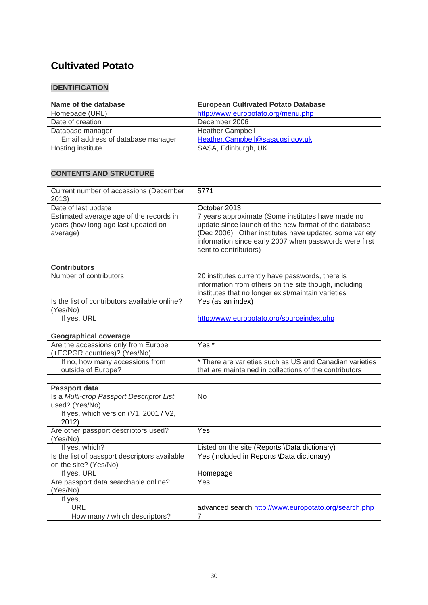## **Cultivated Potato**

## **IDENTIFICATION**

| Name of the database              | <b>European Cultivated Potato Database</b> |
|-----------------------------------|--------------------------------------------|
| Homepage (URL)                    | http://www.europotato.org/menu.php         |
| Date of creation                  | December 2006                              |
| Database manager                  | <b>Heather Campbell</b>                    |
| Email address of database manager | Heather.Campbell@sasa.gsi.gov.uk           |
| Hosting institute                 | SASA, Edinburgh, UK                        |

| Current number of accessions (December<br>2013)                                            | 5771                                                                                                                                                                                                                                                    |
|--------------------------------------------------------------------------------------------|---------------------------------------------------------------------------------------------------------------------------------------------------------------------------------------------------------------------------------------------------------|
| Date of last update                                                                        | October 2013                                                                                                                                                                                                                                            |
| Estimated average age of the records in<br>years (how long ago last updated on<br>average) | 7 years approximate (Some institutes have made no<br>update since launch of the new format of the database<br>(Dec 2006). Other institutes have updated some variety<br>information since early 2007 when passwords were first<br>sent to contributors) |
|                                                                                            |                                                                                                                                                                                                                                                         |
| <b>Contributors</b>                                                                        |                                                                                                                                                                                                                                                         |
| Number of contributors                                                                     | 20 institutes currently have passwords, there is<br>information from others on the site though, including<br>institutes that no longer exist/maintain varieties                                                                                         |
| Is the list of contributors available online?<br>(Yes/No)                                  | Yes (as an index)                                                                                                                                                                                                                                       |
| If yes, URL                                                                                | http://www.europotato.org/sourceindex.php                                                                                                                                                                                                               |
|                                                                                            |                                                                                                                                                                                                                                                         |
| <b>Geographical coverage</b>                                                               |                                                                                                                                                                                                                                                         |
| Are the accessions only from Europe<br>(+ECPGR countries)? (Yes/No)                        | $Yes *$                                                                                                                                                                                                                                                 |
| If no, how many accessions from<br>outside of Europe?                                      | * There are varieties such as US and Canadian varieties<br>that are maintained in collections of the contributors                                                                                                                                       |
|                                                                                            |                                                                                                                                                                                                                                                         |
| Passport data                                                                              |                                                                                                                                                                                                                                                         |
| Is a Multi-crop Passport Descriptor List<br>used? (Yes/No)                                 | <b>No</b>                                                                                                                                                                                                                                               |
| If yes, which version (V1, 2001 / V2,<br>2012)                                             |                                                                                                                                                                                                                                                         |
| Are other passport descriptors used?<br>(Yes/No)                                           | Yes                                                                                                                                                                                                                                                     |
| If yes, which?                                                                             | Listed on the site (Reports \Data dictionary)                                                                                                                                                                                                           |
| Is the list of passport descriptors available<br>on the site? (Yes/No)                     | Yes (included in Reports \Data dictionary)                                                                                                                                                                                                              |
| If yes, URL                                                                                | Homepage                                                                                                                                                                                                                                                |
| Are passport data searchable online?<br>(Yes/No)                                           | Yes                                                                                                                                                                                                                                                     |
| If yes,                                                                                    |                                                                                                                                                                                                                                                         |
| <b>URL</b>                                                                                 | advanced search http://www.europotato.org/search.php                                                                                                                                                                                                    |
| How many / which descriptors?                                                              | $\overline{7}$                                                                                                                                                                                                                                          |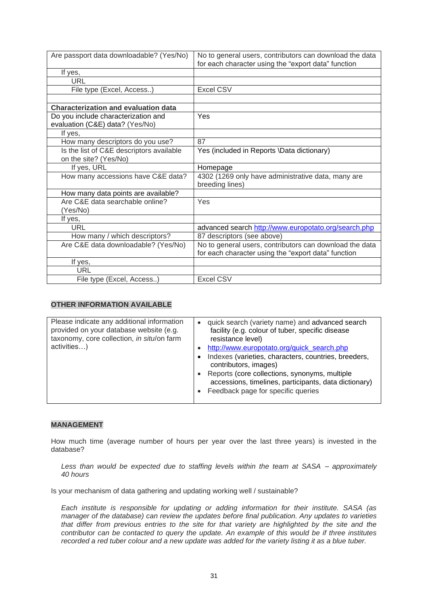| Are passport data downloadable? (Yes/No)    | No to general users, contributors can download the data<br>for each character using the "export data" function |
|---------------------------------------------|----------------------------------------------------------------------------------------------------------------|
| If yes,                                     |                                                                                                                |
| <b>URL</b>                                  |                                                                                                                |
| File type (Excel, Access)                   | <b>Excel CSV</b>                                                                                               |
|                                             |                                                                                                                |
| <b>Characterization and evaluation data</b> |                                                                                                                |
| Do you include characterization and         | Yes                                                                                                            |
| evaluation (C&E) data? (Yes/No)             |                                                                                                                |
| If yes,                                     |                                                                                                                |
| How many descriptors do you use?            | 87                                                                                                             |
| Is the list of C&E descriptors available    | Yes (included in Reports \Data dictionary)                                                                     |
| on the site? (Yes/No)                       |                                                                                                                |
| If yes, URL                                 | Homepage                                                                                                       |
| How many accessions have C&E data?          | 4302 (1269 only have administrative data, many are                                                             |
|                                             | breeding lines)                                                                                                |
| How many data points are available?         |                                                                                                                |
| Are C&E data searchable online?             | Yes                                                                                                            |
| (Yes/No)                                    |                                                                                                                |
| If yes,                                     |                                                                                                                |
| URL                                         | advanced search http://www.europotato.org/search.php                                                           |
| How many / which descriptors?               | 87 descriptors (see above)                                                                                     |
| Are C&E data downloadable? (Yes/No)         | No to general users, contributors can download the data                                                        |
|                                             | for each character using the "export data" function                                                            |
| If yes,                                     |                                                                                                                |
| URL                                         |                                                                                                                |
| File type (Excel, Access)                   | <b>Excel CSV</b>                                                                                               |

| Please indicate any additional information<br>provided on your database website (e.g.<br>taxonomy, core collection, in situ/on farm | $\bullet$ | quick search (variety name) and advanced search<br>facility (e.g. colour of tuber, specific disease<br>resistance level)                                                                                                                                                    |
|-------------------------------------------------------------------------------------------------------------------------------------|-----------|-----------------------------------------------------------------------------------------------------------------------------------------------------------------------------------------------------------------------------------------------------------------------------|
| activities)                                                                                                                         |           | http://www.europotato.org/quick search.php<br>Indexes (varieties, characters, countries, breeders,<br>contributors, images)<br>Reports (core collections, synonyms, multiple<br>accessions, timelines, participants, data dictionary)<br>Feedback page for specific queries |

## **MANAGEMENT**

How much time (average number of hours per year over the last three years) is invested in the database?

*Less than would be expected due to staffing levels within the team at SASA – approximately 40 hours*

Is your mechanism of data gathering and updating working well / sustainable?

*Each institute is responsible for updating or adding information for their institute. SASA (as manager of the database) can review the updates before final publication. Any updates to varieties that differ from previous entries to the site for that variety are highlighted by the site and the contributor can be contacted to query the update. An example of this would be if three institutes recorded a red tuber colour and a new update was added for the variety listing it as a blue tuber.*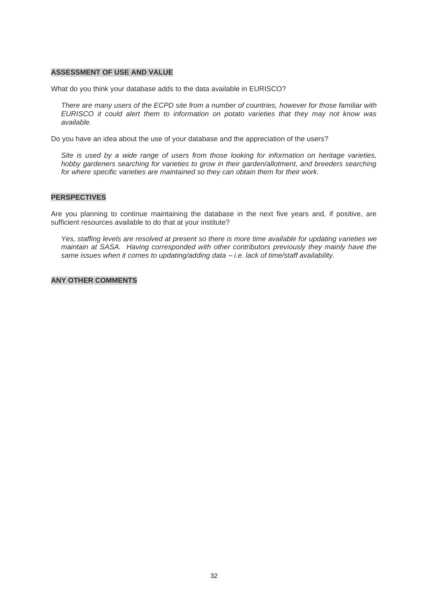#### **ASSESSMENT OF USE AND VALUE**

What do you think your database adds to the data available in EURISCO?

*There are many users of the ECPD site from a number of countries, however for those familiar with EURISCO it could alert them to information on potato varieties that they may not know was available.*

Do you have an idea about the use of your database and the appreciation of the users?

*Site is used by a wide range of users from those looking for information on heritage varieties, hobby gardeners searching for varieties to grow in their garden/allotment, and breeders searching for where specific varieties are maintained so they can obtain them for their work.*

#### **PERSPECTIVES**

Are you planning to continue maintaining the database in the next five years and, if positive, are sufficient resources available to do that at your institute?

*Yes, staffing levels are resolved at present so there is more time available for updating varieties we maintain at SASA. Having corresponded with other contributors previously they mainly have the same issues when it comes to updating/adding data – i.e. lack of time/staff availability.*

#### **ANY OTHER COMMENTS**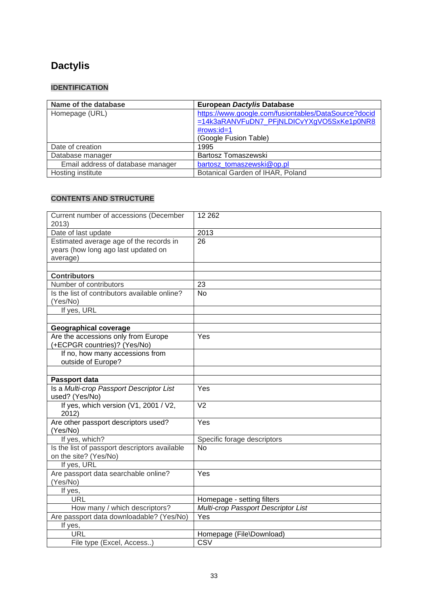# **Dactylis**

## **IDENTIFICATION**

| Name of the database              | European Dactylis Database                           |
|-----------------------------------|------------------------------------------------------|
| Homepage (URL)                    | https://www.google.com/fusiontables/DataSource?docid |
|                                   | =14k3aRANVFuDN7 PFjNLDICvYXgVO5SxKe1p0NR8            |
|                                   | $\#rows$ rows: $id=1$                                |
|                                   | (Google Fusion Table)                                |
| Date of creation                  | 1995                                                 |
| Database manager                  | Bartosz Tomaszewski                                  |
| Email address of database manager | bartosz tomaszewski@op.pl                            |
| Hosting institute                 | Botanical Garden of IHAR, Poland                     |

| Current number of accessions (December<br>2013)           | 12 2 62                             |
|-----------------------------------------------------------|-------------------------------------|
| Date of last update                                       | 2013                                |
| Estimated average age of the records in                   | 26                                  |
| years (how long ago last updated on                       |                                     |
| average)                                                  |                                     |
|                                                           |                                     |
| <b>Contributors</b>                                       |                                     |
| Number of contributors                                    | 23                                  |
| Is the list of contributors available online?             | <b>No</b>                           |
| (Yes/No)                                                  |                                     |
| If yes, URL                                               |                                     |
|                                                           |                                     |
| <b>Geographical coverage</b>                              |                                     |
| Are the accessions only from Europe                       | Yes                                 |
| (+ECPGR countries)? (Yes/No)                              |                                     |
| If no, how many accessions from                           |                                     |
| outside of Europe?                                        |                                     |
|                                                           |                                     |
| Passport data<br>Is a Multi-crop Passport Descriptor List | Yes                                 |
| used? (Yes/No)                                            |                                     |
| If yes, which version (V1, 2001 / V2,                     | $\overline{V}$                      |
| 2012)                                                     |                                     |
| Are other passport descriptors used?                      | Yes                                 |
| (Yes/No)                                                  |                                     |
| If yes, which?                                            | Specific forage descriptors         |
| Is the list of passport descriptors available             | $\overline{No}$                     |
| on the site? (Yes/No)                                     |                                     |
| If yes, URL                                               |                                     |
| Are passport data searchable online?                      | Yes                                 |
| (Yes/No)                                                  |                                     |
| If yes,                                                   |                                     |
| <b>URL</b>                                                | Homepage - setting filters          |
| How many / which descriptors?                             | Multi-crop Passport Descriptor List |
| Are passport data downloadable? (Yes/No)                  | Yes                                 |
| If yes,                                                   |                                     |
| <b>URL</b>                                                | Homepage (File\Download)            |
| File type (Excel, Access)                                 | <b>CSV</b>                          |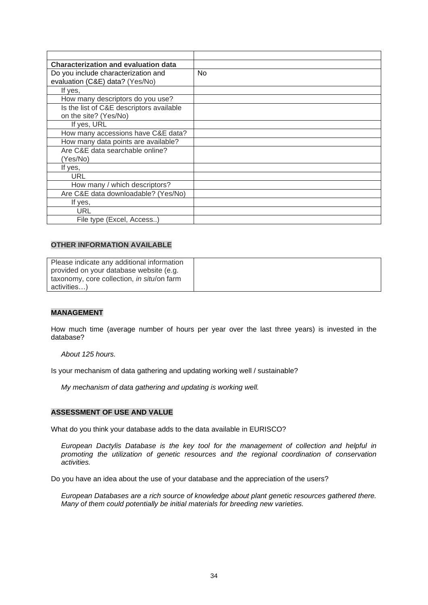| <b>Characterization and evaluation data</b> |                |
|---------------------------------------------|----------------|
| Do you include characterization and         | N <sub>o</sub> |
| evaluation (C&E) data? (Yes/No)             |                |
| If yes,                                     |                |
| How many descriptors do you use?            |                |
| Is the list of C&E descriptors available    |                |
| on the site? (Yes/No)                       |                |
| If yes, URL                                 |                |
| How many accessions have C&E data?          |                |
| How many data points are available?         |                |
| Are C&E data searchable online?             |                |
| (Yes/No)                                    |                |
| If yes,                                     |                |
| URL                                         |                |
| How many / which descriptors?               |                |
| Are C&E data downloadable? (Yes/No)         |                |
| If yes,                                     |                |
| URL                                         |                |
| File type (Excel, Access)                   |                |

| Please indicate any additional information |  |
|--------------------------------------------|--|
| provided on your database website (e.g.    |  |
| taxonomy, core collection, in situ/on farm |  |
| activities)                                |  |

#### **MANAGEMENT**

How much time (average number of hours per year over the last three years) is invested in the database?

*About 125 hours.*

Is your mechanism of data gathering and updating working well / sustainable?

*My mechanism of data gathering and updating is working well.* 

#### **ASSESSMENT OF USE AND VALUE**

What do you think your database adds to the data available in EURISCO?

*European Dactylis Database is the key tool for the management of collection and helpful in promoting the utilization of genetic resources and the regional coordination of conservation activities.* 

Do you have an idea about the use of your database and the appreciation of the users?

*European Databases are a rich source of knowledge about plant genetic resources gathered there. Many of them could potentially be initial materials for breeding new varieties.*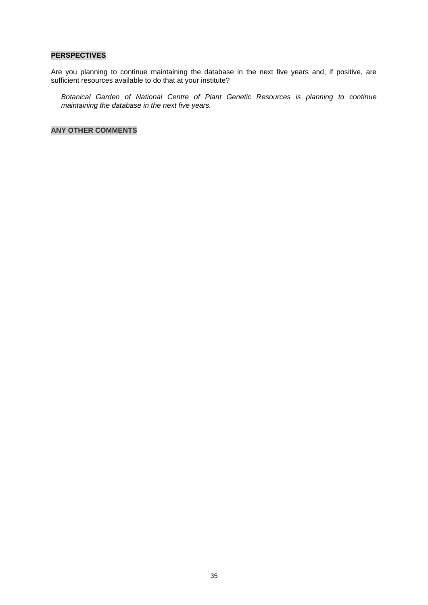#### **PERSPECTIVES**

Are you planning to continue maintaining the database in the next five years and, if positive, are sufficient resources available to do that at your institute?

*Botanical Garden of National Centre of Plant Genetic Resources is planning to continue maintaining the database in the next five years.*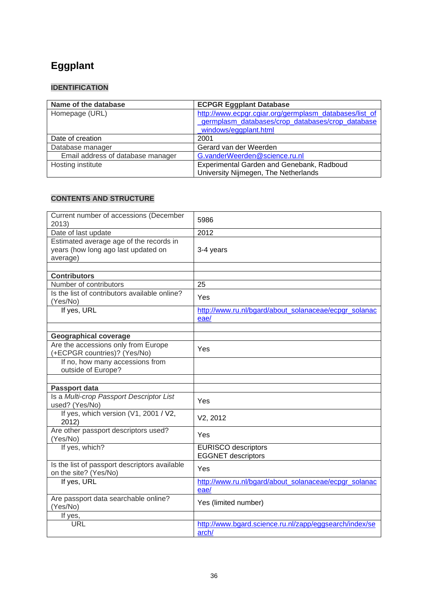# **Eggplant**

## **IDENTIFICATION**

| Name of the database              | <b>ECPGR Eggplant Database</b>                                                                             |
|-----------------------------------|------------------------------------------------------------------------------------------------------------|
| Homepage (URL)                    | http://www.ecpgr.cgiar.org/germplasm_databases/list_of<br>germplasm databases/crop databases/crop database |
|                                   | windows/eggplant.html                                                                                      |
| Date of creation                  | 2001                                                                                                       |
| Database manager                  | Gerard van der Weerden                                                                                     |
| Email address of database manager | G.vanderWeerden@science.ru.nl                                                                              |
| Hosting institute                 | Experimental Garden and Genebank, Radboud                                                                  |
|                                   | University Nijmegen, The Netherlands                                                                       |

| Current number of accessions (December<br>2013)                                            | 5986                                                          |
|--------------------------------------------------------------------------------------------|---------------------------------------------------------------|
| Date of last update                                                                        | 2012                                                          |
| Estimated average age of the records in<br>years (how long ago last updated on<br>average) | 3-4 years                                                     |
|                                                                                            |                                                               |
| <b>Contributors</b><br>Number of contributors                                              | 25                                                            |
| Is the list of contributors available online?                                              |                                                               |
| (Yes/No)                                                                                   | Yes                                                           |
| If yes, URL                                                                                | http://www.ru.nl/bgard/about solanaceae/ecpgr solanac<br>eae/ |
|                                                                                            |                                                               |
| <b>Geographical coverage</b>                                                               |                                                               |
| Are the accessions only from Europe<br>(+ECPGR countries)? (Yes/No)                        | Yes                                                           |
| If no, how many accessions from<br>outside of Europe?                                      |                                                               |
|                                                                                            |                                                               |
| Passport data                                                                              |                                                               |
| Is a Multi-crop Passport Descriptor List<br>used? (Yes/No)                                 | Yes                                                           |
| If yes, which version (V1, 2001 / V2,<br>2012                                              | V2, 2012                                                      |
| Are other passport descriptors used?<br>(Yes/No)                                           | Yes                                                           |
| If yes, which?                                                                             | <b>EURISCO</b> descriptors                                    |
|                                                                                            | <b>EGGNET</b> descriptors                                     |
| Is the list of passport descriptors available<br>on the site? (Yes/No)                     | Yes                                                           |
| If yes, URL                                                                                | http://www.ru.nl/bgard/about solanaceae/ecpgr solanac         |
|                                                                                            | eae/                                                          |
| Are passport data searchable online?<br>(Yes/No)                                           | Yes (limited number)                                          |
| If yes,                                                                                    |                                                               |
| <b>URL</b>                                                                                 | http://www.bgard.science.ru.nl/zapp/eggsearch/index/se        |
|                                                                                            | arch/                                                         |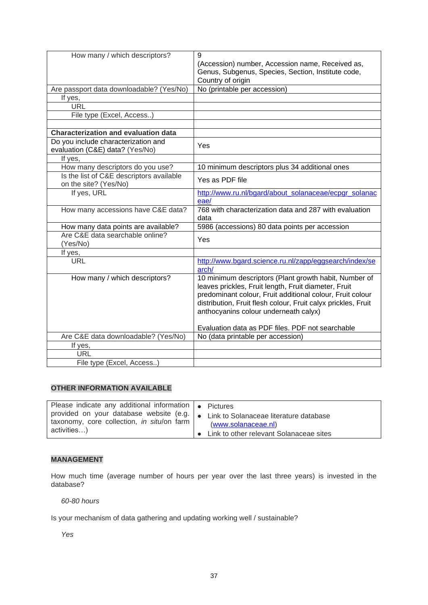| How many / which descriptors?                                          | 9<br>(Accession) number, Accession name, Received as,<br>Genus, Subgenus, Species, Section, Institute code,                                                                                                                                                                          |
|------------------------------------------------------------------------|--------------------------------------------------------------------------------------------------------------------------------------------------------------------------------------------------------------------------------------------------------------------------------------|
|                                                                        | Country of origin                                                                                                                                                                                                                                                                    |
| Are passport data downloadable? (Yes/No)                               | No (printable per accession)                                                                                                                                                                                                                                                         |
| If yes,                                                                |                                                                                                                                                                                                                                                                                      |
| <b>URL</b>                                                             |                                                                                                                                                                                                                                                                                      |
| File type (Excel, Access)                                              |                                                                                                                                                                                                                                                                                      |
|                                                                        |                                                                                                                                                                                                                                                                                      |
| <b>Characterization and evaluation data</b>                            |                                                                                                                                                                                                                                                                                      |
| Do you include characterization and<br>evaluation (C&E) data? (Yes/No) | Yes                                                                                                                                                                                                                                                                                  |
| If yes,                                                                |                                                                                                                                                                                                                                                                                      |
| How many descriptors do you use?                                       | 10 minimum descriptors plus 34 additional ones                                                                                                                                                                                                                                       |
| Is the list of C&E descriptors available<br>on the site? (Yes/No)      | Yes as PDF file                                                                                                                                                                                                                                                                      |
| If yes, URL                                                            | http://www.ru.nl/bgard/about solanaceae/ecpgr solanac<br>eae/                                                                                                                                                                                                                        |
| How many accessions have C&E data?                                     | 768 with characterization data and 287 with evaluation<br>data                                                                                                                                                                                                                       |
| How many data points are available?                                    | 5986 (accessions) 80 data points per accession                                                                                                                                                                                                                                       |
| Are C&E data searchable online?<br>(Yes/No)                            | Yes                                                                                                                                                                                                                                                                                  |
| If yes,                                                                |                                                                                                                                                                                                                                                                                      |
| <b>URL</b>                                                             | http://www.bgard.science.ru.nl/zapp/eggsearch/index/se<br>arch/                                                                                                                                                                                                                      |
| How many / which descriptors?                                          | 10 minimum descriptors (Plant growth habit, Number of<br>leaves prickles, Fruit length, Fruit diameter, Fruit<br>predominant colour, Fruit additional colour, Fruit colour<br>distribution, Fruit flesh colour, Fruit calyx prickles, Fruit<br>anthocyanins colour underneath calyx) |
|                                                                        | Evaluation data as PDF files. PDF not searchable                                                                                                                                                                                                                                     |
| Are C&E data downloadable? (Yes/No)                                    | No (data printable per accession)                                                                                                                                                                                                                                                    |
| If yes,<br>URL                                                         |                                                                                                                                                                                                                                                                                      |
|                                                                        |                                                                                                                                                                                                                                                                                      |
| File type (Excel, Access)                                              |                                                                                                                                                                                                                                                                                      |

| Please indicate any additional information $\bullet$ Pictures                                                                                     |                                           |
|---------------------------------------------------------------------------------------------------------------------------------------------------|-------------------------------------------|
| provided on your database website (e.g.   • Link to Solanaceae literature database<br>taxonomy, core collection, in situ/on farm  <br>activities) | (www.solanaceae.nl)                       |
|                                                                                                                                                   | • Link to other relevant Solanaceae sites |

#### **MANAGEMENT**

How much time (average number of hours per year over the last three years) is invested in the database?

*60-80 hours* 

Is your mechanism of data gathering and updating working well / sustainable?

*Yes*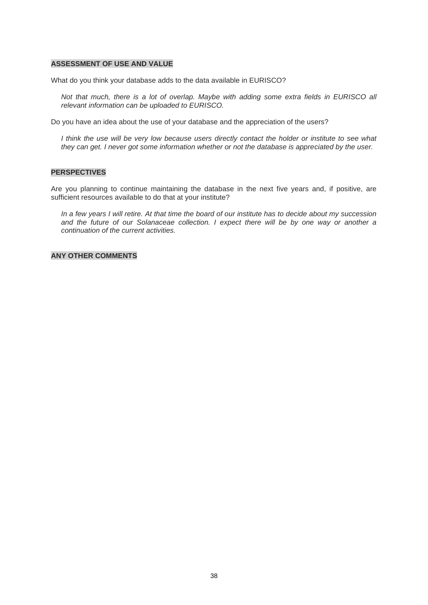#### **ASSESSMENT OF USE AND VALUE**

What do you think your database adds to the data available in EURISCO?

*Not that much, there is a lot of overlap. Maybe with adding some extra fields in EURISCO all relevant information can be uploaded to EURISCO.*

Do you have an idea about the use of your database and the appreciation of the users?

*I think the use will be very low because users directly contact the holder or institute to see what they can get. I never got some information whether or not the database is appreciated by the user.*

#### **PERSPECTIVES**

Are you planning to continue maintaining the database in the next five years and, if positive, are sufficient resources available to do that at your institute?

*In a few years I will retire. At that time the board of our institute has to decide about my succession and the future of our Solanaceae collection. I expect there will be by one way or another a continuation of the current activities.*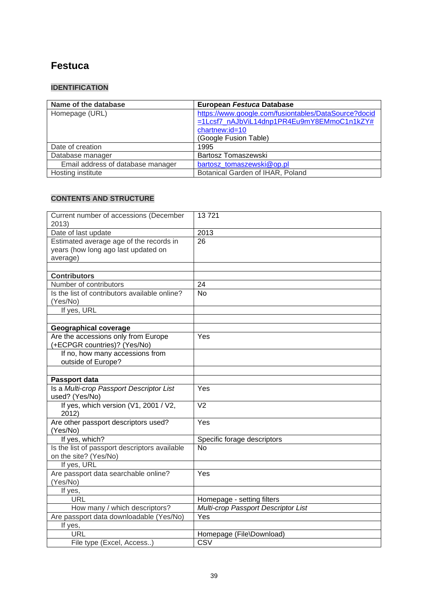## **Festuca**

## **IDENTIFICATION**

| Name of the database              | European Festuca Database                            |
|-----------------------------------|------------------------------------------------------|
| Homepage (URL)                    | https://www.google.com/fusiontables/DataSource?docid |
|                                   | =1Lcsf7_nAJbViL14dnp1PR4Eu9mY8EMmoC1n1kZY#           |
|                                   | chartnew:id=10                                       |
|                                   | (Google Fusion Table)                                |
| Date of creation                  | 1995                                                 |
| Database manager                  | Bartosz Tomaszewski                                  |
| Email address of database manager | bartosz tomaszewski@op.pl                            |
| Hosting institute                 | Botanical Garden of IHAR, Poland                     |

| Current number of accessions (December<br>2013)                                            | 13721                               |
|--------------------------------------------------------------------------------------------|-------------------------------------|
| Date of last update                                                                        | 2013                                |
| Estimated average age of the records in<br>years (how long ago last updated on<br>average) | $\overline{26}$                     |
|                                                                                            |                                     |
| <b>Contributors</b><br>Number of contributors                                              | 24                                  |
| Is the list of contributors available online?                                              | No                                  |
| (Yes/No)                                                                                   |                                     |
| If yes, URL                                                                                |                                     |
|                                                                                            |                                     |
| <b>Geographical coverage</b>                                                               |                                     |
| Are the accessions only from Europe<br>(+ECPGR countries)? (Yes/No)                        | Yes                                 |
| If no, how many accessions from<br>outside of Europe?                                      |                                     |
|                                                                                            |                                     |
| Passport data                                                                              |                                     |
| Is a Multi-crop Passport Descriptor List<br>used? (Yes/No)                                 | Yes                                 |
| If yes, which version (V1, 2001 / V2,<br>2012)                                             | $\overline{V}$                      |
| Are other passport descriptors used?<br>(Yes/No)                                           | $\overline{Y}$ es                   |
| If yes, which?                                                                             | Specific forage descriptors         |
| Is the list of passport descriptors available<br>on the site? (Yes/No)                     | $\overline{No}$                     |
| If yes, URL                                                                                |                                     |
| Are passport data searchable online?<br>(Yes/No)                                           | Yes                                 |
| If yes,                                                                                    |                                     |
| <b>URL</b>                                                                                 | Homepage - setting filters          |
| How many / which descriptors?                                                              | Multi-crop Passport Descriptor List |
| Are passport data downloadable (Yes/No)                                                    | Yes                                 |
| If yes,                                                                                    |                                     |
| <b>URL</b>                                                                                 | Homepage (File\Download)            |
| File type (Excel, Access)                                                                  | <b>CSV</b>                          |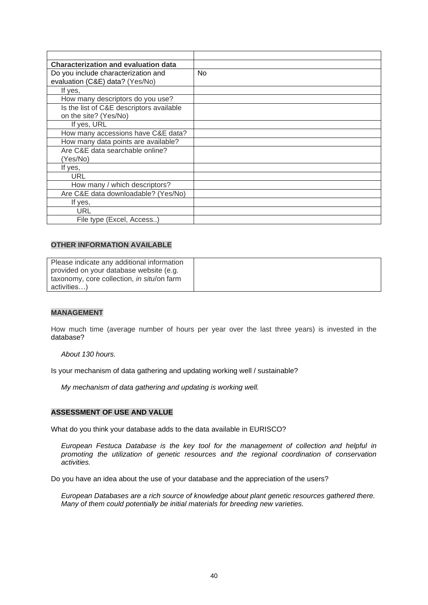| <b>Characterization and evaluation data</b> |     |
|---------------------------------------------|-----|
| Do you include characterization and         | No. |
| evaluation (C&E) data? (Yes/No)             |     |
| If yes,                                     |     |
| How many descriptors do you use?            |     |
| Is the list of C&E descriptors available    |     |
| on the site? (Yes/No)                       |     |
| If yes, URL                                 |     |
| How many accessions have C&E data?          |     |
| How many data points are available?         |     |
| Are C&E data searchable online?             |     |
| (Yes/No)                                    |     |
| If yes,                                     |     |
| URL                                         |     |
| How many / which descriptors?               |     |
| Are C&E data downloadable? (Yes/No)         |     |
| If yes,                                     |     |
| URL                                         |     |
| File type (Excel, Access)                   |     |

| Please indicate any additional information |  |
|--------------------------------------------|--|
| provided on your database website (e.g.    |  |
| taxonomy, core collection, in situ/on farm |  |
| activities)                                |  |

#### **MANAGEMENT**

How much time (average number of hours per year over the last three years) is invested in the database?

*About 130 hours.*

Is your mechanism of data gathering and updating working well / sustainable?

*My mechanism of data gathering and updating is working well.* 

#### **ASSESSMENT OF USE AND VALUE**

What do you think your database adds to the data available in EURISCO?

*European Festuca Database is the key tool for the management of collection and helpful in promoting the utilization of genetic resources and the regional coordination of conservation activities.* 

Do you have an idea about the use of your database and the appreciation of the users?

*European Databases are a rich source of knowledge about plant genetic resources gathered there. Many of them could potentially be initial materials for breeding new varieties.*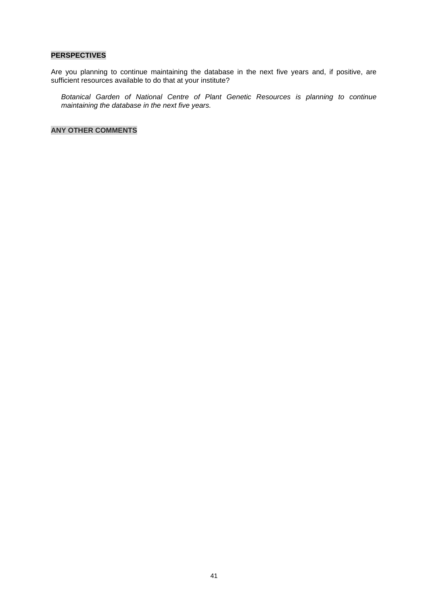#### **PERSPECTIVES**

Are you planning to continue maintaining the database in the next five years and, if positive, are sufficient resources available to do that at your institute?

*Botanical Garden of National Centre of Plant Genetic Resources is planning to continue maintaining the database in the next five years.*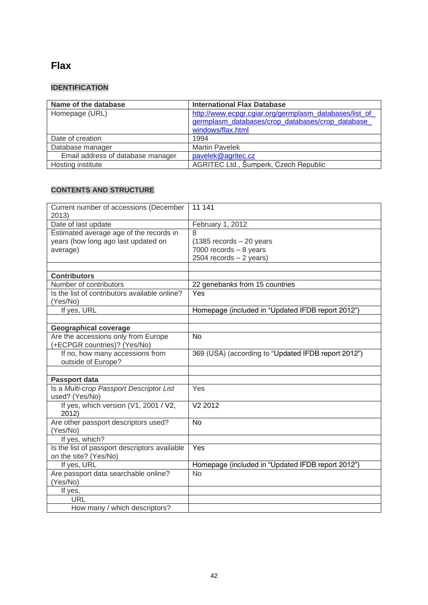## **Flax**

## **IDENTIFICATION**

| Name of the database              | <b>International Flax Database</b>                     |
|-----------------------------------|--------------------------------------------------------|
| Homepage (URL)                    | http://www.ecpgr.cgiar.org/germplasm_databases/list_of |
|                                   | germplasm databases/crop databases/crop database       |
|                                   | windows/flax.html                                      |
| Date of creation                  | 1994                                                   |
| Database manager                  | <b>Martin Pavelek</b>                                  |
| Email address of database manager | pavelek@agritec.cz                                     |
| Hosting institute                 | AGRITEC Ltd., Šumperk, Czech Republic                  |

| Current number of accessions (December                    | 11 141                                              |
|-----------------------------------------------------------|-----------------------------------------------------|
| 2013)                                                     |                                                     |
| Date of last update                                       | February 1, 2012                                    |
| Estimated average age of the records in                   | 8                                                   |
| years (how long ago last updated on                       | $(1385$ records $-20$ years                         |
| average)                                                  | 7000 records $-8$ years                             |
|                                                           | $2504$ records $-2$ years)                          |
|                                                           |                                                     |
| <b>Contributors</b>                                       |                                                     |
| Number of contributors                                    | 22 genebanks from 15 countries                      |
| Is the list of contributors available online?<br>(Yes/No) | Yes                                                 |
| If yes, URL                                               | Homepage (included in "Updated IFDB report 2012")   |
|                                                           |                                                     |
| <b>Geographical coverage</b>                              |                                                     |
| Are the accessions only from Europe                       | N <sub>o</sub>                                      |
| (+ECPGR countries)? (Yes/No)                              |                                                     |
| If no, how many accessions from                           | 369 (USA) (according to "Updated IFDB report 2012") |
| outside of Europe?                                        |                                                     |
|                                                           |                                                     |
| Passport data                                             |                                                     |
| Is a Multi-crop Passport Descriptor List                  | Yes                                                 |
| used? (Yes/No)                                            |                                                     |
| If yes, which version (V1, 2001 / V2,                     | V2 2012                                             |
| 2012)                                                     |                                                     |
| Are other passport descriptors used?                      | No                                                  |
| (Yes/No)                                                  |                                                     |
| If yes, which?                                            |                                                     |
| Is the list of passport descriptors available             | Yes                                                 |
| on the site? (Yes/No)                                     |                                                     |
| If yes, URL                                               | Homepage (included in "Updated IFDB report 2012")   |
| Are passport data searchable online?                      | <b>No</b>                                           |
| (Yes/No)                                                  |                                                     |
| If yes,                                                   |                                                     |
| <b>URL</b>                                                |                                                     |
| How many / which descriptors?                             |                                                     |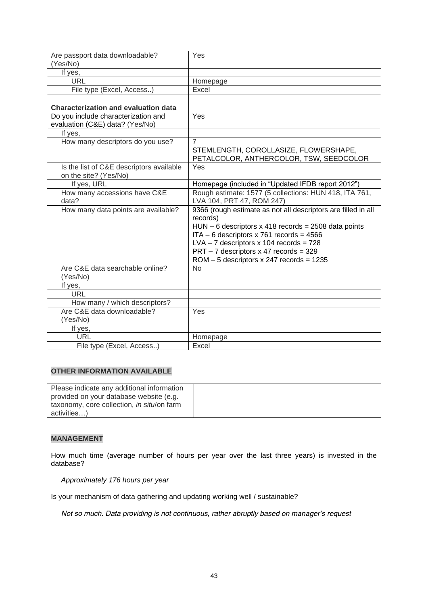| Are passport data downloadable?<br>(Yes/No) | Yes                                                           |
|---------------------------------------------|---------------------------------------------------------------|
| If yes,                                     |                                                               |
| <b>URL</b>                                  | Homepage                                                      |
| File type (Excel, Access)                   | Excel                                                         |
|                                             |                                                               |
| <b>Characterization and evaluation data</b> |                                                               |
| Do you include characterization and         | Yes                                                           |
| evaluation (C&E) data? (Yes/No)             |                                                               |
| If yes,                                     |                                                               |
| How many descriptors do you use?            | $\overline{7}$                                                |
|                                             | STEMLENGTH, COROLLASIZE, FLOWERSHAPE,                         |
|                                             | PETALCOLOR, ANTHERCOLOR, TSW, SEEDCOLOR                       |
| Is the list of C&E descriptors available    | Yes                                                           |
| on the site? (Yes/No)                       |                                                               |
| If yes, URL                                 | Homepage (included in "Updated IFDB report 2012")             |
| How many accessions have C&E                | Rough estimate: 1577 (5 collections: HUN 418, ITA 761,        |
| data?                                       | LVA 104, PRT 47, ROM 247)                                     |
| How many data points are available?         | 9366 (rough estimate as not all descriptors are filled in all |
|                                             | records)                                                      |
|                                             | $HUN - 6$ descriptors x 418 records = 2508 data points        |
|                                             | $ITA - 6$ descriptors x 761 records = 4566                    |
|                                             | $LVA - 7$ descriptors x 104 records = 728                     |
|                                             | $PRT - 7$ descriptors x 47 records = 329                      |
|                                             | $ROM - 5$ descriptors x 247 records = 1235                    |
| Are C&E data searchable online?             | No                                                            |
| (Yes/No)                                    |                                                               |
| If yes,                                     |                                                               |
| <b>URL</b>                                  |                                                               |
| How many / which descriptors?               |                                                               |
| Are C&E data downloadable?                  | Yes                                                           |
| (Yes/No)                                    |                                                               |
| If yes,                                     |                                                               |
| <b>URL</b>                                  | Homepage                                                      |
| File type (Excel, Access)                   | Excel                                                         |

| Please indicate any additional information |  |
|--------------------------------------------|--|
| provided on your database website (e.g.    |  |
| taxonomy, core collection, in situ/on farm |  |
| activities)                                |  |

#### **MANAGEMENT**

How much time (average number of hours per year over the last three years) is invested in the database?

*Approximately 176 hours per year*

Is your mechanism of data gathering and updating working well / sustainable?

*Not so much. Data providing is not continuous, rather abruptly based on manager's request*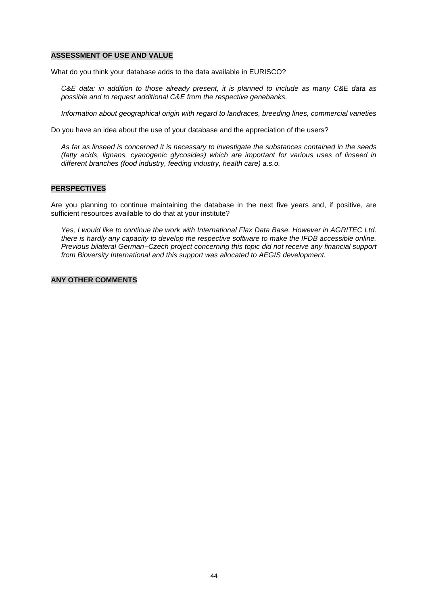#### **ASSESSMENT OF USE AND VALUE**

What do you think your database adds to the data available in EURISCO?

*C&E data: in addition to those already present, it is planned to include as many C&E data as possible and to request additional C&E from the respective genebanks.* 

*Information about geographical origin with regard to landraces, breeding lines, commercial varieties*

Do you have an idea about the use of your database and the appreciation of the users?

*As far as linseed is concerned it is necessary to investigate the substances contained in the seeds (fatty acids, lignans, cyanogenic glycosides) which are important for various uses of linseed in different branches (food industry, feeding industry, health care) a.s.o.*

#### **PERSPECTIVES**

Are you planning to continue maintaining the database in the next five years and, if positive, are sufficient resources available to do that at your institute?

*Yes, I would like to continue the work with International Flax Data Base. However in AGRITEC Ltd. there is hardly any capacity to develop the respective software to make the IFDB accessible online. Previous bilateral German–Czech project concerning this topic did not receive any financial support from Bioversity International and this support was allocated to AEGIS development.*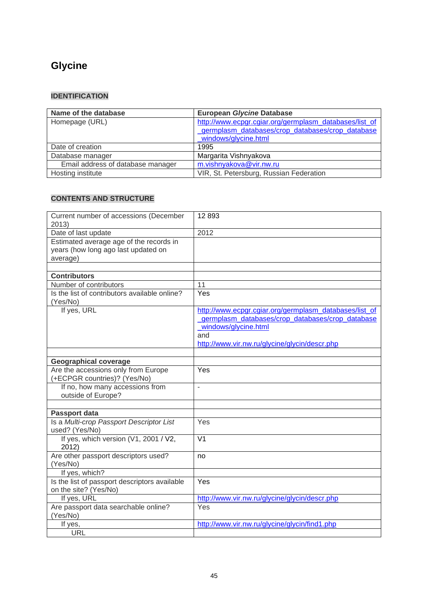# **Glycine**

### **IDENTIFICATION**

| Name of the database              | <b>European Glycine Database</b>                       |
|-----------------------------------|--------------------------------------------------------|
| Homepage (URL)                    | http://www.ecpgr.cgiar.org/germplasm_databases/list_of |
|                                   | germplasm databases/crop databases/crop database       |
|                                   | windows/glycine.html                                   |
| Date of creation                  | 1995                                                   |
| Database manager                  | Margarita Vishnyakova                                  |
| Email address of database manager | m.vishnyakova@vir.nw.ru                                |
| Hosting institute                 | VIR, St. Petersburg, Russian Federation                |

| Current number of accessions (December<br>2013)                                            | 12893                                                                                                                                                                                      |
|--------------------------------------------------------------------------------------------|--------------------------------------------------------------------------------------------------------------------------------------------------------------------------------------------|
| Date of last update                                                                        | 2012                                                                                                                                                                                       |
| Estimated average age of the records in<br>years (how long ago last updated on<br>average) |                                                                                                                                                                                            |
| <b>Contributors</b>                                                                        |                                                                                                                                                                                            |
| Number of contributors                                                                     | 11                                                                                                                                                                                         |
| Is the list of contributors available online?<br>(Yes/No)                                  | Yes                                                                                                                                                                                        |
| If yes, URL                                                                                | http://www.ecpgr.cgiar.org/germplasm_databases/list_of<br>germplasm databases/crop databases/crop database<br>windows/glycine.html<br>and<br>http://www.vir.nw.ru/glycine/glycin/descr.php |
| <b>Geographical coverage</b>                                                               |                                                                                                                                                                                            |
| Are the accessions only from Europe<br>(+ECPGR countries)? (Yes/No)                        | Yes                                                                                                                                                                                        |
| If no, how many accessions from<br>outside of Europe?                                      | ÷,                                                                                                                                                                                         |
|                                                                                            |                                                                                                                                                                                            |
| Passport data                                                                              | Yes                                                                                                                                                                                        |
| Is a Multi-crop Passport Descriptor List<br>used? (Yes/No)                                 |                                                                                                                                                                                            |
| If yes, which version (V1, 2001 / V2,<br>2012)                                             | $\overline{\mathsf{V1}}$                                                                                                                                                                   |
| Are other passport descriptors used?<br>(Yes/No)                                           | no                                                                                                                                                                                         |
| If yes, which?                                                                             |                                                                                                                                                                                            |
| Is the list of passport descriptors available<br>on the site? (Yes/No)                     | Yes                                                                                                                                                                                        |
| If yes, URL                                                                                | http://www.vir.nw.ru/glycine/glycin/descr.php                                                                                                                                              |
| Are passport data searchable online?<br>(Yes/No)                                           | Yes                                                                                                                                                                                        |
| If yes,                                                                                    | http://www.vir.nw.ru/glycine/glycin/find1.php                                                                                                                                              |
| <b>URL</b>                                                                                 |                                                                                                                                                                                            |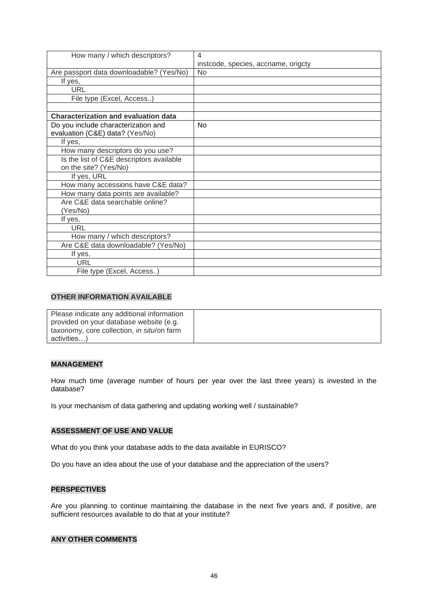| How many / which descriptors?               | 4                                   |
|---------------------------------------------|-------------------------------------|
|                                             | instcode, species, accname, origcty |
| Are passport data downloadable? (Yes/No)    | N <sub>o</sub>                      |
| If yes,                                     |                                     |
| <b>URL</b>                                  |                                     |
| File type (Excel, Access)                   |                                     |
|                                             |                                     |
| <b>Characterization and evaluation data</b> |                                     |
| Do you include characterization and         | <b>No</b>                           |
| evaluation (C&E) data? (Yes/No)             |                                     |
| If yes,                                     |                                     |
| How many descriptors do you use?            |                                     |
| Is the list of C&E descriptors available    |                                     |
| on the site? (Yes/No)                       |                                     |
| If yes, URL                                 |                                     |
| How many accessions have C&E data?          |                                     |
| How many data points are available?         |                                     |
| Are C&E data searchable online?             |                                     |
| (Yes/No)                                    |                                     |
| If yes,                                     |                                     |
| <b>URL</b>                                  |                                     |
| How many / which descriptors?               |                                     |
| Are C&E data downloadable? (Yes/No)         |                                     |
| If yes,                                     |                                     |
| URL                                         |                                     |
| File type (Excel, Access)                   |                                     |

| Please indicate any additional information |  |
|--------------------------------------------|--|
| provided on your database website (e.g.    |  |
| taxonomy, core collection, in situ/on farm |  |
| activities)                                |  |

#### **MANAGEMENT**

How much time (average number of hours per year over the last three years) is invested in the database?

Is your mechanism of data gathering and updating working well / sustainable?

#### **ASSESSMENT OF USE AND VALUE**

What do you think your database adds to the data available in EURISCO?

Do you have an idea about the use of your database and the appreciation of the users?

#### **PERSPECTIVES**

Are you planning to continue maintaining the database in the next five years and, if positive, are sufficient resources available to do that at your institute?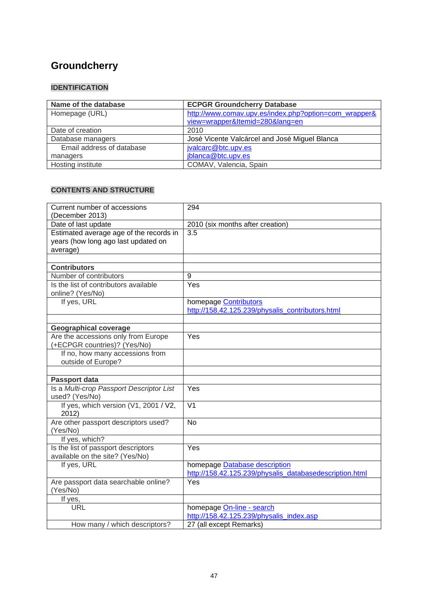# **[Groundcherry](http://www.comav.upv.es/index.php?option=com_wrapper&view=wrapper&Itemid=280&lang=en)**

## **IDENTIFICATION**

| Name of the database      | <b>ECPGR Groundcherry Database</b>                    |
|---------------------------|-------------------------------------------------------|
| Homepage (URL)            | http://www.comav.upv.es/index.php?option=com_wrapper& |
|                           | view=wrapper&Itemid=280⟨=en                           |
| Date of creation          | 2010                                                  |
| Database managers         | José Vicente Valcárcel and José Miguel Blanca         |
| Email address of database | jvalcarc@btc.upv.es                                   |
| managers                  | jblanca@btc.upv.es                                    |
| Hosting institute         | COMAV, Valencia, Spain                                |

| Current number of accessions             | 294                                                     |  |  |
|------------------------------------------|---------------------------------------------------------|--|--|
| (December 2013)                          |                                                         |  |  |
| Date of last update                      | 2010 (six months after creation)                        |  |  |
| Estimated average age of the records in  | 3.5                                                     |  |  |
| years (how long ago last updated on      |                                                         |  |  |
| average)                                 |                                                         |  |  |
|                                          |                                                         |  |  |
| <b>Contributors</b>                      |                                                         |  |  |
| Number of contributors                   | 9                                                       |  |  |
| Is the list of contributors available    | Yes                                                     |  |  |
| online? (Yes/No)                         |                                                         |  |  |
| If yes, URL                              | homepage <b>Contributors</b>                            |  |  |
|                                          | http://158.42.125.239/physalis_contributors.html        |  |  |
|                                          |                                                         |  |  |
| <b>Geographical coverage</b>             |                                                         |  |  |
| Are the accessions only from Europe      | $\overline{Yes}$                                        |  |  |
| (+ECPGR countries)? (Yes/No)             |                                                         |  |  |
| If no, how many accessions from          |                                                         |  |  |
| outside of Europe?                       |                                                         |  |  |
|                                          |                                                         |  |  |
| Passport data                            |                                                         |  |  |
| Is a Multi-crop Passport Descriptor List | Yes                                                     |  |  |
| used? (Yes/No)                           |                                                         |  |  |
| If yes, which version (V1, 2001 / V2,    | $\overline{V}$ 1                                        |  |  |
| 2012)                                    |                                                         |  |  |
| Are other passport descriptors used?     | <b>No</b>                                               |  |  |
| (Yes/No)                                 |                                                         |  |  |
| If yes, which?                           |                                                         |  |  |
| Is the list of passport descriptors      | Yes                                                     |  |  |
| available on the site? (Yes/No)          |                                                         |  |  |
| If yes, URL                              | homepage Database description                           |  |  |
|                                          | http://158.42.125.239/physalis_databasedescription.html |  |  |
| Are passport data searchable online?     | Yes                                                     |  |  |
| (Yes/No)                                 |                                                         |  |  |
| If yes,                                  |                                                         |  |  |
| <b>URL</b>                               | homepage On-line - search                               |  |  |
|                                          | http://158.42.125.239/physalis index.asp                |  |  |
| How many / which descriptors?            | 27 (all except Remarks)                                 |  |  |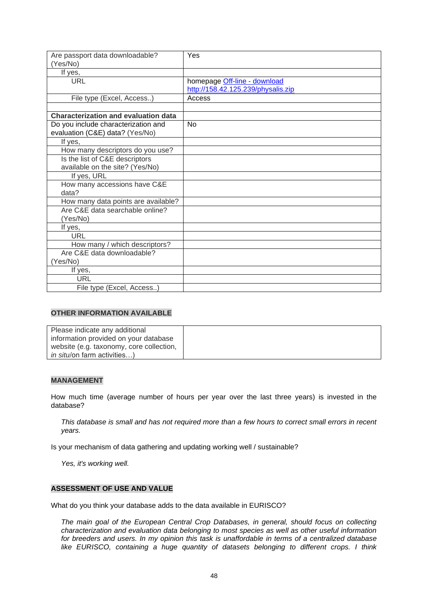| Are passport data downloadable?<br>(Yes/No) | Yes                                                                |
|---------------------------------------------|--------------------------------------------------------------------|
| If yes,                                     |                                                                    |
| <b>URL</b>                                  | homepage Off-line - download<br>http://158.42.125.239/physalis.zip |
| File type (Excel, Access)                   | Access                                                             |
|                                             |                                                                    |
| <b>Characterization and evaluation data</b> |                                                                    |
| Do you include characterization and         | No                                                                 |
| evaluation (C&E) data? (Yes/No)             |                                                                    |
| If yes,                                     |                                                                    |
| How many descriptors do you use?            |                                                                    |
| Is the list of C&E descriptors              |                                                                    |
| available on the site? (Yes/No)             |                                                                    |
| If yes, URL                                 |                                                                    |
| How many accessions have C&E                |                                                                    |
| data?                                       |                                                                    |
| How many data points are available?         |                                                                    |
| Are C&E data searchable online?             |                                                                    |
| (Yes/No)                                    |                                                                    |
| If yes,                                     |                                                                    |
| URL                                         |                                                                    |
| How many / which descriptors?               |                                                                    |
| Are C&E data downloadable?                  |                                                                    |
| (Yes/No)                                    |                                                                    |
| If yes,                                     |                                                                    |
| <b>URL</b>                                  |                                                                    |
| File type (Excel, Access)                   |                                                                    |

| Please indicate any additional           |  |
|------------------------------------------|--|
| information provided on your database    |  |
| website (e.g. taxonomy, core collection, |  |
| <i>in situ</i> /on farm activities)      |  |

#### **MANAGEMENT**

How much time (average number of hours per year over the last three years) is invested in the database?

*This database is small and has not required more than a few hours to correct small errors in recent years.*

Is your mechanism of data gathering and updating working well / sustainable?

*Yes, it's working well.*

#### **ASSESSMENT OF USE AND VALUE**

What do you think your database adds to the data available in EURISCO?

*The main goal of the European Central Crop Databases, in general, should focus on collecting characterization and evaluation data belonging to most species as well as other useful information for breeders and users. In my opinion this task is unaffordable in terms of a centralized database like EURISCO, containing a huge quantity of datasets belonging to different crops. I think*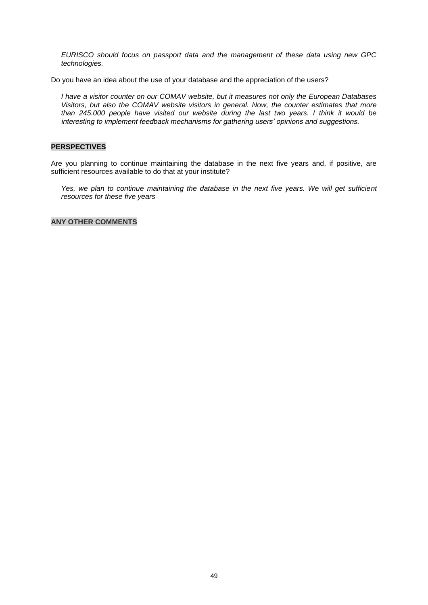*EURISCO should focus on passport data and the management of these data using new GPC technologies.*

Do you have an idea about the use of your database and the appreciation of the users?

*I have a visitor counter on our COMAV website, but it measures not only the European Databases Visitors, but also the COMAV website visitors in general. Now, the counter estimates that more than 245.000 people have visited our website during the last two years. I think it would be interesting to implement feedback mechanisms for gathering users' opinions and suggestions.*

#### **PERSPECTIVES**

Are you planning to continue maintaining the database in the next five years and, if positive, are sufficient resources available to do that at your institute?

Yes, we plan to continue maintaining the database in the next five years. We will get sufficient *resources for these five years*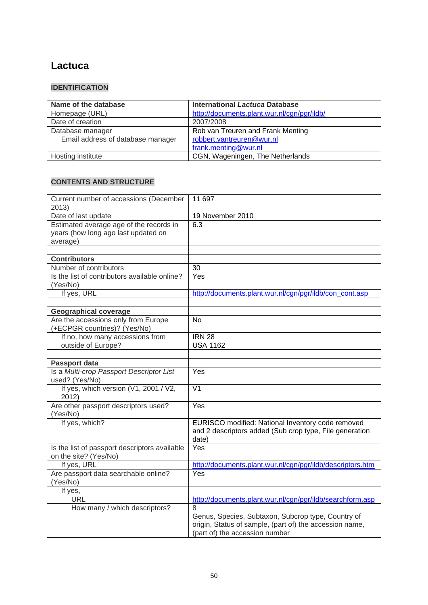## **[Lactuca](http://documents.plant.wur.nl/cgn/pgr/ildb/)**

### **IDENTIFICATION**

| Name of the database              | <b>International Lactuca Database</b>       |
|-----------------------------------|---------------------------------------------|
| Homepage (URL)                    | http://documents.plant.wur.nl/cgn/pgr/ildb/ |
| Date of creation                  | 2007/2008                                   |
| Database manager                  | Rob van Treuren and Frank Menting           |
| Email address of database manager | robbert.vantreuren@wur.nl                   |
|                                   | frank.menting@wur.nl                        |
| Hosting institute                 | CGN, Wageningen, The Netherlands            |

| Current number of accessions (December<br>2013)                                            | 11 697                                                                                                                                               |  |
|--------------------------------------------------------------------------------------------|------------------------------------------------------------------------------------------------------------------------------------------------------|--|
| Date of last update                                                                        | 19 November 2010                                                                                                                                     |  |
| Estimated average age of the records in<br>years (how long ago last updated on<br>average) | 6.3                                                                                                                                                  |  |
|                                                                                            |                                                                                                                                                      |  |
| <b>Contributors</b>                                                                        |                                                                                                                                                      |  |
| Number of contributors                                                                     | 30                                                                                                                                                   |  |
| Is the list of contributors available online?<br>(Yes/No)                                  | Yes                                                                                                                                                  |  |
| If yes, URL                                                                                | http://documents.plant.wur.nl/cgn/pgr/ildb/con_cont.asp                                                                                              |  |
|                                                                                            |                                                                                                                                                      |  |
| <b>Geographical coverage</b>                                                               |                                                                                                                                                      |  |
| Are the accessions only from Europe<br>(+ECPGR countries)? (Yes/No)                        | No                                                                                                                                                   |  |
| If no, how many accessions from                                                            | <b>IRN 28</b>                                                                                                                                        |  |
| outside of Europe?                                                                         | <b>USA 1162</b>                                                                                                                                      |  |
|                                                                                            |                                                                                                                                                      |  |
| Passport data                                                                              |                                                                                                                                                      |  |
| Is a Multi-crop Passport Descriptor List<br>used? (Yes/No)                                 | Yes                                                                                                                                                  |  |
| If yes, which version (V1, 2001 / V2,<br>2012)                                             | $\overline{\mathsf{V1}}$                                                                                                                             |  |
| Are other passport descriptors used?<br>(Yes/No)                                           | Yes                                                                                                                                                  |  |
| If yes, which?                                                                             | EURISCO modified: National Inventory code removed<br>and 2 descriptors added (Sub crop type, File generation<br>date)                                |  |
| Is the list of passport descriptors available<br>on the site? (Yes/No)                     | Yes                                                                                                                                                  |  |
| If yes, URL                                                                                | http://documents.plant.wur.nl/cgn/pgr/ildb/descriptors.htm                                                                                           |  |
| Are passport data searchable online?<br>(Yes/No)                                           | Yes                                                                                                                                                  |  |
| If yes,                                                                                    |                                                                                                                                                      |  |
| <b>URL</b>                                                                                 | http://documents.plant.wur.nl/cgn/pgr/ildb/searchform.asp                                                                                            |  |
| How many / which descriptors?                                                              | 8<br>Genus, Species, Subtaxon, Subcrop type, Country of<br>origin, Status of sample, (part of) the accession name,<br>(part of) the accession number |  |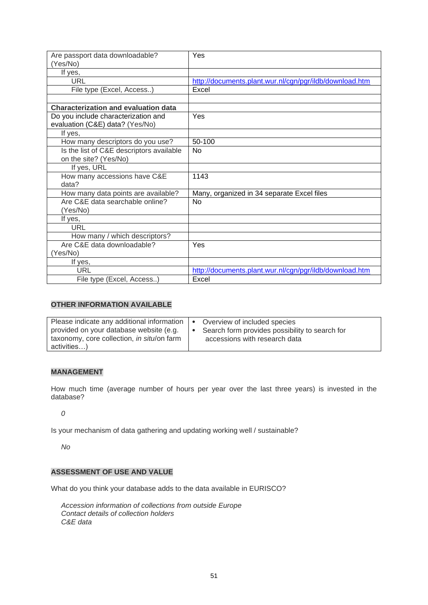| Are passport data downloadable?<br>(Yes/No) | Yes                                                     |
|---------------------------------------------|---------------------------------------------------------|
| If yes,                                     |                                                         |
| <b>URL</b>                                  | http://documents.plant.wur.nl/cgn/pgr/ildb/download.htm |
| File type (Excel, Access)                   | Excel                                                   |
|                                             |                                                         |
| <b>Characterization and evaluation data</b> |                                                         |
| Do you include characterization and         | Yes                                                     |
| evaluation (C&E) data? (Yes/No)             |                                                         |
| If yes,                                     |                                                         |
| How many descriptors do you use?            | 50-100                                                  |
| Is the list of C&E descriptors available    | No                                                      |
| on the site? (Yes/No)                       |                                                         |
| If yes, URL                                 |                                                         |
| How many accessions have C&E                | 1143                                                    |
| data?                                       |                                                         |
| How many data points are available?         | Many, organized in 34 separate Excel files              |
| Are C&E data searchable online?             | No                                                      |
| (Yes/No)                                    |                                                         |
| If yes,                                     |                                                         |
| URL                                         |                                                         |
| How many / which descriptors?               |                                                         |
| Are C&E data downloadable?                  | Yes                                                     |
| (Yes/No)                                    |                                                         |
| If yes,                                     |                                                         |
| URL                                         | http://documents.plant.wur.nl/cgn/pgr/ildb/download.htm |
| File type (Excel, Access)                   | Excel                                                   |

| Please indicate any additional information | Overview of included species                   |
|--------------------------------------------|------------------------------------------------|
| provided on your database website (e.g.    | Search form provides possibility to search for |
| taxonomy, core collection, in situ/on farm | accessions with research data                  |
| activities)                                |                                                |

#### **MANAGEMENT**

How much time (average number of hours per year over the last three years) is invested in the database?

*0*

Is your mechanism of data gathering and updating working well / sustainable?

*No*

#### **ASSESSMENT OF USE AND VALUE**

What do you think your database adds to the data available in EURISCO?

*Accession information of collections from outside Europe Contact details of collection holders C&E data*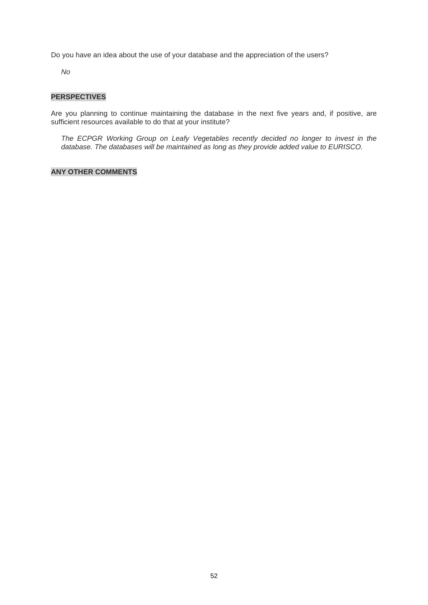Do you have an idea about the use of your database and the appreciation of the users?

*No*

#### **PERSPECTIVES**

Are you planning to continue maintaining the database in the next five years and, if positive, are sufficient resources available to do that at your institute?

*The ECPGR Working Group on Leafy Vegetables recently decided no longer to invest in the database. The databases will be maintained as long as they provide added value to EURISCO.*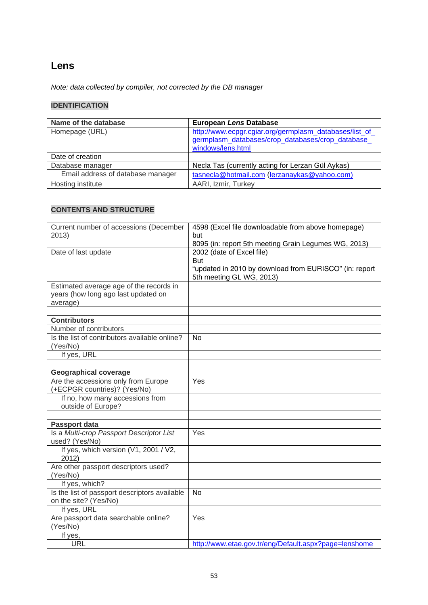## **Lens**

*Note: data collected by compiler, not corrected by the DB manager*

## **IDENTIFICATION**

| Name of the database              | <b>European Lens Database</b>                                                                                                   |
|-----------------------------------|---------------------------------------------------------------------------------------------------------------------------------|
| Homepage (URL)                    | http://www.ecpgr.cgiar.org/germplasm_databases/list_of<br>germplasm databases/crop databases/crop database<br>windows/lens.html |
| Date of creation                  |                                                                                                                                 |
| Database manager                  | Necla Tas (currently acting for Lerzan Gül Aykas)                                                                               |
| Email address of database manager | tasnecla@hotmail.com (lerzanaykas@yahoo.com)                                                                                    |
| Hosting institute                 | AARI, Izmir, Turkey                                                                                                             |

| Current number of accessions (December        | 4598 (Excel file downloadable from above homepage)     |
|-----------------------------------------------|--------------------------------------------------------|
| 2013)                                         | but                                                    |
|                                               | 8095 (in: report 5th meeting Grain Legumes WG, 2013)   |
| Date of last update                           | 2002 (date of Excel file)                              |
|                                               | <b>But</b>                                             |
|                                               | "updated in 2010 by download from EURISCO" (in: report |
|                                               | 5th meeting GL WG, 2013)                               |
| Estimated average age of the records in       |                                                        |
| years (how long ago last updated on           |                                                        |
| average)                                      |                                                        |
|                                               |                                                        |
| <b>Contributors</b>                           |                                                        |
| Number of contributors                        |                                                        |
| Is the list of contributors available online? | No                                                     |
| (Yes/No)                                      |                                                        |
| If yes, URL                                   |                                                        |
|                                               |                                                        |
| <b>Geographical coverage</b>                  |                                                        |
| Are the accessions only from Europe           | Yes                                                    |
| (+ECPGR countries)? (Yes/No)                  |                                                        |
| If no, how many accessions from               |                                                        |
| outside of Europe?                            |                                                        |
|                                               |                                                        |
| Passport data                                 |                                                        |
| Is a Multi-crop Passport Descriptor List      | Yes                                                    |
| used? (Yes/No)                                |                                                        |
| If yes, which version (V1, 2001 / V2,         |                                                        |
| 2012)                                         |                                                        |
| Are other passport descriptors used?          |                                                        |
| (Yes/No)                                      |                                                        |
| If yes, which?                                |                                                        |
| Is the list of passport descriptors available | <b>No</b>                                              |
| on the site? (Yes/No)                         |                                                        |
| If yes, URL                                   |                                                        |
| Are passport data searchable online?          | Yes                                                    |
| (Yes/No)                                      |                                                        |
| If yes,                                       |                                                        |
| <b>URL</b>                                    | http://www.etae.gov.tr/eng/Default.aspx?page=lenshome  |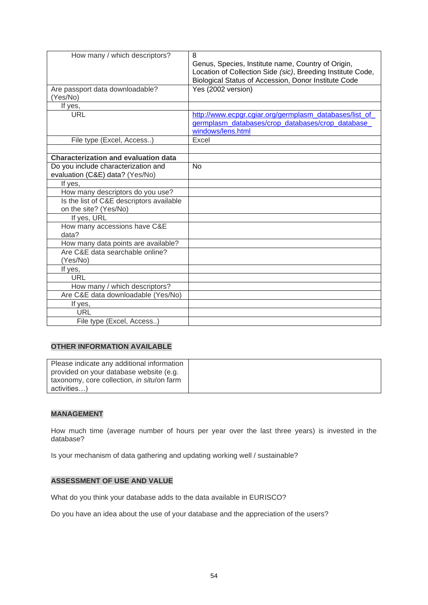| How many / which descriptors?               | 8                                                           |
|---------------------------------------------|-------------------------------------------------------------|
|                                             | Genus, Species, Institute name, Country of Origin,          |
|                                             | Location of Collection Side (sic), Breeding Institute Code, |
|                                             | Biological Status of Accession, Donor Institute Code        |
| Are passport data downloadable?             | Yes (2002 version)                                          |
| (Yes/No)                                    |                                                             |
| If yes,                                     |                                                             |
| URL                                         | http://www.ecpgr.cgiar.org/germplasm_databases/list_of      |
|                                             | germplasm databases/crop databases/crop database            |
|                                             | windows/lens.html                                           |
| File type (Excel, Access)                   | Excel                                                       |
|                                             |                                                             |
| <b>Characterization and evaluation data</b> |                                                             |
| Do you include characterization and         | <b>No</b>                                                   |
| evaluation (C&E) data? (Yes/No)             |                                                             |
| If yes,                                     |                                                             |
| How many descriptors do you use?            |                                                             |
| Is the list of C&E descriptors available    |                                                             |
| on the site? (Yes/No)                       |                                                             |
| If yes, URL                                 |                                                             |
| How many accessions have C&E                |                                                             |
| data?                                       |                                                             |
| How many data points are available?         |                                                             |
| Are C&E data searchable online?             |                                                             |
| (Yes/No)                                    |                                                             |
| If yes,                                     |                                                             |
| URL                                         |                                                             |
| How many / which descriptors?               |                                                             |
| Are C&E data downloadable (Yes/No)          |                                                             |
| If yes,                                     |                                                             |
| URL                                         |                                                             |
| File type (Excel, Access)                   |                                                             |

| Please indicate any additional information |  |
|--------------------------------------------|--|
| provided on your database website (e.g.    |  |
| taxonomy, core collection, in situ/on farm |  |
| activities)                                |  |

#### **MANAGEMENT**

How much time (average number of hours per year over the last three years) is invested in the database?

Is your mechanism of data gathering and updating working well / sustainable?

#### **ASSESSMENT OF USE AND VALUE**

What do you think your database adds to the data available in EURISCO?

Do you have an idea about the use of your database and the appreciation of the users?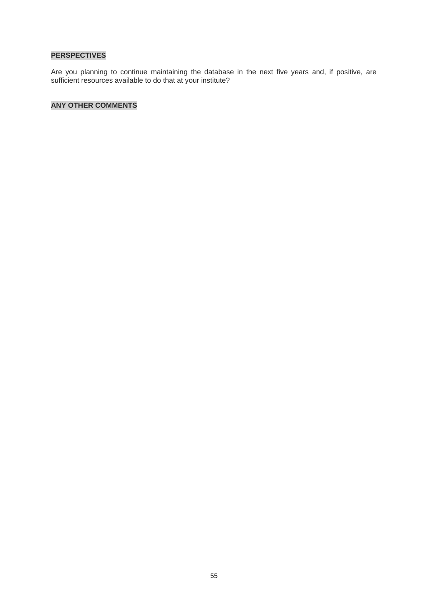## **PERSPECTIVES**

Are you planning to continue maintaining the database in the next five years and, if positive, are sufficient resources available to do that at your institute?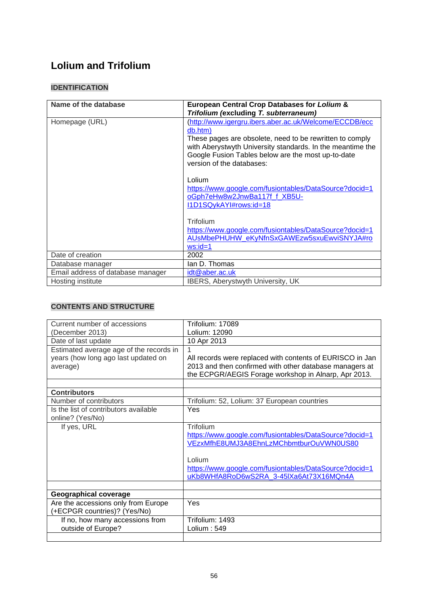# **Lolium and Trifolium**

## **IDENTIFICATION**

| Name of the database              | <b>European Central Crop Databases for Lolium &amp;</b>                                                                                                                                                                                                                        |
|-----------------------------------|--------------------------------------------------------------------------------------------------------------------------------------------------------------------------------------------------------------------------------------------------------------------------------|
|                                   | Trifolium (excluding T. subterraneum)                                                                                                                                                                                                                                          |
| Homepage (URL)                    | (http://www.igergru.ibers.aber.ac.uk/Welcome/ECCDB/ecc<br>db.htm)<br>These pages are obsolete, need to be rewritten to comply<br>with Aberystwyth University standards. In the meantime the<br>Google Fusion Tables below are the most up-to-date<br>version of the databases: |
|                                   | Lolium<br>https://www.google.com/fusiontables/DataSource?docid=1<br>oGph7eHw8w2JnwBa117f_f_XB5U-<br>I1D1SQykAYI#rows:id=18                                                                                                                                                     |
|                                   | Trifolium<br>https://www.google.com/fusiontables/DataSource?docid=1<br>AUsMbePHUHW eKyNfnSxGAWEzw5sxuEwviSNYJA#ro<br>$ws$ : $id=1$                                                                                                                                             |
| Date of creation                  | 2002                                                                                                                                                                                                                                                                           |
| Database manager                  | lan D. Thomas                                                                                                                                                                                                                                                                  |
| Email address of database manager | idt@aber.ac.uk                                                                                                                                                                                                                                                                 |
| Hosting institute                 | <b>IBERS, Aberystwyth University, UK</b>                                                                                                                                                                                                                                       |

| Current number of accessions            | Trifolium: 17089                                          |
|-----------------------------------------|-----------------------------------------------------------|
| (December 2013)                         | Lolium: 12090                                             |
| Date of last update                     | 10 Apr 2013                                               |
| Estimated average age of the records in |                                                           |
| years (how long ago last updated on     | All records were replaced with contents of EURISCO in Jan |
| average)                                | 2013 and then confirmed with other database managers at   |
|                                         | the ECPGR/AEGIS Forage workshop in Alnarp, Apr 2013.      |
|                                         |                                                           |
| <b>Contributors</b>                     |                                                           |
| Number of contributors                  | Trifolium: 52, Lolium: 37 European countries              |
| Is the list of contributors available   | Yes                                                       |
| online? (Yes/No)                        |                                                           |
| If yes, URL                             | <b>Trifolium</b>                                          |
|                                         | https://www.google.com/fusiontables/DataSource?docid=1    |
|                                         | VEzxMfhE8UMJ3A8EhnLzMChbmtburOuVWN0US80                   |
|                                         |                                                           |
|                                         | Lolium                                                    |
|                                         | https://www.google.com/fusiontables/DataSource?docid=1    |
|                                         | uKb8WHfA8RoD6wS2RA 3-45IXa6At73X16MQn4A                   |
|                                         |                                                           |
| <b>Geographical coverage</b>            |                                                           |
| Are the accessions only from Europe     | Yes                                                       |
| +ECPGR countries)? (Yes/No)             |                                                           |
| If no, how many accessions from         | Trifolium: 1493                                           |
| outside of Europe?                      | Lolium: $549$                                             |
|                                         |                                                           |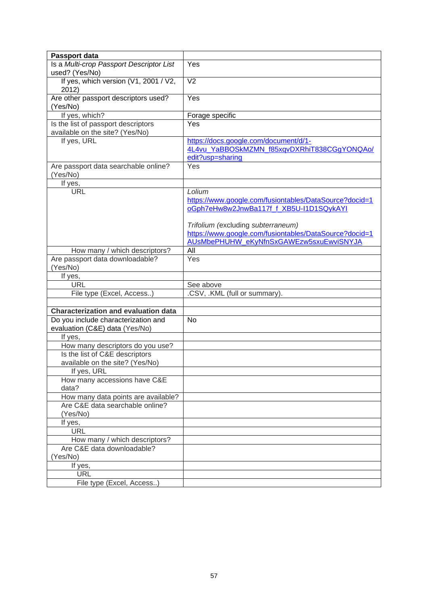| Passport data                                              |                                                                 |
|------------------------------------------------------------|-----------------------------------------------------------------|
| Is a Multi-crop Passport Descriptor List<br>used? (Yes/No) | Yes                                                             |
| If yes, which version (V1, 2001 / V2,                      | $\overline{\vee}$                                               |
| 2012)                                                      |                                                                 |
| Are other passport descriptors used?                       | $\overline{Yes}$                                                |
| (Yes/No)                                                   |                                                                 |
| If yes, which?                                             | Forage specific                                                 |
| Is the list of passport descriptors                        | Yes                                                             |
| available on the site? (Yes/No)                            |                                                                 |
| If yes, URL                                                | https://docs.google.com/document/d/1-                           |
|                                                            | 4L4vu_YaBBOSkMZMN_f85xqvDXRhiT838CGgYONQAo/<br>edit?usp=sharing |
| Are passport data searchable online?                       | Yes                                                             |
| (Yes/No)                                                   |                                                                 |
| If yes,                                                    |                                                                 |
| <b>URL</b>                                                 | Lolium                                                          |
|                                                            | https://www.google.com/fusiontables/DataSource?docid=1          |
|                                                            | oGph7eHw8w2JnwBa117f_f_XB5U-I1D1SQykAYI                         |
|                                                            | Trifolium (excluding subterraneum)                              |
|                                                            | https://www.google.com/fusiontables/DataSource?docid=1          |
|                                                            | AUSMbePHUHW eKyNfnSxGAWEzw5sxuEwviSNYJA                         |
| How many / which descriptors?                              | All                                                             |
| Are passport data downloadable?                            | Yes                                                             |
| (Yes/No)                                                   |                                                                 |
| If yes,                                                    |                                                                 |
| <b>URL</b>                                                 | See above                                                       |
| File type (Excel, Access)                                  | .CSV, .KML (full or summary).                                   |
| <b>Characterization and evaluation data</b>                |                                                                 |
| Do you include characterization and                        | <b>No</b>                                                       |
| evaluation (C&E) data (Yes/No)                             |                                                                 |
| If yes,                                                    |                                                                 |
| How many descriptors do you use?                           |                                                                 |
| Is the list of C&E descriptors                             |                                                                 |
| available on the site? (Yes/No)                            |                                                                 |
| If yes, URL                                                |                                                                 |
| How many accessions have C&E                               |                                                                 |
| data?                                                      |                                                                 |
| How many data points are available?                        |                                                                 |
| Are C&E data searchable online?                            |                                                                 |
| (Yes/No)                                                   |                                                                 |
| If yes,<br><b>URL</b>                                      |                                                                 |
| How many / which descriptors?                              |                                                                 |
| Are C&E data downloadable?                                 |                                                                 |
| (Yes/No)                                                   |                                                                 |
| If yes,                                                    |                                                                 |
| <b>URL</b>                                                 |                                                                 |
| File type (Excel, Access)                                  |                                                                 |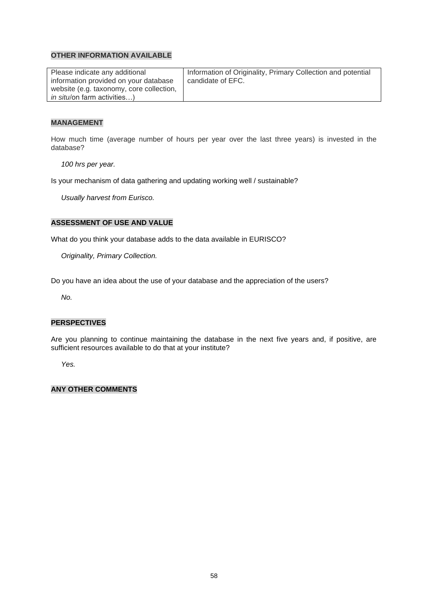| Please indicate any additional           | Information of Originality, Primary Collection and potential |
|------------------------------------------|--------------------------------------------------------------|
| information provided on your database    | candidate of EFC.                                            |
| website (e.g. taxonomy, core collection, |                                                              |
| <i>in situ</i> /on farm activities)      |                                                              |

#### **MANAGEMENT**

How much time (average number of hours per year over the last three years) is invested in the database?

*100 hrs per year.*

Is your mechanism of data gathering and updating working well / sustainable?

*Usually harvest from Eurisco.*

#### **ASSESSMENT OF USE AND VALUE**

What do you think your database adds to the data available in EURISCO?

*Originality, Primary Collection.*

Do you have an idea about the use of your database and the appreciation of the users?

*No.*

#### **PERSPECTIVES**

Are you planning to continue maintaining the database in the next five years and, if positive, are sufficient resources available to do that at your institute?

*Yes.*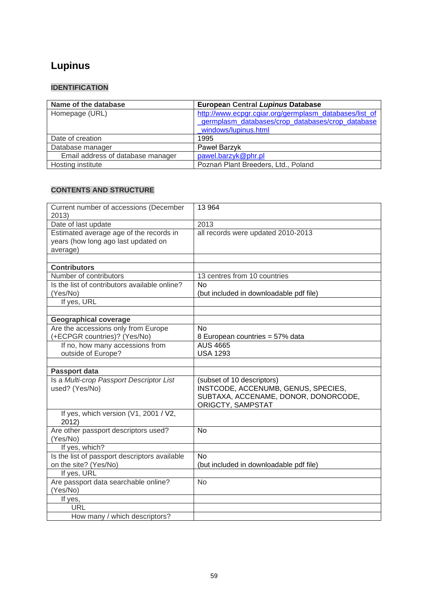# **Lupinus**

## **IDENTIFICATION**

| Name of the database              | European Central Lupinus Database                      |
|-----------------------------------|--------------------------------------------------------|
| Homepage (URL)                    | http://www.ecpgr.cgiar.org/germplasm_databases/list_of |
|                                   | germplasm databases/crop databases/crop database       |
|                                   | windows/lupinus.html                                   |
| Date of creation                  | 1995                                                   |
| Database manager                  | Paweł Barzyk                                           |
| Email address of database manager | pawel.barzyk@phr.pl                                    |
| Hosting institute                 | Poznań Plant Breeders, Ltd., Poland                    |

| Current number of accessions (December<br>2013)                                            | 13 964                                                                                                                         |
|--------------------------------------------------------------------------------------------|--------------------------------------------------------------------------------------------------------------------------------|
| Date of last update                                                                        | 2013                                                                                                                           |
| Estimated average age of the records in<br>years (how long ago last updated on<br>average) | all records were updated 2010-2013                                                                                             |
|                                                                                            |                                                                                                                                |
| <b>Contributors</b><br>Number of contributors                                              |                                                                                                                                |
|                                                                                            | 13 centres from 10 countries<br>No                                                                                             |
| Is the list of contributors available online?                                              |                                                                                                                                |
| (Yes/No)                                                                                   | (but included in downloadable pdf file)                                                                                        |
| If yes, URL                                                                                |                                                                                                                                |
|                                                                                            |                                                                                                                                |
| <b>Geographical coverage</b>                                                               |                                                                                                                                |
| Are the accessions only from Europe                                                        | <b>No</b>                                                                                                                      |
| (+ECPGR countries)? (Yes/No)                                                               | 8 European countries = 57% data                                                                                                |
| If no, how many accessions from                                                            | <b>AUS 4665</b>                                                                                                                |
| outside of Europe?                                                                         | <b>USA 1293</b>                                                                                                                |
|                                                                                            |                                                                                                                                |
| Passport data                                                                              |                                                                                                                                |
| Is a Multi-crop Passport Descriptor List<br>used? (Yes/No)                                 | (subset of 10 descriptors)<br>INSTCODE, ACCENUMB, GENUS, SPECIES,<br>SUBTAXA, ACCENAME, DONOR, DONORCODE,<br>ORIGCTY, SAMPSTAT |
| If yes, which version (V1, 2001 / V2,<br>2012)                                             |                                                                                                                                |
| Are other passport descriptors used?<br>(Yes/No)                                           | <b>No</b>                                                                                                                      |
| If yes, which?                                                                             |                                                                                                                                |
| Is the list of passport descriptors available                                              | <b>No</b>                                                                                                                      |
| on the site? (Yes/No)                                                                      | (but included in downloadable pdf file)                                                                                        |
| If yes, URL                                                                                |                                                                                                                                |
| Are passport data searchable online?                                                       | <b>No</b>                                                                                                                      |
| (Yes/No)                                                                                   |                                                                                                                                |
| If yes,                                                                                    |                                                                                                                                |
| <b>URL</b>                                                                                 |                                                                                                                                |
| How many / which descriptors?                                                              |                                                                                                                                |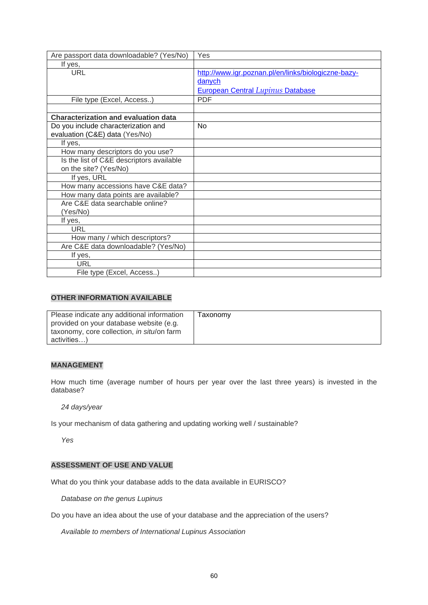| Are passport data downloadable? (Yes/No)    | Yes                                                 |
|---------------------------------------------|-----------------------------------------------------|
| If yes,                                     |                                                     |
| <b>URL</b>                                  | http://www.igr.poznan.pl/en/links/biologiczne-bazy- |
|                                             | danych                                              |
|                                             | <b>European Central Lupinus Database</b>            |
| File type (Excel, Access)                   | <b>PDF</b>                                          |
|                                             |                                                     |
| <b>Characterization and evaluation data</b> |                                                     |
| Do you include characterization and         | <b>No</b>                                           |
| evaluation (C&E) data (Yes/No)              |                                                     |
| If yes,                                     |                                                     |
| How many descriptors do you use?            |                                                     |
| Is the list of C&E descriptors available    |                                                     |
| on the site? (Yes/No)                       |                                                     |
| If yes, URL                                 |                                                     |
| How many accessions have C&E data?          |                                                     |
| How many data points are available?         |                                                     |
| Are C&E data searchable online?             |                                                     |
| (Yes/No)                                    |                                                     |
| If yes,                                     |                                                     |
| URL                                         |                                                     |
| How many / which descriptors?               |                                                     |
| Are C&E data downloadable? (Yes/No)         |                                                     |
| If yes,                                     |                                                     |
| URL                                         |                                                     |
| File type (Excel, Access)                   |                                                     |

| Please indicate any additional information | Taxonomv |
|--------------------------------------------|----------|
| provided on your database website (e.g.    |          |
| taxonomy, core collection, in situ/on farm |          |
| activities)                                |          |

#### **MANAGEMENT**

How much time (average number of hours per year over the last three years) is invested in the database?

*24 days/year*

Is your mechanism of data gathering and updating working well / sustainable?

*Yes*

#### **ASSESSMENT OF USE AND VALUE**

What do you think your database adds to the data available in EURISCO?

*Database on the genus Lupinus*

Do you have an idea about the use of your database and the appreciation of the users?

*Available to members of International Lupinus Association*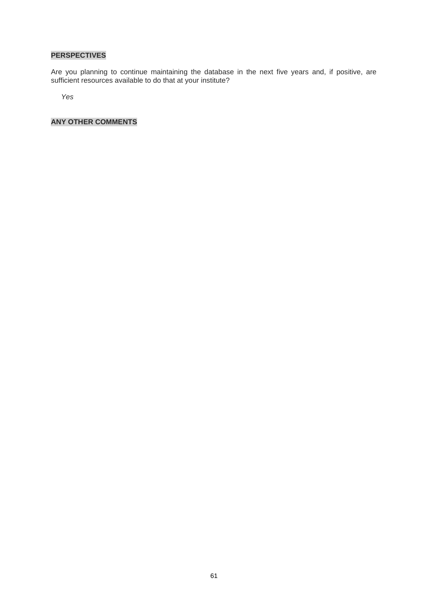## **PERSPECTIVES**

Are you planning to continue maintaining the database in the next five years and, if positive, are sufficient resources available to do that at your institute?

*Yes*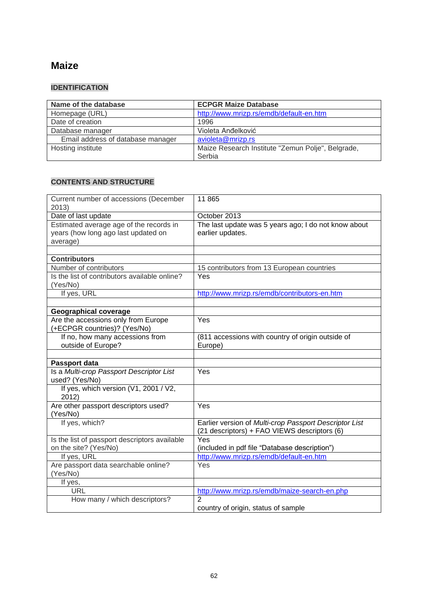## **Maize**

## **IDENTIFICATION**

| Name of the database              | <b>ECPGR Maize Database</b>                                 |
|-----------------------------------|-------------------------------------------------------------|
| Homepage (URL)                    | http://www.mrizp.rs/emdb/default-en.htm                     |
| Date of creation                  | 1996                                                        |
| Database manager                  | Violeta Anđelković                                          |
| Email address of database manager | avioleta@mrizp.rs                                           |
| Hosting institute                 | Maize Research Institute "Zemun Polje", Belgrade,<br>Serbia |

| Current number of accessions (December<br>2013)                                            | 11 865                                                                                                 |
|--------------------------------------------------------------------------------------------|--------------------------------------------------------------------------------------------------------|
| Date of last update                                                                        | October 2013                                                                                           |
| Estimated average age of the records in<br>years (how long ago last updated on<br>average) | The last update was 5 years ago; I do not know about<br>earlier updates.                               |
| <b>Contributors</b>                                                                        |                                                                                                        |
| Number of contributors                                                                     | 15 contributors from 13 European countries                                                             |
| Is the list of contributors available online?<br>(Yes/No)                                  | Yes                                                                                                    |
| If yes, URL                                                                                | http://www.mrizp.rs/emdb/contributors-en.htm                                                           |
|                                                                                            |                                                                                                        |
| <b>Geographical coverage</b>                                                               |                                                                                                        |
| Are the accessions only from Europe<br>(+ECPGR countries)? (Yes/No)                        | Yes                                                                                                    |
| If no, how many accessions from                                                            | (811 accessions with country of origin outside of                                                      |
| outside of Europe?                                                                         | Europe)                                                                                                |
|                                                                                            |                                                                                                        |
| Passport data                                                                              |                                                                                                        |
| Is a Multi-crop Passport Descriptor List<br>used? (Yes/No)                                 | Yes                                                                                                    |
| If yes, which version (V1, 2001 / V2,<br>2012)                                             |                                                                                                        |
| Are other passport descriptors used?<br>(Yes/No)                                           | Yes                                                                                                    |
| If yes, which?                                                                             | Earlier version of Multi-crop Passport Descriptor List<br>(21 descriptors) + FAO VIEWS descriptors (6) |
| Is the list of passport descriptors available<br>on the site? (Yes/No)                     | Yes<br>(included in pdf file "Database description")                                                   |
| If yes, URL                                                                                | http://www.mrizp.rs/emdb/default-en.htm                                                                |
| Are passport data searchable online?<br>(Yes/No)                                           | Yes                                                                                                    |
| If yes,                                                                                    |                                                                                                        |
| <b>URL</b>                                                                                 | http://www.mrizp.rs/emdb/maize-search-en.php                                                           |
| How many / which descriptors?                                                              | $\overline{2}$<br>country of origin, status of sample                                                  |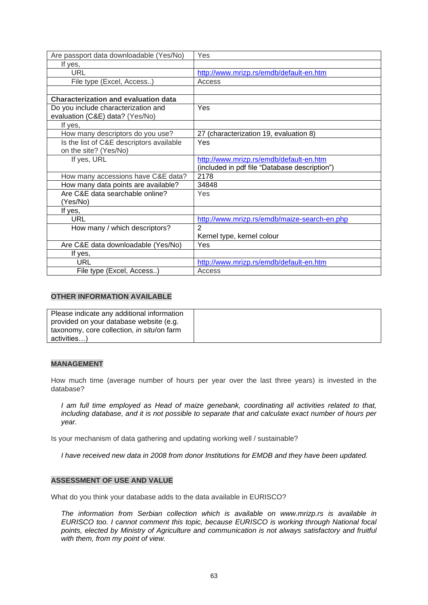| Are passport data downloadable (Yes/No)     | Yes                                           |
|---------------------------------------------|-----------------------------------------------|
| If yes,                                     |                                               |
| <b>URL</b>                                  | http://www.mrizp.rs/emdb/default-en.htm       |
| File type (Excel, Access)                   | Access                                        |
|                                             |                                               |
| <b>Characterization and evaluation data</b> |                                               |
| Do you include characterization and         | Yes                                           |
| evaluation (C&E) data? (Yes/No)             |                                               |
| If yes,                                     |                                               |
| How many descriptors do you use?            | 27 (characterization 19, evaluation 8)        |
| Is the list of C&E descriptors available    | Yes                                           |
| on the site? (Yes/No)                       |                                               |
| If yes, URL                                 | http://www.mrizp.rs/emdb/default-en.htm       |
|                                             | (included in pdf file "Database description") |
| How many accessions have C&E data?          | 2178                                          |
| How many data points are available?         | 34848                                         |
| Are C&E data searchable online?             | Yes                                           |
| (Yes/No)                                    |                                               |
| If yes,                                     |                                               |
| URL                                         | http://www.mrizp.rs/emdb/maize-search-en.php  |
| How many / which descriptors?               | $\mathcal{P}$                                 |
|                                             | Kernel type, kernel colour                    |
| Are C&E data downloadable (Yes/No)          | Yes                                           |
| If yes,                                     |                                               |
| <b>URL</b>                                  | http://www.mrizp.rs/emdb/default-en.htm       |
| File type (Excel, Access)                   | Access                                        |

| Please indicate any additional information |  |
|--------------------------------------------|--|
| provided on your database website (e.g.    |  |
| taxonomy, core collection, in situ/on farm |  |
| activities)                                |  |

#### **MANAGEMENT**

How much time (average number of hours per year over the last three years) is invested in the database?

*I am full time employed as Head of maize genebank, coordinating all activities related to that, including database, and it is not possible to separate that and calculate exact number of hours per year.* 

Is your mechanism of data gathering and updating working well / sustainable?

*I have received new data in 2008 from donor Institutions for EMDB and they have been updated.* 

#### **ASSESSMENT OF USE AND VALUE**

What do you think your database adds to the data available in EURISCO?

*The information from Serbian collection which is available on www.mrizp.rs is available in EURISCO too. I cannot comment this topic, because EURISCO is working through National focal points, elected by Ministry of Agriculture and communication is not always satisfactory and fruitful with them, from my point of view.*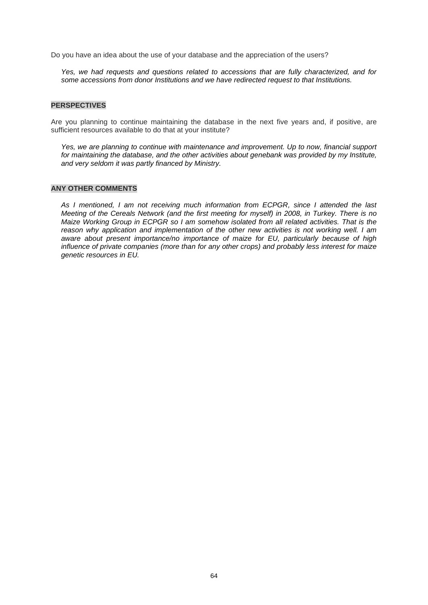Do you have an idea about the use of your database and the appreciation of the users?

*Yes, we had requests and questions related to accessions that are fully characterized, and for some accessions from donor Institutions and we have redirected request to that Institutions.* 

#### **PERSPECTIVES**

Are you planning to continue maintaining the database in the next five years and, if positive, are sufficient resources available to do that at your institute?

*Yes, we are planning to continue with maintenance and improvement. Up to now, financial support*  for maintaining the database, and the other activities about genebank was provided by my Institute, *and very seldom it was partly financed by Ministry.*

#### **ANY OTHER COMMENTS**

*As I mentioned, I am not receiving much information from ECPGR, since I attended the last Meeting of the Cereals Network (and the first meeting for myself) in 2008, in Turkey. There is no Maize Working Group in ECPGR so I am somehow isolated from all related activities. That is the reason why application and implementation of the other new activities is not working well. I am aware about present importance/no importance of maize for EU, particularly because of high influence of private companies (more than for any other crops) and probably less interest for maize genetic resources in EU.*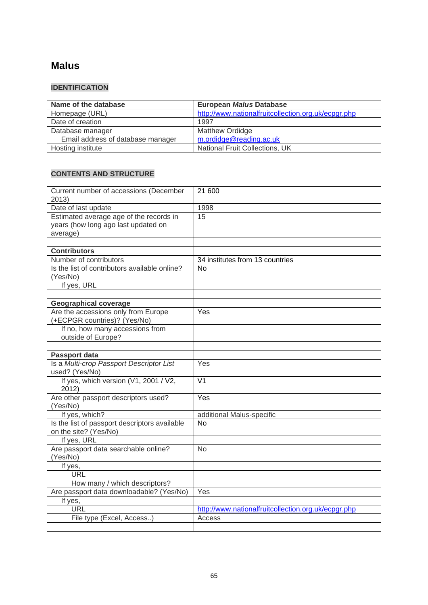## **[Malus](http://www.ecpgr.cgiar.org/germplasm_databases/list_of_germplasm_databases/crop_databases/crop_database_windows/malus.html)**

## **IDENTIFICATION**

| Name of the database              | <b>European Malus Database</b>                      |
|-----------------------------------|-----------------------------------------------------|
| Homepage (URL)                    | http://www.nationalfruitcollection.org.uk/ecpgr.php |
| Date of creation                  | 1997                                                |
| Database manager                  | <b>Matthew Ordidge</b>                              |
| Email address of database manager | m.ordidge@reading.ac.uk                             |
| Hosting institute                 | <b>National Fruit Collections, UK</b>               |

| Current number of accessions (December<br>2013)                        | 21 600                                              |
|------------------------------------------------------------------------|-----------------------------------------------------|
| Date of last update                                                    | 1998                                                |
| Estimated average age of the records in                                | 15                                                  |
| years (how long ago last updated on                                    |                                                     |
| average)                                                               |                                                     |
|                                                                        |                                                     |
| <b>Contributors</b>                                                    |                                                     |
| Number of contributors                                                 | 34 institutes from 13 countries                     |
| Is the list of contributors available online?                          | <b>No</b>                                           |
| (Yes/No)                                                               |                                                     |
| If yes, URL                                                            |                                                     |
|                                                                        |                                                     |
| <b>Geographical coverage</b>                                           |                                                     |
| Are the accessions only from Europe                                    | Yes                                                 |
| (+ECPGR countries)? (Yes/No)<br>If no, how many accessions from        |                                                     |
| outside of Europe?                                                     |                                                     |
|                                                                        |                                                     |
| Passport data                                                          |                                                     |
| Is a Multi-crop Passport Descriptor List                               | Yes                                                 |
| used? (Yes/No)                                                         |                                                     |
| If yes, which version (V1, 2001 / V2,<br>2012)                         | V <sub>1</sub>                                      |
| Are other passport descriptors used?                                   | Yes                                                 |
| (Yes/No)                                                               |                                                     |
| If yes, which?                                                         | additional Malus-specific                           |
| Is the list of passport descriptors available<br>on the site? (Yes/No) | <b>No</b>                                           |
| If yes, URL                                                            |                                                     |
| Are passport data searchable online?                                   | <b>No</b>                                           |
| (Yes/No)                                                               |                                                     |
| If yes,                                                                |                                                     |
| URL                                                                    |                                                     |
| How many / which descriptors?                                          |                                                     |
| Are passport data downloadable? (Yes/No)                               | Yes                                                 |
| If yes,<br><b>URL</b>                                                  |                                                     |
|                                                                        | http://www.nationalfruitcollection.org.uk/ecpgr.php |
| File type (Excel, Access)                                              | Access                                              |
|                                                                        |                                                     |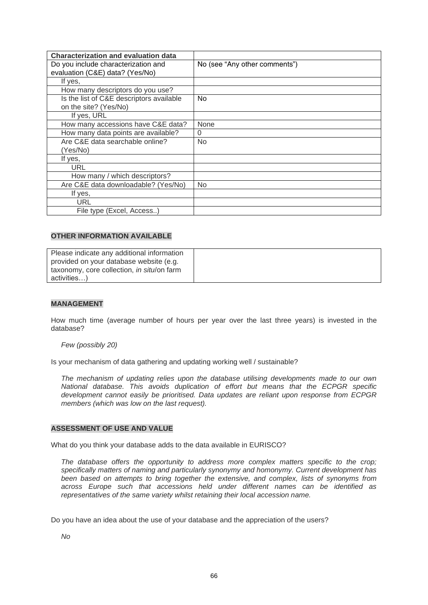| <b>Characterization and evaluation data</b> |                               |
|---------------------------------------------|-------------------------------|
| Do you include characterization and         | No (see "Any other comments") |
| evaluation (C&E) data? (Yes/No)             |                               |
| If yes,                                     |                               |
| How many descriptors do you use?            |                               |
| Is the list of C&E descriptors available    | <b>No</b>                     |
| on the site? (Yes/No)                       |                               |
| If yes, URL                                 |                               |
| How many accessions have C&E data?          | None                          |
| How many data points are available?         | $\Omega$                      |
| Are C&E data searchable online?             | N <sub>o</sub>                |
| (Yes/No)                                    |                               |
| If yes,                                     |                               |
| URL                                         |                               |
| How many / which descriptors?               |                               |
| Are C&E data downloadable? (Yes/No)         | N <sub>o</sub>                |
| If yes,                                     |                               |
| URL                                         |                               |
| File type (Excel, Access)                   |                               |

| Please indicate any additional information |  |
|--------------------------------------------|--|
| provided on your database website (e.g.    |  |
| taxonomy, core collection, in situ/on farm |  |
| activities)                                |  |

#### **MANAGEMENT**

How much time (average number of hours per year over the last three years) is invested in the database?

#### *Few (possibly 20)*

Is your mechanism of data gathering and updating working well / sustainable?

*The mechanism of updating relies upon the database utilising developments made to our own National database. This avoids duplication of effort but means that the ECPGR specific development cannot easily be prioritised. Data updates are reliant upon response from ECPGR members (which was low on the last request).*

#### **ASSESSMENT OF USE AND VALUE**

What do you think your database adds to the data available in EURISCO?

*The database offers the opportunity to address more complex matters specific to the crop; specifically matters of naming and particularly synonymy and homonymy. Current development has been based on attempts to bring together the extensive, and complex, lists of synonyms from across Europe such that accessions held under different names can be identified as representatives of the same variety whilst retaining their local accession name.*

Do you have an idea about the use of your database and the appreciation of the users?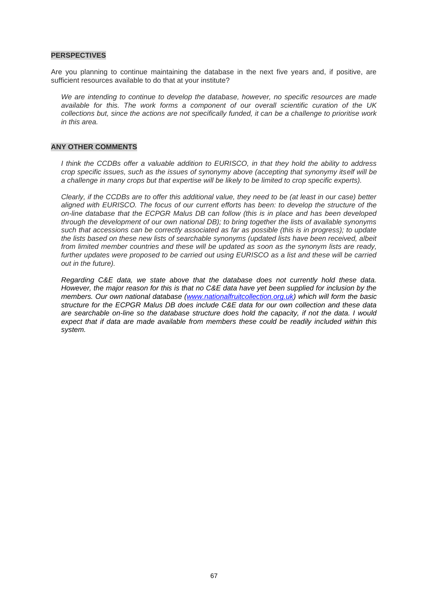#### **PERSPECTIVES**

Are you planning to continue maintaining the database in the next five years and, if positive, are sufficient resources available to do that at your institute?

*We are intending to continue to develop the database, however, no specific resources are made available for this. The work forms a component of our overall scientific curation of the UK collections but, since the actions are not specifically funded, it can be a challenge to prioritise work in this area.* 

#### **ANY OTHER COMMENTS**

*I think the CCDBs offer a valuable addition to EURISCO, in that they hold the ability to address crop specific issues, such as the issues of synonymy above (accepting that synonymy itself will be a challenge in many crops but that expertise will be likely to be limited to crop specific experts).*

*Clearly, if the CCDBs are to offer this additional value, they need to be (at least in our case) better aligned with EURISCO. The focus of our current efforts has been: to develop the structure of the on-line database that the ECPGR Malus DB can follow (this is in place and has been developed through the development of our own national DB); to bring together the lists of available synonyms such that accessions can be correctly associated as far as possible (this is in progress); to update the lists based on these new lists of searchable synonyms (updated lists have been received, albeit from limited member countries and these will be updated as soon as the synonym lists are ready,*  further updates were proposed to be carried out using EURISCO as a list and these will be carried *out in the future).*

*Regarding C&E data, we state above that the database does not currently hold these data. However, the major reason for this is that no C&E data have yet been supplied for inclusion by the members. Our own national database [\(www.nationalfruitcollection.org.uk\)](http://www.nationalfruitcollection.org.uk/) which will form the basic structure for the ECPGR Malus DB does include C&E data for our own collection and these data are searchable on-line so the database structure does hold the capacity, if not the data. I would expect that if data are made available from members these could be readily included within this system.*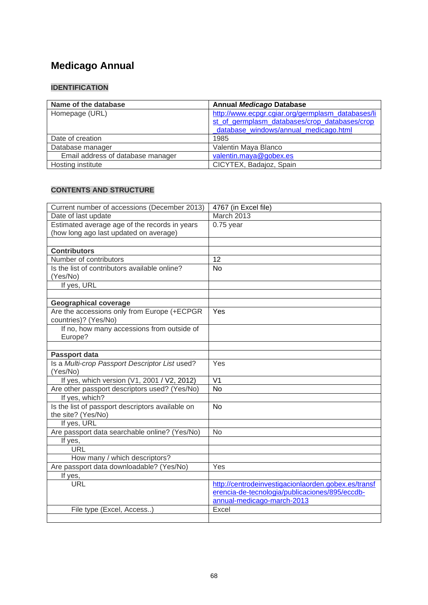# **Medicago Annual**

## **IDENTIFICATION**

| Name of the database              | <b>Annual Medicago Database</b>                   |
|-----------------------------------|---------------------------------------------------|
| Homepage (URL)                    | http://www.ecpgr.cgiar.org/germplasm_databases/li |
|                                   | st of germplasm databases/crop databases/crop     |
|                                   | database windows/annual medicago.html             |
| Date of creation                  | 1985                                              |
| Database manager                  | Valentin Maya Blanco                              |
| Email address of database manager | valentin.maya@gobex.es                            |
| Hosting institute                 | CICYTEX, Badajoz, Spain                           |

| Current number of accessions (December 2013)     | 4767 (in Excel file)                                |
|--------------------------------------------------|-----------------------------------------------------|
| Date of last update                              | March 2013                                          |
| Estimated average age of the records in years    | $0.75$ year                                         |
| (how long ago last updated on average)           |                                                     |
|                                                  |                                                     |
| <b>Contributors</b>                              |                                                     |
| Number of contributors                           | 12                                                  |
| Is the list of contributors available online?    | <b>No</b>                                           |
| (Yes/No)                                         |                                                     |
| If yes, URL                                      |                                                     |
|                                                  |                                                     |
| <b>Geographical coverage</b>                     |                                                     |
| Are the accessions only from Europe (+ECPGR      | Yes                                                 |
| countries)? (Yes/No)                             |                                                     |
| If no, how many accessions from outside of       |                                                     |
| Europe?                                          |                                                     |
|                                                  |                                                     |
| Passport data                                    |                                                     |
| Is a Multi-crop Passport Descriptor List used?   | Yes                                                 |
| (Yes/No)                                         |                                                     |
| If yes, which version (V1, 2001 / V2, 2012)      | V <sub>1</sub>                                      |
| Are other passport descriptors used? (Yes/No)    | No                                                  |
| If yes, which?                                   |                                                     |
| Is the list of passport descriptors available on | No                                                  |
| the site? (Yes/No)                               |                                                     |
| If yes, URL                                      |                                                     |
| Are passport data searchable online? (Yes/No)    | No                                                  |
| If yes,                                          |                                                     |
| <b>URL</b>                                       |                                                     |
| How many / which descriptors?                    |                                                     |
| Are passport data downloadable? (Yes/No)         | Yes                                                 |
| If yes,                                          |                                                     |
| <b>URL</b>                                       | http://centrodeinvestigacionlaorden.gobex.es/transf |
|                                                  | erencia-de-tecnologia/publicaciones/895/eccdb-      |
|                                                  | annual-medicago-march-2013                          |
| File type (Excel, Access)                        | Excel                                               |
|                                                  |                                                     |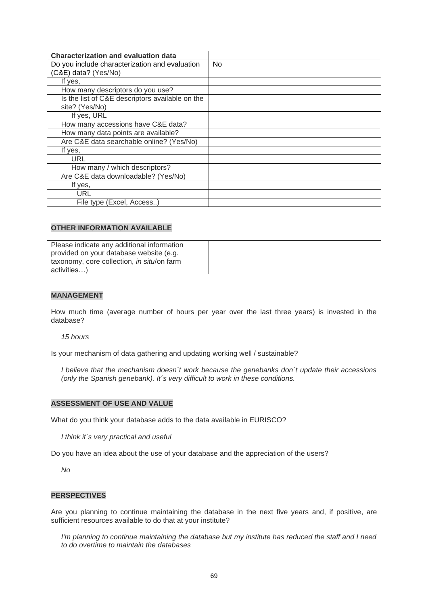| <b>Characterization and evaluation data</b>     |    |
|-------------------------------------------------|----|
| Do you include characterization and evaluation  | No |
| (C&E) data? (Yes/No)                            |    |
| If yes,                                         |    |
| How many descriptors do you use?                |    |
| Is the list of C&E descriptors available on the |    |
| site? (Yes/No)                                  |    |
| If yes, URL                                     |    |
| How many accessions have C&E data?              |    |
| How many data points are available?             |    |
| Are C&E data searchable online? (Yes/No)        |    |
| If yes,                                         |    |
| URL                                             |    |
| How many / which descriptors?                   |    |
| Are C&E data downloadable? (Yes/No)             |    |
| If yes,                                         |    |
| URL                                             |    |
| File type (Excel, Access)                       |    |

| Please indicate any additional information         |  |
|----------------------------------------------------|--|
| provided on your database website (e.g.            |  |
| taxonomy, core collection, <i>in situ</i> /on farm |  |
| activities)                                        |  |

#### **MANAGEMENT**

How much time (average number of hours per year over the last three years) is invested in the database?

*15 hours*

Is your mechanism of data gathering and updating working well / sustainable?

*I believe that the mechanism doesn´t work because the genebanks don´t update their accessions (only the Spanish genebank). It´s very difficult to work in these conditions.*

#### **ASSESSMENT OF USE AND VALUE**

What do you think your database adds to the data available in EURISCO?

*I think it´s very practical and useful*

Do you have an idea about the use of your database and the appreciation of the users?

*No*

#### **PERSPECTIVES**

Are you planning to continue maintaining the database in the next five years and, if positive, are sufficient resources available to do that at your institute?

*I'm planning to continue maintaining the database but my institute has reduced the staff and I need to do overtime to maintain the databases*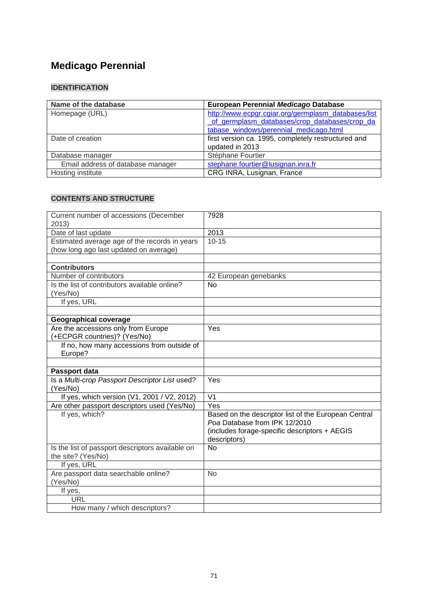# **Medicago Perennial**

# **IDENTIFICATION**

| Name of the database              | European Perennial Medicago Database                |
|-----------------------------------|-----------------------------------------------------|
| Homepage (URL)                    | http://www.ecpgr.cgiar.org/germplasm_databases/list |
|                                   | of germplasm databases/crop databases/crop da       |
|                                   | tabase windows/perennial medicago.html              |
| Date of creation                  | first version ca. 1995, completely restructured and |
|                                   | updated in 2013                                     |
| Database manager                  | Stéphane Fourtier                                   |
| Email address of database manager | stephane.fourtier@lusignan.inra.fr                  |
| Hosting institute                 | CRG INRA, Lusignan, France                          |

| Current number of accessions (December           | 7928                                                 |
|--------------------------------------------------|------------------------------------------------------|
| 2013)                                            |                                                      |
| Date of last update                              | 2013                                                 |
| Estimated average age of the records in years    | $10 - 15$                                            |
| (how long ago last updated on average)           |                                                      |
|                                                  |                                                      |
| <b>Contributors</b>                              |                                                      |
| Number of contributors                           | 42 European genebanks                                |
| Is the list of contributors available online?    | No                                                   |
| (Yes/No)                                         |                                                      |
| If yes, URL                                      |                                                      |
|                                                  |                                                      |
| <b>Geographical coverage</b>                     |                                                      |
| Are the accessions only from Europe              | Yes                                                  |
| (+ECPGR countries)? (Yes/No)                     |                                                      |
| If no, how many accessions from outside of       |                                                      |
| Europe?                                          |                                                      |
|                                                  |                                                      |
| Passport data                                    |                                                      |
| Is a Multi-crop Passport Descriptor List used?   | Yes                                                  |
| (Yes/No)                                         |                                                      |
| If yes, which version (V1, 2001 / V2, 2012)      | V <sub>1</sub>                                       |
| Are other passport descriptors used (Yes/No)     | Yes                                                  |
| If yes, which?                                   | Based on the descriptor list of the European Central |
|                                                  | Poa Database from IPK 12/2010                        |
|                                                  | (includes forage-specific descriptors + AEGIS        |
|                                                  | descriptors)                                         |
| Is the list of passport descriptors available on | N <sub>0</sub>                                       |
| the site? (Yes/No)                               |                                                      |
| If yes, URL                                      |                                                      |
| Are passport data searchable online?             | <b>No</b>                                            |
| (Yes/No)                                         |                                                      |
| If yes,                                          |                                                      |
| URL                                              |                                                      |
| How many / which descriptors?                    |                                                      |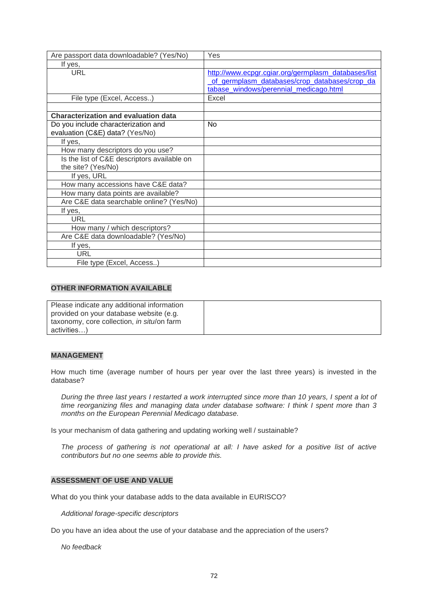| Are passport data downloadable? (Yes/No)    | Yes                                                 |
|---------------------------------------------|-----------------------------------------------------|
| If yes,                                     |                                                     |
| <b>URL</b>                                  | http://www.ecpgr.cgiar.org/germplasm_databases/list |
|                                             | of germplasm databases/crop databases/crop da       |
|                                             | tabase_windows/perennial_medicago.html              |
| File type (Excel, Access)                   | Excel                                               |
|                                             |                                                     |
| <b>Characterization and evaluation data</b> |                                                     |
| Do you include characterization and         | No                                                  |
| evaluation (C&E) data? (Yes/No)             |                                                     |
| If yes,                                     |                                                     |
| How many descriptors do you use?            |                                                     |
| Is the list of C&E descriptors available on |                                                     |
| the site? (Yes/No)                          |                                                     |
| If yes, URL                                 |                                                     |
| How many accessions have C&E data?          |                                                     |
| How many data points are available?         |                                                     |
| Are C&E data searchable online? (Yes/No)    |                                                     |
| If yes,                                     |                                                     |
| URL                                         |                                                     |
| How many / which descriptors?               |                                                     |
| Are C&E data downloadable? (Yes/No)         |                                                     |
| If yes,                                     |                                                     |
| URL                                         |                                                     |
| File type (Excel, Access)                   |                                                     |

| Please indicate any additional information |  |
|--------------------------------------------|--|
| provided on your database website (e.g.    |  |
| taxonomy, core collection, in situ/on farm |  |
| activities)                                |  |

#### **MANAGEMENT**

How much time (average number of hours per year over the last three years) is invested in the database?

*During the three last years I restarted a work interrupted since more than 10 years, I spent a lot of time reorganizing files and managing data under database software: I think I spent more than 3 months on the European Perennial Medicago database.*

Is your mechanism of data gathering and updating working well / sustainable?

*The process of gathering is not operational at all: I have asked for a positive list of active contributors but no one seems able to provide this.*

#### **ASSESSMENT OF USE AND VALUE**

What do you think your database adds to the data available in EURISCO?

*Additional forage-specific descriptors*

Do you have an idea about the use of your database and the appreciation of the users?

*No feedback*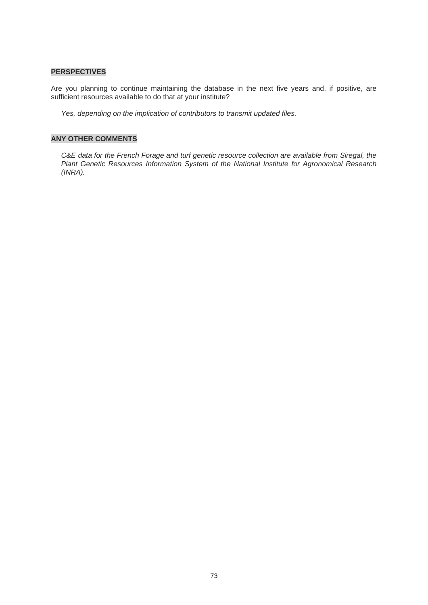### **PERSPECTIVES**

Are you planning to continue maintaining the database in the next five years and, if positive, are sufficient resources available to do that at your institute?

*Yes, depending on the implication of contributors to transmit updated files.*

## **ANY OTHER COMMENTS**

*C&E data for the French Forage and turf genetic resource collection are available from Siregal, the Plant Genetic Resources Information System of the National Institute for Agronomical Research (INRA).*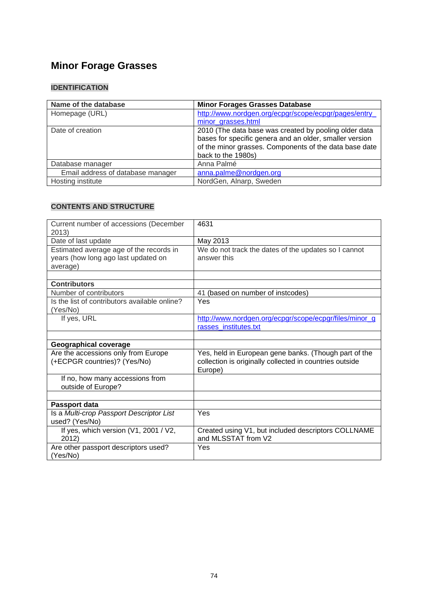# **Minor Forage Grasses**

## **IDENTIFICATION**

| Name of the database              | <b>Minor Forages Grasses Database</b>                   |
|-----------------------------------|---------------------------------------------------------|
| Homepage (URL)                    | http://www.nordgen.org/ecpgr/scope/ecpgr/pages/entry    |
|                                   | minor grasses.html                                      |
| Date of creation                  | 2010 (The data base was created by pooling older data   |
|                                   | bases for specific genera and an older, smaller version |
|                                   | of the minor grasses. Components of the data base date  |
|                                   | back to the 1980s)                                      |
| Database manager                  | Anna Palmé                                              |
| Email address of database manager | anna.palme@nordgen.org                                  |
| Hosting institute                 | NordGen, Alnarp, Sweden                                 |

| Current number of accessions (December        | 4631                                                    |
|-----------------------------------------------|---------------------------------------------------------|
| 2013)                                         |                                                         |
| Date of last update                           | May 2013                                                |
| Estimated average age of the records in       | We do not track the dates of the updates so I cannot    |
| years (how long ago last updated on           | answer this                                             |
| average)                                      |                                                         |
|                                               |                                                         |
| <b>Contributors</b>                           |                                                         |
| Number of contributors                        | 41 (based on number of instcodes)                       |
| Is the list of contributors available online? | Yes                                                     |
| (Yes/No)                                      |                                                         |
| If yes, URL                                   | http://www.nordgen.org/ecpgr/scope/ecpgr/files/minor_g  |
|                                               | rasses institutes.txt                                   |
|                                               |                                                         |
| <b>Geographical coverage</b>                  |                                                         |
| Are the accessions only from Europe           | Yes, held in European gene banks. (Though part of the   |
| (+ECPGR countries)? (Yes/No)                  | collection is originally collected in countries outside |
|                                               | Europe)                                                 |
| If no, how many accessions from               |                                                         |
| outside of Europe?                            |                                                         |
|                                               |                                                         |
| Passport data                                 |                                                         |
| Is a Multi-crop Passport Descriptor List      | Yes                                                     |
| used? (Yes/No)                                |                                                         |
| If yes, which version (V1, 2001 / V2,         | Created using V1, but included descriptors COLLNAME     |
| 2012)                                         | and MLSSTAT from V2                                     |
| Are other passport descriptors used?          | Yes                                                     |
| (Yes/No)                                      |                                                         |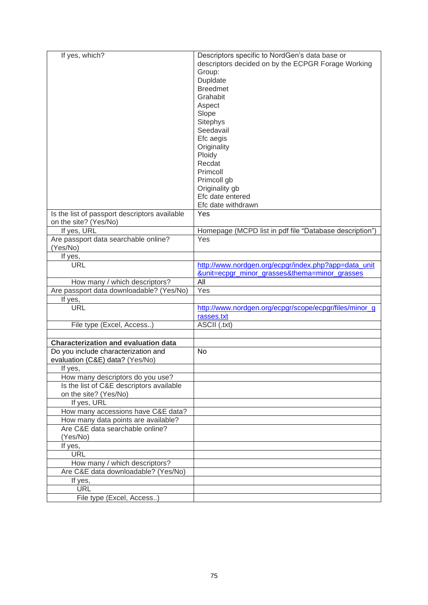| If yes, which?                                | Descriptors specific to NordGen's data base or<br>descriptors decided on by the ECPGR Forage Working |
|-----------------------------------------------|------------------------------------------------------------------------------------------------------|
|                                               | Group:                                                                                               |
|                                               | Dupldate                                                                                             |
|                                               | <b>Breedmet</b>                                                                                      |
|                                               | Grahabit                                                                                             |
|                                               | Aspect                                                                                               |
|                                               | Slope                                                                                                |
|                                               | Sitephys                                                                                             |
|                                               | Seedavail                                                                                            |
|                                               | Efc aegis                                                                                            |
|                                               | Originality                                                                                          |
|                                               | Ploidy                                                                                               |
|                                               | Recdat                                                                                               |
|                                               | Primcoll                                                                                             |
|                                               | Primcoll gb                                                                                          |
|                                               | Originality gb                                                                                       |
|                                               | Efc date entered                                                                                     |
|                                               | Efc date withdrawn                                                                                   |
| Is the list of passport descriptors available | Yes                                                                                                  |
| on the site? (Yes/No)                         |                                                                                                      |
| If yes, URL                                   | Homepage (MCPD list in pdf file "Database description")                                              |
| Are passport data searchable online?          | Yes                                                                                                  |
| (Yes/No)                                      |                                                                                                      |
| If yes,                                       |                                                                                                      |
| <b>URL</b>                                    | http://www.nordgen.org/ecpgr/index.php?app=data_unit                                                 |
|                                               | <u>&amp;unit=ecpgr_minor_grasses&amp;thema=minor_grasses</u>                                         |
| How many / which descriptors?                 | All                                                                                                  |
| Are passport data downloadable? (Yes/No)      | Yes                                                                                                  |
| If yes,                                       |                                                                                                      |
| <b>URL</b>                                    | http://www.nordgen.org/ecpgr/scope/ecpgr/files/minor g<br>rasses.txt                                 |
| File type (Excel, Access)                     | ASCII (.txt)                                                                                         |
|                                               |                                                                                                      |
| <b>Characterization and evaluation data</b>   |                                                                                                      |
| Do you include characterization and           | <b>No</b>                                                                                            |
| evaluation (C&E) data? (Yes/No)               |                                                                                                      |
| If yes,                                       |                                                                                                      |
| How many descriptors do you use?              |                                                                                                      |
| Is the list of C&E descriptors available      |                                                                                                      |
| on the site? (Yes/No)                         |                                                                                                      |
| If yes, URL                                   |                                                                                                      |
| How many accessions have C&E data?            |                                                                                                      |
| How many data points are available?           |                                                                                                      |
| Are C&E data searchable online?               |                                                                                                      |
| (Yes/No)                                      |                                                                                                      |
| If yes,                                       |                                                                                                      |
| <b>URL</b>                                    |                                                                                                      |
| How many / which descriptors?                 |                                                                                                      |
| Are C&E data downloadable? (Yes/No)           |                                                                                                      |
| If yes,                                       |                                                                                                      |
| URL                                           |                                                                                                      |
| File type (Excel, Access)                     |                                                                                                      |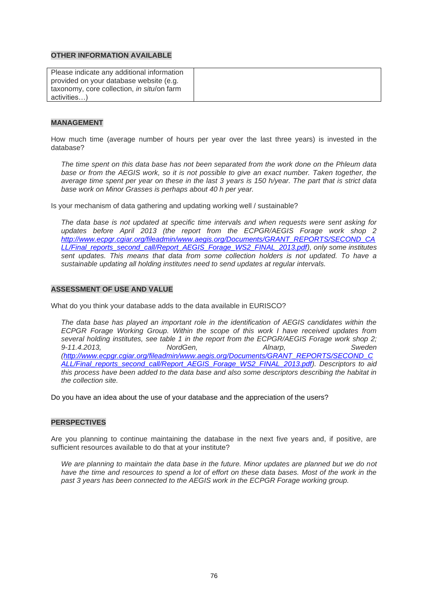| Please indicate any additional information |  |
|--------------------------------------------|--|
| provided on your database website (e.g.    |  |
| taxonomy, core collection, in situ/on farm |  |
| activities)                                |  |

#### **MANAGEMENT**

How much time (average number of hours per year over the last three years) is invested in the database?

*The time spent on this data base has not been separated from the work done on the Phleum data base or from the AEGIS work, so it is not possible to give an exact number. Taken together, the average time spent per year on these in the last 3 years is 150 h/year. The part that is strict data base work on Minor Grasses is perhaps about 40 h per year.*

Is your mechanism of data gathering and updating working well / sustainable?

*The data base is not updated at specific time intervals and when requests were sent asking for*  updates before April 2013 (the report from the ECPGR/AEGIS Forage work shop 2 *[http://www.ecpgr.cgiar.org/fileadmin/www.aegis.org/Documents/GRANT\\_REPORTS/SECOND\\_CA](http://www.ecpgr.cgiar.org/fileadmin/www.aegis.org/Documents/GRANT_REPORTS/SECOND_CALL/Final_reports_second_call/Report_AEGIS_Forage_WS2_FINAL_2013.pdf) [LL/Final\\_reports\\_second\\_call/Report\\_AEGIS\\_Forage\\_WS2\\_FINAL\\_2013.pdf\)](http://www.ecpgr.cgiar.org/fileadmin/www.aegis.org/Documents/GRANT_REPORTS/SECOND_CALL/Final_reports_second_call/Report_AEGIS_Forage_WS2_FINAL_2013.pdf), only some institutes sent updates. This means that data from some collection holders is not updated. To have a sustainable updating all holding institutes need to send updates at regular intervals.* 

#### **ASSESSMENT OF USE AND VALUE**

What do you think your database adds to the data available in EURISCO?

*The data base has played an important role in the identification of AEGIS candidates within the ECPGR Forage Working Group. Within the scope of this work I have received updates from several holding institutes, see table 1 in the report from the ECPGR/AEGIS Forage work shop 2; 9-11.4.2013, NordGen, Alnarp, Sweden [\(http://www.ecpgr.cgiar.org/fileadmin/www.aegis.org/Documents/GRANT\\_REPORTS/SECOND\\_C](http://www.ecpgr.cgiar.org/fileadmin/www.aegis.org/Documents/GRANT_REPORTS/SECOND_CALL/Final_reports_second_call/Report_AEGIS_Forage_WS2_FINAL_2013.pdf) [ALL/Final\\_reports\\_second\\_call/Report\\_AEGIS\\_Forage\\_WS2\\_FINAL\\_2013.pdf\)](http://www.ecpgr.cgiar.org/fileadmin/www.aegis.org/Documents/GRANT_REPORTS/SECOND_CALL/Final_reports_second_call/Report_AEGIS_Forage_WS2_FINAL_2013.pdf). Descriptors to aid this process have been added to the data base and also some descriptors describing the habitat in the collection site.*

Do you have an idea about the use of your database and the appreciation of the users?

#### **PERSPECTIVES**

Are you planning to continue maintaining the database in the next five years and, if positive, are sufficient resources available to do that at your institute?

We are planning to maintain the data base in the future. Minor updates are planned but we do not have the time and resources to spend a lot of effort on these data bases. Most of the work in the *past 3 years has been connected to the AEGIS work in the ECPGR Forage working group.*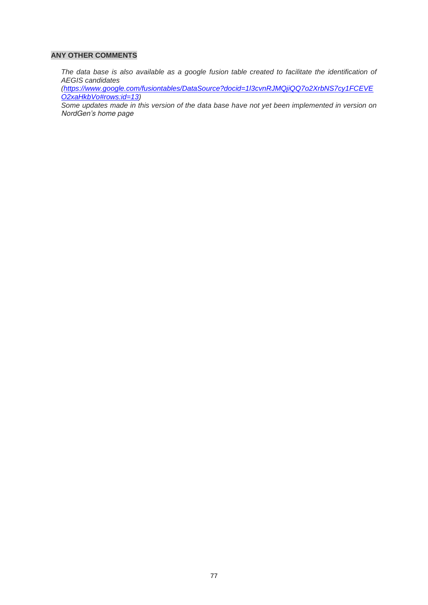### **ANY OTHER COMMENTS**

*The data base is also available as a google fusion table created to facilitate the identification of AEGIS candidates*

*[\(https://www.google.com/fusiontables/DataSource?docid=1l3cvnRJMQjiQQ7o2XrbNS7cy1FCEVE](https://www.google.com/fusiontables/DataSource?docid=1l3cvnRJMQjiQQ7o2XrbNS7cy1FCEVEO2xaHkbVo#rows:id=13) [O2xaHkbVo#rows:id=13\)](https://www.google.com/fusiontables/DataSource?docid=1l3cvnRJMQjiQQ7o2XrbNS7cy1FCEVEO2xaHkbVo#rows:id=13)*

*Some updates made in this version of the data base have not yet been implemented in version on NordGen's home page*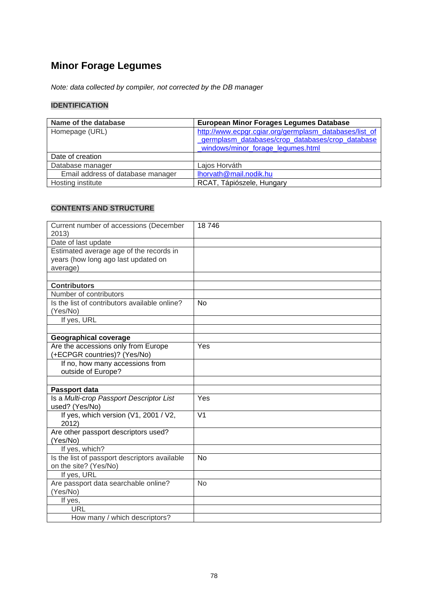# **Minor Forage Legumes**

*Note: data collected by compiler, not corrected by the DB manager*

## **IDENTIFICATION**

| Name of the database              | <b>European Minor Forages Legumes Database</b>                                                                                                  |
|-----------------------------------|-------------------------------------------------------------------------------------------------------------------------------------------------|
| Homepage (URL)                    | http://www.ecpgr.cgiar.org/germplasm_databases/list_of<br>germplasm databases/crop databases/crop database<br>windows/minor forage legumes.html |
| Date of creation                  |                                                                                                                                                 |
| Database manager                  | Lajos Horváth                                                                                                                                   |
| Email address of database manager | lhorvath@mail.nodik.hu                                                                                                                          |
| Hosting institute                 | RCAT, Tápiószele, Hungary                                                                                                                       |

| Current number of accessions (December<br>2013)                                            | 18746          |
|--------------------------------------------------------------------------------------------|----------------|
| Date of last update                                                                        |                |
| Estimated average age of the records in<br>years (how long ago last updated on<br>average) |                |
|                                                                                            |                |
| <b>Contributors</b>                                                                        |                |
| Number of contributors                                                                     |                |
| Is the list of contributors available online?<br>(Yes/No)                                  | <b>No</b>      |
| If yes, URL                                                                                |                |
|                                                                                            |                |
| Geographical coverage                                                                      |                |
| Are the accessions only from Europe<br>+ECPGR countries)? (Yes/No)                         | Yes            |
| If no, how many accessions from<br>outside of Europe?                                      |                |
|                                                                                            |                |
| Passport data                                                                              |                |
| Is a Multi-crop Passport Descriptor List<br>used? (Yes/No)                                 | Yes            |
| If yes, which version (V1, 2001 / V2,<br>2012)                                             | V <sub>1</sub> |
| Are other passport descriptors used?<br>(Yes/No)                                           |                |
| If yes, which?                                                                             |                |
| Is the list of passport descriptors available<br>on the site? (Yes/No)                     | <b>No</b>      |
| If yes, URL                                                                                |                |
| Are passport data searchable online?<br>(Yes/No)                                           | <b>No</b>      |
| If yes,                                                                                    |                |
| <b>URL</b>                                                                                 |                |
| How many / which descriptors?                                                              |                |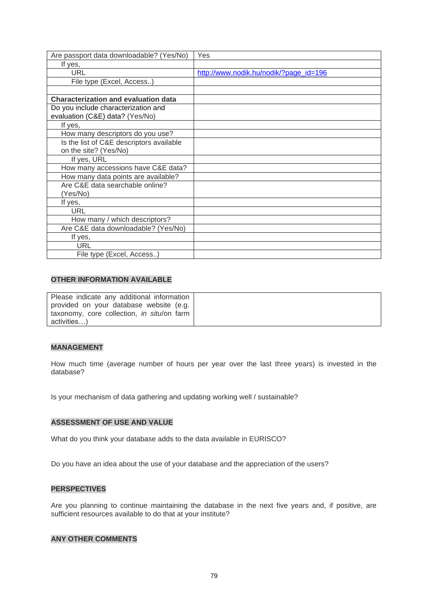| Are passport data downloadable? (Yes/No)    | Yes                                    |
|---------------------------------------------|----------------------------------------|
| If yes,                                     |                                        |
| URL                                         | http://www.nodik.hu/nodik/?page_id=196 |
| File type (Excel, Access)                   |                                        |
|                                             |                                        |
| <b>Characterization and evaluation data</b> |                                        |
| Do you include characterization and         |                                        |
| evaluation (C&E) data? (Yes/No)             |                                        |
| If yes,                                     |                                        |
| How many descriptors do you use?            |                                        |
| Is the list of C&E descriptors available    |                                        |
| on the site? (Yes/No)                       |                                        |
| If yes, URL                                 |                                        |
| How many accessions have C&E data?          |                                        |
| How many data points are available?         |                                        |
| Are C&E data searchable online?             |                                        |
| (Yes/No)                                    |                                        |
| If yes,                                     |                                        |
| <b>URL</b>                                  |                                        |
| How many / which descriptors?               |                                        |
| Are C&E data downloadable? (Yes/No)         |                                        |
| If yes,                                     |                                        |
| URL                                         |                                        |
| File type (Excel, Access)                   |                                        |

| Please indicate any additional information |  |
|--------------------------------------------|--|
| provided on your database website (e.g.    |  |
| taxonomy, core collection, in situ/on farm |  |
| activities)                                |  |

#### **MANAGEMENT**

How much time (average number of hours per year over the last three years) is invested in the database?

Is your mechanism of data gathering and updating working well / sustainable?

## **ASSESSMENT OF USE AND VALUE**

What do you think your database adds to the data available in EURISCO?

Do you have an idea about the use of your database and the appreciation of the users?

#### **PERSPECTIVES**

Are you planning to continue maintaining the database in the next five years and, if positive, are sufficient resources available to do that at your institute?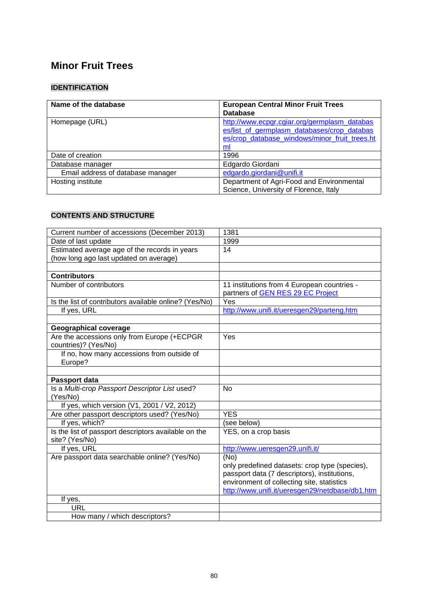# **[Minor Fruit Trees](http://www.ecpgr.cgiar.org/germplasm_databases/list_of_germplasm_databases/crop_databases/crop_database_windows/minor_fruit_trees.html)**

# **IDENTIFICATION**

| Name of the database              | <b>European Central Minor Fruit Trees</b>     |
|-----------------------------------|-----------------------------------------------|
|                                   | <b>Database</b>                               |
| Homepage (URL)                    | http://www.ecpgr.cgiar.org/germplasm_databas  |
|                                   | es/list of germplasm databases/crop databas   |
|                                   | es/crop_database_windows/minor_fruit_trees.ht |
|                                   | ml                                            |
| Date of creation                  | 1996                                          |
| Database manager                  | Edgardo Giordani                              |
| Email address of database manager | edgardo.giordani@unifi.it                     |
| Hosting institute                 | Department of Agri-Food and Environmental     |
|                                   | Science, University of Florence, Italy        |

| Current number of accessions (December 2013)           | 1381                                            |
|--------------------------------------------------------|-------------------------------------------------|
| Date of last update                                    | 1999                                            |
| Estimated average age of the records in years          | 14                                              |
| (how long ago last updated on average)                 |                                                 |
|                                                        |                                                 |
| <b>Contributors</b>                                    |                                                 |
| Number of contributors                                 | 11 institutions from 4 European countries -     |
|                                                        | partners of GEN RES 29 EC Project               |
| Is the list of contributors available online? (Yes/No) | Yes                                             |
| If yes, URL                                            | http://www.unifi.it/ueresgen29/parteng.htm      |
|                                                        |                                                 |
| <b>Geographical coverage</b>                           |                                                 |
| Are the accessions only from Europe (+ECPGR            | Yes                                             |
| countries)? (Yes/No)                                   |                                                 |
| If no, how many accessions from outside of             |                                                 |
| Europe?                                                |                                                 |
|                                                        |                                                 |
| Passport data                                          |                                                 |
| Is a Multi-crop Passport Descriptor List used?         | <b>No</b>                                       |
| (Yes/No)                                               |                                                 |
| If yes, which version (V1, 2001 / V2, 2012)            |                                                 |
| Are other passport descriptors used? (Yes/No)          | <b>YES</b>                                      |
| If yes, which?                                         | (see below)                                     |
| Is the list of passport descriptors available on the   | YES, on a crop basis                            |
| site? (Yes/No)                                         |                                                 |
| If yes, URL                                            | http://www.ueresgen29.unifi.it/                 |
| Are passport data searchable online? (Yes/No)          | (No)                                            |
|                                                        | only predefined datasets: crop type (species),  |
|                                                        | passport data (7 descriptors), institutions,    |
|                                                        | environment of collecting site, statistics      |
|                                                        | http://www.unifi.it/ueresgen29/netdbase/db1.htm |
| If yes,                                                |                                                 |
| URL                                                    |                                                 |
| How many / which descriptors?                          |                                                 |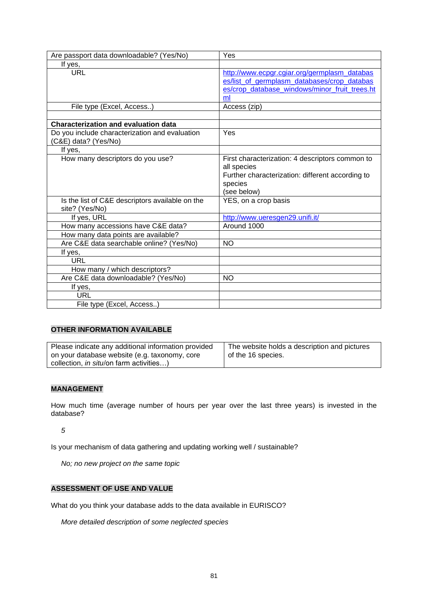| Are passport data downloadable? (Yes/No)                               | Yes                                                                                                                                                |
|------------------------------------------------------------------------|----------------------------------------------------------------------------------------------------------------------------------------------------|
| If yes,                                                                |                                                                                                                                                    |
| <b>URL</b>                                                             | http://www.ecpgr.cgiar.org/germplasm_databas<br>es/list of germplasm databases/crop databas<br>es/crop_database_windows/minor_fruit_trees.ht<br>ml |
| File type (Excel, Access)                                              | Access (zip)                                                                                                                                       |
|                                                                        |                                                                                                                                                    |
| <b>Characterization and evaluation data</b>                            |                                                                                                                                                    |
| Do you include characterization and evaluation<br>(C&E) data? (Yes/No) | Yes                                                                                                                                                |
| If yes,                                                                |                                                                                                                                                    |
| How many descriptors do you use?                                       | First characterization: 4 descriptors common to<br>all species<br>Further characterization: different according to<br>species<br>(see below)       |
| Is the list of C&E descriptors available on the<br>site? (Yes/No)      | YES, on a crop basis                                                                                                                               |
| If yes, URL                                                            | http://www.ueresgen29.unifi.it/                                                                                                                    |
| How many accessions have C&E data?                                     | Around 1000                                                                                                                                        |
| How many data points are available?                                    |                                                                                                                                                    |
| Are C&E data searchable online? (Yes/No)                               | <b>NO</b>                                                                                                                                          |
| If yes,                                                                |                                                                                                                                                    |
| <b>URL</b>                                                             |                                                                                                                                                    |
| How many / which descriptors?                                          |                                                                                                                                                    |
| Are C&E data downloadable? (Yes/No)                                    | <b>NO</b>                                                                                                                                          |
| If yes,                                                                |                                                                                                                                                    |
| URL                                                                    |                                                                                                                                                    |
| File type (Excel, Access)                                              |                                                                                                                                                    |

| Please indicate any additional information provided | The website holds a description and pictures |
|-----------------------------------------------------|----------------------------------------------|
| on your database website (e.g. taxonomy, core       | of the 16 species.                           |
| collection, <i>in situ</i> /on farm activities)     |                                              |

## **MANAGEMENT**

How much time (average number of hours per year over the last three years) is invested in the database?

*5*

Is your mechanism of data gathering and updating working well / sustainable?

*No; no new project on the same topic*

## **ASSESSMENT OF USE AND VALUE**

What do you think your database adds to the data available in EURISCO?

*More detailed description of some neglected species*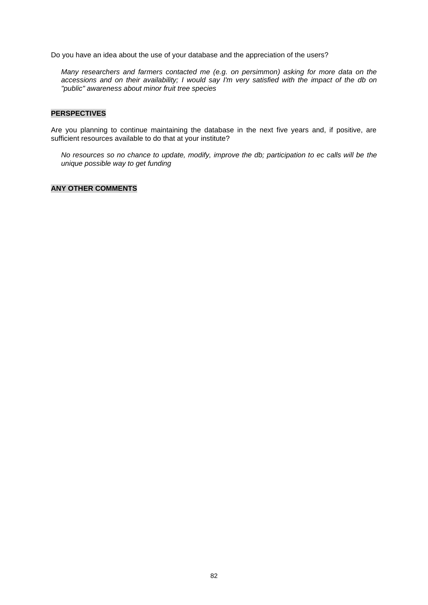Do you have an idea about the use of your database and the appreciation of the users?

*Many researchers and farmers contacted me (e.g. on persimmon) asking for more data on the accessions and on their availability; I would say I'm very satisfied with the impact of the db on "public" awareness about minor fruit tree species*

#### **PERSPECTIVES**

Are you planning to continue maintaining the database in the next five years and, if positive, are sufficient resources available to do that at your institute?

*No resources so no chance to update, modify, improve the db; participation to ec calls will be the unique possible way to get funding*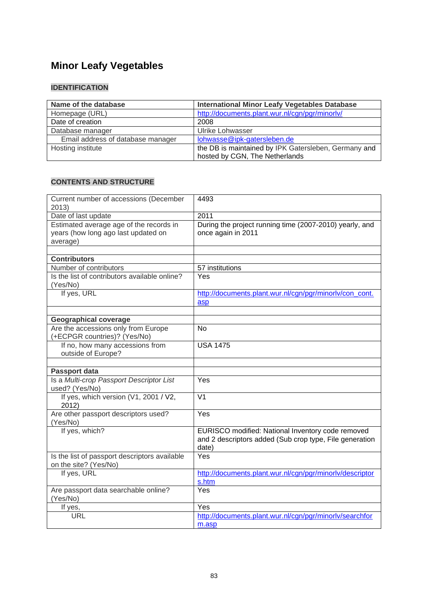# **Minor Leafy Vegetables**

## **IDENTIFICATION**

| Name of the database              | <b>International Minor Leafy Vegetables Database</b>                                   |
|-----------------------------------|----------------------------------------------------------------------------------------|
| Homepage (URL)                    | http://documents.plant.wur.nl/cgn/pgr/minorly/                                         |
| Date of creation                  | 2008                                                                                   |
| Database manager                  | <b>Ulrike Lohwasser</b>                                                                |
| Email address of database manager | lohwasse@ipk-gatersleben.de                                                            |
| Hosting institute                 | the DB is maintained by IPK Gatersleben, Germany and<br>hosted by CGN, The Netherlands |

| Current number of accessions (December<br>2013)                                            | 4493                                                                                                                  |
|--------------------------------------------------------------------------------------------|-----------------------------------------------------------------------------------------------------------------------|
| Date of last update                                                                        | 2011                                                                                                                  |
| Estimated average age of the records in<br>years (how long ago last updated on<br>average) | During the project running time (2007-2010) yearly, and<br>once again in 2011                                         |
| <b>Contributors</b>                                                                        |                                                                                                                       |
| Number of contributors                                                                     | 57 institutions                                                                                                       |
| Is the list of contributors available online?<br>(Yes/No)                                  | Yes                                                                                                                   |
| If yes, URL                                                                                | http://documents.plant.wur.nl/cgn/pgr/minorly/con_cont.<br>asp                                                        |
|                                                                                            |                                                                                                                       |
| <b>Geographical coverage</b><br>Are the accessions only from Europe                        | <b>No</b>                                                                                                             |
| (+ECPGR countries)? (Yes/No)                                                               |                                                                                                                       |
| If no, how many accessions from<br>outside of Europe?                                      | <b>USA 1475</b>                                                                                                       |
|                                                                                            |                                                                                                                       |
| Passport data                                                                              |                                                                                                                       |
| Is a Multi-crop Passport Descriptor List<br>used? (Yes/No)                                 | Yes                                                                                                                   |
| If yes, which version (V1, 2001 / V2,<br>2012)                                             | $\overline{\mathsf{V1}}$                                                                                              |
| Are other passport descriptors used?<br>(Yes/No)                                           | Yes                                                                                                                   |
| If yes, which?                                                                             | EURISCO modified: National Inventory code removed<br>and 2 descriptors added (Sub crop type, File generation<br>date) |
| Is the list of passport descriptors available<br>on the site? (Yes/No)                     | Yes                                                                                                                   |
| If yes, URL                                                                                | http://documents.plant.wur.nl/cgn/pgr/minorlv/descriptor<br>s.htm                                                     |
| Are passport data searchable online?<br>(Yes/No)                                           | Yes                                                                                                                   |
| If yes,                                                                                    | Yes                                                                                                                   |
| <b>URL</b>                                                                                 | http://documents.plant.wur.nl/cgn/pgr/minorlv/searchfor<br>$m$ .asp                                                   |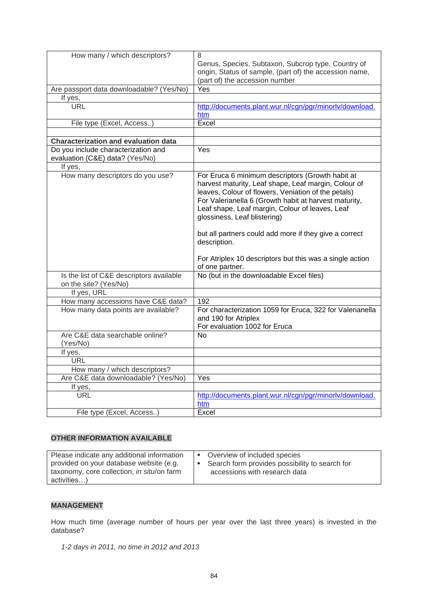| How many / which descriptors?               | 8                                                         |
|---------------------------------------------|-----------------------------------------------------------|
|                                             | Genus, Species, Subtaxon, Subcrop type, Country of        |
|                                             | origin, Status of sample, (part of) the accession name,   |
|                                             | (part of) the accession number                            |
| Are passport data downloadable? (Yes/No)    | Yes                                                       |
| If yes,                                     |                                                           |
| <b>URL</b>                                  | http://documents.plant.wur.nl/cgn/pgr/minorlv/download.   |
|                                             | htm                                                       |
| File type (Excel, Access)                   | Excel                                                     |
|                                             |                                                           |
| <b>Characterization and evaluation data</b> |                                                           |
| Do you include characterization and         | Yes                                                       |
| evaluation (C&E) data? (Yes/No)             |                                                           |
| If yes,                                     |                                                           |
| How many descriptors do you use?            | For Eruca 6 minimum descriptors (Growth habit at          |
|                                             | harvest maturity, Leaf shape, Leaf margin, Colour of      |
|                                             | leaves, Colour of flowers, Veniation of the petals)       |
|                                             | For Valerianella 6 (Growth habit at harvest maturity,     |
|                                             | Leaf shape, Leaf margin, Colour of leaves, Leaf           |
|                                             | glossiness, Leaf blistering)                              |
|                                             |                                                           |
|                                             | but all partners could add more if they give a correct    |
|                                             | description.                                              |
|                                             |                                                           |
|                                             | For Atriplex 10 descriptors but this was a single action  |
|                                             | of one partner.                                           |
| Is the list of C&E descriptors available    | No (but in the downloadable Excel files)                  |
| on the site? (Yes/No)                       |                                                           |
| If yes, URL                                 |                                                           |
| How many accessions have C&E data?          | 192                                                       |
| How many data points are available?         | For characterization 1059 for Eruca, 322 for Valerianella |
|                                             | and 190 for Atriplex                                      |
|                                             | For evaluation 1002 for Eruca                             |
| Are C&E data searchable online?             | No.                                                       |
| (Yes/No)                                    |                                                           |
| If yes,                                     |                                                           |
| <b>URL</b>                                  |                                                           |
| How many / which descriptors?               |                                                           |
| Are C&E data downloadable? (Yes/No)         | Yes                                                       |
| If yes,                                     |                                                           |
| <b>URL</b>                                  | http://documents.plant.wur.nl/cgn/pgr/minorlv/download.   |
|                                             | htm                                                       |
| File type (Excel, Access)                   | Excel                                                     |

## **MANAGEMENT**

How much time (average number of hours per year over the last three years) is invested in the database?

*1-2 days in 2011, no time in 2012 and 2013*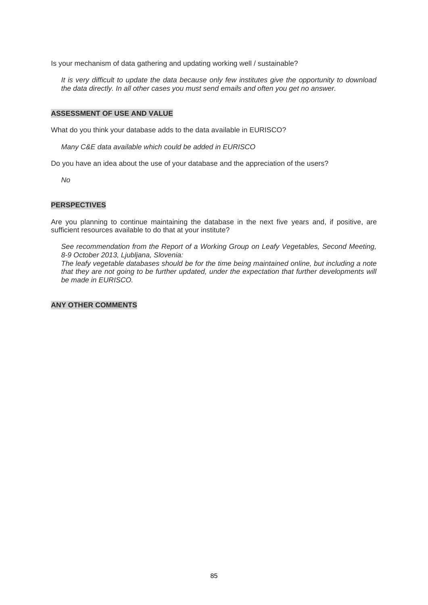Is your mechanism of data gathering and updating working well / sustainable?

*It is very difficult to update the data because only few institutes give the opportunity to download the data directly. In all other cases you must send emails and often you get no answer.*

#### **ASSESSMENT OF USE AND VALUE**

What do you think your database adds to the data available in EURISCO?

*Many C&E data available which could be added in EURISCO*

Do you have an idea about the use of your database and the appreciation of the users?

*No*

#### **PERSPECTIVES**

Are you planning to continue maintaining the database in the next five years and, if positive, are sufficient resources available to do that at your institute?

*See recommendation from the Report of a Working Group on Leafy Vegetables, Second Meeting, 8-9 October 2013, Ljubljana, Slovenia:*

*The leafy vegetable databases should be for the time being maintained online, but including a note*  that they are not going to be further updated, under the expectation that further developments will *be made in EURISCO.*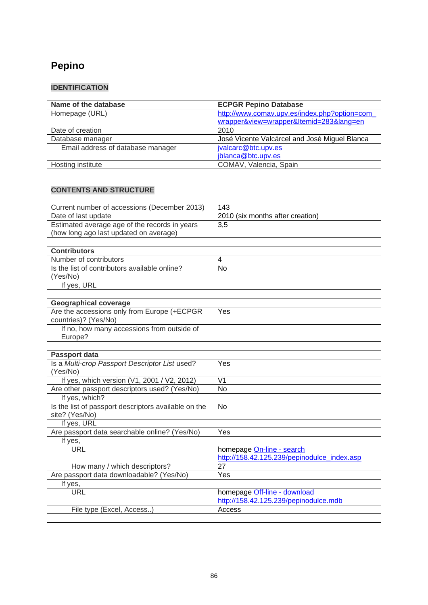# **[Pepino](http://www.comav.upv.es/index.php?option=com_wrapper&view=wrapper&Itemid=283&lang=en)**

## **IDENTIFICATION**

| Name of the database              | <b>ECPGR Pepino Database</b>                  |
|-----------------------------------|-----------------------------------------------|
| Homepage (URL)                    | http://www.comav.upv.es/index.php?option=com  |
|                                   | wrapper&view=wrapper&Itemid=283⟨=en           |
| Date of creation                  | 2010                                          |
| Database manager                  | José Vicente Valcárcel and José Miguel Blanca |
| Email address of database manager | jvalcarc@btc.upv.es                           |
|                                   | jblanca@btc.upv.es                            |
| Hosting institute                 | COMAV, Valencia, Spain                        |

| Current number of accessions (December 2013)                    | 143                                         |
|-----------------------------------------------------------------|---------------------------------------------|
| Date of last update                                             | 2010 (six months after creation)            |
| Estimated average age of the records in years                   | 3,5                                         |
| (how long ago last updated on average)                          |                                             |
|                                                                 |                                             |
| <b>Contributors</b>                                             |                                             |
| Number of contributors                                          | $\overline{\mathcal{A}}$                    |
| Is the list of contributors available online?                   | <b>No</b>                                   |
| (Yes/No)                                                        |                                             |
| If yes, URL                                                     |                                             |
|                                                                 |                                             |
| <b>Geographical coverage</b>                                    |                                             |
| Are the accessions only from Europe (+ECPGR                     | Yes                                         |
| countries)? (Yes/No)                                            |                                             |
| If no, how many accessions from outside of                      |                                             |
| Europe?                                                         |                                             |
|                                                                 |                                             |
| Passport data                                                   |                                             |
| Is a Multi-crop Passport Descriptor List used?                  | Yes                                         |
| (Yes/No)                                                        |                                             |
| If yes, which version (V1, 2001 / V2, 2012)                     | V <sub>1</sub>                              |
| Are other passport descriptors used? (Yes/No)<br>If yes, which? | <b>No</b>                                   |
| Is the list of passport descriptors available on the            | <b>No</b>                                   |
| site? (Yes/No)                                                  |                                             |
| If yes, URL                                                     |                                             |
| Are passport data searchable online? (Yes/No)                   | Yes                                         |
| If yes,                                                         |                                             |
| <b>URL</b>                                                      | homepage On-line - search                   |
|                                                                 | http://158.42.125.239/pepinodulce_index.asp |
| How many / which descriptors?                                   | 27                                          |
| Are passport data downloadable? (Yes/No)                        | Yes                                         |
| If yes,                                                         |                                             |
| <b>URL</b>                                                      | homepage Off-line - download                |
|                                                                 | http://158.42.125.239/pepinodulce.mdb       |
| File type (Excel, Access)                                       | Access                                      |
|                                                                 |                                             |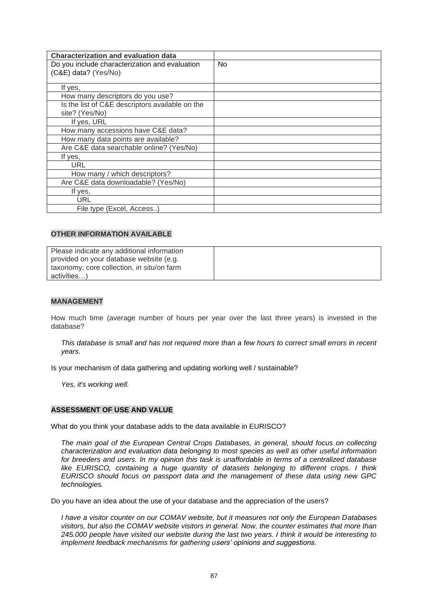| <b>Characterization and evaluation data</b>     |                |
|-------------------------------------------------|----------------|
| Do you include characterization and evaluation  | N <sub>0</sub> |
| (C&E) data? (Yes/No)                            |                |
|                                                 |                |
| If yes,                                         |                |
| How many descriptors do you use?                |                |
| Is the list of C&E descriptors available on the |                |
| site? (Yes/No)                                  |                |
| If yes, URL                                     |                |
| How many accessions have C&E data?              |                |
| How many data points are available?             |                |
| Are C&E data searchable online? (Yes/No)        |                |
| If yes,                                         |                |
| <b>URL</b>                                      |                |
| How many / which descriptors?                   |                |
| Are C&E data downloadable? (Yes/No)             |                |
| If yes,                                         |                |
| URL                                             |                |
| File type (Excel, Access)                       |                |

| Please indicate any additional information |  |
|--------------------------------------------|--|
| provided on your database website (e.g.    |  |
| taxonomy, core collection, in situ/on farm |  |
| activities)                                |  |

#### **MANAGEMENT**

How much time (average number of hours per year over the last three years) is invested in the database?

*This database is small and has not required more than a few hours to correct small errors in recent years.*

Is your mechanism of data gathering and updating working well / sustainable?

*Yes, it's working well.*

#### **ASSESSMENT OF USE AND VALUE**

What do you think your database adds to the data available in EURISCO?

*The main goal of the European Central Crops Databases, in general, should focus on collecting characterization and evaluation data belonging to most species as well as other useful information for breeders and users. In my opinion this task is unaffordable in terms of a centralized database like EURISCO, containing a huge quantity of datasets belonging to different crops. I think EURISCO should focus on passport data and the management of these data using new GPC technologies.*

Do you have an idea about the use of your database and the appreciation of the users?

*I have a visitor counter on our COMAV website, but it measures not only the European Databases visitors, but also the COMAV website visitors in general. Now, the counter estimates that more than 245.000 people have visited our website during the last two years. I think it would be interesting to implement feedback mechanisms for gathering users' opinions and suggestions.*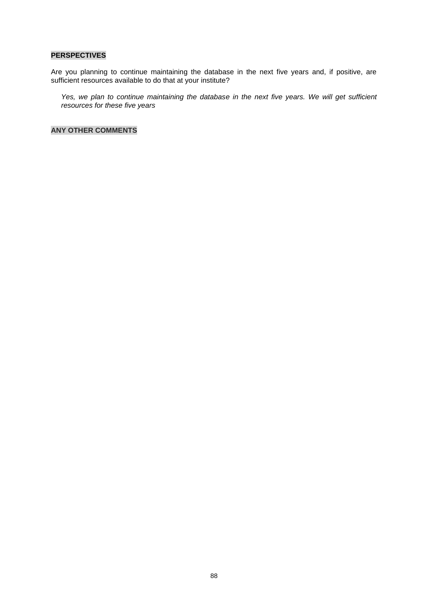#### **PERSPECTIVES**

Are you planning to continue maintaining the database in the next five years and, if positive, are sufficient resources available to do that at your institute?

*Yes, we plan to continue maintaining the database in the next five years. We will get sufficient resources for these five years*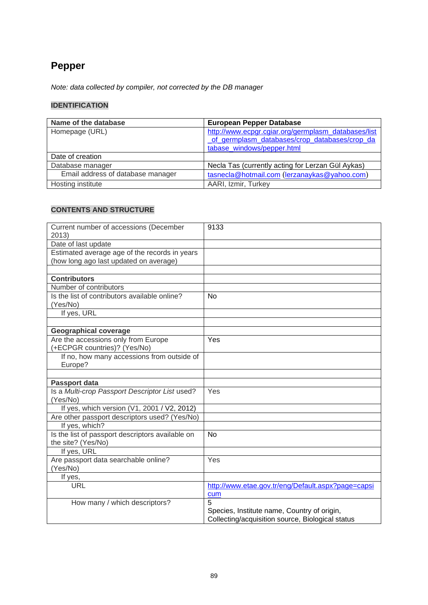# **[Pepper](http://www.ecpgr.cgiar.org/germplasm_databases/list_of_germplasm_databases/crop_databases/crop_database_windows/pepper.html)**

*Note: data collected by compiler, not corrected by the DB manager*

## **IDENTIFICATION**

| Name of the database              | <b>European Pepper Database</b>                                                                                                    |
|-----------------------------------|------------------------------------------------------------------------------------------------------------------------------------|
| Homepage (URL)                    | http://www.ecpgr.cgiar.org/germplasm_databases/list<br>of germplasm databases/crop databases/crop da<br>tabase windows/pepper.html |
| Date of creation                  |                                                                                                                                    |
| Database manager                  | Necla Tas (currently acting for Lerzan Gül Aykas)                                                                                  |
| Email address of database manager | tasnecla@hotmail.com (lerzanaykas@yahoo.com)                                                                                       |
| Hosting institute                 | AARI, Izmir, Turkey                                                                                                                |

| Current number of accessions (December<br>2013)                        | 9133                                               |
|------------------------------------------------------------------------|----------------------------------------------------|
| Date of last update                                                    |                                                    |
| Estimated average age of the records in years                          |                                                    |
| (how long ago last updated on average)                                 |                                                    |
|                                                                        |                                                    |
| <b>Contributors</b>                                                    |                                                    |
| Number of contributors                                                 |                                                    |
| Is the list of contributors available online?                          | <b>No</b>                                          |
| (Yes/No)                                                               |                                                    |
| If yes, URL                                                            |                                                    |
|                                                                        |                                                    |
| <b>Geographical coverage</b>                                           |                                                    |
| Are the accessions only from Europe                                    | Yes                                                |
| (+ECPGR countries)? (Yes/No)                                           |                                                    |
| If no, how many accessions from outside of                             |                                                    |
| Europe?                                                                |                                                    |
|                                                                        |                                                    |
| Passport data                                                          |                                                    |
| Is a Multi-crop Passport Descriptor List used?                         | Yes                                                |
| (Yes/No)                                                               |                                                    |
| If yes, which version (V1, 2001 / V2, 2012)                            |                                                    |
| Are other passport descriptors used? (Yes/No)                          |                                                    |
| If yes, which?                                                         |                                                    |
| Is the list of passport descriptors available on<br>the site? (Yes/No) | <b>No</b>                                          |
| If yes, URL                                                            |                                                    |
| Are passport data searchable online?                                   | Yes                                                |
| (Yes/No)                                                               |                                                    |
| If yes,                                                                |                                                    |
| <b>URL</b>                                                             | http://www.etae.gov.tr/eng/Default.aspx?page=capsi |
|                                                                        | cum                                                |
| How many / which descriptors?                                          | 5                                                  |
|                                                                        | Species, Institute name, Country of origin,        |
|                                                                        | Collecting/acquisition source, Biological status   |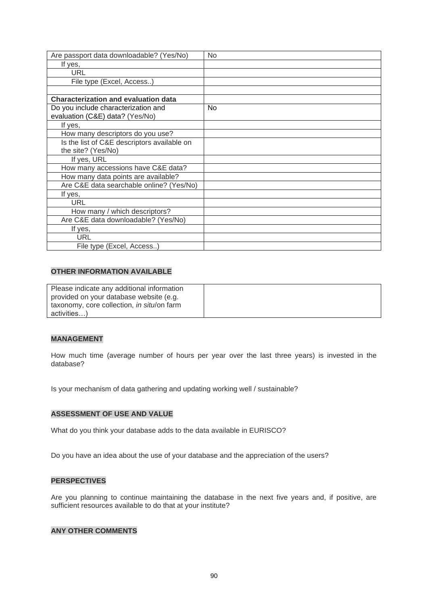| Are passport data downloadable? (Yes/No)    | <b>No</b> |
|---------------------------------------------|-----------|
| If yes,                                     |           |
| URL                                         |           |
| File type (Excel, Access)                   |           |
|                                             |           |
| <b>Characterization and evaluation data</b> |           |
| Do you include characterization and         | No.       |
| evaluation (C&E) data? (Yes/No)             |           |
| If yes,                                     |           |
| How many descriptors do you use?            |           |
| Is the list of C&E descriptors available on |           |
| the site? (Yes/No)                          |           |
| If yes, URL                                 |           |
| How many accessions have C&E data?          |           |
| How many data points are available?         |           |
| Are C&E data searchable online? (Yes/No)    |           |
| If yes,                                     |           |
| <b>URL</b>                                  |           |
| How many / which descriptors?               |           |
| Are C&E data downloadable? (Yes/No)         |           |
| If yes,                                     |           |
| URL                                         |           |
| File type (Excel, Access)                   |           |

| Please indicate any additional information |  |
|--------------------------------------------|--|
| provided on your database website (e.g.    |  |
| taxonomy, core collection, in situ/on farm |  |
| activities)                                |  |

#### **MANAGEMENT**

How much time (average number of hours per year over the last three years) is invested in the database?

Is your mechanism of data gathering and updating working well / sustainable?

## **ASSESSMENT OF USE AND VALUE**

What do you think your database adds to the data available in EURISCO?

Do you have an idea about the use of your database and the appreciation of the users?

### **PERSPECTIVES**

Are you planning to continue maintaining the database in the next five years and, if positive, are sufficient resources available to do that at your institute?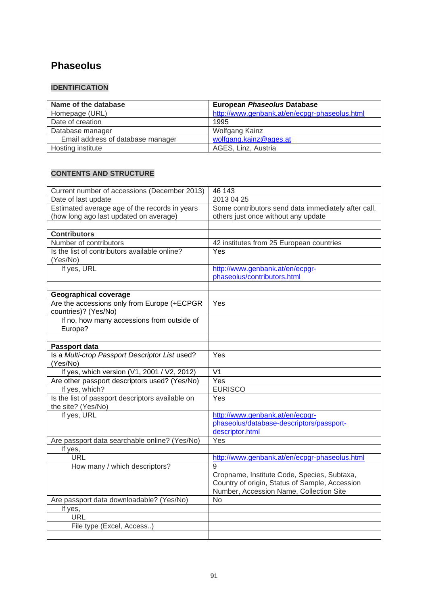# **Phaseolus**

# **IDENTIFICATION**

| Name of the database              | <b>European Phaseolus Database</b>            |
|-----------------------------------|-----------------------------------------------|
| Homepage (URL)                    | http://www.genbank.at/en/ecpgr-phaseolus.html |
| Date of creation                  | 1995                                          |
| Database manager                  | Wolfgang Kainz                                |
| Email address of database manager | wolfgang.kainz@ages.at                        |
| Hosting institute                 | AGES, Linz, Austria                           |

| Current number of accessions (December 2013)     | 46 143                                              |
|--------------------------------------------------|-----------------------------------------------------|
| Date of last update                              | 2013 04 25                                          |
| Estimated average age of the records in years    | Some contributors send data immediately after call, |
| (how long ago last updated on average)           | others just once without any update                 |
|                                                  |                                                     |
| <b>Contributors</b>                              |                                                     |
| Number of contributors                           | 42 institutes from 25 European countries            |
| Is the list of contributors available online?    | Yes                                                 |
| (Yes/No)                                         |                                                     |
| If yes, URL                                      | http://www.genbank.at/en/ecpgr-                     |
|                                                  | phaseolus/contributors.html                         |
|                                                  |                                                     |
| <b>Geographical coverage</b>                     |                                                     |
| Are the accessions only from Europe (+ECPGR      | Yes                                                 |
| countries)? (Yes/No)                             |                                                     |
| If no, how many accessions from outside of       |                                                     |
| Europe?                                          |                                                     |
|                                                  |                                                     |
| Passport data                                    |                                                     |
| Is a Multi-crop Passport Descriptor List used?   | <b>Yes</b>                                          |
| (Yes/No)                                         |                                                     |
| If yes, which version (V1, 2001 / V2, 2012)      | V <sub>1</sub>                                      |
| Are other passport descriptors used? (Yes/No)    | Yes                                                 |
| If yes, which?                                   | <b>EURISCO</b>                                      |
| Is the list of passport descriptors available on | Yes                                                 |
| the site? (Yes/No)                               |                                                     |
| If yes, URL                                      | http://www.genbank.at/en/ecpgr-                     |
|                                                  | phaseolus/database-descriptors/passport-            |
|                                                  | descriptor.html                                     |
| Are passport data searchable online? (Yes/No)    | Yes                                                 |
| If yes,                                          |                                                     |
| <b>URL</b>                                       | http://www.genbank.at/en/ecpgr-phaseolus.html       |
| How many / which descriptors?                    | 9                                                   |
|                                                  | Cropname, Institute Code, Species, Subtaxa,         |
|                                                  | Country of origin, Status of Sample, Accession      |
|                                                  | Number, Accession Name, Collection Site             |
| Are passport data downloadable? (Yes/No)         | N <sub>o</sub>                                      |
| If yes,                                          |                                                     |
| URL                                              |                                                     |
| File type (Excel, Access)                        |                                                     |
|                                                  |                                                     |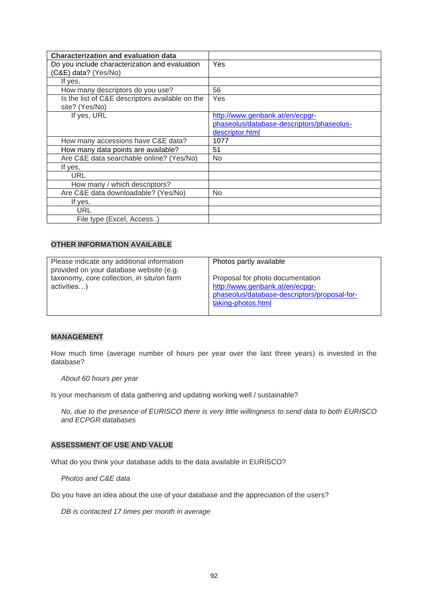| <b>Characterization and evaluation data</b>     |                                           |
|-------------------------------------------------|-------------------------------------------|
| Do you include characterization and evaluation  | Yes                                       |
| (C&E) data? (Yes/No)                            |                                           |
| If yes,                                         |                                           |
| How many descriptors do you use?                | 56                                        |
| Is the list of C&E descriptors available on the | Yes                                       |
| site? (Yes/No)                                  |                                           |
| If yes, URL                                     | http://www.genbank.at/en/ecpgr-           |
|                                                 | phaseolus/database-descriptors/phaseolus- |
|                                                 | descriptor.html                           |
| How many accessions have C&E data?              | 1077                                      |
| How many data points are available?             | 51                                        |
| Are C&E data searchable online? (Yes/No)        | N <sub>o</sub>                            |
| If yes,                                         |                                           |
| URL                                             |                                           |
| How many / which descriptors?                   |                                           |
| Are C&E data downloadable? (Yes/No)             | <b>No</b>                                 |
| If yes,                                         |                                           |
| URL                                             |                                           |
| File type (Excel, Access)                       |                                           |

| Please indicate any additional information<br>provided on your database website (e.g. | Photos partly available                                                                                                                   |
|---------------------------------------------------------------------------------------|-------------------------------------------------------------------------------------------------------------------------------------------|
| taxonomy, core collection, in situ/on farm<br>activities)                             | Proposal for photo documentation<br>http://www.genbank.at/en/ecpgr-<br>phaseolus/database-descriptors/proposal-for-<br>taking-photos.html |

#### **MANAGEMENT**

How much time (average number of hours per year over the last three years) is invested in the database?

*About 60 hours per year*

Is your mechanism of data gathering and updating working well / sustainable?

*No, due to the presence of EURISCO there is very little willingness to send data to both EURISCO and ECPGR databases*

#### **ASSESSMENT OF USE AND VALUE**

What do you think your database adds to the data available in EURISCO?

*Photos and C&E data*

Do you have an idea about the use of your database and the appreciation of the users?

*DB is contacted 17 times per month in average*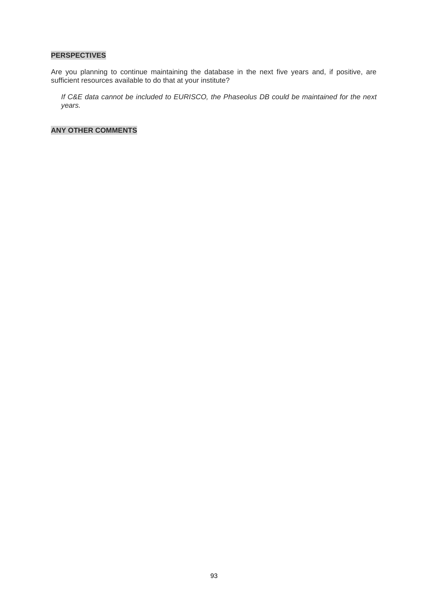## **PERSPECTIVES**

Are you planning to continue maintaining the database in the next five years and, if positive, are sufficient resources available to do that at your institute?

*If C&E data cannot be included to EURISCO, the Phaseolus DB could be maintained for the next years.*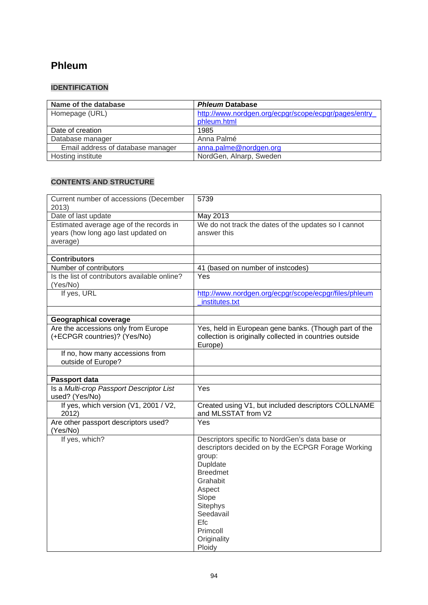# **Phleum**

## **IDENTIFICATION**

| Name of the database              | <b>Phleum Database</b>                               |
|-----------------------------------|------------------------------------------------------|
| Homepage (URL)                    | http://www.nordgen.org/ecpgr/scope/ecpgr/pages/entry |
|                                   | phleum.html                                          |
| Date of creation                  | 1985                                                 |
| Database manager                  | Anna Palmé                                           |
| Email address of database manager | anna.palme@nordgen.org                               |
| Hosting institute                 | NordGen, Alnarp, Sweden                              |

| Current number of accessions (December<br>2013)                                            | 5739                                                                                                                                                                                                                                               |
|--------------------------------------------------------------------------------------------|----------------------------------------------------------------------------------------------------------------------------------------------------------------------------------------------------------------------------------------------------|
| Date of last update                                                                        | May 2013                                                                                                                                                                                                                                           |
| Estimated average age of the records in<br>years (how long ago last updated on<br>average) | We do not track the dates of the updates so I cannot<br>answer this                                                                                                                                                                                |
| <b>Contributors</b>                                                                        |                                                                                                                                                                                                                                                    |
| Number of contributors                                                                     | 41 (based on number of instcodes)                                                                                                                                                                                                                  |
| Is the list of contributors available online?<br>(Yes/No)                                  | Yes                                                                                                                                                                                                                                                |
| If yes, URL                                                                                | http://www.nordgen.org/ecpgr/scope/ecpgr/files/phleum<br>institutes.txt                                                                                                                                                                            |
|                                                                                            |                                                                                                                                                                                                                                                    |
| <b>Geographical coverage</b><br>Are the accessions only from Europe                        | Yes, held in European gene banks. (Though part of the                                                                                                                                                                                              |
| (+ECPGR countries)? (Yes/No)                                                               | collection is originally collected in countries outside<br>Europe)                                                                                                                                                                                 |
| If no, how many accessions from<br>outside of Europe?                                      |                                                                                                                                                                                                                                                    |
| Passport data                                                                              |                                                                                                                                                                                                                                                    |
| Is a Multi-crop Passport Descriptor List<br>used? (Yes/No)                                 | Yes                                                                                                                                                                                                                                                |
| If yes, which version (V1, 2001 / V2,<br>2012)                                             | Created using V1, but included descriptors COLLNAME<br>and MLSSTAT from V2                                                                                                                                                                         |
| Are other passport descriptors used?<br>(Yes/No)                                           | Yes                                                                                                                                                                                                                                                |
| If yes, which?                                                                             | Descriptors specific to NordGen's data base or<br>descriptors decided on by the ECPGR Forage Working<br>group:<br>Dupldate<br><b>Breedmet</b><br>Grahabit<br>Aspect<br>Slope<br>Sitephys<br>Seedavail<br>Efc.<br>Primcoll<br>Originality<br>Ploidy |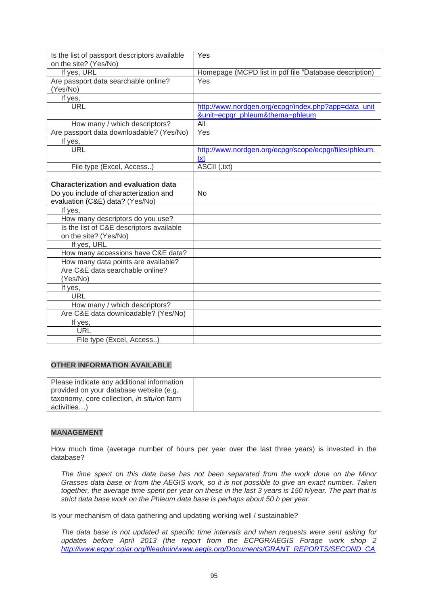| Is the list of passport descriptors available<br>on the site? (Yes/No) | Yes                                                    |
|------------------------------------------------------------------------|--------------------------------------------------------|
| If yes, URL                                                            | Homepage (MCPD list in pdf file "Database description) |
| Are passport data searchable online?                                   | Yes                                                    |
| (Yes/No)                                                               |                                                        |
| If yes,                                                                |                                                        |
| <b>URL</b>                                                             | http://www.nordgen.org/ecpgr/index.php?app=data_unit   |
|                                                                        | &unit=ecpgr_phleum&thema=phleum                        |
| How many / which descriptors?                                          | All                                                    |
| Are passport data downloadable? (Yes/No)                               | Yes                                                    |
| If yes,                                                                |                                                        |
| <b>URL</b>                                                             | http://www.nordgen.org/ecpgr/scope/ecpgr/files/phleum. |
|                                                                        | txt                                                    |
| File type (Excel, Access)                                              | ASCII (.txt)                                           |
|                                                                        |                                                        |
| <b>Characterization and evaluation data</b>                            |                                                        |
| Do you include of characterization and                                 | <b>No</b>                                              |
| evaluation (C&E) data? (Yes/No)                                        |                                                        |
| If yes,                                                                |                                                        |
| How many descriptors do you use?                                       |                                                        |
| Is the list of C&E descriptors available                               |                                                        |
| on the site? (Yes/No)                                                  |                                                        |
| If yes, URL                                                            |                                                        |
| How many accessions have C&E data?                                     |                                                        |
| How many data points are available?<br>Are C&E data searchable online? |                                                        |
| (Yes/No)                                                               |                                                        |
| If yes,                                                                |                                                        |
| <b>URL</b>                                                             |                                                        |
| How many / which descriptors?                                          |                                                        |
| Are C&E data downloadable? (Yes/No)                                    |                                                        |
| If yes,                                                                |                                                        |
| <b>URL</b>                                                             |                                                        |
| File type (Excel, Access)                                              |                                                        |

| Please indicate any additional information |  |
|--------------------------------------------|--|
| provided on your database website (e.g.    |  |
| taxonomy, core collection, in situ/on farm |  |
| activities)                                |  |

## **MANAGEMENT**

How much time (average number of hours per year over the last three years) is invested in the database?

*The time spent on this data base has not been separated from the work done on the Minor Grasses data base or from the AEGIS work, so it is not possible to give an exact number. Taken together, the average time spent per year on these in the last 3 years is 150 h/year. The part that is strict data base work on the Phleum data base is perhaps about 50 h per year.*

Is your mechanism of data gathering and updating working well / sustainable?

*The data base is not updated at specific time intervals and when requests were sent asking for*  updates before April 2013 (the report from the ECPGR/AEGIS Forage work shop 2 *[http://www.ecpgr.cgiar.org/fileadmin/www.aegis.org/Documents/GRANT\\_REPORTS/SECOND\\_CA](http://www.ecpgr.cgiar.org/fileadmin/www.aegis.org/Documents/GRANT_REPORTS/SECOND_CALL/Final_reports_second_call/Report_AEGIS_Forage_WS2_FINAL_2013.pdf)*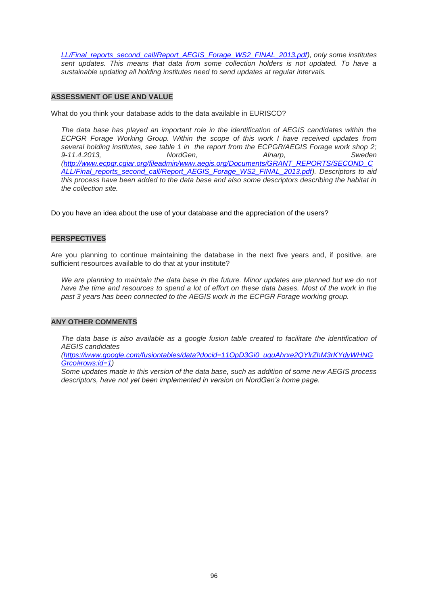*[LL/Final\\_reports\\_second\\_call/Report\\_AEGIS\\_Forage\\_WS2\\_FINAL\\_2013.pdf\)](http://www.ecpgr.cgiar.org/fileadmin/www.aegis.org/Documents/GRANT_REPORTS/SECOND_CALL/Final_reports_second_call/Report_AEGIS_Forage_WS2_FINAL_2013.pdf), only some institutes*  sent updates. This means that data from some collection holders is not updated. To have a *sustainable updating all holding institutes need to send updates at regular intervals.* 

#### **ASSESSMENT OF USE AND VALUE**

What do you think your database adds to the data available in EURISCO?

*The data base has played an important role in the identification of AEGIS candidates within the ECPGR Forage Working Group. Within the scope of this work I have received updates from several holding institutes, see table 1 in the report from the ECPGR/AEGIS Forage work shop 2; 9-11.4.2013, NordGen, Alnarp, Sweden [\(http://www.ecpgr.cgiar.org/fileadmin/www.aegis.org/Documents/GRANT\\_REPORTS/SECOND\\_C](http://www.ecpgr.cgiar.org/fileadmin/www.aegis.org/Documents/GRANT_REPORTS/SECOND_CALL/Final_reports_second_call/Report_AEGIS_Forage_WS2_FINAL_2013.pdf) [ALL/Final\\_reports\\_second\\_call/Report\\_AEGIS\\_Forage\\_WS2\\_FINAL\\_2013.pdf\)](http://www.ecpgr.cgiar.org/fileadmin/www.aegis.org/Documents/GRANT_REPORTS/SECOND_CALL/Final_reports_second_call/Report_AEGIS_Forage_WS2_FINAL_2013.pdf). Descriptors to aid this process have been added to the data base and also some descriptors describing the habitat in the collection site.*

Do you have an idea about the use of your database and the appreciation of the users?

#### **PERSPECTIVES**

Are you planning to continue maintaining the database in the next five years and, if positive, are sufficient resources available to do that at your institute?

We are planning to maintain the data base in the future. Minor updates are planned but we do not *have the time and resources to spend a lot of effort on these data bases. Most of the work in the past 3 years has been connected to the AEGIS work in the ECPGR Forage working group.*

#### **ANY OTHER COMMENTS**

*The data base is also available as a google fusion table created to facilitate the identification of AEGIS candidates*

*[\(https://www.google.com/fusiontables/data?docid=11OpD3Gi0\\_uquAhrxe2QYlrZhM3rKYdyWHNG](https://www.google.com/fusiontables/data?docid=11OpD3Gi0_uquAhrxe2QYlrZhM3rKYdyWHNGGrco#rows:id=1) [Grco#rows:id=1\)](https://www.google.com/fusiontables/data?docid=11OpD3Gi0_uquAhrxe2QYlrZhM3rKYdyWHNGGrco#rows:id=1)*

*Some updates made in this version of the data base, such as addition of some new AEGIS process descriptors, have not yet been implemented in version on NordGen's home page.*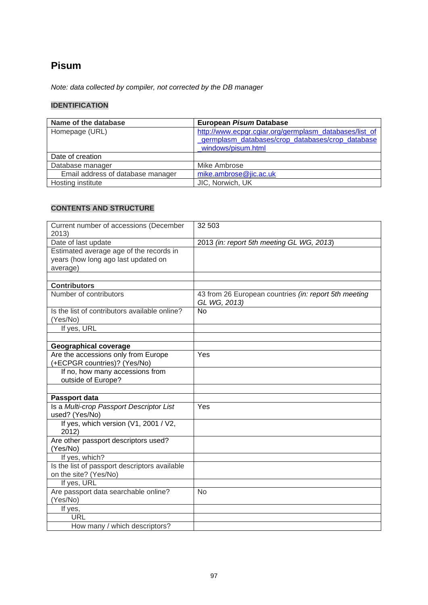# **Pisum**

*Note: data collected by compiler, not corrected by the DB manager*

## **IDENTIFICATION**

| Name of the database              | European Pisum Database                                                                                                          |
|-----------------------------------|----------------------------------------------------------------------------------------------------------------------------------|
| Homepage (URL)                    | http://www.ecpgr.cgiar.org/germplasm_databases/list_of<br>germplasm databases/crop databases/crop database<br>windows/pisum.html |
| Date of creation                  |                                                                                                                                  |
| Database manager                  | Mike Ambrose                                                                                                                     |
| Email address of database manager | mike.ambrose@jic.ac.uk                                                                                                           |
| Hosting institute                 | JIC, Norwich, UK                                                                                                                 |

| Current number of accessions (December<br>2013)                                            | 32 503                                                                |
|--------------------------------------------------------------------------------------------|-----------------------------------------------------------------------|
| Date of last update                                                                        | 2013 (in: report 5th meeting GL WG, 2013)                             |
| Estimated average age of the records in<br>years (how long ago last updated on<br>average) |                                                                       |
| <b>Contributors</b>                                                                        |                                                                       |
| Number of contributors                                                                     |                                                                       |
|                                                                                            | 43 from 26 European countries (in: report 5th meeting<br>GL WG, 2013) |
| Is the list of contributors available online?<br>(Yes/No)                                  | No                                                                    |
| If yes, URL                                                                                |                                                                       |
|                                                                                            |                                                                       |
| <b>Geographical coverage</b>                                                               |                                                                       |
| Are the accessions only from Europe                                                        | Yes                                                                   |
| (+ECPGR countries)? (Yes/No)                                                               |                                                                       |
| If no, how many accessions from<br>outside of Europe?                                      |                                                                       |
|                                                                                            |                                                                       |
| Passport data                                                                              |                                                                       |
| Is a Multi-crop Passport Descriptor List                                                   | Yes                                                                   |
| used? (Yes/No)                                                                             |                                                                       |
| If yes, which version (V1, 2001 / V2,<br>2012)                                             |                                                                       |
| Are other passport descriptors used?<br>(Yes/No)                                           |                                                                       |
| If yes, which?                                                                             |                                                                       |
| Is the list of passport descriptors available                                              |                                                                       |
| on the site? (Yes/No)                                                                      |                                                                       |
| If yes, URL                                                                                |                                                                       |
| Are passport data searchable online?                                                       | <b>No</b>                                                             |
| (Yes/No)                                                                                   |                                                                       |
| If yes,                                                                                    |                                                                       |
| <b>URL</b>                                                                                 |                                                                       |
| How many / which descriptors?                                                              |                                                                       |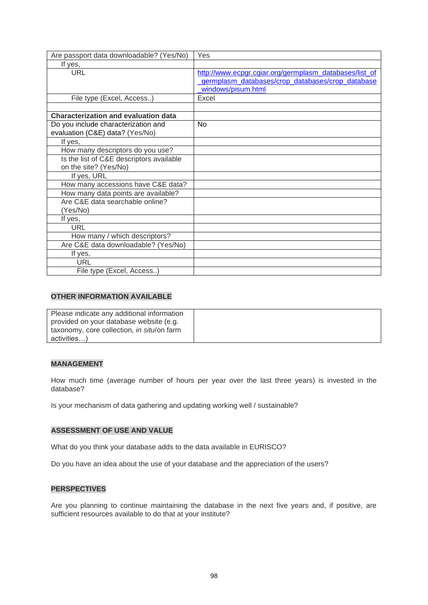| Are passport data downloadable? (Yes/No)                               | Yes                                                                                                                              |
|------------------------------------------------------------------------|----------------------------------------------------------------------------------------------------------------------------------|
| If yes,                                                                |                                                                                                                                  |
| URL                                                                    | http://www.ecpgr.cgiar.org/germplasm_databases/list_of<br>germplasm databases/crop databases/crop database<br>windows/pisum.html |
| File type (Excel, Access)                                              | Excel                                                                                                                            |
|                                                                        |                                                                                                                                  |
| <b>Characterization and evaluation data</b>                            |                                                                                                                                  |
| Do you include characterization and<br>evaluation (C&E) data? (Yes/No) | No                                                                                                                               |
| If yes,                                                                |                                                                                                                                  |
| How many descriptors do you use?                                       |                                                                                                                                  |
| Is the list of C&E descriptors available                               |                                                                                                                                  |
| on the site? (Yes/No)                                                  |                                                                                                                                  |
| If yes, URL                                                            |                                                                                                                                  |
| How many accessions have C&E data?                                     |                                                                                                                                  |
| How many data points are available?                                    |                                                                                                                                  |
| Are C&E data searchable online?                                        |                                                                                                                                  |
| (Yes/No)                                                               |                                                                                                                                  |
| If yes,                                                                |                                                                                                                                  |
| <b>URL</b>                                                             |                                                                                                                                  |
| How many / which descriptors?                                          |                                                                                                                                  |
| Are C&E data downloadable? (Yes/No)                                    |                                                                                                                                  |
| If yes,                                                                |                                                                                                                                  |
| URL                                                                    |                                                                                                                                  |
| File type (Excel, Access)                                              |                                                                                                                                  |

| Please indicate any additional information |  |
|--------------------------------------------|--|
| provided on your database website (e.g.    |  |
| taxonomy, core collection, in situ/on farm |  |
| activities)                                |  |

#### **MANAGEMENT**

How much time (average number of hours per year over the last three years) is invested in the database?

Is your mechanism of data gathering and updating working well / sustainable?

#### **ASSESSMENT OF USE AND VALUE**

What do you think your database adds to the data available in EURISCO?

Do you have an idea about the use of your database and the appreciation of the users?

### **PERSPECTIVES**

Are you planning to continue maintaining the database in the next five years and, if positive, are sufficient resources available to do that at your institute?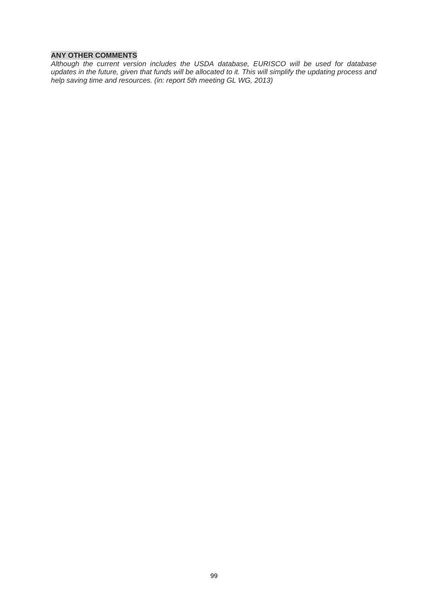#### **ANY OTHER COMMENTS**

*Although the current version includes the USDA database, EURISCO will be used for database updates in the future, given that funds will be allocated to it. This will simplify the updating process and help saving time and resources. (in: report 5th meeting GL WG, 2013)*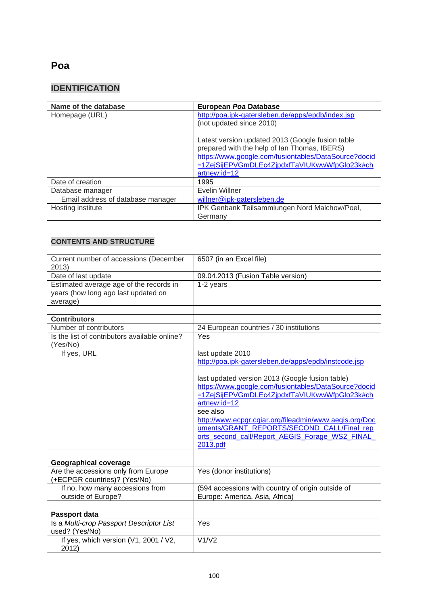# **Poa**

# **IDENTIFICATION**

| Name of the database              | European Poa Database                                                                                                                                                                                                    |
|-----------------------------------|--------------------------------------------------------------------------------------------------------------------------------------------------------------------------------------------------------------------------|
| Homepage (URL)                    | http://poa.ipk-gatersleben.de/apps/epdb/index.jsp                                                                                                                                                                        |
|                                   | (not updated since 2010)                                                                                                                                                                                                 |
|                                   | Latest version updated 2013 (Google fusion table<br>prepared with the help of Ian Thomas, IBERS)<br>https://www.google.com/fusiontables/DataSource?docid<br>=1ZejSijEPVGmDLEc4ZjpdxfTaVIUKwwWfpGlo23k#ch<br>artnew:id=12 |
| Date of creation                  | 1995                                                                                                                                                                                                                     |
| Database manager                  | Evelin Willner                                                                                                                                                                                                           |
| Email address of database manager | willner@ipk-gatersleben.de                                                                                                                                                                                               |
| Hosting institute                 | IPK Genbank Teilsammlungen Nord Malchow/Poel,                                                                                                                                                                            |
|                                   | Germany                                                                                                                                                                                                                  |

| Current number of accessions (December<br>2013)                                            | 6507 (in an Excel file)                                                  |
|--------------------------------------------------------------------------------------------|--------------------------------------------------------------------------|
| Date of last update                                                                        | 09.04.2013 (Fusion Table version)                                        |
| Estimated average age of the records in<br>years (how long ago last updated on<br>average) | 1-2 years                                                                |
|                                                                                            |                                                                          |
| <b>Contributors</b>                                                                        |                                                                          |
| Number of contributors                                                                     | 24 European countries / 30 institutions                                  |
| Is the list of contributors available online?<br>(Yes/No)                                  | Yes                                                                      |
| If yes, URL                                                                                | last update 2010<br>http://poa.ipk-gatersleben.de/apps/epdb/instcode.jsp |
|                                                                                            |                                                                          |
|                                                                                            | last updated version 2013 (Google fusion table)                          |
|                                                                                            | https://www.google.com/fusiontables/DataSource?docid                     |
|                                                                                            | =1ZejSijEPVGmDLEc4ZjpdxfTaVIUKwwWfpGlo23k#ch                             |
|                                                                                            | artnew:id=12<br>see also                                                 |
|                                                                                            | http://www.ecpgr.cgiar.org/fileadmin/www.aegis.org/Doc                   |
|                                                                                            | uments/GRANT REPORTS/SECOND CALL/Final rep                               |
|                                                                                            | orts second call/Report AEGIS Forage WS2 FINAL                           |
|                                                                                            | 2013.pdf                                                                 |
|                                                                                            |                                                                          |
| <b>Geographical coverage</b>                                                               |                                                                          |
| Are the accessions only from Europe                                                        | Yes (donor institutions)                                                 |
| (+ECPGR countries)? (Yes/No)                                                               |                                                                          |
| If no, how many accessions from                                                            | (594 accessions with country of origin outside of                        |
| outside of Europe?                                                                         | Europe: America, Asia, Africa)                                           |
|                                                                                            |                                                                          |
| Passport data                                                                              |                                                                          |
| Is a Multi-crop Passport Descriptor List<br>used? (Yes/No)                                 | Yes                                                                      |
| If yes, which version (V1, 2001 / V2,<br>2012)                                             | V1/V2                                                                    |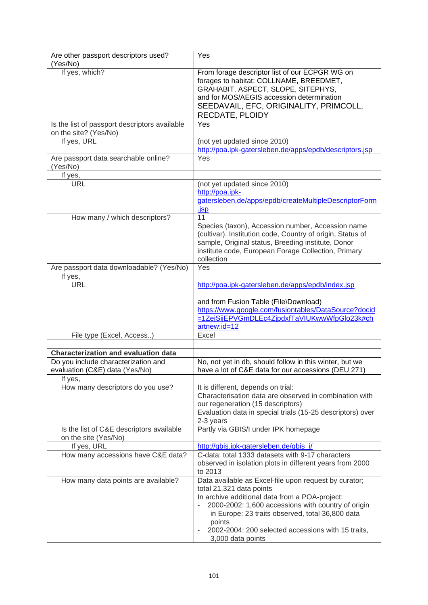| Are other passport descriptors used?<br>(Yes/No)                       | Yes                                                                                                                                                                                                                                                                                                                                |
|------------------------------------------------------------------------|------------------------------------------------------------------------------------------------------------------------------------------------------------------------------------------------------------------------------------------------------------------------------------------------------------------------------------|
| If yes, which?                                                         | From forage descriptor list of our ECPGR WG on<br>forages to habitat: COLLNAME, BREEDMET,<br>GRAHABIT, ASPECT, SLOPE, SITEPHYS,<br>and for MOS/AEGIS accession determination<br>SEEDAVAIL, EFC, ORIGINALITY, PRIMCOLL,<br>RECDATE, PLOIDY                                                                                          |
| Is the list of passport descriptors available<br>on the site? (Yes/No) | Yes                                                                                                                                                                                                                                                                                                                                |
| If yes, URL                                                            | (not yet updated since 2010)<br>http://poa.ipk-gatersleben.de/apps/epdb/descriptors.jsp                                                                                                                                                                                                                                            |
| Are passport data searchable online?<br>(Yes/No)                       | Yes                                                                                                                                                                                                                                                                                                                                |
| If yes,                                                                |                                                                                                                                                                                                                                                                                                                                    |
| <b>URL</b>                                                             | (not yet updated since 2010)<br>http://poa.ipk-<br>gatersleben.de/apps/epdb/createMultipleDescriptorForm                                                                                                                                                                                                                           |
|                                                                        | <u>.isp</u>                                                                                                                                                                                                                                                                                                                        |
| How many / which descriptors?                                          | 11<br>Species (taxon), Accession number, Accession name<br>(cultivar), Institution code, Country of origin, Status of<br>sample, Original status, Breeding institute, Donor<br>institute code, European Forage Collection, Primary<br>collection                                                                                   |
| Are passport data downloadable? (Yes/No)                               | Yes                                                                                                                                                                                                                                                                                                                                |
| If yes,                                                                |                                                                                                                                                                                                                                                                                                                                    |
| <b>URL</b>                                                             | http://poa.ipk-gatersleben.de/apps/epdb/index.jsp<br>and from Fusion Table (File\Download)<br>https://www.google.com/fusiontables/DataSource?docid<br>=1ZejSijEPVGmDLEc4ZjpdxfTaVIUKwwWfpGlo23k#ch                                                                                                                                 |
|                                                                        | artnew:id=12                                                                                                                                                                                                                                                                                                                       |
| File type (Excel, Access)                                              | Excel                                                                                                                                                                                                                                                                                                                              |
|                                                                        |                                                                                                                                                                                                                                                                                                                                    |
| <b>Characterization and evaluation data</b>                            |                                                                                                                                                                                                                                                                                                                                    |
| Do you include characterization and<br>evaluation (C&E) data (Yes/No)  | No, not yet in db, should follow in this winter, but we<br>have a lot of C&E data for our accessions (DEU 271)                                                                                                                                                                                                                     |
| If yes,                                                                |                                                                                                                                                                                                                                                                                                                                    |
| How many descriptors do you use?                                       | It is different, depends on trial:<br>Characterisation data are observed in combination with<br>our regeneration (15 descriptors)<br>Evaluation data in special trials (15-25 descriptors) over<br>2-3 years                                                                                                                       |
| Is the list of C&E descriptors available<br>on the site (Yes/No)       | Partly via GBIS/I under IPK homepage                                                                                                                                                                                                                                                                                               |
| If yes, URL                                                            | http://gbis.ipk-gatersleben.de/gbis i/                                                                                                                                                                                                                                                                                             |
| How many accessions have C&E data?                                     | C-data: total 1333 datasets with 9-17 characters<br>observed in isolation plots in different years from 2000<br>to 2013                                                                                                                                                                                                            |
| How many data points are available?                                    | Data available as Excel-file upon request by curator;<br>total 21,321 data points<br>In archive additional data from a POA-project:<br>2000-2002: 1,600 accessions with country of origin<br>in Europe: 23 traits observed, total 36,800 data<br>points<br>2002-2004: 200 selected accessions with 15 traits,<br>3,000 data points |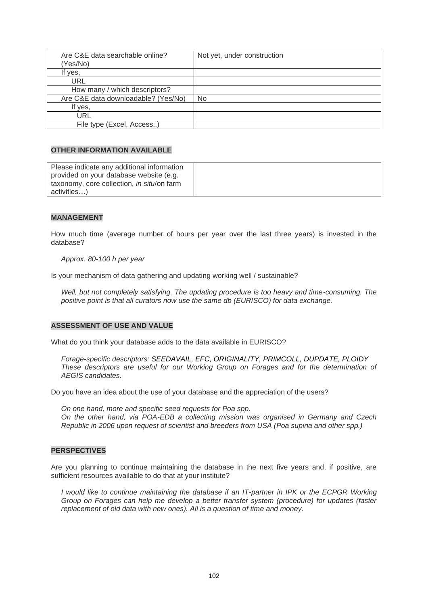| Are C&E data searchable online?     | Not yet, under construction |
|-------------------------------------|-----------------------------|
| (Yes/No)                            |                             |
| If yes,                             |                             |
| <b>URL</b>                          |                             |
| How many / which descriptors?       |                             |
| Are C&E data downloadable? (Yes/No) | No                          |
| If yes,                             |                             |
| URL                                 |                             |
| File type (Excel, Access)           |                             |

| Please indicate any additional information |  |
|--------------------------------------------|--|
| provided on your database website (e.g.    |  |
| taxonomy, core collection, in situ/on farm |  |
| activities)                                |  |

#### **MANAGEMENT**

How much time (average number of hours per year over the last three years) is invested in the database?

*Approx. 80-100 h per year*

Is your mechanism of data gathering and updating working well / sustainable?

*Well, but not completely satisfying. The updating procedure is too heavy and time-consuming. The positive point is that all curators now use the same db (EURISCO) for data exchange.*

#### **ASSESSMENT OF USE AND VALUE**

What do you think your database adds to the data available in EURISCO?

*Forage-specific descriptors: SEEDAVAIL, EFC, ORIGINALITY, PRIMCOLL, DUPDATE, PLOIDY These descriptors are useful for our Working Group on Forages and for the determination of AEGIS candidates.*

Do you have an idea about the use of your database and the appreciation of the users?

*On one hand, more and specific seed requests for Poa spp. On the other hand, via POA-EDB a collecting mission was organised in Germany and Czech Republic in 2006 upon request of scientist and breeders from USA (Poa supina and other spp.)*

#### **PERSPECTIVES**

Are you planning to continue maintaining the database in the next five years and, if positive, are sufficient resources available to do that at your institute?

*I* would like to continue maintaining the database if an IT-partner in IPK or the ECPGR Working *Group on Forages can help me develop a better transfer system (procedure) for updates (faster replacement of old data with new ones). All is a question of time and money.*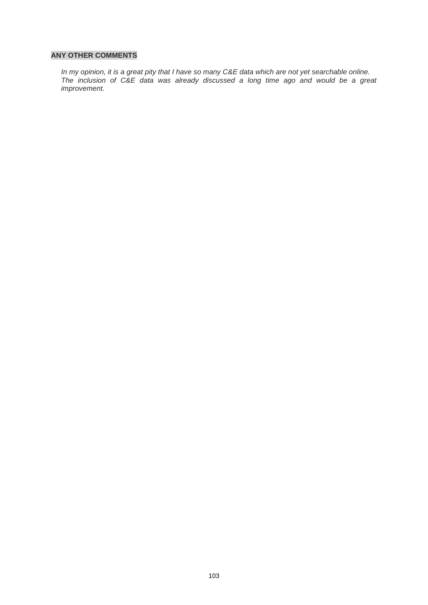#### **ANY OTHER COMMENTS**

*In my opinion, it is a great pity that I have so many C&E data which are not yet searchable online. The inclusion of C&E data was already discussed a long time ago and would be a great improvement.*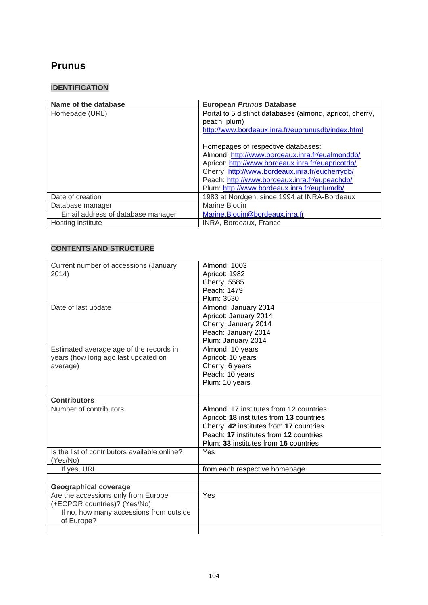# **[Prunus](http://www.bordeaux.inra.fr/euprunusdb/index.html)**

## **IDENTIFICATION**

| Name of the database              | <b>European Prunus Database</b>                          |
|-----------------------------------|----------------------------------------------------------|
| Homepage (URL)                    | Portal to 5 distinct databases (almond, apricot, cherry, |
|                                   | peach, plum)                                             |
|                                   | http://www.bordeaux.inra.fr/euprunusdb/index.html        |
|                                   |                                                          |
|                                   | Homepages of respective databases:                       |
|                                   | Almond: http://www.bordeaux.inra.fr/eualmonddb/          |
|                                   | Apricot: http://www.bordeaux.inra.fr/euapricotdb/        |
|                                   | Cherry: http://www.bordeaux.inra.fr/eucherrydb/          |
|                                   | Peach: http://www.bordeaux.inra.fr/eupeachdb/            |
|                                   | Plum: http://www.bordeaux.inra.fr/euplumdb/              |
| Date of creation                  | 1983 at Nordgen, since 1994 at INRA-Bordeaux             |
| Database manager                  | <b>Marine Blouin</b>                                     |
| Email address of database manager | Marine.Blouin@bordeaux.inra.fr                           |
| Hosting institute                 | INRA, Bordeaux, France                                   |

| Current number of accessions (January                               | Almond: 1003                             |
|---------------------------------------------------------------------|------------------------------------------|
| 2014)                                                               | Apricot: 1982                            |
|                                                                     | <b>Cherry: 5585</b>                      |
|                                                                     | Peach: 1479                              |
|                                                                     | Plum: 3530                               |
| Date of last update                                                 | Almond: January 2014                     |
|                                                                     | Apricot: January 2014                    |
|                                                                     | Cherry: January 2014                     |
|                                                                     | Peach: January 2014                      |
|                                                                     | Plum: January 2014                       |
| Estimated average age of the records in                             | Almond: 10 years                         |
| years (how long ago last updated on                                 | Apricot: 10 years                        |
| average)                                                            | Cherry: 6 years                          |
|                                                                     | Peach: 10 years                          |
|                                                                     | Plum: 10 years                           |
|                                                                     |                                          |
| <b>Contributors</b>                                                 |                                          |
| Number of contributors                                              | Almond: 17 institutes from 12 countries  |
|                                                                     | Apricot: 18 institutes from 13 countries |
|                                                                     | Cherry: 42 institutes from 17 countries  |
|                                                                     |                                          |
|                                                                     |                                          |
|                                                                     | Peach: 17 institutes from 12 countries   |
|                                                                     | Plum: 33 institutes from 16 countries    |
| Is the list of contributors available online?                       | Yes                                      |
| (Yes/No)                                                            |                                          |
| If yes, URL                                                         | from each respective homepage            |
|                                                                     |                                          |
| <b>Geographical coverage</b>                                        | Yes                                      |
| Are the accessions only from Europe<br>(+ECPGR countries)? (Yes/No) |                                          |
|                                                                     |                                          |
| If no, how many accessions from outside<br>of Europe?               |                                          |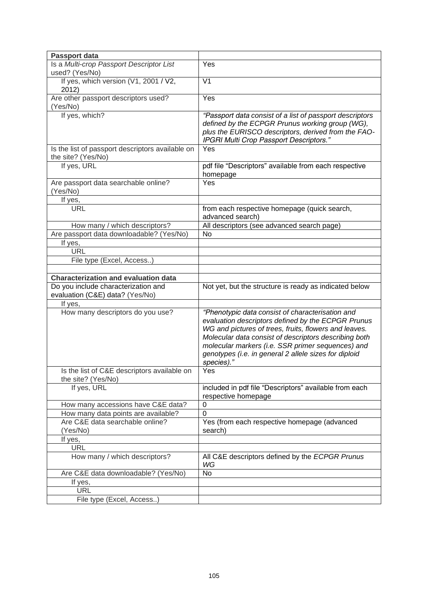| <b>Passport data</b>                                                   |                                                                                                        |
|------------------------------------------------------------------------|--------------------------------------------------------------------------------------------------------|
| Is a Multi-crop Passport Descriptor List                               | Yes                                                                                                    |
| used? (Yes/No)                                                         |                                                                                                        |
| If yes, which version (V1, 2001 / V2,<br>2012)                         | V <sub>1</sub>                                                                                         |
| Are other passport descriptors used?<br>(Yes/No)                       | Yes                                                                                                    |
| If yes, which?                                                         | "Passport data consist of a list of passport descriptors                                               |
|                                                                        | defined by the ECPGR Prunus working group (WG),                                                        |
|                                                                        | plus the EURISCO descriptors, derived from the FAO-<br>IPGRI Multi Crop Passport Descriptors."         |
| Is the list of passport descriptors available on<br>the site? (Yes/No) | Yes                                                                                                    |
| If yes, URL                                                            | pdf file "Descriptors" available from each respective<br>homepage                                      |
| Are passport data searchable online?<br>(Yes/No)                       | Yes                                                                                                    |
| If yes,                                                                |                                                                                                        |
| <b>URL</b>                                                             | from each respective homepage (quick search,<br>advanced search)                                       |
| How many / which descriptors?                                          | All descriptors (see advanced search page)                                                             |
| Are passport data downloadable? (Yes/No)                               | No                                                                                                     |
| If yes,                                                                |                                                                                                        |
| <b>URL</b>                                                             |                                                                                                        |
| File type (Excel, Access)                                              |                                                                                                        |
|                                                                        |                                                                                                        |
| <b>Characterization and evaluation data</b>                            |                                                                                                        |
| Do you include characterization and<br>evaluation (C&E) data? (Yes/No) | Not yet, but the structure is ready as indicated below                                                 |
| If yes,                                                                |                                                                                                        |
| How many descriptors do you use?                                       | "Phenotypic data consist of characterisation and<br>evaluation descriptors defined by the ECPGR Prunus |
|                                                                        | WG and pictures of trees, fruits, flowers and leaves.                                                  |
|                                                                        | Molecular data consist of descriptors describing both                                                  |
|                                                                        | molecular markers (i.e. SSR primer sequences) and                                                      |
|                                                                        | genotypes (i.e. in general 2 allele sizes for diploid<br>species)."                                    |
| Is the list of C&E descriptors available on<br>the site? (Yes/No)      | Yes                                                                                                    |
| If yes, URL                                                            | included in pdf file "Descriptors" available from each<br>respective homepage                          |
| How many accessions have C&E data?                                     | 0                                                                                                      |
| How many data points are available?                                    | $\Omega$                                                                                               |
| Are C&E data searchable online?<br>(Yes/No)                            | Yes (from each respective homepage (advanced<br>search)                                                |
| If yes,                                                                |                                                                                                        |
| <b>URL</b>                                                             |                                                                                                        |
| How many / which descriptors?                                          | All C&E descriptors defined by the ECPGR Prunus<br>WG                                                  |
| Are C&E data downloadable? (Yes/No)                                    | No                                                                                                     |
| If yes,                                                                |                                                                                                        |
| <b>URL</b>                                                             |                                                                                                        |
| File type (Excel, Access)                                              |                                                                                                        |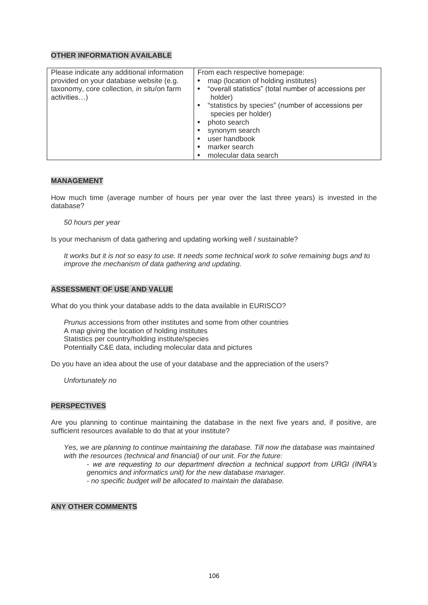#### **MANAGEMENT**

How much time (average number of hours per year over the last three years) is invested in the database?

*50 hours per year*

Is your mechanism of data gathering and updating working well / sustainable?

*It works but it is not so easy to use. It needs some technical work to solve remaining bugs and to improve the mechanism of data gathering and updating.*

#### **ASSESSMENT OF USE AND VALUE**

What do you think your database adds to the data available in EURISCO?

*Prunus* accessions from other institutes and some from other countries A map giving the location of holding institutes Statistics per country/holding institute/species Potentially C&E data, including molecular data and pictures

Do you have an idea about the use of your database and the appreciation of the users?

*Unfortunately no*

#### **PERSPECTIVES**

Are you planning to continue maintaining the database in the next five years and, if positive, are sufficient resources available to do that at your institute?

*Yes, we are planning to continue maintaining the database. Till now the database was maintained with the resources (technical and financial) of our unit. For the future: - we are requesting to our department direction a technical support from URGI (INRA's genomics and informatics unit) for the new database manager. - no specific budget will be allocated to maintain the database.*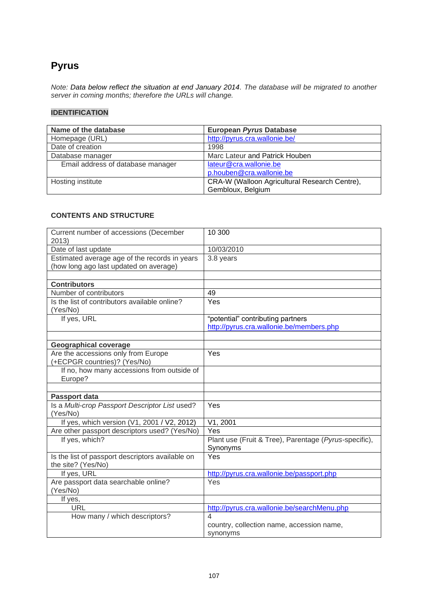# **[Pyrus](http://pyrus.cra.wallonie.be/)**

*Note: Data below reflect the situation at end January 2014. The database will be migrated to another server in coming months; therefore the URLs will change.*

## **IDENTIFICATION**

| Name of the database              | European Pyrus Database                       |
|-----------------------------------|-----------------------------------------------|
| Homepage (URL)                    | http://pyrus.cra.wallonie.be/                 |
| Date of creation                  | 1998                                          |
| Database manager                  | Marc Lateur and Patrick Houben                |
| Email address of database manager | lateur@cra.wallonie.be                        |
|                                   | p.houben@cra.wallonie.be                      |
| Hosting institute                 | CRA-W (Walloon Agricultural Research Centre), |
|                                   | Gembloux, Belgium                             |

| Current number of accessions (December<br>2013)            | 10 300                                                                        |
|------------------------------------------------------------|-------------------------------------------------------------------------------|
| Date of last update                                        | 10/03/2010                                                                    |
| Estimated average age of the records in years              | 3.8 years                                                                     |
| (how long ago last updated on average)                     |                                                                               |
|                                                            |                                                                               |
| <b>Contributors</b>                                        |                                                                               |
| Number of contributors                                     | 49                                                                            |
| Is the list of contributors available online?              | Yes                                                                           |
| (Yes/No)                                                   |                                                                               |
| If yes, URL                                                | "potential" contributing partners<br>http://pyrus.cra.wallonie.be/members.php |
|                                                            |                                                                               |
| <b>Geographical coverage</b>                               |                                                                               |
| Are the accessions only from Europe                        | Yes                                                                           |
| (+ECPGR countries)? (Yes/No)                               |                                                                               |
| If no, how many accessions from outside of                 |                                                                               |
| Europe?                                                    |                                                                               |
|                                                            |                                                                               |
| Passport data                                              |                                                                               |
| Is a Multi-crop Passport Descriptor List used?<br>(Yes/No) | Yes                                                                           |
| If yes, which version (V1, 2001 / V2, 2012)                | V1, 2001                                                                      |
| Are other passport descriptors used? (Yes/No)              | $\overline{Yes}$                                                              |
| If yes, which?                                             | Plant use (Fruit & Tree), Parentage (Pyrus-specific),                         |
|                                                            | Synonyms                                                                      |
| Is the list of passport descriptors available on           | Yes                                                                           |
| the site? (Yes/No)                                         |                                                                               |
| If yes, URL                                                | http://pyrus.cra.wallonie.be/passport.php                                     |
| Are passport data searchable online?                       | Yes                                                                           |
| (Yes/No)                                                   |                                                                               |
| If yes,<br><b>URL</b>                                      |                                                                               |
| How many / which descriptors?                              | http://pyrus.cra.wallonie.be/searchMenu.php<br>$\overline{\mathcal{A}}$       |
|                                                            | country, collection name, accession name,                                     |
|                                                            | synonyms                                                                      |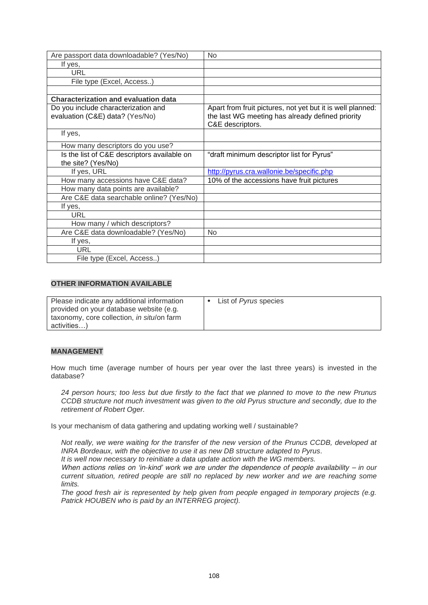| Are passport data downloadable? (Yes/No)                               | <b>No</b>                                                                                                                          |
|------------------------------------------------------------------------|------------------------------------------------------------------------------------------------------------------------------------|
| If yes,                                                                |                                                                                                                                    |
| URL                                                                    |                                                                                                                                    |
| File type (Excel, Access)                                              |                                                                                                                                    |
|                                                                        |                                                                                                                                    |
| <b>Characterization and evaluation data</b>                            |                                                                                                                                    |
| Do you include characterization and<br>evaluation (C&E) data? (Yes/No) | Apart from fruit pictures, not yet but it is well planned:<br>the last WG meeting has already defined priority<br>C&E descriptors. |
| If yes,                                                                |                                                                                                                                    |
| How many descriptors do you use?                                       |                                                                                                                                    |
| Is the list of C&E descriptors available on                            | "draft minimum descriptor list for Pyrus"                                                                                          |
| the site? (Yes/No)                                                     |                                                                                                                                    |
| If yes, URL                                                            | http://pyrus.cra.wallonie.be/specific.php                                                                                          |
| How many accessions have C&E data?                                     | 10% of the accessions have fruit pictures                                                                                          |
| How many data points are available?                                    |                                                                                                                                    |
| Are C&E data searchable online? (Yes/No)                               |                                                                                                                                    |
| If yes,                                                                |                                                                                                                                    |
| <b>URL</b>                                                             |                                                                                                                                    |
| How many / which descriptors?                                          |                                                                                                                                    |
| Are C&E data downloadable? (Yes/No)                                    | No                                                                                                                                 |
| If yes,                                                                |                                                                                                                                    |
| <b>URL</b>                                                             |                                                                                                                                    |
| File type (Excel, Access)                                              |                                                                                                                                    |

| Please indicate any additional information | List of <i>Pyrus</i> species |
|--------------------------------------------|------------------------------|
| provided on your database website (e.g.    |                              |
| taxonomy, core collection, in situ/on farm |                              |
| activities)                                |                              |

### **MANAGEMENT**

How much time (average number of hours per year over the last three years) is invested in the database?

*24 person hours; too less but due firstly to the fact that we planned to move to the new Prunus CCDB structure not much investment was given to the old Pyrus structure and secondly, due to the retirement of Robert Oger.*

Is your mechanism of data gathering and updating working well / sustainable?

*Not really, we were waiting for the transfer of the new version of the Prunus CCDB, developed at INRA Bordeaux, with the objective to use it as new DB structure adapted to Pyrus.*

*It is well now necessary to reinitiate a data update action with the WG members.*

*When actions relies on 'in-kind' work we are under the dependence of people availability – in our current situation, retired people are still no replaced by new worker and we are reaching some limits.*

*The good fresh air is represented by help given from people engaged in temporary projects (e.g. Patrick HOUBEN who is paid by an INTERREG project).*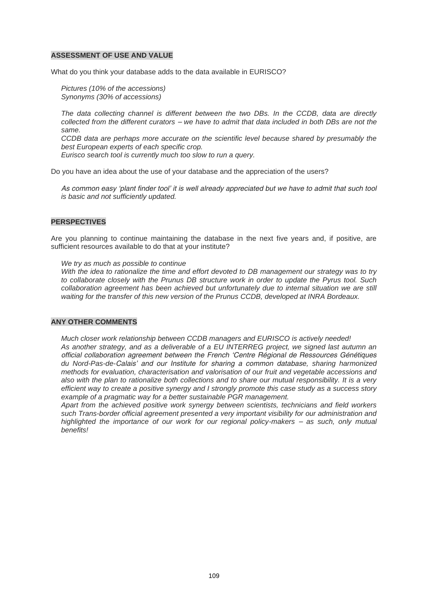#### **ASSESSMENT OF USE AND VALUE**

What do you think your database adds to the data available in EURISCO?

*Pictures (10% of the accessions) Synonyms (30% of accessions)*

*The data collecting channel is different between the two DBs. In the CCDB, data are directly collected from the different curators – we have to admit that data included in both DBs are not the same.*

*CCDB data are perhaps more accurate on the scientific level because shared by presumably the best European experts of each specific crop.*

*Eurisco search tool is currently much too slow to run a query.*

Do you have an idea about the use of your database and the appreciation of the users?

*As common easy 'plant finder tool' it is well already appreciated but we have to admit that such tool is basic and not sufficiently updated.*

#### **PERSPECTIVES**

Are you planning to continue maintaining the database in the next five years and, if positive, are sufficient resources available to do that at your institute?

*We try as much as possible to continue*

*With the idea to rationalize the time and effort devoted to DB management our strategy was to try to collaborate closely with the Prunus DB structure work in order to update the Pyrus tool. Such collaboration agreement has been achieved but unfortunately due to internal situation we are still waiting for the transfer of this new version of the Prunus CCDB, developed at INRA Bordeaux.*

#### **ANY OTHER COMMENTS**

*Much closer work relationship between CCDB managers and EURISCO is actively needed! As another strategy, and as a deliverable of a EU INTERREG project, we signed last autumn an* 

*official collaboration agreement between the French 'Centre Régional de Ressources Génétiques du Nord-Pas-de-Calais' and our Institute for sharing a common database, sharing harmonized methods for evaluation, characterisation and valorisation of our fruit and vegetable accessions and also with the plan to rationalize both collections and to share our mutual responsibility. It is a very efficient way to create a positive synergy and I strongly promote this case study as a success story example of a pragmatic way for a better sustainable PGR management.* 

*Apart from the achieved positive work synergy between scientists, technicians and field workers such Trans-border official agreement presented a very important visibility for our administration and highlighted the importance of our work for our regional policy-makers – as such, only mutual benefits!*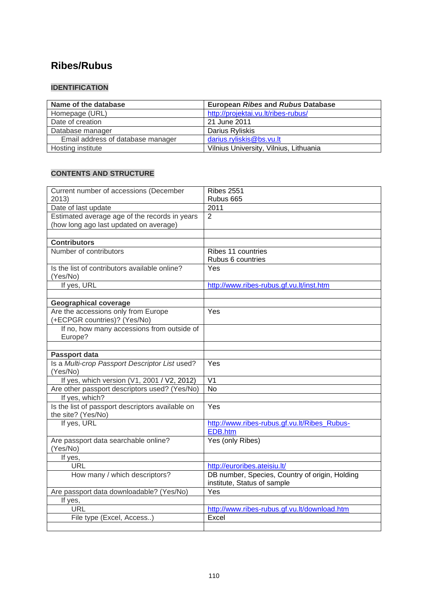# **[Ribes/Rubus](http://www.ecpgr.cgiar.org/germplasm_databases/list_of_germplasm_databases/crop_databases/crop_database_windows/ribesrubus.html)**

## **IDENTIFICATION**

| Name of the database              | <b>European Ribes and Rubus Database</b> |
|-----------------------------------|------------------------------------------|
| Homepage (URL)                    | http://projektai.vu.lt/ribes-rubus/      |
| Date of creation                  | 21 June 2011                             |
| Database manager                  | Darius Ryliskis                          |
| Email address of database manager | darius.ryliskis@bs.vu.lt                 |
| Hosting institute                 | Vilnius University, Vilnius, Lithuania   |

| 2013)<br>Rubus 665<br>Date of last update<br>2011<br>Estimated average age of the records in years<br>2<br>(how long ago last updated on average)<br><b>Contributors</b><br>Number of contributors<br>Ribes 11 countries<br>Rubus 6 countries<br>Is the list of contributors available online?<br>Yes<br>(Yes/No)<br>If yes, URL<br>http://www.ribes-rubus.gf.vu.lt/inst.htm |
|------------------------------------------------------------------------------------------------------------------------------------------------------------------------------------------------------------------------------------------------------------------------------------------------------------------------------------------------------------------------------|
|                                                                                                                                                                                                                                                                                                                                                                              |
|                                                                                                                                                                                                                                                                                                                                                                              |
|                                                                                                                                                                                                                                                                                                                                                                              |
|                                                                                                                                                                                                                                                                                                                                                                              |
|                                                                                                                                                                                                                                                                                                                                                                              |
|                                                                                                                                                                                                                                                                                                                                                                              |
|                                                                                                                                                                                                                                                                                                                                                                              |
|                                                                                                                                                                                                                                                                                                                                                                              |
|                                                                                                                                                                                                                                                                                                                                                                              |
|                                                                                                                                                                                                                                                                                                                                                                              |
|                                                                                                                                                                                                                                                                                                                                                                              |
|                                                                                                                                                                                                                                                                                                                                                                              |
| <b>Geographical coverage</b>                                                                                                                                                                                                                                                                                                                                                 |
| Are the accessions only from Europe<br>Yes                                                                                                                                                                                                                                                                                                                                   |
| (+ECPGR countries)? (Yes/No)                                                                                                                                                                                                                                                                                                                                                 |
| If no, how many accessions from outside of                                                                                                                                                                                                                                                                                                                                   |
| Europe?                                                                                                                                                                                                                                                                                                                                                                      |
|                                                                                                                                                                                                                                                                                                                                                                              |
| Passport data                                                                                                                                                                                                                                                                                                                                                                |
| Is a Multi-crop Passport Descriptor List used?<br>Yes                                                                                                                                                                                                                                                                                                                        |
| (Yes/No)                                                                                                                                                                                                                                                                                                                                                                     |
| If yes, which version (V1, 2001 / V2, 2012)<br>V <sub>1</sub>                                                                                                                                                                                                                                                                                                                |
| $\overline{N}$<br>Are other passport descriptors used? (Yes/No)                                                                                                                                                                                                                                                                                                              |
| If yes, which?                                                                                                                                                                                                                                                                                                                                                               |
| Is the list of passport descriptors available on<br>Yes                                                                                                                                                                                                                                                                                                                      |
| the site? (Yes/No)                                                                                                                                                                                                                                                                                                                                                           |
| If yes, URL<br>http://www.ribes-rubus.gf.vu.lt/Ribes Rubus-                                                                                                                                                                                                                                                                                                                  |
| EDB.htm                                                                                                                                                                                                                                                                                                                                                                      |
| Are passport data searchable online?<br>Yes (only Ribes)                                                                                                                                                                                                                                                                                                                     |
| (Yes/No)                                                                                                                                                                                                                                                                                                                                                                     |
| If yes,                                                                                                                                                                                                                                                                                                                                                                      |
| <b>URL</b><br>http://euroribes.ateisiu.lt/                                                                                                                                                                                                                                                                                                                                   |
| DB number, Species, Country of origin, Holding<br>How many / which descriptors?                                                                                                                                                                                                                                                                                              |
| institute, Status of sample                                                                                                                                                                                                                                                                                                                                                  |
| Are passport data downloadable? (Yes/No)<br>Yes                                                                                                                                                                                                                                                                                                                              |
| If yes,                                                                                                                                                                                                                                                                                                                                                                      |
| <b>URL</b><br>http://www.ribes-rubus.gf.vu.lt/download.htm                                                                                                                                                                                                                                                                                                                   |
| File type (Excel, Access)<br>Excel                                                                                                                                                                                                                                                                                                                                           |
|                                                                                                                                                                                                                                                                                                                                                                              |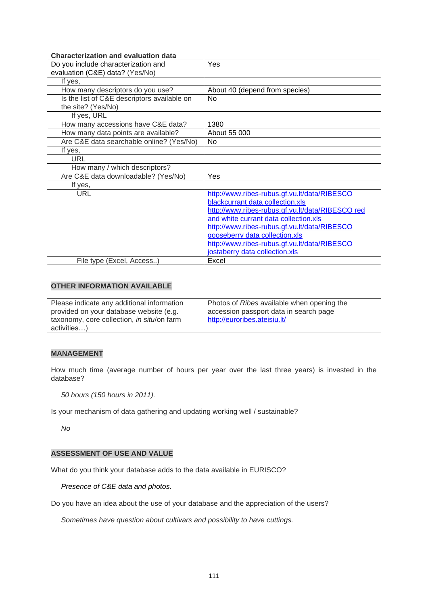| <b>Characterization and evaluation data</b> |                                                  |
|---------------------------------------------|--------------------------------------------------|
| Do you include characterization and         | Yes                                              |
| evaluation (C&E) data? (Yes/No)             |                                                  |
| If yes,                                     |                                                  |
| How many descriptors do you use?            | About 40 (depend from species)                   |
| Is the list of C&E descriptors available on | No.                                              |
| the site? (Yes/No)                          |                                                  |
| If yes, URL                                 |                                                  |
| How many accessions have C&E data?          | 1380                                             |
| How many data points are available?         | About 55 000                                     |
| Are C&E data searchable online? (Yes/No)    | No.                                              |
| If yes,                                     |                                                  |
| <b>URL</b>                                  |                                                  |
| How many / which descriptors?               |                                                  |
| Are C&E data downloadable? (Yes/No)         | Yes                                              |
| If yes,                                     |                                                  |
| <b>URL</b>                                  | http://www.ribes-rubus.gf.vu.lt/data/RIBESCO     |
|                                             | blackcurrant data collection.xls                 |
|                                             | http://www.ribes-rubus.gf.vu.lt/data/RIBESCO red |
|                                             | and white currant data collection.xls            |
|                                             | http://www.ribes-rubus.gf.vu.lt/data/RIBESCO     |
|                                             | gooseberry data collection.xls                   |
|                                             | http://www.ribes-rubus.gf.vu.lt/data/RIBESCO     |
|                                             | jostaberry data collection.xls                   |
| File type (Excel, Access)                   | Excel                                            |

| Please indicate any additional information | Photos of Ribes available when opening the |
|--------------------------------------------|--------------------------------------------|
| provided on your database website (e.g.    | accession passport data in search page     |
| taxonomy, core collection, in situ/on farm | http://euroribes.ateisiu.lt/               |
| activities)                                |                                            |

#### **MANAGEMENT**

How much time (average number of hours per year over the last three years) is invested in the database?

*50 hours (150 hours in 2011).*

Is your mechanism of data gathering and updating working well / sustainable?

*No*

### **ASSESSMENT OF USE AND VALUE**

What do you think your database adds to the data available in EURISCO?

*Presence of C&E data and photos.*

Do you have an idea about the use of your database and the appreciation of the users?

*Sometimes have question about cultivars and possibility to have cuttings.*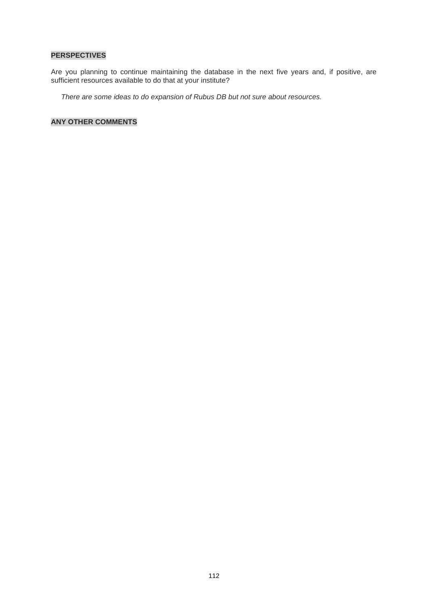### **PERSPECTIVES**

Are you planning to continue maintaining the database in the next five years and, if positive, are sufficient resources available to do that at your institute?

*There are some ideas to do expansion of Rubus DB but not sure about resources.*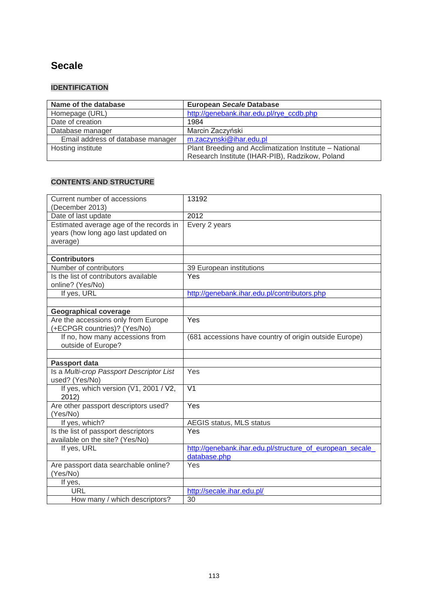# **Secale**

# **IDENTIFICATION**

| Name of the database              | <b>European Secale Database</b>                         |
|-----------------------------------|---------------------------------------------------------|
| Homepage (URL)                    | http://genebank.ihar.edu.pl/rye_ccdb.php                |
| Date of creation                  | 1984                                                    |
| Database manager                  | Marcin Zaczyński                                        |
| Email address of database manager | m.zaczynski@ihar.edu.pl                                 |
| Hosting institute                 | Plant Breeding and Acclimatization Institute - National |
|                                   | Research Institute (IHAR-PIB), Radzikow, Poland         |

| Current number of accessions             | 13192                                                    |
|------------------------------------------|----------------------------------------------------------|
| (December 2013)                          |                                                          |
| Date of last update                      | 2012                                                     |
| Estimated average age of the records in  | Every 2 years                                            |
| years (how long ago last updated on      |                                                          |
| average)                                 |                                                          |
|                                          |                                                          |
| <b>Contributors</b>                      |                                                          |
| Number of contributors                   | 39 European institutions                                 |
| Is the list of contributors available    | Yes                                                      |
| online? (Yes/No)                         |                                                          |
| If yes, URL                              | http://genebank.ihar.edu.pl/contributors.php             |
|                                          |                                                          |
| <b>Geographical coverage</b>             |                                                          |
| Are the accessions only from Europe      | Yes                                                      |
| (+ECPGR countries)? (Yes/No)             |                                                          |
| If no, how many accessions from          | (681 accessions have country of origin outside Europe)   |
| outside of Europe?                       |                                                          |
|                                          |                                                          |
|                                          |                                                          |
| Passport data                            |                                                          |
| Is a Multi-crop Passport Descriptor List | Yes                                                      |
| used? (Yes/No)                           |                                                          |
| If yes, which version (V1, 2001 / V2,    | $\overline{\mathsf{V1}}$                                 |
| 2012)                                    |                                                          |
| Are other passport descriptors used?     | Yes                                                      |
| (Yes/No)                                 |                                                          |
| If yes, which?                           | AEGIS status, MLS status                                 |
| Is the list of passport descriptors      | Yes                                                      |
| available on the site? (Yes/No)          |                                                          |
| If yes, URL                              | http://genebank.ihar.edu.pl/structure of european secale |
|                                          | database.php                                             |
| Are passport data searchable online?     | Yes                                                      |
| (Yes/No)                                 |                                                          |
| If yes,                                  |                                                          |
| URL                                      | http://secale.ihar.edu.pl/                               |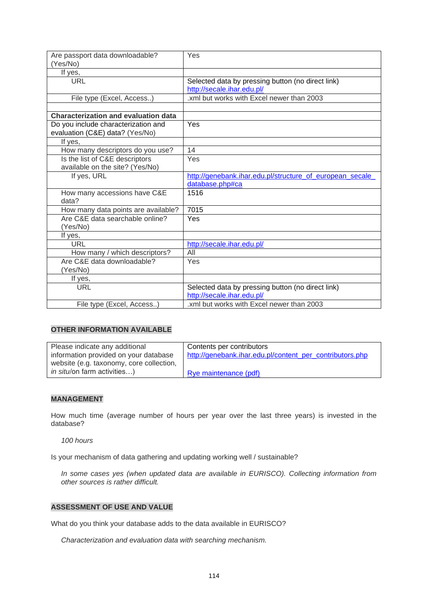| Are passport data downloadable?<br>(Yes/No) | Yes                                                      |
|---------------------------------------------|----------------------------------------------------------|
| If yes,                                     |                                                          |
| <b>URL</b>                                  | Selected data by pressing button (no direct link)        |
|                                             | http://secale.ihar.edu.pl/                               |
| File type (Excel, Access)                   | .xml but works with Excel newer than 2003                |
|                                             |                                                          |
| <b>Characterization and evaluation data</b> |                                                          |
| Do you include characterization and         | Yes                                                      |
| evaluation (C&E) data? (Yes/No)             |                                                          |
| If yes,                                     |                                                          |
| How many descriptors do you use?            | 14                                                       |
| Is the list of C&E descriptors              | Yes                                                      |
| available on the site? (Yes/No)             |                                                          |
| If yes, URL                                 | http://genebank.ihar.edu.pl/structure of european secale |
|                                             | database.php#ca                                          |
| How many accessions have C&E                | 1516                                                     |
| data?                                       |                                                          |
| How many data points are available?         | 7015                                                     |
| Are C&E data searchable online?             | Yes                                                      |
| (Yes/No)                                    |                                                          |
| If yes,                                     |                                                          |
| <b>URL</b>                                  | http://secale.ihar.edu.pl/                               |
| How many / which descriptors?               | All                                                      |
| Are C&E data downloadable?                  | Yes                                                      |
| (Yes/No)                                    |                                                          |
| If yes,                                     |                                                          |
| <b>URL</b>                                  | Selected data by pressing button (no direct link)        |
|                                             | http://secale.ihar.edu.pl/                               |
| File type (Excel, Access)                   | .xml but works with Excel newer than 2003                |

| Please indicate any additional           | Contents per contributors                                |
|------------------------------------------|----------------------------------------------------------|
| information provided on your database    | http://genebank.ihar.edu.pl/content per contributors.php |
| website (e.g. taxonomy, core collection, |                                                          |
| <i>in situ</i> /on farm activities)      | Rye maintenance (pdf)                                    |

### **MANAGEMENT**

How much time (average number of hours per year over the last three years) is invested in the database?

*100 hours*

Is your mechanism of data gathering and updating working well / sustainable?

*In some cases yes (when updated data are available in EURISCO). Collecting information from other sources is rather difficult.* 

### **ASSESSMENT OF USE AND VALUE**

What do you think your database adds to the data available in EURISCO?

*Characterization and evaluation data with searching mechanism.*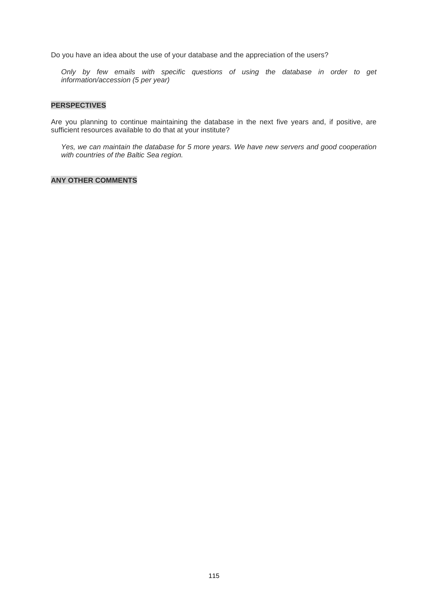Do you have an idea about the use of your database and the appreciation of the users?

*Only by few emails with specific questions of using the database in order to get information/accession (5 per year)*

#### **PERSPECTIVES**

Are you planning to continue maintaining the database in the next five years and, if positive, are sufficient resources available to do that at your institute?

*Yes, we can maintain the database for 5 more years. We have new servers and good cooperation with countries of the Baltic Sea region.*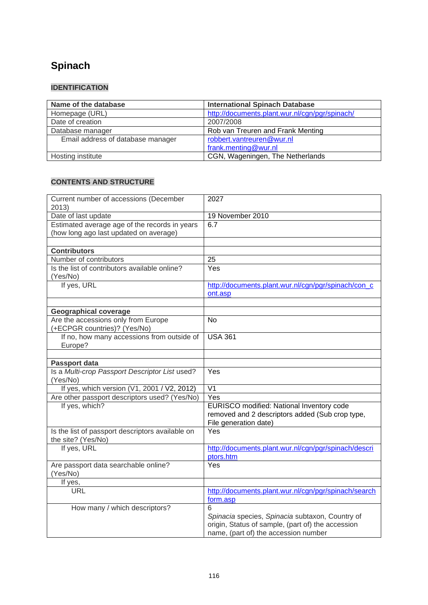# **Spinach**

## **IDENTIFICATION**

| Name of the database              | <b>International Spinach Database</b>          |
|-----------------------------------|------------------------------------------------|
| Homepage (URL)                    | http://documents.plant.wur.nl/cgn/pgr/spinach/ |
| Date of creation                  | 2007/2008                                      |
| Database manager                  | Rob van Treuren and Frank Menting              |
| Email address of database manager | robbert.vantreuren@wur.nl                      |
|                                   | frank.menting@wur.nl                           |
| Hosting institute                 | CGN, Wageningen, The Netherlands               |

| Current number of accessions (December<br>2013)                                         | 2027                                                                                                                                              |
|-----------------------------------------------------------------------------------------|---------------------------------------------------------------------------------------------------------------------------------------------------|
| Date of last update                                                                     | 19 November 2010                                                                                                                                  |
| Estimated average age of the records in years<br>(how long ago last updated on average) | 6.7                                                                                                                                               |
| <b>Contributors</b>                                                                     |                                                                                                                                                   |
| Number of contributors                                                                  | 25                                                                                                                                                |
| Is the list of contributors available online?<br>(Yes/No)                               | Yes                                                                                                                                               |
| If yes, URL                                                                             | http://documents.plant.wur.nl/cgn/pgr/spinach/con_c<br>ont.asp                                                                                    |
|                                                                                         |                                                                                                                                                   |
| <b>Geographical coverage</b><br>Are the accessions only from Europe                     | <b>No</b>                                                                                                                                         |
| (+ECPGR countries)? (Yes/No)                                                            |                                                                                                                                                   |
| If no, how many accessions from outside of<br>Europe?                                   | <b>USA 361</b>                                                                                                                                    |
|                                                                                         |                                                                                                                                                   |
| Passport data                                                                           | Yes                                                                                                                                               |
| Is a Multi-crop Passport Descriptor List used?<br>(Yes/No)                              |                                                                                                                                                   |
| If yes, which version (V1, 2001 / V2, 2012)                                             | V <sub>1</sub>                                                                                                                                    |
| Are other passport descriptors used? (Yes/No)                                           | Yes                                                                                                                                               |
| If yes, which?                                                                          | EURISCO modified: National Inventory code<br>removed and 2 descriptors added (Sub crop type,<br>File generation date)                             |
| Is the list of passport descriptors available on<br>the site? (Yes/No)                  | Yes                                                                                                                                               |
| If yes, URL                                                                             | http://documents.plant.wur.nl/cgn/pgr/spinach/descri<br>ptors.htm                                                                                 |
| Are passport data searchable online?<br>(Yes/No)                                        | Yes                                                                                                                                               |
| If yes,                                                                                 |                                                                                                                                                   |
| <b>URL</b>                                                                              | http://documents.plant.wur.nl/cgn/pgr/spinach/search<br>form.asp                                                                                  |
| How many / which descriptors?                                                           | 6<br>Spinacia species, Spinacia subtaxon, Country of<br>origin, Status of sample, (part of) the accession<br>name, (part of) the accession number |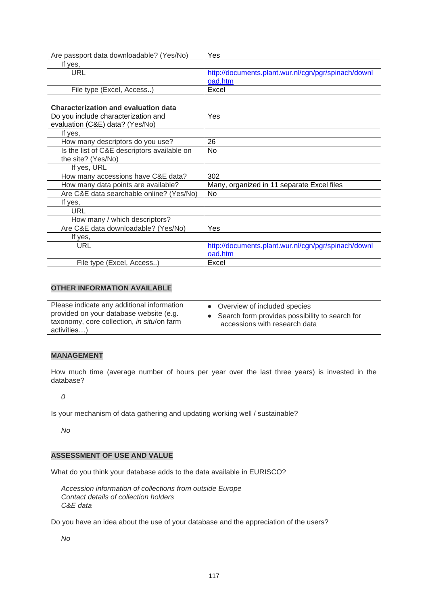| Are passport data downloadable? (Yes/No)    | Yes                                                 |
|---------------------------------------------|-----------------------------------------------------|
| If yes,                                     |                                                     |
| URL                                         | http://documents.plant.wur.nl/cgn/pgr/spinach/downl |
|                                             | oad.htm                                             |
| File type (Excel, Access)                   | Excel                                               |
|                                             |                                                     |
| <b>Characterization and evaluation data</b> |                                                     |
| Do you include characterization and         | Yes                                                 |
| evaluation (C&E) data? (Yes/No)             |                                                     |
| If yes,                                     |                                                     |
| How many descriptors do you use?            | 26                                                  |
| Is the list of C&E descriptors available on | No                                                  |
| the site? (Yes/No)                          |                                                     |
| If yes, URL                                 |                                                     |
| How many accessions have C&E data?          | 302                                                 |
| How many data points are available?         | Many, organized in 11 separate Excel files          |
| Are C&E data searchable online? (Yes/No)    | No                                                  |
| If yes,                                     |                                                     |
| <b>URL</b>                                  |                                                     |
| How many / which descriptors?               |                                                     |
| Are C&E data downloadable? (Yes/No)         | Yes                                                 |
| If yes,                                     |                                                     |
| URL                                         | http://documents.plant.wur.nl/cgn/pgr/spinach/downl |
|                                             | oad.htm                                             |
| File type (Excel, Access)                   | Excel                                               |

| Please indicate any additional information<br>provided on your database website (e.g.<br>taxonomy, core collection, in situ/on farm<br>activities) | • Overview of included species<br>• Search form provides possibility to search for<br>accessions with research data |
|----------------------------------------------------------------------------------------------------------------------------------------------------|---------------------------------------------------------------------------------------------------------------------|
|----------------------------------------------------------------------------------------------------------------------------------------------------|---------------------------------------------------------------------------------------------------------------------|

### **MANAGEMENT**

How much time (average number of hours per year over the last three years) is invested in the database?

*0*

Is your mechanism of data gathering and updating working well / sustainable?

*No*

### **ASSESSMENT OF USE AND VALUE**

What do you think your database adds to the data available in EURISCO?

*Accession information of collections from outside Europe Contact details of collection holders C&E data*

Do you have an idea about the use of your database and the appreciation of the users?

*No*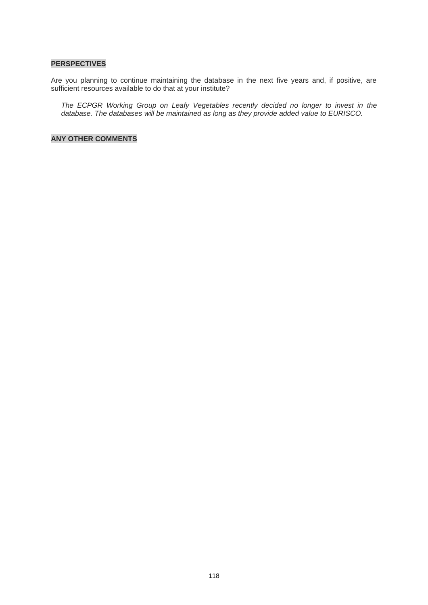#### **PERSPECTIVES**

Are you planning to continue maintaining the database in the next five years and, if positive, are sufficient resources available to do that at your institute?

*The ECPGR Working Group on Leafy Vegetables recently decided no longer to invest in the database. The databases will be maintained as long as they provide added value to EURISCO.*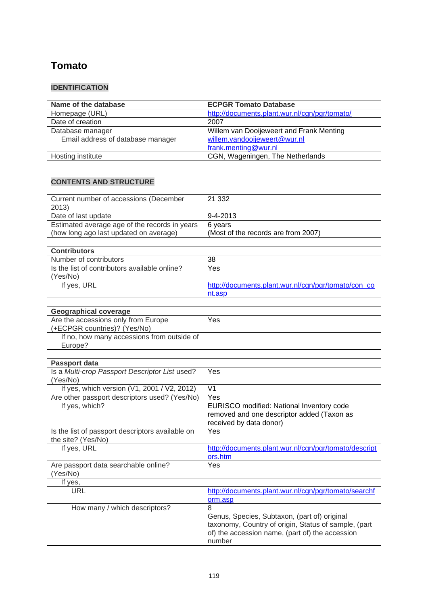# **Tomato**

## **IDENTIFICATION**

| Name of the database              | <b>ECPGR Tomato Database</b>                  |
|-----------------------------------|-----------------------------------------------|
| Homepage (URL)                    | http://documents.plant.wur.nl/cgn/pgr/tomato/ |
| Date of creation                  | 2007                                          |
| Database manager                  | Willem van Dooijeweert and Frank Menting      |
| Email address of database manager | willem.vandooijeweert@wur.nl                  |
|                                   | frank.menting@wur.nl                          |
| Hosting institute                 | CGN, Wageningen, The Netherlands              |

| Current number of accessions (December<br>2013)                        | 21 332                                                                                                                                                                 |
|------------------------------------------------------------------------|------------------------------------------------------------------------------------------------------------------------------------------------------------------------|
| Date of last update                                                    | 9-4-2013                                                                                                                                                               |
| Estimated average age of the records in years                          | 6 years                                                                                                                                                                |
| (how long ago last updated on average)                                 | (Most of the records are from 2007)                                                                                                                                    |
|                                                                        |                                                                                                                                                                        |
| <b>Contributors</b>                                                    |                                                                                                                                                                        |
| Number of contributors                                                 | 38                                                                                                                                                                     |
| Is the list of contributors available online?<br>(Yes/No)              | Yes                                                                                                                                                                    |
| If yes, URL                                                            | http://documents.plant.wur.nl/cgn/pgr/tomato/con co<br>nt.asp                                                                                                          |
| <b>Geographical coverage</b>                                           |                                                                                                                                                                        |
| Are the accessions only from Europe<br>(+ECPGR countries)? (Yes/No)    | $\overline{Yes}$                                                                                                                                                       |
| If no, how many accessions from outside of<br>Europe?                  |                                                                                                                                                                        |
|                                                                        |                                                                                                                                                                        |
| Passport data                                                          |                                                                                                                                                                        |
| Is a Multi-crop Passport Descriptor List used?<br>(Yes/No)             | Yes                                                                                                                                                                    |
| If yes, which version (V1, 2001 / V2, 2012)                            | $\overline{\mathsf{V1}}$                                                                                                                                               |
| Are other passport descriptors used? (Yes/No)                          | Yes                                                                                                                                                                    |
| If yes, which?                                                         | EURISCO modified: National Inventory code<br>removed and one descriptor added (Taxon as<br>received by data donor)                                                     |
| Is the list of passport descriptors available on<br>the site? (Yes/No) | Yes                                                                                                                                                                    |
| If yes, URL                                                            | http://documents.plant.wur.nl/cgn/pgr/tomato/descript<br>ors.htm                                                                                                       |
| Are passport data searchable online?<br>(Yes/No)                       | Yes                                                                                                                                                                    |
| If yes,                                                                |                                                                                                                                                                        |
| <b>URL</b>                                                             | http://documents.plant.wur.nl/cgn/pgr/tomato/searchf<br>orm.asp                                                                                                        |
| How many / which descriptors?                                          | 8<br>Genus, Species, Subtaxon, (part of) original<br>taxonomy, Country of origin, Status of sample, (part<br>of) the accession name, (part of) the accession<br>number |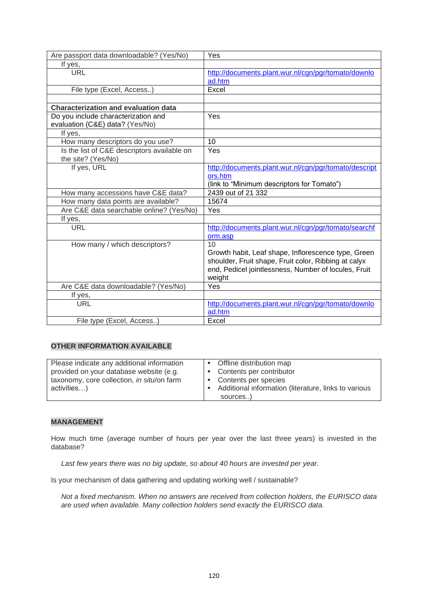| Are passport data downloadable? (Yes/No)    | Yes                                                   |
|---------------------------------------------|-------------------------------------------------------|
| If yes,                                     |                                                       |
| URL                                         | http://documents.plant.wur.nl/cgn/pgr/tomato/downlo   |
|                                             | ad.htm                                                |
| File type (Excel, Access)                   | Excel                                                 |
|                                             |                                                       |
| <b>Characterization and evaluation data</b> |                                                       |
| Do you include characterization and         | Yes                                                   |
| evaluation (C&E) data? (Yes/No)             |                                                       |
| If yes,                                     |                                                       |
| How many descriptors do you use?            | 10                                                    |
| Is the list of C&E descriptors available on | Yes                                                   |
| the site? (Yes/No)                          |                                                       |
| If yes, URL                                 | http://documents.plant.wur.nl/cgn/pgr/tomato/descript |
|                                             | ors.htm                                               |
|                                             | (link to "Minimum descriptors for Tomato")            |
| How many accessions have C&E data?          | 2439 out of 21 332                                    |
| How many data points are available?         | 15674                                                 |
| Are C&E data searchable online? (Yes/No)    | Yes                                                   |
| If yes,                                     |                                                       |
| URL                                         | http://documents.plant.wur.nl/cgn/pgr/tomato/searchf  |
|                                             | orm.asp                                               |
| How many / which descriptors?               | 10                                                    |
|                                             | Growth habit, Leaf shape, Inflorescence type, Green   |
|                                             | shoulder, Fruit shape, Fruit color, Ribbing at calyx  |
|                                             | end, Pedicel jointlessness, Number of locules, Fruit  |
|                                             | weight                                                |
| Are C&E data downloadable? (Yes/No)         | Yes                                                   |
| If yes,                                     |                                                       |
| <b>URL</b>                                  | http://documents.plant.wur.nl/cgn/pgr/tomato/downlo   |
|                                             | ad.htm                                                |
| File type (Excel, Access)                   | Excel                                                 |

| Please indicate any additional information | Offline distribution map                             |
|--------------------------------------------|------------------------------------------------------|
| provided on your database website (e.g.    | Contents per contributor<br>$\bullet$                |
| taxonomy, core collection, in situ/on farm | Contents per species                                 |
| activities)                                | Additional information (literature, links to various |
|                                            | sources)                                             |

### **MANAGEMENT**

How much time (average number of hours per year over the last three years) is invested in the database?

*Last few years there was no big update, so about 40 hours are invested per year.*

Is your mechanism of data gathering and updating working well / sustainable?

*Not a fixed mechanism. When no answers are received from collection holders, the EURISCO data are used when available. Many collection holders send exactly the EURISCO data.*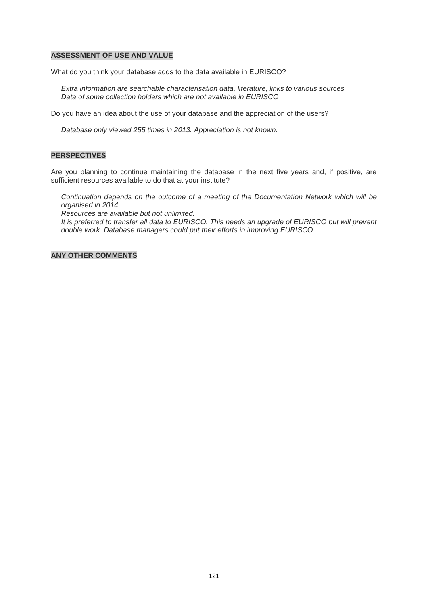#### **ASSESSMENT OF USE AND VALUE**

What do you think your database adds to the data available in EURISCO?

*Extra information are searchable characterisation data, literature, links to various sources Data of some collection holders which are not available in EURISCO*

Do you have an idea about the use of your database and the appreciation of the users?

*Database only viewed 255 times in 2013. Appreciation is not known.*

#### **PERSPECTIVES**

Are you planning to continue maintaining the database in the next five years and, if positive, are sufficient resources available to do that at your institute?

*Continuation depends on the outcome of a meeting of the Documentation Network which will be organised in 2014.* 

*Resources are available but not unlimited.* 

*It is preferred to transfer all data to EURISCO. This needs an upgrade of EURISCO but will prevent double work. Database managers could put their efforts in improving EURISCO.*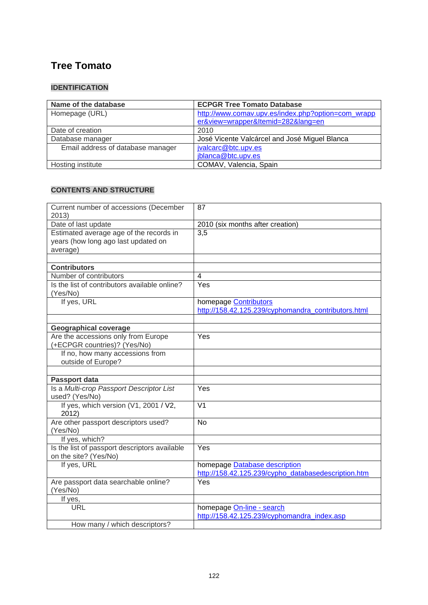# **[Tree Tomato](http://www.comav.upv.es/index.php?option=com_wrapper&view=wrapper&Itemid=282&lang=en)**

## **IDENTIFICATION**

| Name of the database              | <b>ECPGR Tree Tomato Database</b>                  |
|-----------------------------------|----------------------------------------------------|
| Homepage (URL)                    | http://www.comav.upv.es/index.php?option=com_wrapp |
|                                   | er&view=wrapper&Itemid=282⟨=en                     |
| Date of creation                  | 2010                                               |
| Database manager                  | José Vicente Valcárcel and José Miguel Blanca      |
| Email address of database manager | jvalcarc@btc.upv.es                                |
|                                   | jblanca@btc.upv.es                                 |
| Hosting institute                 | COMAV, Valencia, Spain                             |

| Current number of accessions (December<br>2013)                                            | 87                                                                                   |
|--------------------------------------------------------------------------------------------|--------------------------------------------------------------------------------------|
| Date of last update                                                                        | 2010 (six months after creation)                                                     |
| Estimated average age of the records in<br>years (how long ago last updated on<br>average) | 3,5                                                                                  |
| <b>Contributors</b>                                                                        |                                                                                      |
| Number of contributors                                                                     | $\overline{4}$                                                                       |
| Is the list of contributors available online?                                              | Yes                                                                                  |
| (Yes/No)                                                                                   |                                                                                      |
| If yes, URL                                                                                | homepage <b>Contributors</b><br>http://158.42.125.239/cyphomandra contributors.html  |
| <b>Geographical coverage</b>                                                               |                                                                                      |
| Are the accessions only from Europe<br>(+ECPGR countries)? (Yes/No)                        | Yes                                                                                  |
| If no, how many accessions from<br>outside of Europe?                                      |                                                                                      |
| Passport data                                                                              |                                                                                      |
| Is a Multi-crop Passport Descriptor List<br>used? (Yes/No)                                 | Yes                                                                                  |
| If yes, which version (V1, 2001 / V2,<br>2012)                                             | $\overline{\mathsf{V1}}$                                                             |
| Are other passport descriptors used?<br>(Yes/No)                                           | <b>No</b>                                                                            |
| If yes, which?                                                                             |                                                                                      |
| Is the list of passport descriptors available<br>on the site? (Yes/No)                     | Yes                                                                                  |
| If yes, URL                                                                                | homepage Database description<br>http://158.42.125.239/cypho_databasedescription.htm |
| Are passport data searchable online?<br>(Yes/No)                                           | Yes                                                                                  |
| If yes,                                                                                    |                                                                                      |
| <b>URL</b>                                                                                 | homepage On-line - search<br>http://158.42.125.239/cyphomandra index.asp             |
| How many / which descriptors?                                                              |                                                                                      |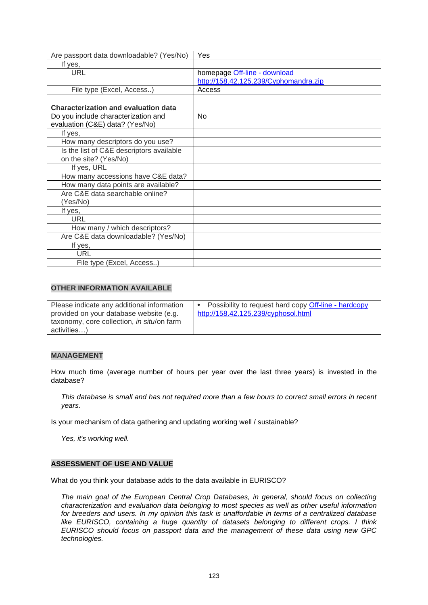| Are passport data downloadable? (Yes/No)    | Yes                                   |
|---------------------------------------------|---------------------------------------|
| If yes,                                     |                                       |
| <b>URL</b>                                  | homepage Off-line - download          |
|                                             | http://158.42.125.239/Cyphomandra.zip |
| File type (Excel, Access)                   | Access                                |
|                                             |                                       |
| <b>Characterization and evaluation data</b> |                                       |
| Do you include characterization and         | N <sub>o</sub>                        |
| evaluation (C&E) data? (Yes/No)             |                                       |
| If yes,                                     |                                       |
| How many descriptors do you use?            |                                       |
| Is the list of C&E descriptors available    |                                       |
| on the site? (Yes/No)                       |                                       |
| If yes, URL                                 |                                       |
| How many accessions have C&E data?          |                                       |
| How many data points are available?         |                                       |
| Are C&E data searchable online?             |                                       |
| (Yes/No)                                    |                                       |
| If yes,                                     |                                       |
| <b>URL</b>                                  |                                       |
| How many / which descriptors?               |                                       |
| Are C&E data downloadable? (Yes/No)         |                                       |
| If yes,                                     |                                       |
| <b>URL</b>                                  |                                       |
| File type (Excel, Access)                   |                                       |

| Please indicate any additional information         | Possibility to request hard copy Off-line - hardcopy |
|----------------------------------------------------|------------------------------------------------------|
| provided on your database website (e.g.            | http://158.42.125.239/cyphosol.html                  |
| taxonomy, core collection, <i>in situ</i> /on farm |                                                      |
| activities)                                        |                                                      |

#### **MANAGEMENT**

How much time (average number of hours per year over the last three years) is invested in the database?

*This database is small and has not required more than a few hours to correct small errors in recent years.*

Is your mechanism of data gathering and updating working well / sustainable?

*Yes, it's working well.*

#### **ASSESSMENT OF USE AND VALUE**

What do you think your database adds to the data available in EURISCO?

*The main goal of the European Central Crop Databases, in general, should focus on collecting characterization and evaluation data belonging to most species as well as other useful information for breeders and users. In my opinion this task is unaffordable in terms of a centralized database like EURISCO, containing a huge quantity of datasets belonging to different crops. I think EURISCO should focus on passport data and the management of these data using new GPC technologies.*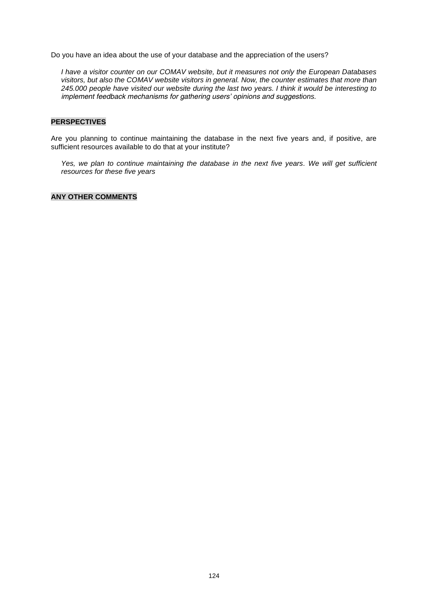Do you have an idea about the use of your database and the appreciation of the users?

*I have a visitor counter on our COMAV website, but it measures not only the European Databases visitors, but also the COMAV website visitors in general. Now, the counter estimates that more than 245.000 people have visited our website during the last two years. I think it would be interesting to implement feedback mechanisms for gathering users' opinions and suggestions.*

#### **PERSPECTIVES**

Are you planning to continue maintaining the database in the next five years and, if positive, are sufficient resources available to do that at your institute?

Yes, we plan to continue maintaining the database in the next five years. We will get sufficient *resources for these five years*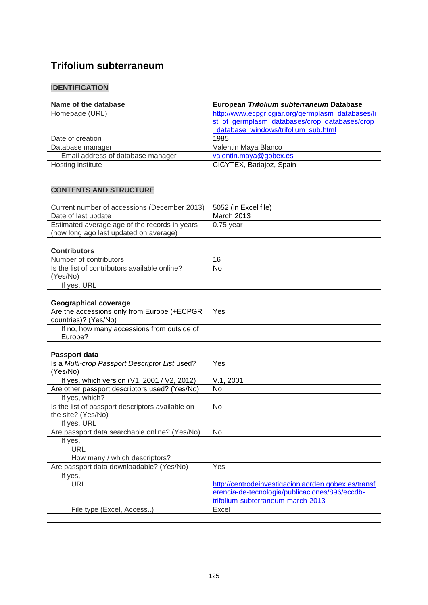# **Trifolium subterraneum**

## **IDENTIFICATION**

| Name of the database              | European Trifolium subterraneum Database          |
|-----------------------------------|---------------------------------------------------|
| Homepage (URL)                    | http://www.ecpgr.cgiar.org/germplasm_databases/li |
|                                   | st of germplasm databases/crop databases/crop     |
|                                   | database windows/trifolium sub.html               |
| Date of creation                  | 1985                                              |
| Database manager                  | Valentin Maya Blanco                              |
| Email address of database manager | valentin.maya@gobex.es                            |
| Hosting institute                 | CICYTEX, Badajoz, Spain                           |

| Current number of accessions (December 2013)     | 5052 (in Excel file)                                |
|--------------------------------------------------|-----------------------------------------------------|
| Date of last update                              | March 2013                                          |
| Estimated average age of the records in years    | $0.75$ year                                         |
| (how long ago last updated on average)           |                                                     |
|                                                  |                                                     |
| <b>Contributors</b>                              |                                                     |
| Number of contributors                           | 16                                                  |
| Is the list of contributors available online?    | <b>No</b>                                           |
| (Yes/No)                                         |                                                     |
| If yes, URL                                      |                                                     |
|                                                  |                                                     |
| <b>Geographical coverage</b>                     |                                                     |
| Are the accessions only from Europe (+ECPGR      | Yes                                                 |
| countries)? (Yes/No)                             |                                                     |
| If no, how many accessions from outside of       |                                                     |
| Europe?                                          |                                                     |
|                                                  |                                                     |
| Passport data                                    |                                                     |
| Is a Multi-crop Passport Descriptor List used?   | Yes                                                 |
| (Yes/No)                                         |                                                     |
| If yes, which version (V1, 2001 / V2, 2012)      | V.1, 2001                                           |
| Are other passport descriptors used? (Yes/No)    | <b>No</b>                                           |
| If yes, which?                                   |                                                     |
| Is the list of passport descriptors available on | <b>No</b>                                           |
| the site? (Yes/No)                               |                                                     |
| If yes, URL                                      |                                                     |
| Are passport data searchable online? (Yes/No)    | No                                                  |
| If yes,                                          |                                                     |
| <b>URL</b>                                       |                                                     |
| How many / which descriptors?                    |                                                     |
| Are passport data downloadable? (Yes/No)         | Yes                                                 |
| If yes,                                          |                                                     |
| <b>URL</b>                                       | http://centrodeinvestigacionlaorden.gobex.es/transf |
|                                                  | erencia-de-tecnologia/publicaciones/896/eccdb-      |
|                                                  | trifolium-subterraneum-march-2013-                  |
| File type (Excel, Access)                        | Excel                                               |
|                                                  |                                                     |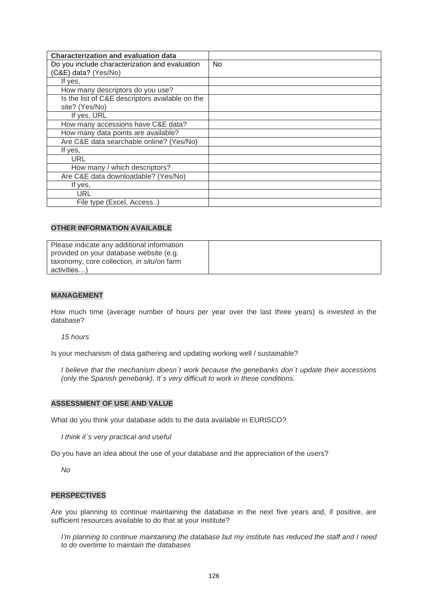| <b>Characterization and evaluation data</b>     |    |
|-------------------------------------------------|----|
| Do you include characterization and evaluation  | No |
| (C&E) data? (Yes/No)                            |    |
| If yes,                                         |    |
| How many descriptors do you use?                |    |
| Is the list of C&E descriptors available on the |    |
| site? (Yes/No)                                  |    |
| If yes, URL                                     |    |
| How many accessions have C&E data?              |    |
| How many data points are available?             |    |
| Are C&E data searchable online? (Yes/No)        |    |
| If yes,                                         |    |
| URL                                             |    |
| How many / which descriptors?                   |    |
| Are C&E data downloadable? (Yes/No)             |    |
| If yes,                                         |    |
| URL                                             |    |
| File type (Excel, Access)                       |    |

| Please indicate any additional information         |  |
|----------------------------------------------------|--|
| provided on your database website (e.g.            |  |
| taxonomy, core collection, <i>in situ</i> /on farm |  |
| activities)                                        |  |

#### **MANAGEMENT**

How much time (average number of hours per year over the last three years) is invested in the database?

*15 hours*

Is your mechanism of data gathering and updating working well / sustainable?

*I believe that the mechanism doesn´t work because the genebanks don´t update their accessions (only the Spanish genebank). It´s very difficult to work in these conditions.*

#### **ASSESSMENT OF USE AND VALUE**

What do you think your database adds to the data available in EURISCO?

*I think it´s very practical and useful*

Do you have an idea about the use of your database and the appreciation of the users?

*No*

#### **PERSPECTIVES**

Are you planning to continue maintaining the database in the next five years and, if positive, are sufficient resources available to do that at your institute?

*I'm planning to continue maintaining the database but my institute has reduced the staff and I need to do overtime to maintain the databases*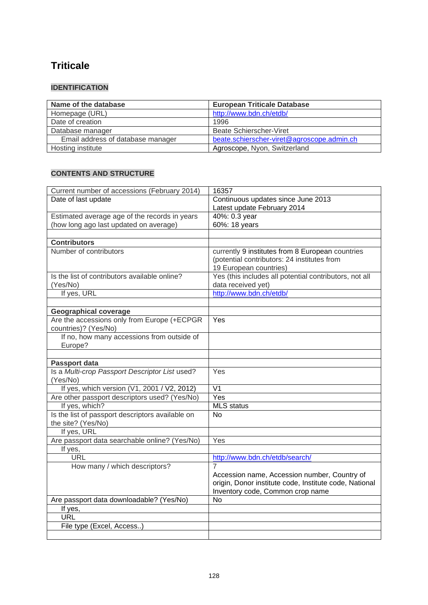# **Triticale**

# **IDENTIFICATION**

| Name of the database              | <b>European Triticale Database</b>         |
|-----------------------------------|--------------------------------------------|
| Homepage (URL)                    | http://www.bdn.ch/etdb/                    |
| Date of creation                  | 1996                                       |
| Database manager                  | Beate Schierscher-Viret                    |
| Email address of database manager | beate.schierscher-viret@agroscope.admin.ch |
| Hosting institute                 | Agroscope, Nyon, Switzerland               |

| Current number of accessions (February 2014)     | 16357                                                  |
|--------------------------------------------------|--------------------------------------------------------|
| Date of last update                              | Continuous updates since June 2013                     |
|                                                  | Latest update February 2014                            |
| Estimated average age of the records in years    | 40%: 0.3 year                                          |
| (how long ago last updated on average)           | 60%: 18 years                                          |
|                                                  |                                                        |
| <b>Contributors</b>                              |                                                        |
| Number of contributors                           | currently 9 institutes from 8 European countries       |
|                                                  | (potential contributors: 24 institutes from            |
|                                                  | 19 European countries)                                 |
| Is the list of contributors available online?    | Yes (this includes all potential contributors, not all |
| (Yes/No)                                         | data received yet)                                     |
| If yes, URL                                      | http://www.bdn.ch/etdb/                                |
|                                                  |                                                        |
| <b>Geographical coverage</b>                     |                                                        |
| Are the accessions only from Europe (+ECPGR      | Yes                                                    |
| countries)? (Yes/No)                             |                                                        |
| If no, how many accessions from outside of       |                                                        |
| Europe?                                          |                                                        |
|                                                  |                                                        |
| Passport data                                    |                                                        |
| Is a Multi-crop Passport Descriptor List used?   | Yes                                                    |
| (Yes/No)                                         |                                                        |
| If yes, which version (V1, 2001 / V2, 2012)      | $\overline{\mathsf{V1}}$                               |
| Are other passport descriptors used? (Yes/No)    | Yes                                                    |
| If yes, which?                                   | MLS status                                             |
| Is the list of passport descriptors available on | No                                                     |
| the site? (Yes/No)                               |                                                        |
| If yes, URL                                      |                                                        |
| Are passport data searchable online? (Yes/No)    | Yes                                                    |
| If yes,                                          |                                                        |
| URL                                              | http://www.bdn.ch/etdb/search/                         |
| How many / which descriptors?                    | $\overline{7}$                                         |
|                                                  | Accession name, Accession number, Country of           |
|                                                  | origin, Donor institute code, Institute code, National |
|                                                  | Inventory code, Common crop name                       |
| Are passport data downloadable? (Yes/No)         | <b>No</b>                                              |
| If yes,                                          |                                                        |
| <b>URL</b>                                       |                                                        |
| File type (Excel, Access)                        |                                                        |
|                                                  |                                                        |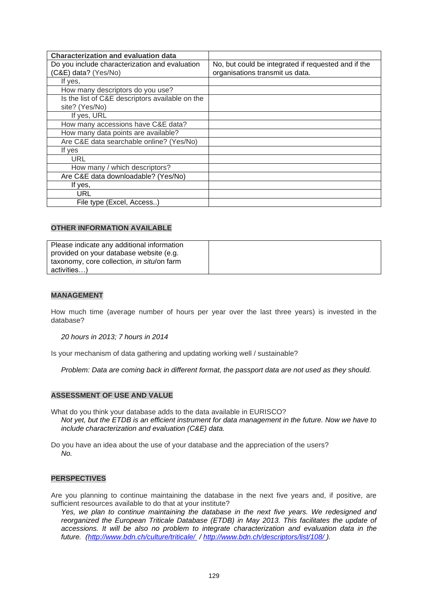| <b>Characterization and evaluation data</b>     |                                                     |
|-------------------------------------------------|-----------------------------------------------------|
| Do you include characterization and evaluation  | No, but could be integrated if requested and if the |
| (C&E) data? (Yes/No)                            | organisations transmit us data.                     |
| If yes,                                         |                                                     |
| How many descriptors do you use?                |                                                     |
| Is the list of C&E descriptors available on the |                                                     |
| site? (Yes/No)                                  |                                                     |
| If yes, URL                                     |                                                     |
| How many accessions have C&E data?              |                                                     |
| How many data points are available?             |                                                     |
| Are C&E data searchable online? (Yes/No)        |                                                     |
| If yes                                          |                                                     |
| URL                                             |                                                     |
| How many / which descriptors?                   |                                                     |
| Are C&E data downloadable? (Yes/No)             |                                                     |
| If yes,                                         |                                                     |
| URL                                             |                                                     |
| File type (Excel, Access)                       |                                                     |

| Please indicate any additional information |  |
|--------------------------------------------|--|
| provided on your database website (e.g.    |  |
| taxonomy, core collection, in situ/on farm |  |
| activities)                                |  |

#### **MANAGEMENT**

How much time (average number of hours per year over the last three years) is invested in the database?

*20 hours in 2013; 7 hours in 2014*

Is your mechanism of data gathering and updating working well / sustainable?

*Problem: Data are coming back in different format, the passport data are not used as they should.*

#### **ASSESSMENT OF USE AND VALUE**

What do you think your database adds to the data available in EURISCO? *Not yet, but the ETDB is an efficient instrument for data management in the future. Now we have to include characterization and evaluation (C&E) data.* 

Do you have an idea about the use of your database and the appreciation of the users? *No.*

#### **PERSPECTIVES**

Are you planning to continue maintaining the database in the next five years and, if positive, are sufficient resources available to do that at your institute?

*Yes, we plan to continue maintaining the database in the next five years. We redesigned and reorganized the European Triticale Database (ETDB) in May 2013. This facilitates the update of accessions. It will be also no problem to integrate characterization and evaluation data in the future. [\(http://www.bdn.ch/culture/triticale/](http://www.bdn.ch/culture/triticale/) /<http://www.bdn.ch/descriptors/list/108/> ).*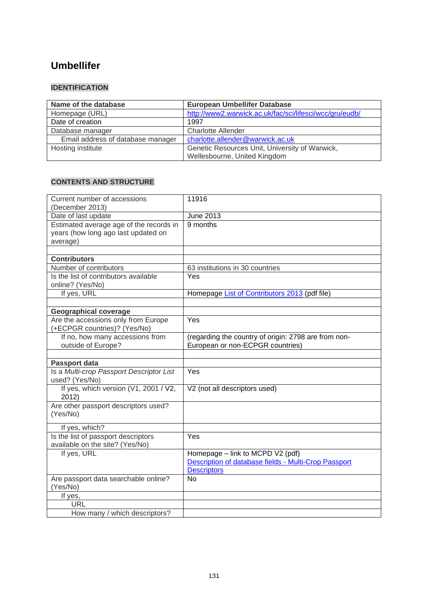# **[Umbellifer](http://www2.warwick.ac.uk/fac/sci/lifesci/wcc/gru/ecpumbel)**

## **IDENTIFICATION**

| Name of the database              | <b>European Umbellifer Database</b>                     |
|-----------------------------------|---------------------------------------------------------|
| Homepage (URL)                    | http://www2.warwick.ac.uk/fac/sci/lifesci/wcc/gru/eudb/ |
| Date of creation                  | 1997                                                    |
| Database manager                  | Charlotte Allender                                      |
| Email address of database manager | charlotte.allender@warwick.ac.uk                        |
| Hosting institute                 | Genetic Resources Unit, University of Warwick,          |
|                                   | Wellesbourne, United Kingdom                            |

| Current number of accessions                | 11916                                                |
|---------------------------------------------|------------------------------------------------------|
| (December 2013)                             |                                                      |
| Date of last update                         | June 2013                                            |
| Estimated average age of the records in     | 9 months                                             |
| years (how long ago last updated on         |                                                      |
| average)                                    |                                                      |
|                                             |                                                      |
| <b>Contributors</b>                         |                                                      |
| Number of contributors                      | 63 institutions in 30 countries                      |
| Is the list of contributors available       | Yes                                                  |
| online? (Yes/No)                            |                                                      |
| If yes, URL                                 | Homepage List of Contributors 2013 (pdf file)        |
|                                             |                                                      |
| <b>Geographical coverage</b>                |                                                      |
| Are the accessions only from Europe         | Yes                                                  |
| (+ECPGR countries)? (Yes/No)                |                                                      |
| If no, how many accessions from             | (regarding the country of origin: 2798 are from non- |
| outside of Europe?                          | European or non-ECPGR countries)                     |
|                                             |                                                      |
|                                             |                                                      |
| <b>Passport data</b>                        |                                                      |
| Is a Multi-crop Passport Descriptor List    | Yes                                                  |
| used? (Yes/No)                              |                                                      |
| If yes, which version (V1, 2001 / V2,       | V2 (not all descriptors used)                        |
| 2012)                                       |                                                      |
| Are other passport descriptors used?        |                                                      |
| (Yes/No)                                    |                                                      |
|                                             |                                                      |
| If yes, which?                              |                                                      |
| Is the list of passport descriptors         | Yes                                                  |
| available on the site? (Yes/No)             |                                                      |
| If yes, URL                                 | Homepage - link to MCPD V2 (pdf)                     |
|                                             | Description of database fields - Multi-Crop Passport |
|                                             | <b>Descriptors</b>                                   |
| Are passport data searchable online?        | <b>No</b>                                            |
| (Yes/No)                                    |                                                      |
| If yes,                                     |                                                      |
| <b>URL</b><br>How many / which descriptors? |                                                      |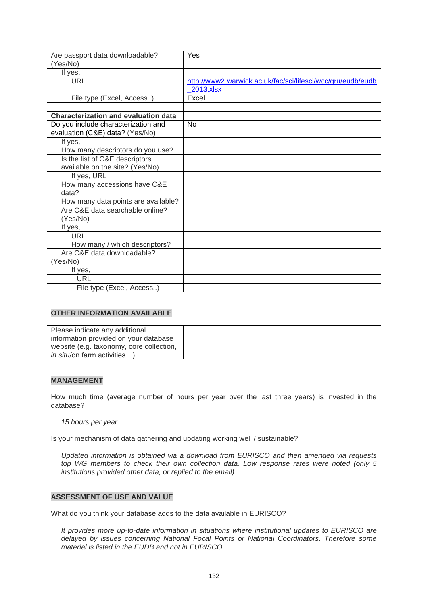| Are passport data downloadable?<br>(Yes/No) | Yes                                                         |
|---------------------------------------------|-------------------------------------------------------------|
| If yes,                                     |                                                             |
| <b>URL</b>                                  | http://www2.warwick.ac.uk/fac/sci/lifesci/wcc/gru/eudb/eudb |
|                                             | 2013.xlsx                                                   |
| File type (Excel, Access)                   | Excel                                                       |
|                                             |                                                             |
| <b>Characterization and evaluation data</b> |                                                             |
| Do you include characterization and         | No                                                          |
| evaluation (C&E) data? (Yes/No)             |                                                             |
| If yes,                                     |                                                             |
| How many descriptors do you use?            |                                                             |
| Is the list of C&E descriptors              |                                                             |
| available on the site? (Yes/No)             |                                                             |
| If yes, URL                                 |                                                             |
| How many accessions have C&E                |                                                             |
| data?                                       |                                                             |
| How many data points are available?         |                                                             |
| Are C&E data searchable online?             |                                                             |
| (Yes/No)                                    |                                                             |
| If yes,                                     |                                                             |
| <b>URL</b>                                  |                                                             |
| How many / which descriptors?               |                                                             |
| Are C&E data downloadable?                  |                                                             |
| (Yes/No)                                    |                                                             |
| If yes,                                     |                                                             |
| <b>URL</b>                                  |                                                             |
| File type (Excel, Access)                   |                                                             |

| Please indicate any additional           |  |
|------------------------------------------|--|
| information provided on your database    |  |
| website (e.g. taxonomy, core collection, |  |
| <i>in situ</i> /on farm activities)      |  |

### **MANAGEMENT**

How much time (average number of hours per year over the last three years) is invested in the database?

*15 hours per year*

Is your mechanism of data gathering and updating working well / sustainable?

*Updated information is obtained via a download from EURISCO and then amended via requests top WG members to check their own collection data. Low response rates were noted (only 5 institutions provided other data, or replied to the email)*

#### **ASSESSMENT OF USE AND VALUE**

What do you think your database adds to the data available in EURISCO?

*It provides more up-to-date information in situations where institutional updates to EURISCO are delayed by issues concerning National Focal Points or National Coordinators. Therefore some material is listed in the EUDB and not in EURISCO.*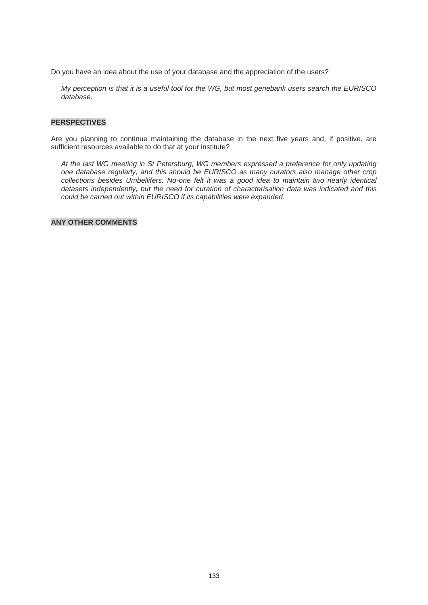Do you have an idea about the use of your database and the appreciation of the users?

*My perception is that it is a useful tool for the WG, but most genebank users search the EURISCO database.*

#### **PERSPECTIVES**

Are you planning to continue maintaining the database in the next five years and, if positive, are sufficient resources available to do that at your institute?

*At the last WG meeting in St Petersburg, WG members expressed a preference for only updating one database regularly, and this should be EURISCO as many curators also manage other crop collections besides Umbellifers. No-one felt it was a good idea to maintain two nearly identical datasets independently, but the need for curation of characterisation data was indicated and this could be carried out within EURISCO if its capabilities were expanded.*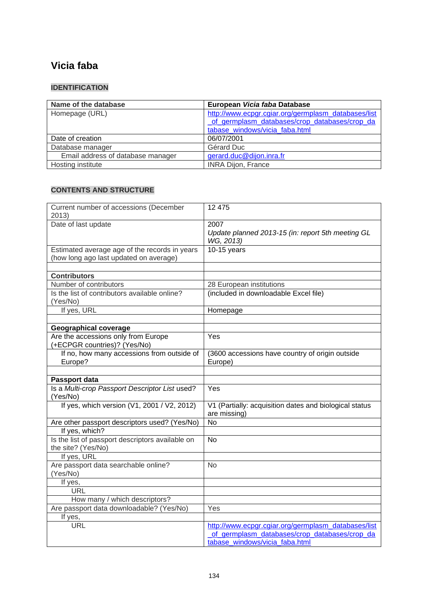# **Vicia faba**

## **IDENTIFICATION**

| Name of the database              | European Vicia faba Database                        |
|-----------------------------------|-----------------------------------------------------|
| Homepage (URL)                    | http://www.ecpgr.cgiar.org/germplasm_databases/list |
|                                   | of germplasm databases/crop databases/crop da       |
|                                   | tabase windows/vicia faba.html                      |
| Date of creation                  | 06/07/2001                                          |
| Database manager                  | Gérard Duc                                          |
| Email address of database manager | gerard.duc@dijon.inra.fr                            |
| Hosting institute                 | <b>INRA Dijon, France</b>                           |

| Current number of accessions (December<br>2013)                                         | 12 475                                                                                                                                 |
|-----------------------------------------------------------------------------------------|----------------------------------------------------------------------------------------------------------------------------------------|
| Date of last update                                                                     | 2007                                                                                                                                   |
|                                                                                         | Update planned 2013-15 (in: report 5th meeting GL<br>WG, 2013)                                                                         |
| Estimated average age of the records in years<br>(how long ago last updated on average) | $10-15$ years                                                                                                                          |
|                                                                                         |                                                                                                                                        |
| <b>Contributors</b>                                                                     |                                                                                                                                        |
| Number of contributors                                                                  | 28 European institutions                                                                                                               |
| Is the list of contributors available online?<br>(Yes/No)                               | (included in downloadable Excel file)                                                                                                  |
| If yes, URL                                                                             | Homepage                                                                                                                               |
|                                                                                         |                                                                                                                                        |
| <b>Geographical coverage</b>                                                            |                                                                                                                                        |
| Are the accessions only from Europe<br>(+ECPGR countries)? (Yes/No)                     | Yes                                                                                                                                    |
| If no, how many accessions from outside of                                              | (3600 accessions have country of origin outside                                                                                        |
| Europe?                                                                                 | Europe)                                                                                                                                |
|                                                                                         |                                                                                                                                        |
| Passport data                                                                           |                                                                                                                                        |
| Is a Multi-crop Passport Descriptor List used?<br>(Yes/No)                              | Yes                                                                                                                                    |
| If yes, which version (V1, 2001 / V2, 2012)                                             | V1 (Partially: acquisition dates and biological status<br>are missing)                                                                 |
| Are other passport descriptors used? (Yes/No)                                           | $\overline{N}$                                                                                                                         |
| If yes, which?                                                                          |                                                                                                                                        |
| Is the list of passport descriptors available on<br>the site? (Yes/No)                  | <b>No</b>                                                                                                                              |
| If yes, URL                                                                             |                                                                                                                                        |
| Are passport data searchable online?<br>(Yes/No)                                        | <b>No</b>                                                                                                                              |
| If yes,                                                                                 |                                                                                                                                        |
| <b>URL</b>                                                                              |                                                                                                                                        |
| How many / which descriptors?                                                           |                                                                                                                                        |
| Are passport data downloadable? (Yes/No)                                                | Yes                                                                                                                                    |
| If yes,                                                                                 |                                                                                                                                        |
| <b>URL</b>                                                                              | http://www.ecpgr.cgiar.org/germplasm_databases/list<br>of germplasm databases/crop databases/crop da<br>tabase windows/vicia faba.html |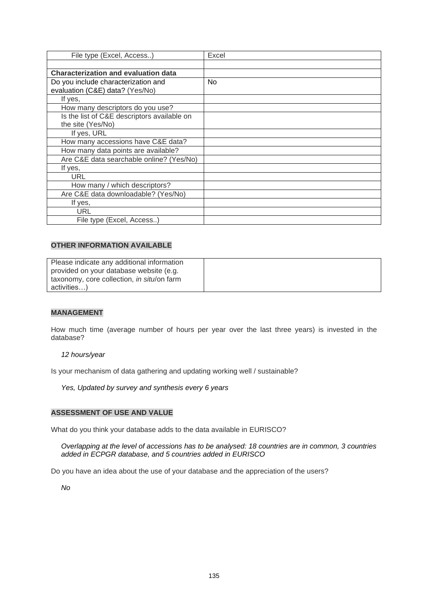| File type (Excel, Access)                   | Excel          |
|---------------------------------------------|----------------|
|                                             |                |
| <b>Characterization and evaluation data</b> |                |
| Do you include characterization and         | N <sub>o</sub> |
| evaluation (C&E) data? (Yes/No)             |                |
| If yes,                                     |                |
| How many descriptors do you use?            |                |
| Is the list of C&E descriptors available on |                |
| the site (Yes/No)                           |                |
| If yes, URL                                 |                |
| How many accessions have C&E data?          |                |
| How many data points are available?         |                |
| Are C&E data searchable online? (Yes/No)    |                |
| lf yes,                                     |                |
| URL                                         |                |
| How many / which descriptors?               |                |
| Are C&E data downloadable? (Yes/No)         |                |
| If yes,                                     |                |
| URL                                         |                |
| File type (Excel, Access)                   |                |

| Please indicate any additional information |  |
|--------------------------------------------|--|
| provided on your database website (e.g.    |  |
| taxonomy, core collection, in situ/on farm |  |
| activities)                                |  |

### **MANAGEMENT**

How much time (average number of hours per year over the last three years) is invested in the database?

*12 hours/year* 

Is your mechanism of data gathering and updating working well / sustainable?

*Yes, Updated by survey and synthesis every 6 years* 

#### **ASSESSMENT OF USE AND VALUE**

What do you think your database adds to the data available in EURISCO?

*Overlapping at the level of accessions has to be analysed: 18 countries are in common, 3 countries added in ECPGR database, and 5 countries added in EURISCO* 

Do you have an idea about the use of your database and the appreciation of the users?

*No*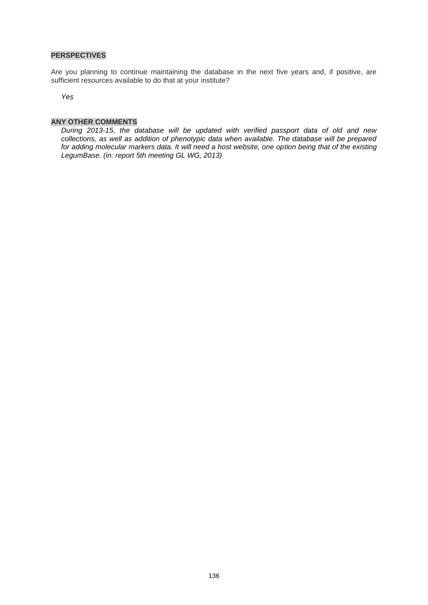#### **PERSPECTIVES**

Are you planning to continue maintaining the database in the next five years and, if positive, are sufficient resources available to do that at your institute?

*Yes*

### **ANY OTHER COMMENTS**

*During 2013-15, the database will be updated with verified passport data of old and new collections, as well as addition of phenotypic data when available. The database will be prepared for adding molecular markers data. It will need a host website, one option being that of the existing [LegumBase.](http://195.220.91.17/legumbase/) (in: report 5th meeting GL WG, 2013)*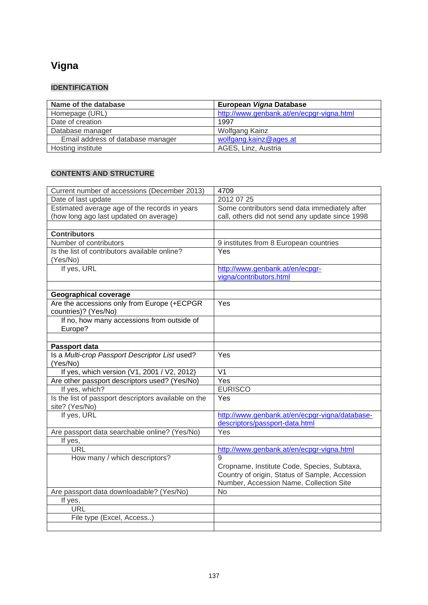# **Vigna**

# **IDENTIFICATION**

| Name of the database              | European Vigna Database                   |
|-----------------------------------|-------------------------------------------|
| Homepage (URL)                    | http://www.genbank.at/en/ecpgr-vigna.html |
| Date of creation                  | 1997                                      |
| Database manager                  | Wolfgang Kainz                            |
| Email address of database manager | wolfgang.kainz@ages.at                    |
| Hosting institute                 | AGES, Linz, Austria                       |

| Current number of accessions (December 2013)         | 4709                                                                                          |
|------------------------------------------------------|-----------------------------------------------------------------------------------------------|
| Date of last update                                  | 2012 07 25                                                                                    |
| Estimated average age of the records in years        | Some contributors send data immediately after                                                 |
| (how long ago last updated on average)               | call, others did not send any update since 1998                                               |
|                                                      |                                                                                               |
| <b>Contributors</b>                                  |                                                                                               |
| Number of contributors                               | 9 institutes from 8 European countries                                                        |
| Is the list of contributors available online?        | Yes                                                                                           |
| (Yes/No)                                             |                                                                                               |
| If yes, URL                                          | http://www.genbank.at/en/ecpgr-                                                               |
|                                                      | vigna/contributors.html                                                                       |
|                                                      |                                                                                               |
| <b>Geographical coverage</b>                         |                                                                                               |
| Are the accessions only from Europe (+ECPGR          | Yes                                                                                           |
| countries)? (Yes/No)                                 |                                                                                               |
| If no, how many accessions from outside of           |                                                                                               |
| Europe?                                              |                                                                                               |
|                                                      |                                                                                               |
| Passport data                                        |                                                                                               |
| Is a Multi-crop Passport Descriptor List used?       | Yes                                                                                           |
| (Yes/No)                                             |                                                                                               |
| If yes, which version (V1, 2001 / V2, 2012)          | V <sub>1</sub>                                                                                |
| Are other passport descriptors used? (Yes/No)        | Yes                                                                                           |
| If yes, which?                                       | <b>EURISCO</b>                                                                                |
| Is the list of passport descriptors available on the | Yes                                                                                           |
| site? (Yes/No)                                       |                                                                                               |
| If yes, URL                                          | http://www.genbank.at/en/ecpgr-vigna/database-                                                |
|                                                      | descriptors/passport-data.html                                                                |
| Are passport data searchable online? (Yes/No)        | Yes                                                                                           |
| If yes,                                              |                                                                                               |
| <b>URL</b>                                           | http://www.genbank.at/en/ecpgr-vigna.html<br>$\mathbf{Q}$                                     |
| How many / which descriptors?                        |                                                                                               |
|                                                      | Cropname, Institute Code, Species, Subtaxa,<br>Country of origin, Status of Sample, Accession |
|                                                      | Number, Accession Name, Collection Site                                                       |
| Are passport data downloadable? (Yes/No)             | <b>No</b>                                                                                     |
| If yes,                                              |                                                                                               |
| <b>URL</b>                                           |                                                                                               |
| File type (Excel, Access)                            |                                                                                               |
|                                                      |                                                                                               |
|                                                      |                                                                                               |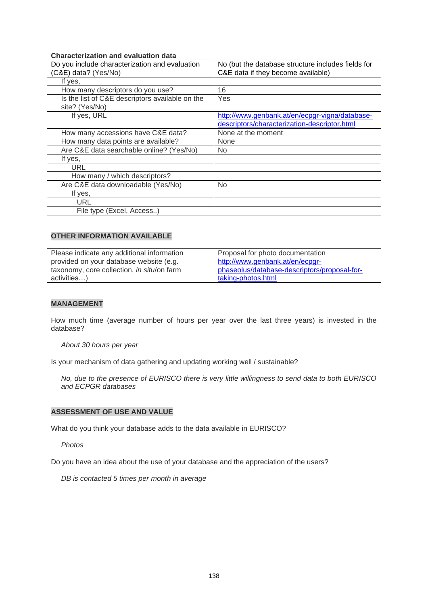| <b>Characterization and evaluation data</b>     |                                                    |
|-------------------------------------------------|----------------------------------------------------|
| Do you include characterization and evaluation  | No (but the database structure includes fields for |
| (C&E) data? (Yes/No)                            | C&E data if they become available)                 |
| If yes,                                         |                                                    |
| How many descriptors do you use?                | 16                                                 |
| Is the list of C&E descriptors available on the | Yes                                                |
| site? (Yes/No)                                  |                                                    |
| If yes, URL                                     | http://www.genbank.at/en/ecpgr-vigna/database-     |
|                                                 | descriptors/characterization-descriptor.html       |
| How many accessions have C&E data?              | None at the moment                                 |
| How many data points are available?             | None                                               |
| Are C&E data searchable online? (Yes/No)        | No.                                                |
| If yes,                                         |                                                    |
| <b>URL</b>                                      |                                                    |
| How many / which descriptors?                   |                                                    |
| Are C&E data downloadable (Yes/No)              | <b>No</b>                                          |
| If yes,                                         |                                                    |
| URL                                             |                                                    |
| File type (Excel, Access)                       |                                                    |

| Please indicate any additional information | Proposal for photo documentation             |
|--------------------------------------------|----------------------------------------------|
| provided on your database website (e.g.    | http://www.genbank.at/en/ecpgr-              |
| taxonomy, core collection, in situ/on farm | phaseolus/database-descriptors/proposal-for- |
| activities)                                | taking-photos.html                           |

### **MANAGEMENT**

How much time (average number of hours per year over the last three years) is invested in the database?

#### *About 30 hours per year*

Is your mechanism of data gathering and updating working well / sustainable?

*No, due to the presence of EURISCO there is very little willingness to send data to both EURISCO and ECPGR databases*

#### **ASSESSMENT OF USE AND VALUE**

What do you think your database adds to the data available in EURISCO?

*Photos*

Do you have an idea about the use of your database and the appreciation of the users?

*DB is contacted 5 times per month in average*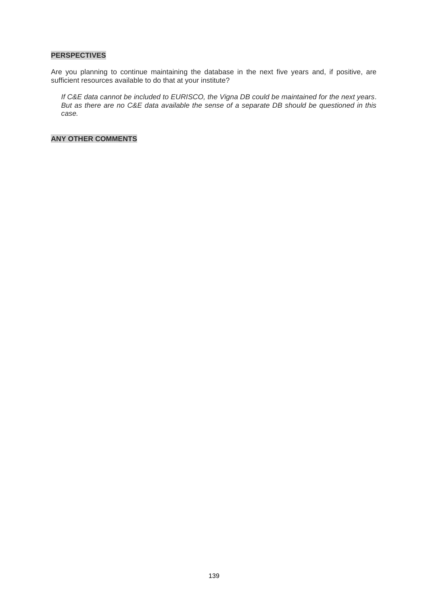#### **PERSPECTIVES**

Are you planning to continue maintaining the database in the next five years and, if positive, are sufficient resources available to do that at your institute?

*If C&E data cannot be included to EURISCO, the Vigna DB could be maintained for the next years. But as there are no C&E data available the sense of a separate DB should be questioned in this case.*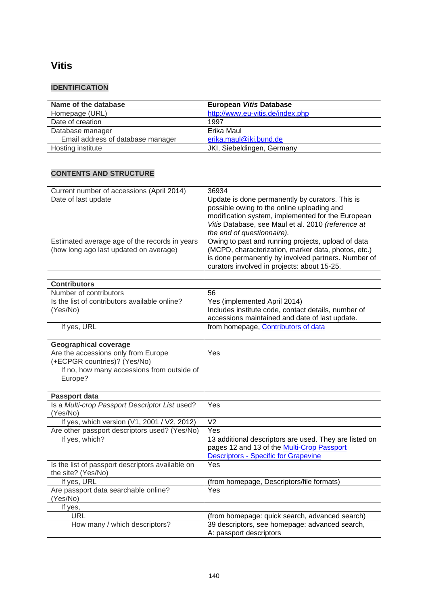# **Vitis**

## **IDENTIFICATION**

| Name of the database              | European Vitis Database          |
|-----------------------------------|----------------------------------|
| Homepage (URL)                    | http://www.eu-vitis.de/index.php |
| Date of creation                  | 1997                             |
| Database manager                  | Erika Maul                       |
| Email address of database manager | erika.maul@jki.bund.de           |
| Hosting institute                 | JKI, Siebeldingen, Germany       |

| Date of last update<br>Update is done permanently by curators. This is<br>possible owing to the online uploading and<br>modification system, implemented for the European<br>Vitis Database, see Maul et al. 2010 (reference at<br>the end of questionnaire).<br>Owing to past and running projects, upload of data<br>Estimated average age of the records in years<br>(how long ago last updated on average)<br>(MCPD, characterization, marker data, photos, etc.)<br>is done permanently by involved partners. Number of<br>curators involved in projects: about 15-25.<br><b>Contributors</b><br>Number of contributors<br>56<br>Is the list of contributors available online?<br>Yes (implemented April 2014)<br>Includes institute code, contact details, number of<br>(Yes/No)<br>accessions maintained and date of last update.<br>from homepage, Contributors of data<br>If yes, URL<br><b>Geographical coverage</b><br>Yes<br>Are the accessions only from Europe<br>(+ECPGR countries)? (Yes/No)<br>If no, how many accessions from outside of<br>Europe?<br><b>Passport data</b><br>Is a Multi-crop Passport Descriptor List used?<br>Yes<br>(Yes/No)<br>If yes, which version (V1, 2001 / V2, 2012)<br>$\overline{V}$<br>Are other passport descriptors used? (Yes/No)<br>Yes<br>If yes, which?<br>13 additional descriptors are used. They are listed on<br>pages 12 and 13 of the Multi-Crop Passport<br>Descriptors - Specific for Grapevine<br>Is the list of passport descriptors available on<br>Yes<br>the site? (Yes/No)<br>If yes, URL<br>(from homepage, Descriptors/file formats)<br>Are passport data searchable online?<br>Yes<br>(Yes/No) | Current number of accessions (April 2014) | 36934 |
|-----------------------------------------------------------------------------------------------------------------------------------------------------------------------------------------------------------------------------------------------------------------------------------------------------------------------------------------------------------------------------------------------------------------------------------------------------------------------------------------------------------------------------------------------------------------------------------------------------------------------------------------------------------------------------------------------------------------------------------------------------------------------------------------------------------------------------------------------------------------------------------------------------------------------------------------------------------------------------------------------------------------------------------------------------------------------------------------------------------------------------------------------------------------------------------------------------------------------------------------------------------------------------------------------------------------------------------------------------------------------------------------------------------------------------------------------------------------------------------------------------------------------------------------------------------------------------------------------------------------------------------------------------------------------|-------------------------------------------|-------|
|                                                                                                                                                                                                                                                                                                                                                                                                                                                                                                                                                                                                                                                                                                                                                                                                                                                                                                                                                                                                                                                                                                                                                                                                                                                                                                                                                                                                                                                                                                                                                                                                                                                                       |                                           |       |
|                                                                                                                                                                                                                                                                                                                                                                                                                                                                                                                                                                                                                                                                                                                                                                                                                                                                                                                                                                                                                                                                                                                                                                                                                                                                                                                                                                                                                                                                                                                                                                                                                                                                       |                                           |       |
|                                                                                                                                                                                                                                                                                                                                                                                                                                                                                                                                                                                                                                                                                                                                                                                                                                                                                                                                                                                                                                                                                                                                                                                                                                                                                                                                                                                                                                                                                                                                                                                                                                                                       |                                           |       |
|                                                                                                                                                                                                                                                                                                                                                                                                                                                                                                                                                                                                                                                                                                                                                                                                                                                                                                                                                                                                                                                                                                                                                                                                                                                                                                                                                                                                                                                                                                                                                                                                                                                                       |                                           |       |
|                                                                                                                                                                                                                                                                                                                                                                                                                                                                                                                                                                                                                                                                                                                                                                                                                                                                                                                                                                                                                                                                                                                                                                                                                                                                                                                                                                                                                                                                                                                                                                                                                                                                       |                                           |       |
|                                                                                                                                                                                                                                                                                                                                                                                                                                                                                                                                                                                                                                                                                                                                                                                                                                                                                                                                                                                                                                                                                                                                                                                                                                                                                                                                                                                                                                                                                                                                                                                                                                                                       |                                           |       |
|                                                                                                                                                                                                                                                                                                                                                                                                                                                                                                                                                                                                                                                                                                                                                                                                                                                                                                                                                                                                                                                                                                                                                                                                                                                                                                                                                                                                                                                                                                                                                                                                                                                                       |                                           |       |
|                                                                                                                                                                                                                                                                                                                                                                                                                                                                                                                                                                                                                                                                                                                                                                                                                                                                                                                                                                                                                                                                                                                                                                                                                                                                                                                                                                                                                                                                                                                                                                                                                                                                       |                                           |       |
|                                                                                                                                                                                                                                                                                                                                                                                                                                                                                                                                                                                                                                                                                                                                                                                                                                                                                                                                                                                                                                                                                                                                                                                                                                                                                                                                                                                                                                                                                                                                                                                                                                                                       |                                           |       |
|                                                                                                                                                                                                                                                                                                                                                                                                                                                                                                                                                                                                                                                                                                                                                                                                                                                                                                                                                                                                                                                                                                                                                                                                                                                                                                                                                                                                                                                                                                                                                                                                                                                                       |                                           |       |
|                                                                                                                                                                                                                                                                                                                                                                                                                                                                                                                                                                                                                                                                                                                                                                                                                                                                                                                                                                                                                                                                                                                                                                                                                                                                                                                                                                                                                                                                                                                                                                                                                                                                       |                                           |       |
|                                                                                                                                                                                                                                                                                                                                                                                                                                                                                                                                                                                                                                                                                                                                                                                                                                                                                                                                                                                                                                                                                                                                                                                                                                                                                                                                                                                                                                                                                                                                                                                                                                                                       |                                           |       |
|                                                                                                                                                                                                                                                                                                                                                                                                                                                                                                                                                                                                                                                                                                                                                                                                                                                                                                                                                                                                                                                                                                                                                                                                                                                                                                                                                                                                                                                                                                                                                                                                                                                                       |                                           |       |
|                                                                                                                                                                                                                                                                                                                                                                                                                                                                                                                                                                                                                                                                                                                                                                                                                                                                                                                                                                                                                                                                                                                                                                                                                                                                                                                                                                                                                                                                                                                                                                                                                                                                       |                                           |       |
|                                                                                                                                                                                                                                                                                                                                                                                                                                                                                                                                                                                                                                                                                                                                                                                                                                                                                                                                                                                                                                                                                                                                                                                                                                                                                                                                                                                                                                                                                                                                                                                                                                                                       |                                           |       |
|                                                                                                                                                                                                                                                                                                                                                                                                                                                                                                                                                                                                                                                                                                                                                                                                                                                                                                                                                                                                                                                                                                                                                                                                                                                                                                                                                                                                                                                                                                                                                                                                                                                                       |                                           |       |
|                                                                                                                                                                                                                                                                                                                                                                                                                                                                                                                                                                                                                                                                                                                                                                                                                                                                                                                                                                                                                                                                                                                                                                                                                                                                                                                                                                                                                                                                                                                                                                                                                                                                       |                                           |       |
|                                                                                                                                                                                                                                                                                                                                                                                                                                                                                                                                                                                                                                                                                                                                                                                                                                                                                                                                                                                                                                                                                                                                                                                                                                                                                                                                                                                                                                                                                                                                                                                                                                                                       |                                           |       |
|                                                                                                                                                                                                                                                                                                                                                                                                                                                                                                                                                                                                                                                                                                                                                                                                                                                                                                                                                                                                                                                                                                                                                                                                                                                                                                                                                                                                                                                                                                                                                                                                                                                                       |                                           |       |
|                                                                                                                                                                                                                                                                                                                                                                                                                                                                                                                                                                                                                                                                                                                                                                                                                                                                                                                                                                                                                                                                                                                                                                                                                                                                                                                                                                                                                                                                                                                                                                                                                                                                       |                                           |       |
|                                                                                                                                                                                                                                                                                                                                                                                                                                                                                                                                                                                                                                                                                                                                                                                                                                                                                                                                                                                                                                                                                                                                                                                                                                                                                                                                                                                                                                                                                                                                                                                                                                                                       |                                           |       |
|                                                                                                                                                                                                                                                                                                                                                                                                                                                                                                                                                                                                                                                                                                                                                                                                                                                                                                                                                                                                                                                                                                                                                                                                                                                                                                                                                                                                                                                                                                                                                                                                                                                                       |                                           |       |
|                                                                                                                                                                                                                                                                                                                                                                                                                                                                                                                                                                                                                                                                                                                                                                                                                                                                                                                                                                                                                                                                                                                                                                                                                                                                                                                                                                                                                                                                                                                                                                                                                                                                       |                                           |       |
|                                                                                                                                                                                                                                                                                                                                                                                                                                                                                                                                                                                                                                                                                                                                                                                                                                                                                                                                                                                                                                                                                                                                                                                                                                                                                                                                                                                                                                                                                                                                                                                                                                                                       |                                           |       |
|                                                                                                                                                                                                                                                                                                                                                                                                                                                                                                                                                                                                                                                                                                                                                                                                                                                                                                                                                                                                                                                                                                                                                                                                                                                                                                                                                                                                                                                                                                                                                                                                                                                                       |                                           |       |
|                                                                                                                                                                                                                                                                                                                                                                                                                                                                                                                                                                                                                                                                                                                                                                                                                                                                                                                                                                                                                                                                                                                                                                                                                                                                                                                                                                                                                                                                                                                                                                                                                                                                       |                                           |       |
|                                                                                                                                                                                                                                                                                                                                                                                                                                                                                                                                                                                                                                                                                                                                                                                                                                                                                                                                                                                                                                                                                                                                                                                                                                                                                                                                                                                                                                                                                                                                                                                                                                                                       |                                           |       |
|                                                                                                                                                                                                                                                                                                                                                                                                                                                                                                                                                                                                                                                                                                                                                                                                                                                                                                                                                                                                                                                                                                                                                                                                                                                                                                                                                                                                                                                                                                                                                                                                                                                                       |                                           |       |
|                                                                                                                                                                                                                                                                                                                                                                                                                                                                                                                                                                                                                                                                                                                                                                                                                                                                                                                                                                                                                                                                                                                                                                                                                                                                                                                                                                                                                                                                                                                                                                                                                                                                       |                                           |       |
|                                                                                                                                                                                                                                                                                                                                                                                                                                                                                                                                                                                                                                                                                                                                                                                                                                                                                                                                                                                                                                                                                                                                                                                                                                                                                                                                                                                                                                                                                                                                                                                                                                                                       |                                           |       |
|                                                                                                                                                                                                                                                                                                                                                                                                                                                                                                                                                                                                                                                                                                                                                                                                                                                                                                                                                                                                                                                                                                                                                                                                                                                                                                                                                                                                                                                                                                                                                                                                                                                                       |                                           |       |
|                                                                                                                                                                                                                                                                                                                                                                                                                                                                                                                                                                                                                                                                                                                                                                                                                                                                                                                                                                                                                                                                                                                                                                                                                                                                                                                                                                                                                                                                                                                                                                                                                                                                       |                                           |       |
|                                                                                                                                                                                                                                                                                                                                                                                                                                                                                                                                                                                                                                                                                                                                                                                                                                                                                                                                                                                                                                                                                                                                                                                                                                                                                                                                                                                                                                                                                                                                                                                                                                                                       |                                           |       |
|                                                                                                                                                                                                                                                                                                                                                                                                                                                                                                                                                                                                                                                                                                                                                                                                                                                                                                                                                                                                                                                                                                                                                                                                                                                                                                                                                                                                                                                                                                                                                                                                                                                                       |                                           |       |
|                                                                                                                                                                                                                                                                                                                                                                                                                                                                                                                                                                                                                                                                                                                                                                                                                                                                                                                                                                                                                                                                                                                                                                                                                                                                                                                                                                                                                                                                                                                                                                                                                                                                       |                                           |       |
| If yes,                                                                                                                                                                                                                                                                                                                                                                                                                                                                                                                                                                                                                                                                                                                                                                                                                                                                                                                                                                                                                                                                                                                                                                                                                                                                                                                                                                                                                                                                                                                                                                                                                                                               |                                           |       |
| <b>URL</b><br>(from homepage: quick search, advanced search)                                                                                                                                                                                                                                                                                                                                                                                                                                                                                                                                                                                                                                                                                                                                                                                                                                                                                                                                                                                                                                                                                                                                                                                                                                                                                                                                                                                                                                                                                                                                                                                                          |                                           |       |
| How many / which descriptors?<br>39 descriptors, see homepage: advanced search,                                                                                                                                                                                                                                                                                                                                                                                                                                                                                                                                                                                                                                                                                                                                                                                                                                                                                                                                                                                                                                                                                                                                                                                                                                                                                                                                                                                                                                                                                                                                                                                       |                                           |       |
| A: passport descriptors                                                                                                                                                                                                                                                                                                                                                                                                                                                                                                                                                                                                                                                                                                                                                                                                                                                                                                                                                                                                                                                                                                                                                                                                                                                                                                                                                                                                                                                                                                                                                                                                                                               |                                           |       |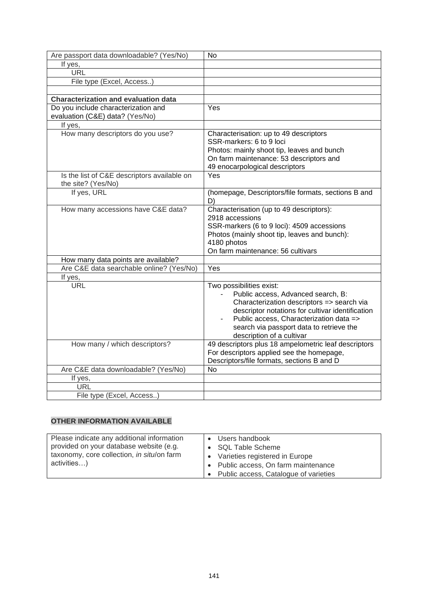| Are passport data downloadable? (Yes/No)    | <b>No</b>                                            |
|---------------------------------------------|------------------------------------------------------|
| If yes,                                     |                                                      |
| <b>URL</b>                                  |                                                      |
| File type (Excel, Access)                   |                                                      |
|                                             |                                                      |
| <b>Characterization and evaluation data</b> |                                                      |
| Do you include characterization and         | Yes                                                  |
| evaluation (C&E) data? (Yes/No)             |                                                      |
| If yes,                                     |                                                      |
| How many descriptors do you use?            | Characterisation: up to 49 descriptors               |
|                                             | SSR-markers: 6 to 9 loci                             |
|                                             | Photos: mainly shoot tip, leaves and bunch           |
|                                             | On farm maintenance: 53 descriptors and              |
|                                             | 49 enocarpological descriptors                       |
| Is the list of C&E descriptors available on | Yes                                                  |
| the site? (Yes/No)                          |                                                      |
| If yes, URL                                 | (homepage, Descriptors/file formats, sections B and  |
|                                             | D)                                                   |
| How many accessions have C&E data?          | Characterisation (up to 49 descriptors):             |
|                                             | 2918 accessions                                      |
|                                             | SSR-markers (6 to 9 loci): 4509 accessions           |
|                                             | Photos (mainly shoot tip, leaves and bunch):         |
|                                             | 4180 photos                                          |
|                                             | On farm maintenance: 56 cultivars                    |
| How many data points are available?         |                                                      |
| Are C&E data searchable online? (Yes/No)    | Yes                                                  |
| If yes,                                     |                                                      |
| <b>URL</b>                                  | Two possibilities exist:                             |
|                                             | Public access, Advanced search, B:                   |
|                                             | Characterization descriptors => search via           |
|                                             | descriptor notations for cultivar identification     |
|                                             | Public access, Characterization data =>              |
|                                             | search via passport data to retrieve the             |
|                                             | description of a cultivar                            |
| How many / which descriptors?               | 49 descriptors plus 18 ampelometric leaf descriptors |
|                                             | For descriptors applied see the homepage,            |
|                                             | Descriptors/file formats, sections B and D           |
| Are C&E data downloadable? (Yes/No)         | <b>No</b>                                            |
| If yes,                                     |                                                      |
| URL                                         |                                                      |
| File type (Excel, Access)                   |                                                      |

| Please indicate any additional information<br>provided on your database website (e.g.<br>taxonomy, core collection, in situ/on farm | Users handbook<br>$\bullet$<br>• SQL Table Scheme<br>Varieties registered in Europe<br>$\bullet$ |
|-------------------------------------------------------------------------------------------------------------------------------------|--------------------------------------------------------------------------------------------------|
| activities)                                                                                                                         | • Public access, On farm maintenance<br>• Public access, Catalogue of varieties                  |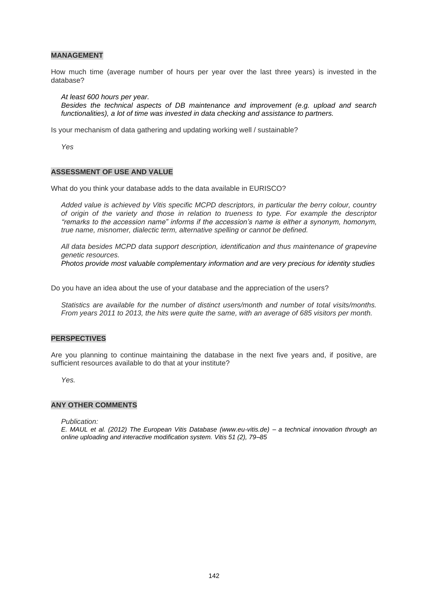#### **MANAGEMENT**

How much time (average number of hours per year over the last three years) is invested in the database?

*At least 600 hours per year. Besides the technical aspects of DB maintenance and improvement (e.g. upload and search functionalities), a lot of time was invested in data checking and assistance to partners.* 

Is your mechanism of data gathering and updating working well / sustainable?

*Yes*

#### **ASSESSMENT OF USE AND VALUE**

What do you think your database adds to the data available in EURISCO?

*Added value is achieved by Vitis specific MCPD descriptors, in particular the berry colour, country of origin of the variety and those in relation to trueness to type. For example the descriptor "remarks to the accession name" informs if the accession's name is either a synonym, homonym, true name, misnomer, dialectic term, alternative spelling or cannot be defined.*

*All data besides MCPD data support description, identification and thus maintenance of grapevine genetic resources.*

*Photos provide most valuable complementary information and are very precious for identity studies*

Do you have an idea about the use of your database and the appreciation of the users?

*Statistics are available for the number of distinct users/month and number of total visits/months. From years 2011 to 2013, the hits were quite the same, with an average of 685 visitors per month.*

#### **PERSPECTIVES**

Are you planning to continue maintaining the database in the next five years and, if positive, are sufficient resources available to do that at your institute?

*Yes.*

#### **ANY OTHER COMMENTS**

*Publication:*

*E. MAUL et al. (2012) The European Vitis Database (www.eu-vitis.de) – a technical innovation through an online uploading and interactive modification system. Vitis 51 (2), 79–85*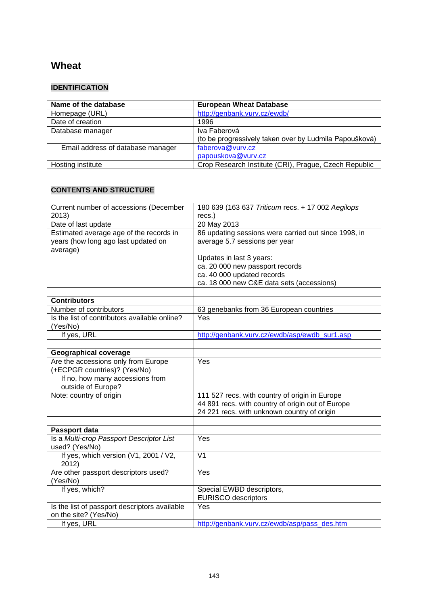# **Wheat**

### **IDENTIFICATION**

| Name of the database              | <b>European Wheat Database</b>                         |
|-----------------------------------|--------------------------------------------------------|
| Homepage (URL)                    | http://genbank.vurv.cz/ewdb/                           |
| Date of creation                  | 1996                                                   |
| Database manager                  | Iva Faberová                                           |
|                                   | (to be progressively taken over by Ludmila Papoušková) |
| Email address of database manager | faberova@vurv.cz                                       |
|                                   | papouskova@vurv.cz                                     |
| Hosting institute                 | Crop Research Institute (CRI), Prague, Czech Republic  |

## **CONTENTS AND STRUCTURE**

| Current number of accessions (December                                                     | 180 639 (163 637 Triticum recs. + 17 002 Aegilops                                                                                                  |
|--------------------------------------------------------------------------------------------|----------------------------------------------------------------------------------------------------------------------------------------------------|
| 2013)                                                                                      | recs.)                                                                                                                                             |
| Date of last update                                                                        | 20 May 2013                                                                                                                                        |
| Estimated average age of the records in<br>years (how long ago last updated on<br>average) | 86 updating sessions were carried out since 1998, in<br>average 5.7 sessions per year                                                              |
|                                                                                            | Updates in last 3 years:                                                                                                                           |
|                                                                                            | ca. 20 000 new passport records<br>ca. 40 000 updated records                                                                                      |
|                                                                                            | ca. 18 000 new C&E data sets (accessions)                                                                                                          |
|                                                                                            |                                                                                                                                                    |
| <b>Contributors</b>                                                                        |                                                                                                                                                    |
| Number of contributors                                                                     | 63 genebanks from 36 European countries                                                                                                            |
| Is the list of contributors available online?                                              | Yes                                                                                                                                                |
| (Yes/No)                                                                                   |                                                                                                                                                    |
| If yes, URL                                                                                | http://genbank.vurv.cz/ewdb/asp/ewdb_sur1.asp                                                                                                      |
|                                                                                            |                                                                                                                                                    |
| <b>Geographical coverage</b>                                                               |                                                                                                                                                    |
| Are the accessions only from Europe                                                        | Yes                                                                                                                                                |
| (+ECPGR countries)? (Yes/No)                                                               |                                                                                                                                                    |
| If no, how many accessions from<br>outside of Europe?                                      |                                                                                                                                                    |
| Note: country of origin                                                                    | 111 527 recs. with country of origin in Europe<br>44 891 recs. with country of origin out of Europe<br>24 221 recs. with unknown country of origin |
|                                                                                            |                                                                                                                                                    |
| Passport data                                                                              |                                                                                                                                                    |
| Is a Multi-crop Passport Descriptor List<br>used? (Yes/No)                                 | Yes                                                                                                                                                |
| If yes, which version (V1, 2001 / V2,<br>2012)                                             | $\overline{\mathsf{V1}}$                                                                                                                           |
| Are other passport descriptors used?<br>(Yes/No)                                           | Yes                                                                                                                                                |
| If yes, which?                                                                             | Special EWBD descriptors,<br><b>EURISCO</b> descriptors                                                                                            |
| Is the list of passport descriptors available<br>on the site? (Yes/No)                     | Yes                                                                                                                                                |
| If yes, URL                                                                                | http://genbank.vurv.cz/ewdb/asp/pass_des.htm                                                                                                       |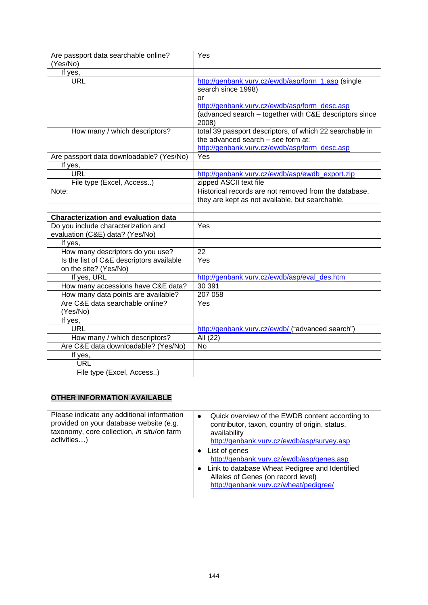| Are passport data searchable online?<br>(Yes/No)                             | Yes                                                                                                                                                                                                |
|------------------------------------------------------------------------------|----------------------------------------------------------------------------------------------------------------------------------------------------------------------------------------------------|
| If yes,                                                                      |                                                                                                                                                                                                    |
| <b>URL</b>                                                                   | http://genbank.vurv.cz/ewdb/asp/form 1.asp (single<br>search since 1998)<br>or<br>http://genbank.vurv.cz/ewdb/asp/form_desc.asp<br>(advanced search - together with C&E descriptors since<br>2008) |
| How many / which descriptors?                                                | total 39 passport descriptors, of which 22 searchable in<br>the advanced search - see form at:<br>http://genbank.vurv.cz/ewdb/asp/form_desc.asp                                                    |
| Are passport data downloadable? (Yes/No)                                     | Yes                                                                                                                                                                                                |
| If yes,                                                                      |                                                                                                                                                                                                    |
| <b>URL</b>                                                                   | http://genbank.vurv.cz/ewdb/asp/ewdb export.zip                                                                                                                                                    |
| File type (Excel, Access)                                                    | zipped ASCII text file                                                                                                                                                                             |
| Note:                                                                        | Historical records are not removed from the database,                                                                                                                                              |
|                                                                              | they are kept as not available, but searchable.                                                                                                                                                    |
|                                                                              |                                                                                                                                                                                                    |
| <b>Characterization and evaluation data</b>                                  |                                                                                                                                                                                                    |
| Do you include characterization and                                          | Yes                                                                                                                                                                                                |
| evaluation (C&E) data? (Yes/No)                                              |                                                                                                                                                                                                    |
| If yes,                                                                      | 22                                                                                                                                                                                                 |
| How many descriptors do you use?<br>Is the list of C&E descriptors available | Yes                                                                                                                                                                                                |
| on the site? (Yes/No)                                                        |                                                                                                                                                                                                    |
| If yes, URL                                                                  | http://genbank.vurv.cz/ewdb/asp/eval_des.htm                                                                                                                                                       |
| How many accessions have C&E data?                                           | 30 391                                                                                                                                                                                             |
| How many data points are available?                                          | 207 058                                                                                                                                                                                            |
| Are C&E data searchable online?<br>(Yes/No)                                  | Yes                                                                                                                                                                                                |
| If yes,                                                                      |                                                                                                                                                                                                    |
| <b>URL</b>                                                                   | http://genbank.vurv.cz/ewdb/ ("advanced search")                                                                                                                                                   |
| How many / which descriptors?                                                | All (22)                                                                                                                                                                                           |
| Are C&E data downloadable? (Yes/No)                                          | No                                                                                                                                                                                                 |
| If yes,                                                                      |                                                                                                                                                                                                    |
|                                                                              |                                                                                                                                                                                                    |
| <b>URL</b>                                                                   |                                                                                                                                                                                                    |

## **OTHER INFORMATION AVAILABLE**

| Please indicate any additional information<br>provided on your database website (e.g.<br>taxonomy, core collection, in situ/on farm<br>activities) | ٠<br>٠ | Quick overview of the EWDB content according to<br>contributor, taxon, country of origin, status,<br>availability<br>http://genbank.vurv.cz/ewdb/asp/survey.asp<br>List of genes<br>http://genbank.vurv.cz/ewdb/asp/genes.asp<br>Link to database Wheat Pedigree and Identified<br>Alleles of Genes (on record level)<br>http://genbank.vurv.cz/wheat/pedigree/ |
|----------------------------------------------------------------------------------------------------------------------------------------------------|--------|-----------------------------------------------------------------------------------------------------------------------------------------------------------------------------------------------------------------------------------------------------------------------------------------------------------------------------------------------------------------|
|----------------------------------------------------------------------------------------------------------------------------------------------------|--------|-----------------------------------------------------------------------------------------------------------------------------------------------------------------------------------------------------------------------------------------------------------------------------------------------------------------------------------------------------------------|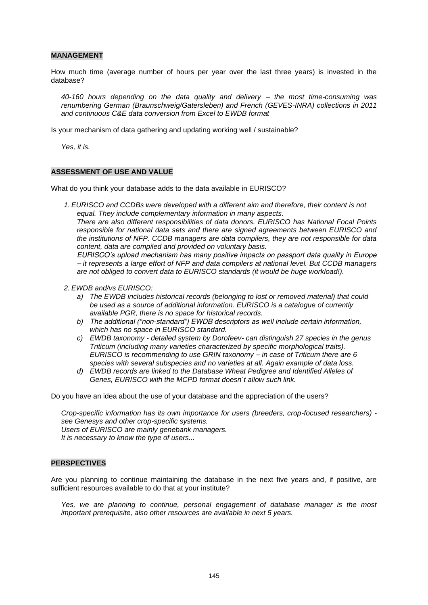#### **MANAGEMENT**

How much time (average number of hours per year over the last three years) is invested in the database?

*40-160 hours depending on the data quality and delivery – the most time-consuming was renumbering German (Braunschweig/Gatersleben) and French (GEVES-INRA) collections in 2011 and continuous C&E data conversion from Excel to EWDB format*

Is your mechanism of data gathering and updating working well / sustainable?

*Yes, it is.*

#### **ASSESSMENT OF USE AND VALUE**

What do you think your database adds to the data available in EURISCO?

*1. EURISCO and CCDBs were developed with a different aim and therefore, their content is not equal. They include complementary information in many aspects.* 

*There are also different responsibilities of data donors. EURISCO has National Focal Points responsible for national data sets and there are signed agreements between EURISCO and the institutions of NFP. CCDB managers are data compilers, they are not responsible for data content, data are compiled and provided on voluntary basis.* 

*EURISCO's upload mechanism has many positive impacts on passport data quality in Europe – it represents a large effort of NFP and data compilers at national level. But CCDB managers are not obliged to convert data to EURISCO standards (it would be huge workload!).*

- *2. EWDB and/vs EURISCO:* 
	- *a) The EWDB includes historical records (belonging to lost or removed material) that could be used as a source of additional information. EURISCO is a catalogue of currently available PGR, there is no space for historical records.*
	- *b) The additional ("non-standard") EWDB descriptors as well include certain information, which has no space in EURISCO standard.*
	- *c) EWDB taxonomy - detailed system by Dorofeev- can distinguish 27 species in the genus Triticum (including many varieties characterized by specific morphological traits). EURISCO is recommending to use GRIN taxonomy – in case of Triticum there are 6 species with several subspecies and no varieties at all. Again example of data loss.*
	- *d) EWDB records are linked to the Database Wheat Pedigree and Identified Alleles of Genes, EURISCO with the MCPD format doesn´t allow such link.*

Do you have an idea about the use of your database and the appreciation of the users?

*Crop-specific information has its own importance for users (breeders, crop-focused researchers) see Genesys and other crop-specific systems. Users of EURISCO are mainly genebank managers. It is necessary to know the type of users...*

#### **PERSPECTIVES**

Are you planning to continue maintaining the database in the next five years and, if positive, are sufficient resources available to do that at your institute?

*Yes, we are planning to continue, personal engagement of database manager is the most important prerequisite, also other resources are available in next 5 years.*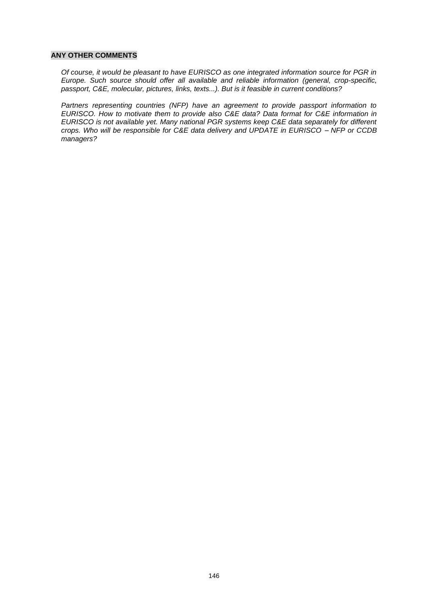#### **ANY OTHER COMMENTS**

*Of course, it would be pleasant to have EURISCO as one integrated information source for PGR in Europe. Such source should offer all available and reliable information (general, crop-specific, passport, C&E, molecular, pictures, links, texts...). But is it feasible in current conditions?*

*Partners representing countries (NFP) have an agreement to provide passport information to EURISCO. How to motivate them to provide also C&E data? Data format for C&E information in EURISCO is not available yet. Many national PGR systems keep C&E data separately for different crops. Who will be responsible for C&E data delivery and UPDATE in EURISCO – NFP or CCDB managers?*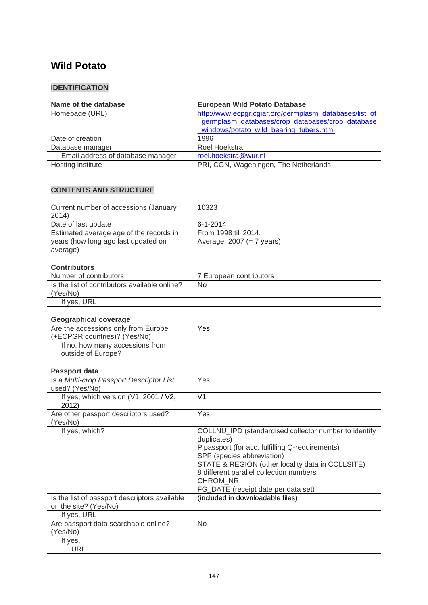# **Wild Potato**

### **IDENTIFICATION**

| Name of the database              | <b>European Wild Potato Database</b>                   |
|-----------------------------------|--------------------------------------------------------|
| Homepage (URL)                    | http://www.ecpgr.cgiar.org/germplasm_databases/list_of |
|                                   | germplasm databases/crop databases/crop database       |
|                                   | windows/potato wild bearing tubers.html                |
| Date of creation                  | 1996                                                   |
| Database manager                  | Roel Hoekstra                                          |
| Email address of database manager | roel.hoekstra@wur.nl                                   |
| Hosting institute                 | PRI, CGN, Wageningen, The Netherlands                  |

### **CONTENTS AND STRUCTURE**

| Current number of accessions (January<br>2014)            | 10323                                                                   |
|-----------------------------------------------------------|-------------------------------------------------------------------------|
| Date of last update                                       | $6 - 1 - 2014$                                                          |
| Estimated average age of the records in                   | From 1998 till 2014.                                                    |
| years (how long ago last updated on                       | Average: $2007 (= 7 \text{ years})$                                     |
| average)                                                  |                                                                         |
|                                                           |                                                                         |
| <b>Contributors</b>                                       |                                                                         |
| Number of contributors                                    | 7 European contributors                                                 |
| Is the list of contributors available online?             | <b>No</b>                                                               |
| (Yes/No)                                                  |                                                                         |
| If yes, URL                                               |                                                                         |
|                                                           |                                                                         |
| <b>Geographical coverage</b>                              |                                                                         |
| Are the accessions only from Europe                       | Yes                                                                     |
| (+ECPGR countries)? (Yes/No)                              |                                                                         |
| If no, how many accessions from                           |                                                                         |
| outside of Europe?                                        |                                                                         |
|                                                           |                                                                         |
| Passport data<br>Is a Multi-crop Passport Descriptor List |                                                                         |
| used? (Yes/No)                                            | Yes                                                                     |
| If yes, which version (V1, 2001 / V2,<br>2012)            | $\overline{\mathsf{V1}}$                                                |
| Are other passport descriptors used?                      | Yes                                                                     |
| (Yes/No)                                                  |                                                                         |
| If yes, which?                                            | COLLNU_IPD (standardised collector number to identify                   |
|                                                           | duplicates)                                                             |
|                                                           | Plpassport (for acc. fulfilling Q-requirements)                         |
|                                                           | SPP (species abbreviation)                                              |
|                                                           | STATE & REGION (other locality data in COLLSITE)                        |
|                                                           | 8 different parallel collection numbers                                 |
|                                                           | CHROM NR                                                                |
| Is the list of passport descriptors available             | FG_DATE (receipt date per data set)<br>(included in downloadable files) |
| on the site? (Yes/No)                                     |                                                                         |
| If yes, URL                                               |                                                                         |
| Are passport data searchable online?                      | <b>No</b>                                                               |
| (Yes/No)                                                  |                                                                         |
| If yes,                                                   |                                                                         |
| <b>URL</b>                                                |                                                                         |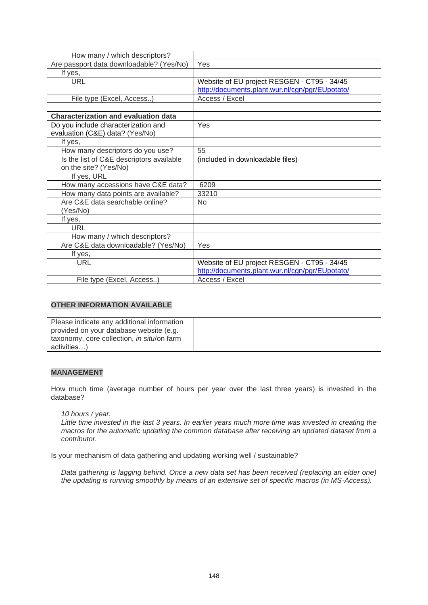| How many / which descriptors?               |                                                 |
|---------------------------------------------|-------------------------------------------------|
| Are passport data downloadable? (Yes/No)    | Yes                                             |
| If yes,                                     |                                                 |
| <b>URL</b>                                  | Website of EU project RESGEN - CT95 - 34/45     |
|                                             | http://documents.plant.wur.nl/cgn/pgr/EUpotato/ |
| File type (Excel, Access)                   | Access / Excel                                  |
|                                             |                                                 |
| <b>Characterization and evaluation data</b> |                                                 |
| Do you include characterization and         | Yes                                             |
| evaluation (C&E) data? (Yes/No)             |                                                 |
| If yes,                                     |                                                 |
| How many descriptors do you use?            | 55                                              |
| Is the list of C&E descriptors available    | (included in downloadable files)                |
| on the site? (Yes/No)                       |                                                 |
| If yes, URL                                 |                                                 |
| How many accessions have C&E data?          | 6209                                            |
| How many data points are available?         | 33210                                           |
| Are C&E data searchable online?             | <b>No</b>                                       |
| (Yes/No)                                    |                                                 |
| If yes,                                     |                                                 |
| URL                                         |                                                 |
| How many / which descriptors?               |                                                 |
| Are C&E data downloadable? (Yes/No)         | Yes                                             |
| If yes,                                     |                                                 |
| <b>URL</b>                                  | Website of EU project RESGEN - CT95 - 34/45     |
|                                             | http://documents.plant.wur.nl/cgn/pgr/EUpotato/ |
| File type (Excel, Access)                   | Access / Excel                                  |

### **OTHER INFORMATION AVAILABLE**

| Please indicate any additional information |  |
|--------------------------------------------|--|
| provided on your database website (e.g.    |  |
| taxonomy, core collection, in situ/on farm |  |
| activities)                                |  |

### **MANAGEMENT**

How much time (average number of hours per year over the last three years) is invested in the database?

### *10 hours / year.*

*Little time invested in the last 3 years. In earlier years much more time was invested in creating the macros for the automatic updating the common database after receiving an updated dataset from a contributor.*

Is your mechanism of data gathering and updating working well / sustainable?

*Data gathering is lagging behind. Once a new data set has been received (replacing an elder one) the updating is running smoothly by means of an extensive set of specific macros (in MS-Access).*